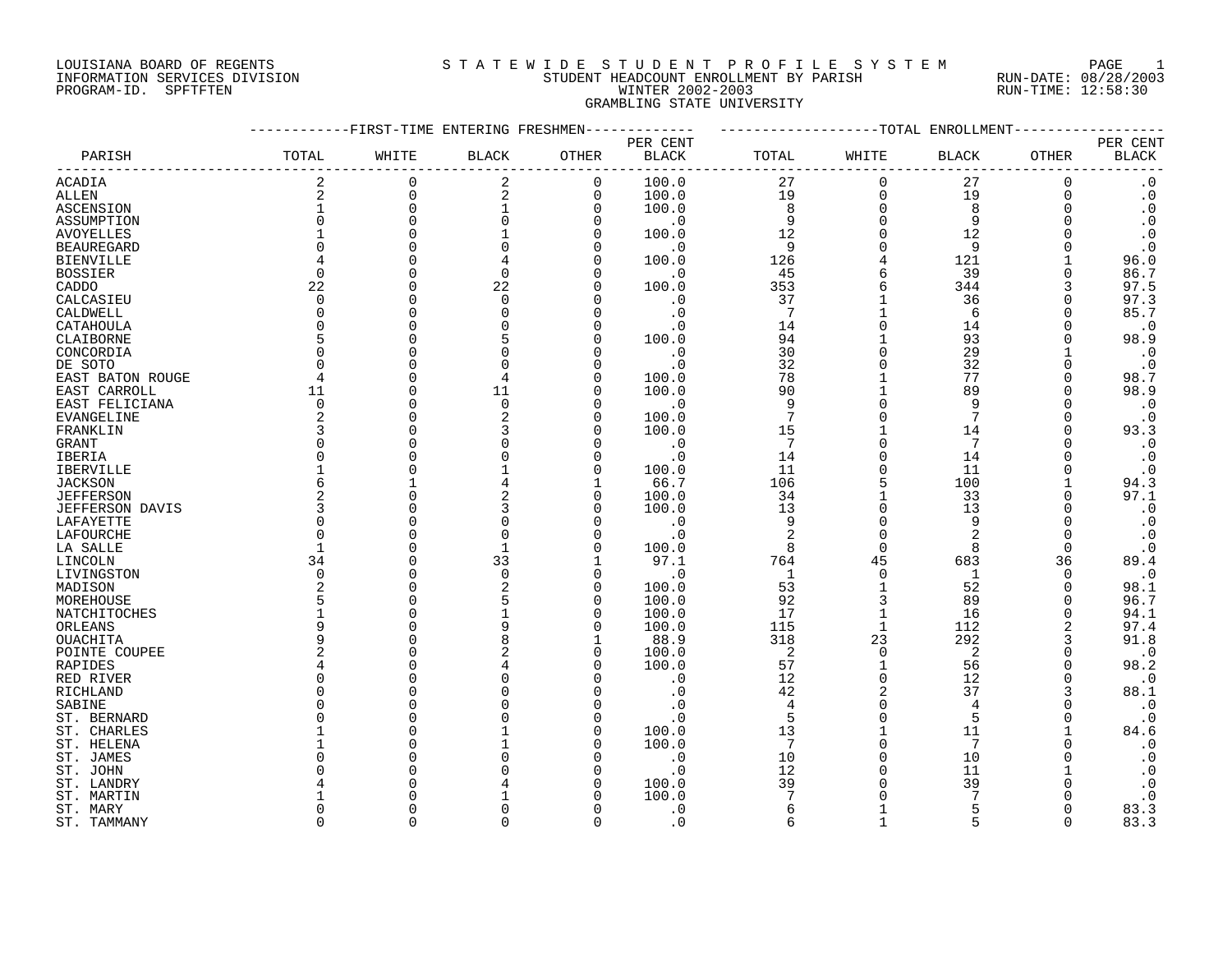# LOUISIANA BOARD OF REGENTS SOURCLEARIE WIDE STUDENT PROFILE SYSTEM PAGE 1 INFORMATION SERVICES DIVISION STUDENT HEADCOUNT ENROLLMENT BY PARISH RUN-DATE: 08/28/2003 PROGRAM-ID. SPFTFTEN WINTER 2002-2003 RUN-TIME: 12:58:30 GRAMBLING STATE UNIVERSITY

|                   |                |                      | -FIRST-TIME ENTERING FRESHMEN |              |              |                 |                | -TOTAL ENROLLMENT |               |                        |
|-------------------|----------------|----------------------|-------------------------------|--------------|--------------|-----------------|----------------|-------------------|---------------|------------------------|
|                   |                |                      |                               |              | PER CENT     |                 |                |                   |               | PER CENT               |
| PARISH            | TOTAL          | WHITE                | <b>BLACK</b>                  | OTHER        | <b>BLACK</b> | TOTAL           | WHITE          | BLACK             | OTHER         | <b>BLACK</b>           |
| ACADIA            | $\overline{2}$ | $\mathbf 0$          | $\overline{2}$                | $\mathbf 0$  | 100.0        | 27              | $\Omega$       | 27                | $\mathbf 0$   | $\cdot$ 0              |
| ALLEN             | 2              | $\mathbf 0$          | 2                             | $\mathbf 0$  | 100.0        | 19              | $\Omega$       | 19                | $\Omega$      | $\boldsymbol{\cdot}$ 0 |
| ASCENSION         | $\mathbf{1}$   | $\mathbf 0$          |                               | $\mathbf 0$  | 100.0        | 8               | $\Omega$       | 8                 | 0             | $\cdot$ 0              |
| ASSUMPTION        | $\Omega$       | $\Omega$             |                               | $\Omega$     | $\cdot$ 0    | 9               | $\Omega$       | 9                 |               | $\boldsymbol{\cdot}$ 0 |
| <b>AVOYELLES</b>  |                | $\Omega$             |                               | $\Omega$     | 100.0        | 12              | $\Omega$       | 12                |               | $\boldsymbol{\cdot}$ 0 |
| <b>BEAUREGARD</b> | $\Omega$       | $\bigcap$            |                               | $\Omega$     | $\cdot$ 0    | 9               | $\Omega$       | 9                 |               | $\cdot$ 0              |
| <b>BIENVILLE</b>  |                | $\bigcap$            |                               | $\Omega$     | 100.0        | 126             |                | 121               |               | 96.0                   |
| <b>BOSSIER</b>    | $\Omega$       | C                    | $\Omega$                      | $\Omega$     | $\cdot$ 0    | 45              |                | 39                |               | 86.7                   |
| CADDO             | 22             | $\Omega$             | 22                            | $\Omega$     | 100.0        | 353             |                | 344               | 3             | 97.5                   |
| CALCASIEU         | $\Omega$       | C                    | $\Omega$                      | $\Omega$     | $\cdot$ 0    | 37              |                | 36                |               | 97.3                   |
| CALDWELL          | $\Omega$       | $\cap$               |                               | $\Omega$     | $\cdot$ 0    | $7\phantom{.0}$ |                | 6                 | U             | 85.7                   |
| CATAHOULA         | $\Omega$       | $\cap$               |                               | $\Omega$     | . 0          | 14              |                | 14                |               | $\cdot$ 0              |
| CLAIBORNE         | 5              |                      |                               | $\Omega$     | 100.0        | 94              |                | 93                |               | 98.9                   |
| CONCORDIA         | $\Omega$       |                      |                               | $\Omega$     | $\cdot$ 0    | 30              |                | 29                |               | $\boldsymbol{\cdot}$ 0 |
| DE SOTO           | $\Omega$       | C                    |                               | $\Omega$     | $\cdot$ 0    | 32              |                | 32                | U             | $\cdot$ 0              |
| EAST BATON ROUGE  | 4              | 0                    |                               | $\Omega$     | 100.0        | 78              |                | 77                | O             | 98.7                   |
| EAST CARROLL      | 11             | $\mathbf 0$          | 11                            | $\Omega$     | 100.0        | 90              |                | 89                | O             | 98.9                   |
| EAST FELICIANA    | $\Omega$       | $\Omega$             | $\Omega$                      | $\Omega$     | $\cdot$ 0    | 9               |                | 9                 |               | $\boldsymbol{\cdot}$ 0 |
| EVANGELINE        | 2              | $\Omega$             |                               | $\Omega$     | 100.0        | $7\phantom{.0}$ |                | 7                 |               | $\cdot$ 0              |
| FRANKLIN          | ζ              | $\cap$               |                               | $\Omega$     | 100.0        | 15              |                | 14                |               | 93.3                   |
| GRANT             | $\Omega$       | $\bigcap$            |                               | $\Omega$     | $\cdot$ 0    | $7\phantom{.0}$ | $\Omega$       | 7                 |               | $\cdot$ 0              |
| IBERIA            | O              |                      |                               | $\Omega$     | $\cdot$ 0    | 14              |                | 14                |               | $\cdot$ 0              |
| <b>IBERVILLE</b>  |                | $\cap$               |                               | $\Omega$     | 100.0        | 11              |                | 11                |               | $\cdot$ 0              |
|                   | 6              |                      |                               | 1            | 66.7         | 106             |                | 100               | -1            |                        |
| <b>JACKSON</b>    |                | $\bigcap$            |                               | $\Omega$     |              |                 |                | 33                | U             | 94.3                   |
| <b>JEFFERSON</b>  | 3              | $\mathbf 0$          |                               | $\Omega$     | 100.0        | 34              | $\Omega$       | 13                |               | 97.1                   |
| JEFFERSON DAVIS   | $\Omega$       | C                    |                               | $\Omega$     | 100.0        | 13<br>9         | $\Omega$       | 9                 |               | $\boldsymbol{\cdot}$ 0 |
| LAFAYETTE         | $\Omega$       | C                    |                               | $\Omega$     | $\cdot$ 0    |                 | $\Omega$       | $\overline{2}$    | 0             | $\cdot$ 0              |
| LAFOURCHE         | $\mathbf{1}$   | $\bigcap$            |                               | $\Omega$     | $\cdot$ 0    | 2               | $\Omega$       | 8                 | $\Omega$      | $\cdot$ 0              |
| LA SALLE          |                |                      |                               | $\mathbf{1}$ | 100.0        | 8               |                |                   |               | $\cdot$ 0              |
| LINCOLN           | 34<br>$\Omega$ | $\Omega$<br>$\Omega$ | 33<br>$\Omega$                | $\Omega$     | 97.1         | 764             | 45<br>$\Omega$ | 683               | 36            | 89.4                   |
| LIVINGSTON        | 2              | $\Omega$             |                               |              | $\cdot$ 0    | 1               |                | 1                 | $\Omega$<br>0 | $\cdot$ 0              |
| MADISON           |                |                      |                               | $\mathbf 0$  | 100.0        | 53              |                | 52                |               | 98.1                   |
| MOREHOUSE         | 5              | C                    |                               | 0            | 100.0        | 92              |                | 89                | 0             | 96.7                   |
| NATCHITOCHES      |                | C                    |                               | $\Omega$     | 100.0        | 17              | 1              | 16                | 0             | 94.1                   |
| ORLEANS           | 9<br>9         | C                    |                               | $\Omega$     | 100.0        | 115             | $\mathbf{1}$   | 112               |               | 97.4                   |
| OUACHITA          | 2              | C                    |                               |              | 88.9         | 318             | 23             | 292               |               | 91.8                   |
| POINTE COUPEE     |                | $\cap$               | 2                             | $\mathbf 0$  | 100.0        | 2               | $\Omega$       | 2                 | 0             | $\cdot$ 0              |
| RAPIDES           |                | $\cap$               |                               | $\Omega$     | 100.0        | 57              |                | 56                | U             | 98.2                   |
| RED RIVER         | $\Omega$       | $\cap$               |                               | $\Omega$     | $\cdot$ 0    | 12              | $\Omega$       | 12                | U             | $\cdot$ 0              |
| RICHLAND          | O              |                      |                               | $\Omega$     | $\cdot$ 0    | 42              | $\overline{2}$ | 37                | 3             | 88.1                   |
| SABINE            | U              |                      |                               | $\Omega$     | $\cdot$ 0    | $\overline{4}$  | $\Omega$       | 4                 |               | $\cdot$ 0              |
| ST. BERNARD       | U              |                      |                               | $\Omega$     | $\cdot$ 0    | 5               | $\Omega$       | 5                 |               | $\cdot$ 0              |
| ST. CHARLES       |                |                      |                               | $\Omega$     | 100.0        | 13              |                | 11                |               | 84.6                   |
| ST. HELENA        |                |                      |                               | $\Omega$     | 100.0        | 7               | ∩              | 7                 |               | $\cdot$ 0              |
| ST. JAMES         |                |                      |                               | $\Omega$     | $\cdot$ 0    | 10              |                | 10                |               | $\cdot$ 0              |
| ST. JOHN          |                |                      |                               | $\Omega$     | $\cdot$ 0    | 12              |                | 11                |               | $\cdot$ 0              |
| ST. LANDRY        |                |                      |                               | $\Omega$     | 100.0        | 39              |                | 39                |               | $\cdot$ 0              |
| ST. MARTIN        |                |                      |                               |              | 100.0        |                 |                |                   |               | $\cdot$ 0              |
| ST. MARY          | U              | C                    |                               | $\Omega$     | $\cdot$ 0    | 6               |                | 5                 |               | 83.3                   |
| ST. TAMMANY       | U              | $\Omega$             |                               | $\cap$       | $\Omega$ .   | 6               | 1              | $\overline{5}$    | $\Omega$      | 83.3                   |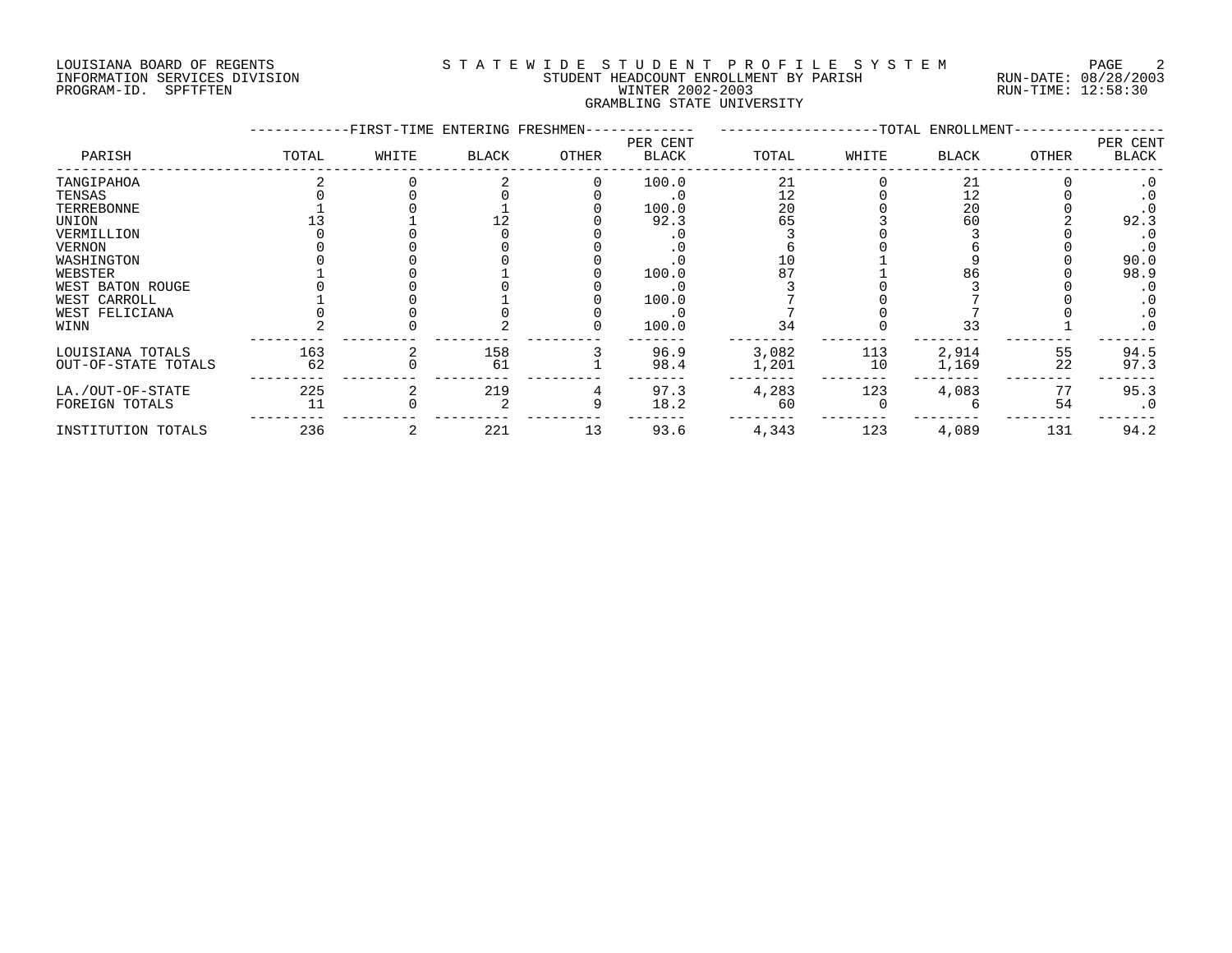### LOUISIANA BOARD OF REGENTS SOURCLEARIE WIDE STUDENT PROFILE SYSTEM PAGE 2 INFORMATION SERVICES DIVISION STUDENT HEADCOUNT ENROLLMENT BY PARISH RUN-DATE: 08/28/2003 PROGRAM-ID. SPFTFTEN WINTER 2002-2003 RUN-TIME: 12:58:30 GRAMBLING STATE UNIVERSITY

|                     |       | -FIRST-TIME ENTERING FRESHMEN- |       |       |                          |       |       | --TOTAL ENROLLMENT- |       |                   |
|---------------------|-------|--------------------------------|-------|-------|--------------------------|-------|-------|---------------------|-------|-------------------|
| PARISH              | TOTAL | WHITE                          | BLACK | OTHER | PER CENT<br><b>BLACK</b> | TOTAL | WHITE | <b>BLACK</b>        | OTHER | PER CENT<br>BLACK |
| TANGIPAHOA          |       |                                |       |       | 100.0                    | 21    |       | 21                  |       |                   |
| TENSAS              |       |                                |       |       |                          | 12    |       | 12                  |       |                   |
| TERREBONNE          |       |                                |       |       | 100.0                    | 20    |       | 20                  |       |                   |
| UNION               |       |                                |       |       | 92.3                     | 65    |       | 60                  |       | 92.3              |
| VERMILLION          |       |                                |       |       |                          |       |       |                     |       |                   |
| VERNON              |       |                                |       |       |                          |       |       |                     |       | $\cdot$ 0         |
| WASHINGTON          |       |                                |       |       |                          |       |       |                     |       | 90.0              |
| WEBSTER             |       |                                |       |       | 100.0                    |       |       | 86                  |       | 98.9              |
| WEST BATON ROUGE    |       |                                |       |       |                          |       |       |                     |       |                   |
| WEST CARROLL        |       |                                |       |       | 100.0                    |       |       |                     |       |                   |
| WEST FELICIANA      |       |                                |       |       |                          |       |       |                     |       |                   |
| WINN                |       |                                |       |       | 100.0                    | 34    |       | 33                  |       | $\cdot$ 0         |
| LOUISIANA TOTALS    | 163   |                                | 158   |       | 96.9                     | 3,082 | 113   | 2,914               | 55    | 94.5              |
| OUT-OF-STATE TOTALS | 62    |                                | 61    |       | 98.4                     | 1,201 | 10    | 1,169               | 22    | 97.3              |
| LA./OUT-OF-STATE    | 225   |                                | 219   |       | 97.3                     | 4,283 | 123   | 4,083               | 77    | 95.3              |
| FOREIGN TOTALS      | 11    |                                |       |       | 18.2                     | 60    |       |                     | 54    | $\cdot$ 0         |
| INSTITUTION TOTALS  | 236   |                                | 221   | 13    | 93.6                     | 4,343 | 123   | 4,089               | 131   | 94.2              |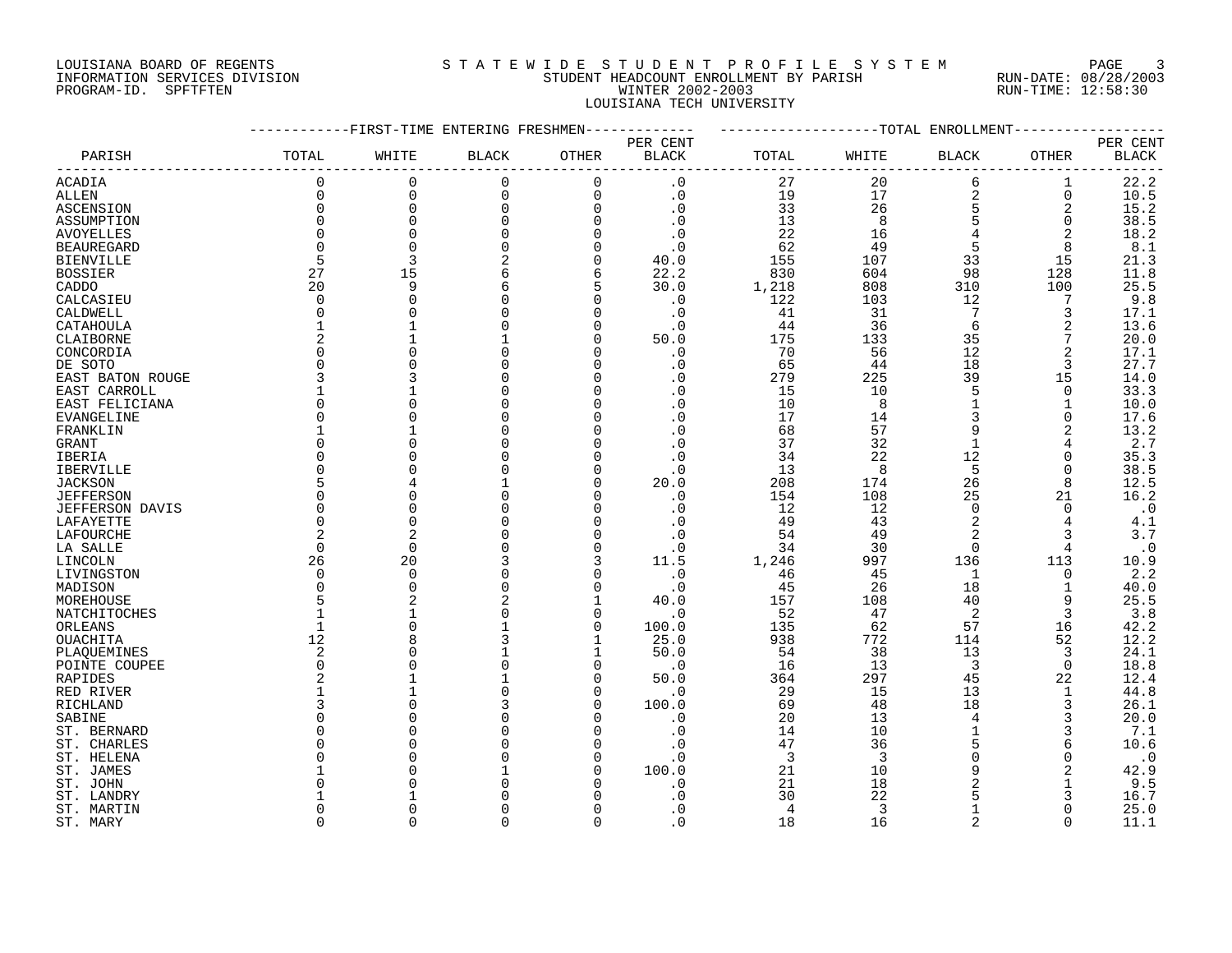## LOUISIANA BOARD OF REGENTS SOURCLEARIE STA T E W I D E S T U D E N T P R O F I L E S Y S T E M PAGE 3 INFORMATION SERVICES DIVISION STUDENT HEADCOUNT ENROLLMENT BY PARISH RUN-DATE: 08/28/2003 PROGRAM-ID. SPFTFTEN WINTER 2002-2003 RUN-TIME: 12:58:30 LOUISIANA TECH UNIVERSITY

|                   |             | -FIRST-TIME ENTERING FRESHMEN |                |              |                        |       |                | ------------TOTAL ENROLLMENT |             |              |
|-------------------|-------------|-------------------------------|----------------|--------------|------------------------|-------|----------------|------------------------------|-------------|--------------|
|                   |             |                               |                |              | PER CENT               |       |                |                              |             | PER CENT     |
| PARISH            | TOTAL       | WHITE                         | <b>BLACK</b>   | OTHER        | <b>BLACK</b>           | TOTAL | WHITE          | <b>BLACK</b>                 | OTHER       | <b>BLACK</b> |
|                   |             |                               |                |              |                        |       |                |                              |             |              |
| ACADIA            | $\mathbf 0$ | $\mathbf 0$                   | $\mathbf 0$    | $\mathbf 0$  | $\cdot$ 0              | 27    | 20             | 6                            | 1           | 22.2         |
| ALLEN             | $\mathbf 0$ | 0                             | 0              | 0            | $\boldsymbol{\cdot}$ 0 | 19    | 17             | $\overline{c}$               | 0           | 10.5         |
| ASCENSION         | $\mathbf 0$ | 0                             | $\mathbf 0$    | $\mathbf 0$  | $\cdot$ 0              | 33    | 26             | 5                            | 2           | 15.2         |
| ASSUMPTION        | $\Omega$    | $\Omega$                      | $\Omega$       | $\Omega$     | $\cdot$ 0              | 13    | 8              | 5                            | 0           | 38.5         |
|                   | $\cap$      |                               | $\Omega$       | $\Omega$     | $\cdot$ 0              | 22    | 16             |                              | 2           | 18.2         |
| <b>AVOYELLES</b>  |             |                               | $\Omega$       |              |                        |       |                |                              |             |              |
| <b>BEAUREGARD</b> | $\Omega$    |                               |                | $\Omega$     | $\cdot$ 0              | 62    | 49             | 5                            | 8           | $8.1\,$      |
| <b>BIENVILLE</b>  | 5           | 3                             | 2              | 0            | 40.0                   | 155   | 107            | 33                           | 15          | 21.3         |
| <b>BOSSIER</b>    | 27          | 15                            | 6              | 6            | 22.2                   | 830   | 604            | 98                           | 128         | 11.8         |
| CADDO             | 20          | 9                             | 6              | 5            | 30.0                   | 1,218 | 808            | 310                          | 100         | 25.5         |
| CALCASIEU         | $\cap$      |                               | $\Omega$       | $\Omega$     | $\cdot$ 0              | 122   | 103            | 12                           | 7           | 9.8          |
| CALDWELL          | $\Omega$    |                               | $\Omega$       | $\Omega$     | $\cdot$ 0              | 41    | 31             | 7                            | 3           | 17.1         |
| CATAHOULA         |             |                               | $\Omega$       | 0            | $\cdot$ 0              | 44    | 36             | 6                            | 2           | 13.6         |
| CLAIBORNE         |             |                               |                | $\Omega$     | 50.0                   | 175   | 133            | 35                           | 7           | 20.0         |
| CONCORDIA         | ∩           |                               | $\Omega$       | $\Omega$     | $\cdot$ 0              | 70    | 56             | 12                           | 2           | 17.1         |
| DE SOTO           |             |                               | $\Omega$       | $\Omega$     | $\cdot$ 0              | 65    | 44             | 18                           | 3           | 27.7         |
| EAST BATON ROUGE  |             |                               | $\Omega$       | $\mathbf 0$  | $\cdot$ 0              | 279   | 225            | 39                           | 15          | 14.0         |
|                   |             |                               | $\Omega$       | 0            |                        | 15    | 10             | 5                            | 0           | 33.3         |
| EAST CARROLL      |             |                               |                |              | $\cdot$ 0              |       |                |                              |             |              |
| EAST FELICIANA    |             |                               | $\Omega$       | $\Omega$     | $\cdot$ 0              | 10    | 8              | 1                            | 1           | 10.0         |
| EVANGELINE        | $\cap$      |                               | $\Omega$       | $\Omega$     | $\cdot$ 0              | 17    | 14             | 3                            | $\Omega$    | 17.6         |
| FRANKLIN          |             |                               |                | $\Omega$     | $\cdot$ 0              | 68    | 57             | 9                            | 2           | 13.2         |
| GRANT             |             |                               | $\Omega$       | $\mathbf 0$  | $\cdot$ 0              | 37    | 32             | $\mathbf{1}$                 | 4           | 2.7          |
| IBERIA            |             |                               | $\Omega$       | 0            | . 0                    | 34    | 22             | 12                           | 0           | 35.3         |
| IBERVILLE         |             |                               | $\Omega$       | $\Omega$     | $\cdot$ 0              | 13    | 8              | 5                            | $\Omega$    | 38.5         |
| <b>JACKSON</b>    |             |                               |                | $\Omega$     | 20.0                   | 208   | 174            | 26                           | 8           | 12.5         |
| <b>JEFFERSON</b>  | $\cap$      |                               | $\Omega$       | $\Omega$     | $\cdot$ 0              | 154   | 108            | 25                           | 21          | 16.2         |
| JEFFERSON DAVIS   | $\Omega$    |                               | $\Omega$       | $\Omega$     | $\cdot$ 0              | 12    | 12             | $\mathbf 0$                  | $\Omega$    | $\cdot$ 0    |
| LAFAYETTE         | $\Omega$    |                               | $\Omega$       | 0            | $\cdot$ 0              | 49    | 43             | $\overline{2}$               | 4           | 4.1          |
| LAFOURCHE         |             |                               |                | $\Omega$     | . 0                    | 54    | 49             |                              | 3           | 3.7          |
| LA SALLE          | $\Omega$    | $\Omega$                      | $\Omega$       | $\Omega$     | $\cdot$ 0              | 34    | 30             | $\overline{0}$               | 4           | $\cdot$ 0    |
|                   |             |                               | 3              |              |                        |       |                |                              |             |              |
| LINCOLN           | 26          | 20                            |                |              | 11.5                   | 1,246 | 997            | 136                          | 113         | 10.9         |
| LIVINGSTON        | $\Omega$    | $\Omega$                      | $\mathbf 0$    | $\Omega$     | $\cdot$ 0              | 46    | 45             | 1                            | $\mathbf 0$ | 2.2          |
| MADISON           | $\cap$      | $\Omega$                      | $\Omega$       | $\Omega$     | $\cdot$ 0              | 45    | 26             | 18                           | 1           | 40.0         |
| MOREHOUSE         |             |                               | $\overline{2}$ | $\mathbf{1}$ | 40.0                   | 157   | 108            | 40                           | 9           | 25.5         |
| NATCHITOCHES      |             |                               | $\Omega$       | $\mathbf 0$  | $\cdot$ 0              | 52    | 47             | $\overline{2}$               | 3           | 3.8          |
| ORLEANS           |             |                               |                | $\Omega$     | 100.0                  | 135   | 62             | 57                           | 16          | 42.2         |
| OUACHITA          | 12          |                               | 3              | 1            | 25.0                   | 938   | 772            | 114                          | 52          | 12.2         |
| PLAQUEMINES       | 2           |                               |                | 1            | 50.0                   | 54    | 38             | 13                           | 3           | 24.1         |
| POINTE COUPEE     | $\Omega$    |                               | $\Omega$       | $\Omega$     | $\cdot$ 0              | 16    | 13             | 3                            | $\mathbf 0$ | 18.8         |
| RAPIDES           |             |                               |                | $\Omega$     | 50.0                   | 364   | 297            | 45                           | 22          | 12.4         |
| RED RIVER         |             |                               | $\Omega$       | $\Omega$     | $\cdot$ 0              | 29    | 15             | 13                           | 1           | 44.8         |
| RICHLAND          |             |                               | 3              | $\Omega$     | 100.0                  | 69    | 48             | 18                           | 3           | 26.1         |
| SABINE            |             |                               | $\Omega$       | $\Omega$     | . 0                    | 20    | 13             | 4                            | 3           | 20.0         |
|                   |             |                               | $\Omega$       |              |                        |       |                | $\mathbf{1}$                 |             |              |
| ST. BERNARD       |             |                               |                | 0            | $\cdot$ 0              | 14    | 10             |                              | 3           | 7.1          |
| ST. CHARLES       |             |                               | $\Omega$       | $\Omega$     | $\cdot$ 0              | 47    | 36             | 5                            | 6           | 10.6         |
| ST. HELENA        |             |                               | $\Omega$       | $\Omega$     | $\cdot$ 0              | 3     | $\overline{3}$ | $\Omega$                     | 0           | $\cdot$ 0    |
| ST. JAMES         |             |                               |                | $\Omega$     | 100.0                  | 21    | 10             | 9                            | 2           | 42.9         |
| ST. JOHN          |             |                               | $\Omega$       | $\Omega$     | $\cdot$ 0              | 21    | 18             |                              |             | 9.5          |
| ST. LANDRY        |             |                               |                |              | . 0                    | 30    | 22             | 5                            | 3           | 16.7         |
| ST. MARTIN        |             |                               | $\Omega$       |              | . 0                    | 4     | 3              |                              |             | 25.0         |
| ST. MARY          | $\Omega$    | $\Omega$                      | $\Omega$       | $\Omega$     | $\cdot$ 0              | 18    | 16             | $\overline{2}$               | $\Omega$    | 11.1         |
|                   |             |                               |                |              |                        |       |                |                              |             |              |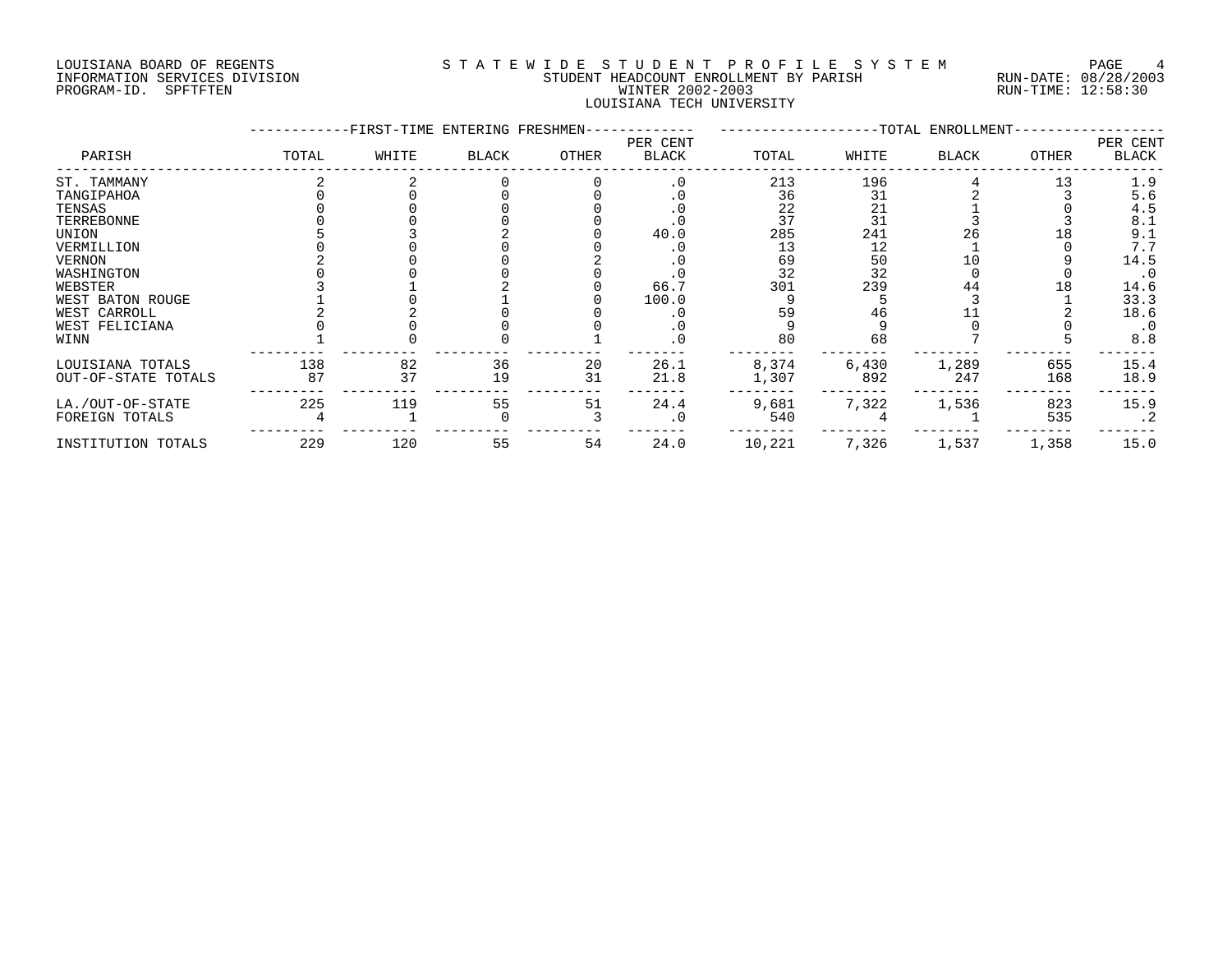## LOUISIANA BOARD OF REGENTS S T A T E W I D E S T U D E N T P R O F I L E S Y S T E M PAGE 4 INFORMATION SERVICES DIVISION STUDENT HEADCOUNT ENROLLMENT BY PARISH RUN-DATE: 08/28/2003 PROGRAM-ID. SPFTFTEN WINTER 2002-2003 RUN-TIME: 12:58:30 LOUISIANA TECH UNIVERSITY

|                     |       | -FIRST-TIME ENTERING FRESHMEN- |              |       |                   |        |       | ----------------TOTAL ENROLLMENT- |       |                   |
|---------------------|-------|--------------------------------|--------------|-------|-------------------|--------|-------|-----------------------------------|-------|-------------------|
| PARISH              | TOTAL | WHITE                          | <b>BLACK</b> | OTHER | PER CENT<br>BLACK | TOTAL  | WHITE | <b>BLACK</b>                      | OTHER | PER CENT<br>BLACK |
| ST. TAMMANY         |       |                                |              |       | . 0               | 213    | 196   |                                   | 13    | 1.9               |
| TANGIPAHOA          |       |                                |              |       |                   | 36     | 31    |                                   |       | 5.6               |
| TENSAS              |       |                                |              |       |                   | 22     | 21    |                                   |       | 4.5               |
| TERREBONNE          |       |                                |              |       |                   | 37     | 31    |                                   |       | 8.1               |
| UNION               |       |                                |              |       | 40.0              | 285    | 241   | 26                                | 18    | 9.1               |
| VERMILLION          |       |                                |              |       |                   | 13     | 12    |                                   |       | 7.7               |
| <b>VERNON</b>       |       |                                |              |       |                   | 69     | 50    | 10                                |       | 14.5              |
| WASHINGTON          |       |                                |              |       |                   | 32     | 32    |                                   |       | $\cdot$ 0         |
| WEBSTER             |       |                                |              |       | 66.7              | 301    | 239   | 44                                | 18    | 14.6              |
| WEST BATON ROUGE    |       |                                |              |       | 100.0             |        |       |                                   |       | 33.3              |
| WEST CARROLL        |       |                                |              |       |                   | 59     | 46    |                                   |       | 18.6              |
| WEST FELICIANA      |       |                                |              |       |                   |        |       |                                   |       | $\cdot$ 0         |
| WINN                |       |                                |              |       | . 0               | 80     | 68    |                                   |       | 8.8               |
| LOUISIANA TOTALS    | 138   | 82                             | 36           | 20    | 26.1              | 8,374  | 6,430 | 1,289                             | 655   | 15.4              |
| OUT-OF-STATE TOTALS | 87    | 37                             | 19           | 31    | 21.8              | 1,307  | 892   | 247                               | 168   | 18.9              |
| LA./OUT-OF-STATE    | 225   | 119                            | 55           | 51    | 24.4              | 9,681  | 7,322 | 1,536                             | 823   | 15.9              |
| FOREIGN TOTALS      |       |                                |              |       | .0                | 540    |       |                                   | 535   | $\cdot$ 2         |
| INSTITUTION TOTALS  | 229   | 120                            | 55           | 54    | 24.0              | 10,221 | 7,326 | 1,537                             | 1,358 | 15.0              |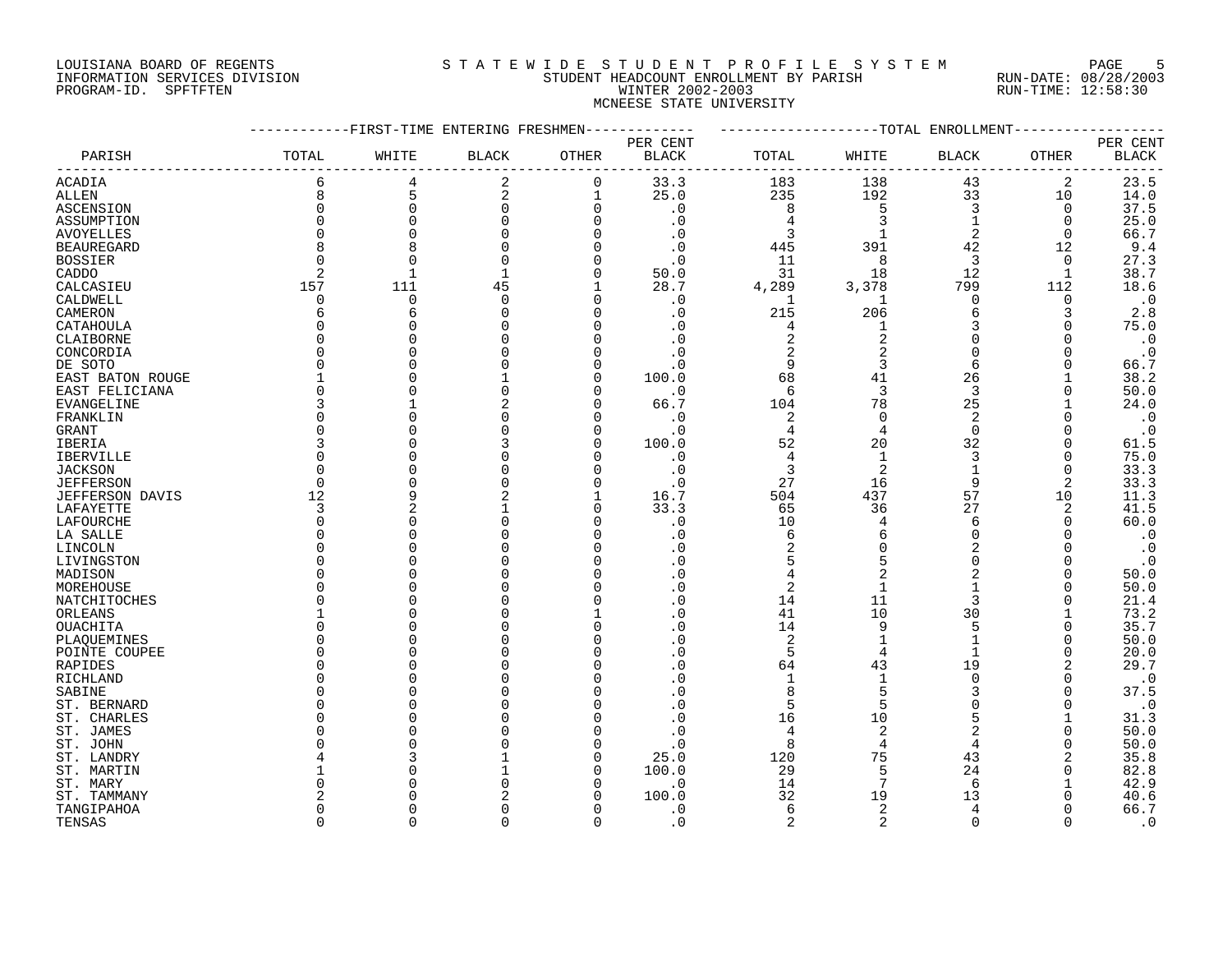# LOUISIANA BOARD OF REGENTS SOURCLEARIE STA T E W I D E S T U D E N T P R O F I L E S Y S T E M PAGE 5 INFORMATION SERVICES DIVISION STUDENT HEADCOUNT ENROLLMENT BY PARISH RUN-DATE: 08/28/2003 PROGRAM-ID. SPFTFTEN WINTER 2002-2003 RUN-TIME: 12:58:30 MCNEESE STATE UNIVERSITY

|                        |              | -FIRST-TIME ENTERING FRESHMEN- |              |             |                |                |                | ------------TOTAL ENROLLMENT |             |                        |
|------------------------|--------------|--------------------------------|--------------|-------------|----------------|----------------|----------------|------------------------------|-------------|------------------------|
|                        |              |                                |              |             | PER CENT       |                |                |                              |             | PER CENT               |
| PARISH                 | TOTAL        | WHITE                          | <b>BLACK</b> | OTHER       | <b>BLACK</b>   | TOTAL          | WHITE          | BLACK                        | OTHER       | $\operatorname{BLACK}$ |
| <b>ACADIA</b>          | 6            | 4                              | 2            | $\mathbf 0$ | 33.3           | 183            | 138            | 43                           | 2           | 23.5                   |
| <b>ALLEN</b>           | 8            | 5                              | 2            | $\mathbf 1$ | 25.0           | 235            | 192            | 33                           | 10          | 14.0                   |
| ASCENSION              | 0            | $\Omega$                       | $\mathbf 0$  | $\Omega$    | $\cdot$ 0      | 8              | 5              | 3                            | $\mathbf 0$ | 37.5                   |
| ASSUMPTION             | $\Omega$     | $\Omega$                       | 0            |             | $\cdot$ 0      | $\overline{4}$ | 3              | $\mathbf{1}$                 | 0           | 25.0                   |
| <b>AVOYELLES</b>       | $\Omega$     | $\Omega$                       |              |             | $\cdot$ 0      | 3              |                | 2                            | $\mathbf 0$ | 66.7                   |
| <b>BEAUREGARD</b>      | 8            | 8                              | 0            |             | $\cdot$ 0      | 445            | 391            | 42                           | 12          | 9.4                    |
| <b>BOSSIER</b>         | $\Omega$     | $\cap$                         | $\Omega$     | $\Omega$    | $\cdot$ 0      | 11             | 8              | 3                            | 0           | 27.3                   |
| CADDO                  | 2            |                                | 1            | $\Omega$    | 50.0           | 31             | 18             | 12                           | 1           | 38.7                   |
| CALCASIEU              | 157          | 111                            | 45           |             | 28.7           | 4,289          | 3,378          | 799                          | 112         | 18.6                   |
| CALDWELL               | $\Omega$     | $\mathbf 0$                    | $\Omega$     | ∩           | $\cdot$ 0      | 1              | 1              | $\mathbf 0$                  | $\Omega$    | $\cdot$ 0              |
| CAMERON                | 6            | 6                              | $\Omega$     | $\Omega$    | $\cdot$ 0      | 215            | 206            | 6                            | 3           | 2.8                    |
| CATAHOULA              | $\Omega$     |                                |              | $\Omega$    | $\cdot$ 0      | 4              | 1              | 3                            | 0           | 75.0                   |
| CLAIBORNE              | $\Omega$     |                                |              |             | $\cdot$ 0      | $\overline{c}$ | $\overline{2}$ | $\mathbf 0$                  | $\Omega$    | $\cdot$ 0              |
| CONCORDIA              | <sup>0</sup> |                                |              |             | . 0            | $\overline{2}$ | 2              | $\mathbf 0$                  | 0           |                        |
|                        | $\Omega$     |                                |              |             |                |                |                |                              |             | $\cdot$ 0              |
| DE SOTO                |              |                                |              |             | . 0            | 9              | 3              | 6                            | $\Omega$    | 66.7                   |
| EAST BATON ROUGE       |              |                                |              | $\cap$      | 100.0          | 68             | 41             | 26                           |             | 38.2                   |
| EAST FELICIANA         | $\Omega$     |                                |              | $\cap$      | $\cdot$ 0      | 6              | 3              | 3                            | $\Omega$    | 50.0                   |
| EVANGELINE             | 3            |                                |              |             | 66.7           | 104            | 78             | 25                           |             | 24.0                   |
| FRANKLIN               | $\Omega$     |                                |              |             | $\cdot$ 0      | $\overline{2}$ | $\Omega$       | $\overline{2}$               | $\Omega$    | $\cdot$ 0              |
| <b>GRANT</b>           | $\Omega$     |                                |              | $\cap$      | $\cdot$ 0      | $\overline{4}$ | 4              | $\Omega$                     | $\Omega$    | $\cdot$ 0              |
| IBERIA                 | 3            |                                |              | $\Omega$    | 100.0          | 52             | 20             | 32                           | 0           | 61.5                   |
| IBERVILLE              | $\Omega$     |                                |              | ∩           | $\cdot$ 0      | $\overline{4}$ | 1              | 3                            | 0           | 75.0                   |
| <b>JACKSON</b>         | O            |                                |              |             | $\cdot$ 0      | 3              | $\overline{2}$ |                              | $\Omega$    | 33.3                   |
| <b>JEFFERSON</b>       | $\Omega$     |                                |              | $\Omega$    | $\cdot$ 0      | 27             | 16             | 9                            | 2           | 33.3                   |
| <b>JEFFERSON DAVIS</b> | 12           | q                              |              |             | 16.7           | 504            | 437            | 57                           | 10          | 11.3                   |
| LAFAYETTE              | 3            |                                |              | ∩           | 33.3           | 65             | 36             | 27                           | 2           | 41.5                   |
| LAFOURCHE              | $\Omega$     | $\Omega$                       |              |             | $\cdot$ 0      | 10             | 4              | 6                            | $\Omega$    | 60.0                   |
| LA SALLE               | <sup>0</sup> | C                              |              |             | . 0            | 6              | 6              | $\Omega$                     | O           | $\cdot$ 0              |
| LINCOLN                | $\Omega$     |                                |              |             | . 0            | 2              | $\Omega$       | $\overline{2}$               | $\Omega$    | $\cdot$ 0              |
| LIVINGSTON             | O            |                                |              |             | . 0            | 5              | 5              | $\Omega$                     | O           | $\cdot$ 0              |
| MADISON                | O            |                                |              | ∩           | . 0            | $\overline{4}$ | $\overline{2}$ | $\overline{a}$               | $\Omega$    | 50.0                   |
| MOREHOUSE              | <sup>0</sup> |                                |              |             | . 0            | $\overline{c}$ |                |                              | $\Omega$    | 50.0                   |
| NATCHITOCHES           | $\Omega$     |                                |              |             | $\overline{0}$ | 14             | 11             | 3                            | $\Omega$    | 21.4                   |
| ORLEANS                |              |                                |              |             | $\Omega$       | 41             | 10             | 30                           |             | 73.2                   |
| OUACHITA               | $\Omega$     |                                |              | $\Omega$    | $\Omega$       | 14             | 9              | 5                            | $\Omega$    | 35.7                   |
| PLAQUEMINES            | <sup>0</sup> |                                |              |             | . 0            | $\overline{2}$ | 1              |                              | O           | 50.0                   |
| POINTE COUPEE          | <sup>0</sup> |                                |              |             | . 0            | 5              | $\overline{4}$ |                              | 0           | 20.0                   |
| RAPIDES                | <sup>0</sup> |                                |              |             | . 0            | 64             | 43             | 19                           | 2           | 29.7                   |
| RICHLAND               | $\Omega$     |                                |              |             | . 0            | $\mathbf{1}$   | $\mathbf 1$    | $\Omega$                     | $\Omega$    | $\cdot$ 0              |
| SABINE                 | O            |                                |              |             |                | 8              | 5              | 3                            | $\Omega$    | 37.5                   |
| ST. BERNARD            | $\Omega$     |                                |              |             | . 0            | 5              | 5              | $\Omega$                     | $\Omega$    | $\cdot$ 0              |
| ST. CHARLES            | $\Omega$     |                                |              |             | $\cdot$ 0      | 16             | 10             | 5                            |             | 31.3                   |
| ST. JAMES              | $\Omega$     |                                |              |             | . 0            | $\overline{4}$ | $\overline{2}$ | $\overline{2}$               | $\Omega$    | 50.0                   |
| ST. JOHN               | O            |                                |              |             | $\cdot$ 0      | 8              | 4              | 4                            | O           | 50.0                   |
| ST. LANDRY             |              |                                |              | ∩           | 25.0           | 120            | 75             | 43                           | 2           | 35.8                   |
| ST. MARTIN             |              |                                |              |             | 100.0          | 29             | 5              | 24                           |             | 82.8                   |
| ST. MARY               | N            |                                |              |             | $\cdot$ 0      | 14             | 7              | 6                            |             | 42.9                   |
| ST. TAMMANY            |              |                                |              |             | 100.0          | 32             | 19             | 13                           |             | 40.6                   |
| TANGIPAHOA             | <sup>0</sup> |                                |              | ∩           | $\cdot$ 0      | 6              | 2              | 4                            |             | 66.7                   |
| TENSAS                 | $\cap$       | $\cap$                         | $\Omega$     | $\Omega$    | $\Omega$       | $\overline{2}$ | $\overline{2}$ | $\Omega$                     | $\Omega$    | $\cdot$ 0              |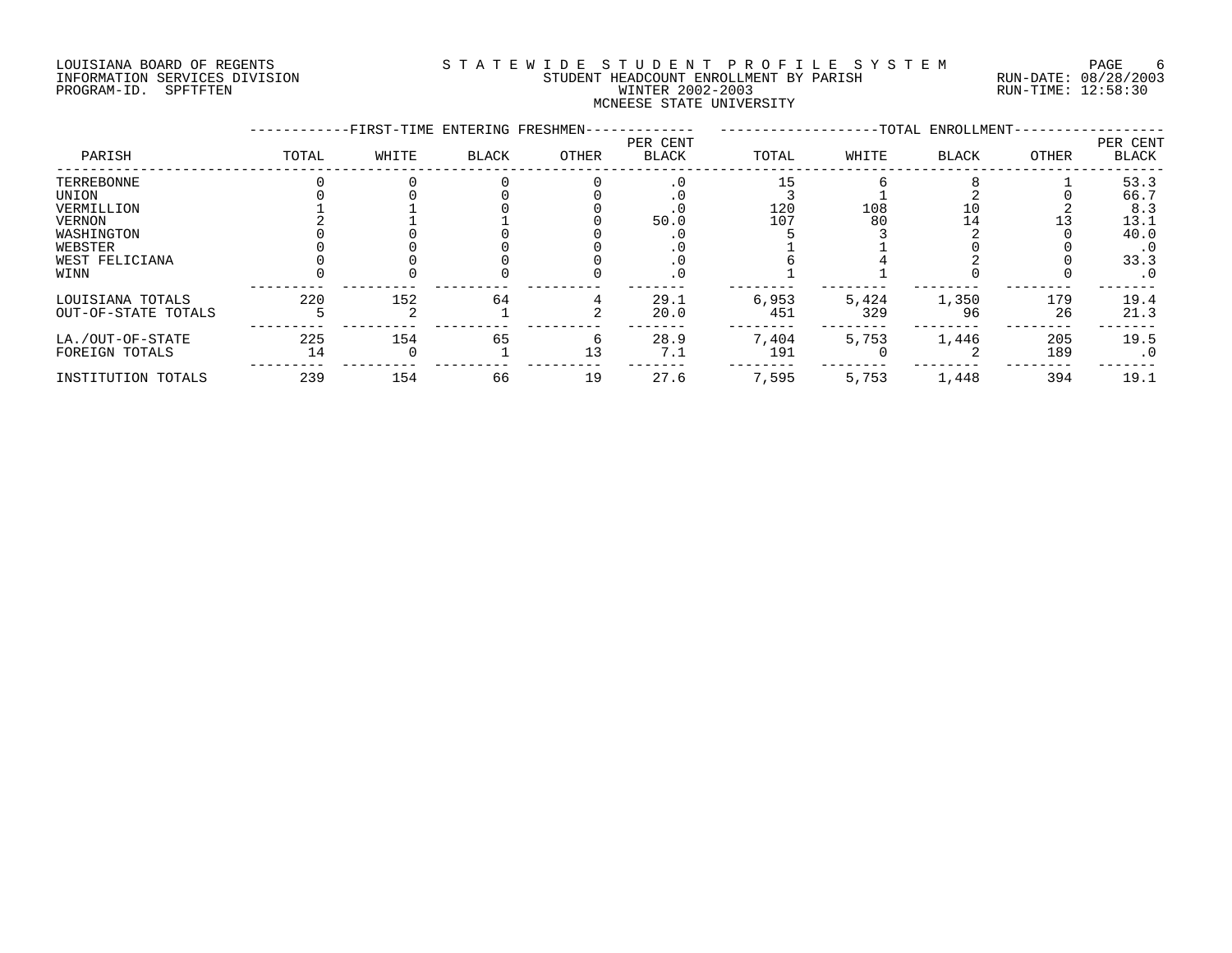# LOUISIANA BOARD OF REGENTS SOURCLEARIE STA T E W I D E S T U D E N T P R O F I L E S Y S T E M PAGE 6 INFORMATION SERVICES DIVISION STUDENT HEADCOUNT ENROLLMENT BY PARISH RUN-DATE: 08/28/2003 PROGRAM-ID. SPFTFTEN WINTER 2002-2003 RUN-TIME: 12:58:30 MCNEESE STATE UNIVERSITY

|                     |       | -FIRST-TIME ENTERING FRESHMEN- |              |       |                          |       |       | -TOTAL ENROLLMENT- |       |                          |
|---------------------|-------|--------------------------------|--------------|-------|--------------------------|-------|-------|--------------------|-------|--------------------------|
| PARISH              | TOTAL | WHITE                          | <b>BLACK</b> | OTHER | PER CENT<br><b>BLACK</b> | TOTAL | WHITE | <b>BLACK</b>       | OTHER | PER CENT<br><b>BLACK</b> |
| TERREBONNE          |       |                                |              |       | $\cdot$ 0                | 15    |       |                    |       | 53.3                     |
| UNION               |       |                                |              |       |                          |       |       |                    |       | 66.7                     |
| VERMILLION          |       |                                |              |       |                          | 120   | 108   |                    |       | 8.3                      |
| VERNON              |       |                                |              |       | 50.0                     | 107   | 80    | 14                 |       | 13.1                     |
| WASHINGTON          |       |                                |              |       |                          |       |       |                    |       | 40.0                     |
| WEBSTER             |       |                                |              |       |                          |       |       |                    |       | $\cdot$ 0                |
| WEST FELICIANA      |       |                                |              |       |                          |       |       |                    |       | 33.3                     |
| WINN                |       |                                |              |       | . 0                      |       |       |                    |       | $\cdot$ 0                |
| LOUISIANA TOTALS    | 220   | 152                            | 64           |       | 29.1                     | 6,953 | 5,424 | 1,350              | 179   | 19.4                     |
| OUT-OF-STATE TOTALS |       |                                |              |       | 20.0                     | 451   | 329   | 96                 | 26    | 21.3                     |
| LA./OUT-OF-STATE    | 225   | 154                            | 65           |       | 28.9                     | 7,404 | 5,753 | 1,446              | 205   | 19.5                     |
| FOREIGN TOTALS      | 14    |                                |              | 13    | 7.1                      | 191   |       |                    | 189   | $\cdot$ 0                |
| INSTITUTION TOTALS  | 239   | 154                            | 66           | 19    | 27.6                     | 7,595 | 5,753 | 1,448              | 394   | 19.1                     |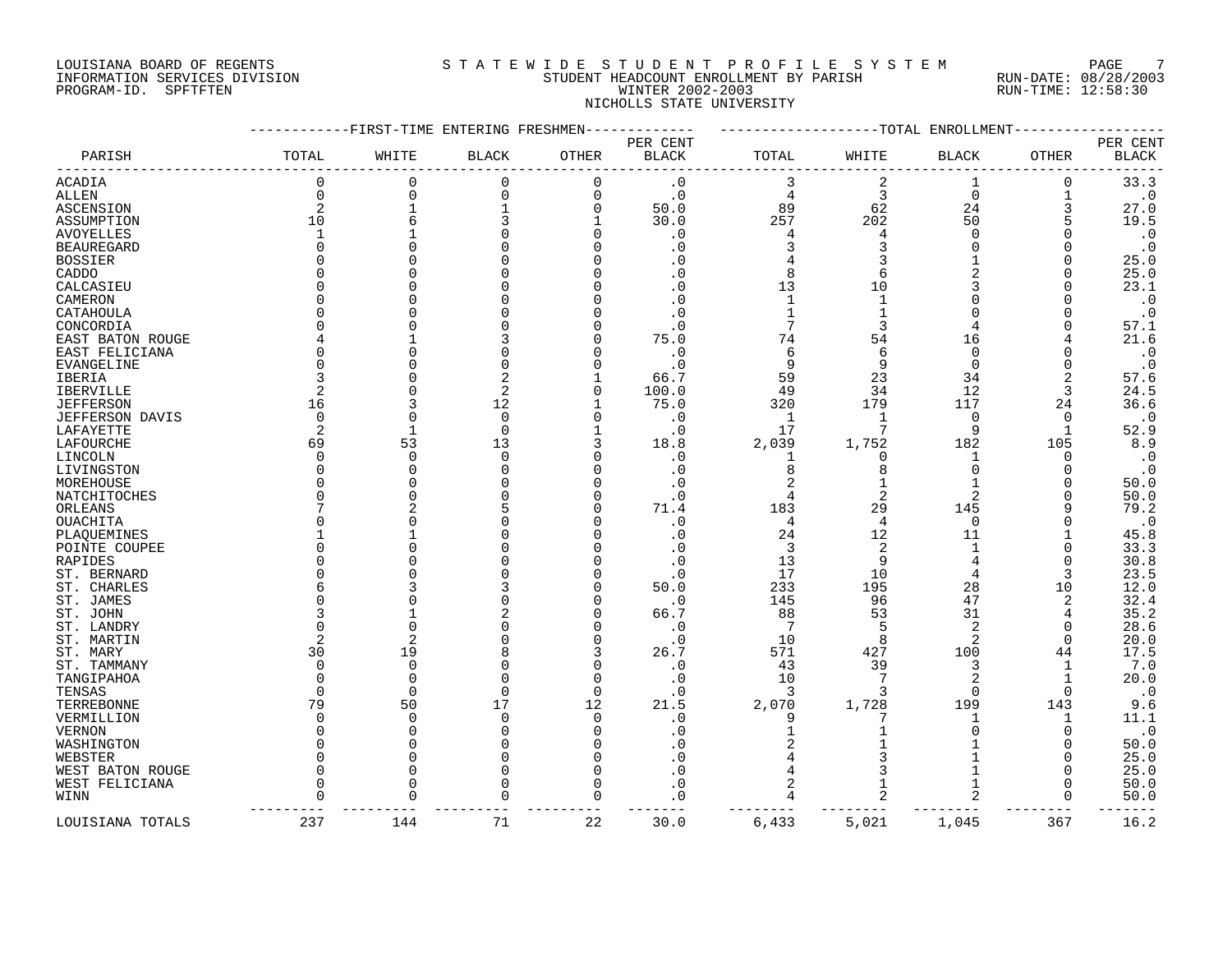# LOUISIANA BOARD OF REGENTS SOURCLEARIE STA T E W I D E S T U D E N T P R O F I L E S Y S T E M PAGE 7 INFORMATION SERVICES DIVISION STUDENT HEADCOUNT ENROLLMENT BY PARISH RUN-DATE: 08/28/2003 PROGRAM-ID. SPFTFTEN WINTER 2002-2003 RUN-TIME: 12:58:30 NICHOLLS STATE UNIVERSITY

|                   |              |                | -FIRST-TIME ENTERING FRESHMEN |             |              |              | TOTAL -        | ENROLLMENT     |              |                        |
|-------------------|--------------|----------------|-------------------------------|-------------|--------------|--------------|----------------|----------------|--------------|------------------------|
|                   |              |                |                               |             | PER CENT     |              |                |                |              | PER CENT               |
| PARISH            | TOTAL        | WHITE          | <b>BLACK</b>                  | OTHER       | <b>BLACK</b> | TOTAL        | WHITE          | <b>BLACK</b>   | <b>OTHER</b> | <b>BLACK</b>           |
| ACADIA            | $\mathbf 0$  | $\mathbf 0$    | $\mathbf 0$                   | 0           | $\cdot$ 0    | 3            | $\overline{2}$ | $\mathbf{1}$   | $\Omega$     | 33.3                   |
| ALLEN             | $\Omega$     | $\mathbf 0$    | $\Omega$                      | 0           | $\cdot$ 0    | 4            | 3              | $\overline{0}$ |              | $\cdot$ 0              |
| ASCENSION         |              | $\mathbf 1$    |                               | $\mathbf 0$ | 50.0         | 89           | 62             | 24             | 3            | 27.0                   |
| ASSUMPTION        | 10           | 6              |                               | 1           | 30.0         | 257          | 202            | 50             |              | 19.5                   |
| <b>AVOYELLES</b>  |              |                |                               | U           | . 0          | 4            |                | ∩              |              | $\boldsymbol{\cdot}$ 0 |
| <b>BEAUREGARD</b> |              | $\Omega$       |                               | O           | . 0          | 3            | 3              | $\Omega$       |              | $\cdot$ 0              |
| <b>BOSSIER</b>    |              |                |                               | O           | . 0          |              |                |                |              | 25.0                   |
| CADDO             |              |                |                               |             |              | 8            |                |                |              | 25.0                   |
| CALCASIEU         |              | U              |                               |             | . 0          | 13           | 10             |                |              | 23.1                   |
| CAMERON           |              | U              |                               |             | $\sqrt{ }$   | $\mathbf{1}$ |                |                |              | $\boldsymbol{\cdot}$ 0 |
| CATAHOULA         |              | O              |                               |             | . 0          |              |                |                |              | $\boldsymbol{\cdot}$ 0 |
| CONCORDIA         |              | U              |                               |             | . 0          |              |                |                |              | 57.1                   |
| EAST BATON ROUGE  |              |                |                               | U           | 75.0         | 74           | 54             | 16             |              | 21.6                   |
| EAST FELICIANA    |              | ∩              |                               |             | . 0          | 6            | 6              | $\Omega$       |              | $\cdot$ 0              |
| <b>EVANGELINE</b> |              | $\Omega$       |                               |             | . 0          | 9            |                | $\Omega$       |              | $\boldsymbol{\cdot}$ 0 |
|                   |              |                |                               |             | 66.7         | 59           | 23             | 34             |              | 57.6                   |
| IBERIA            |              | O              | 2                             | O           | 100.0        | 49           | 34             | 12             | 3            | 24.5                   |
| <b>IBERVILLE</b>  |              |                |                               |             |              |              | 179            | 117            |              | 36.6                   |
| <b>JEFFERSON</b>  | 16           |                | 12                            |             | 75.0         | 320          |                |                | 24           |                        |
| JEFFERSON DAVIS   | $\Omega$     | $\mathbf 0$    | $\mathbf 0$                   | 0           | . 0          | $\mathbf{1}$ |                | $\mathbf 0$    | 0            | $\cdot$ 0              |
| LAFAYETTE         |              | $\mathbf{1}$   | $\Omega$                      | 1           | . 0          | 17           |                | 9              | 1            | 52.9                   |
| LAFOURCHE         | 69           | 53             | 13                            | 3           | 18.8         | 2,039        | 1,752          | 182            | 105          | 8.9                    |
| LINCOLN           | <sup>n</sup> | $\Omega$       | $\Omega$                      | O           | . 0          | 1            | <sup>0</sup>   | 1              | O            | $\cdot$ 0              |
| LIVINGSTON        |              | $\Omega$       |                               | U           | . 0          | 8            |                | $\Omega$       |              | $\cdot$ 0              |
| MOREHOUSE         |              | $\Omega$       |                               | O           | . 0          | 2            |                | 1              |              | 50.0                   |
| NATCHITOCHES      |              | O              |                               |             | . 0          |              |                | 2              |              | 50.0                   |
| ORLEANS           |              |                |                               | U           | 71.4         | 183          | 29             | 145            |              | 79.2                   |
| OUACHITA          |              | ∩              |                               |             | . 0          | 4            | 4              | $\Omega$       |              | $\boldsymbol{\cdot}$ 0 |
| PLAQUEMINES       |              |                |                               |             | . 0          | 24           | 12             | 11             |              | 45.8                   |
| POINTE COUPEE     |              | $\Omega$       |                               | O           | . 0          | 3            | 2              | 1              | O            | 33.3                   |
| RAPIDES           |              | U              |                               |             | . 0          | 13           | 9              | 4              | $\Omega$     | 30.8                   |
| ST. BERNARD       |              |                |                               | ∩           | . 0          | 17           | 10             |                | 3            | 23.5                   |
| ST. CHARLES       |              |                |                               | O           | 50.0         | 233          | 195            | 28             | 10           | 12.0                   |
| ST. JAMES         |              | O              |                               | 0           | . 0          | 145          | 96             | 47             | 2            | 32.4                   |
| ST. JOHN          |              |                |                               | O           | 66.7         | 88           | 53             | 31             |              | 35.2                   |
| ST. LANDRY        |              | $\Omega$       |                               | O           | . 0          | 7            | 5              | $\overline{2}$ | O            | 28.6                   |
| ST. MARTIN        |              | $\overline{c}$ |                               | U           | . 0          | 10           | 8              | $\overline{2}$ | ∩            | 20.0                   |
| ST. MARY          | 30           | 19             |                               | 3           | 26.7         | 571          | 427            | 100            | 44           | 17.5                   |
| ST. TAMMANY       |              | 0              |                               | 0           | . 0          | 43           | 39             | 3              | 1            | 7.0                    |
| TANGIPAHOA        |              | $\Omega$       |                               | O           | . 0          | 10           |                | $\overline{2}$ |              | 20.0                   |
| TENSAS            | ∩            | $\Omega$       | $\Omega$                      | $\mathbf 0$ | . 0          | 3            |                | $\Omega$       | $\Omega$     | $\cdot$ 0              |
| TERREBONNE        | 79           | 50             | 17                            | 12          | 21.5         | 2,070        | 1,728          | 199            | 143          | 9.6                    |
| VERMILLION        |              | 0              | $\Omega$                      | $\mathbf 0$ | . 0          | 9            |                |                | 1            | 11.1                   |
| VERNON            |              | $\Omega$       |                               | O           | . 0          |              |                |                |              | $\cdot$ 0              |
| WASHINGTON        |              | $\Omega$       |                               | O           | . 0          |              |                |                |              | 50.0                   |
| WEBSTER           |              | O              |                               | U           | . 0          |              |                |                |              | 25.0                   |
| WEST BATON ROUGE  |              | $\Omega$       |                               | 0           | . 0          | 4            |                |                | 0            | 25.0                   |
| WEST FELICIANA    |              | $\Omega$       |                               | O           | . 0          | 2            |                |                | O            | 50.0                   |
| WINN              |              | U              |                               | 0           | . 0          | 4            |                | 2              | $\Omega$     | 50.0                   |
|                   |              |                |                               |             |              |              |                |                |              |                        |
| LOUISIANA TOTALS  | 237          | 144            | 71                            | 22          | 30.0         | 6,433        | 5,021          | 1,045          | 367          | 16.2                   |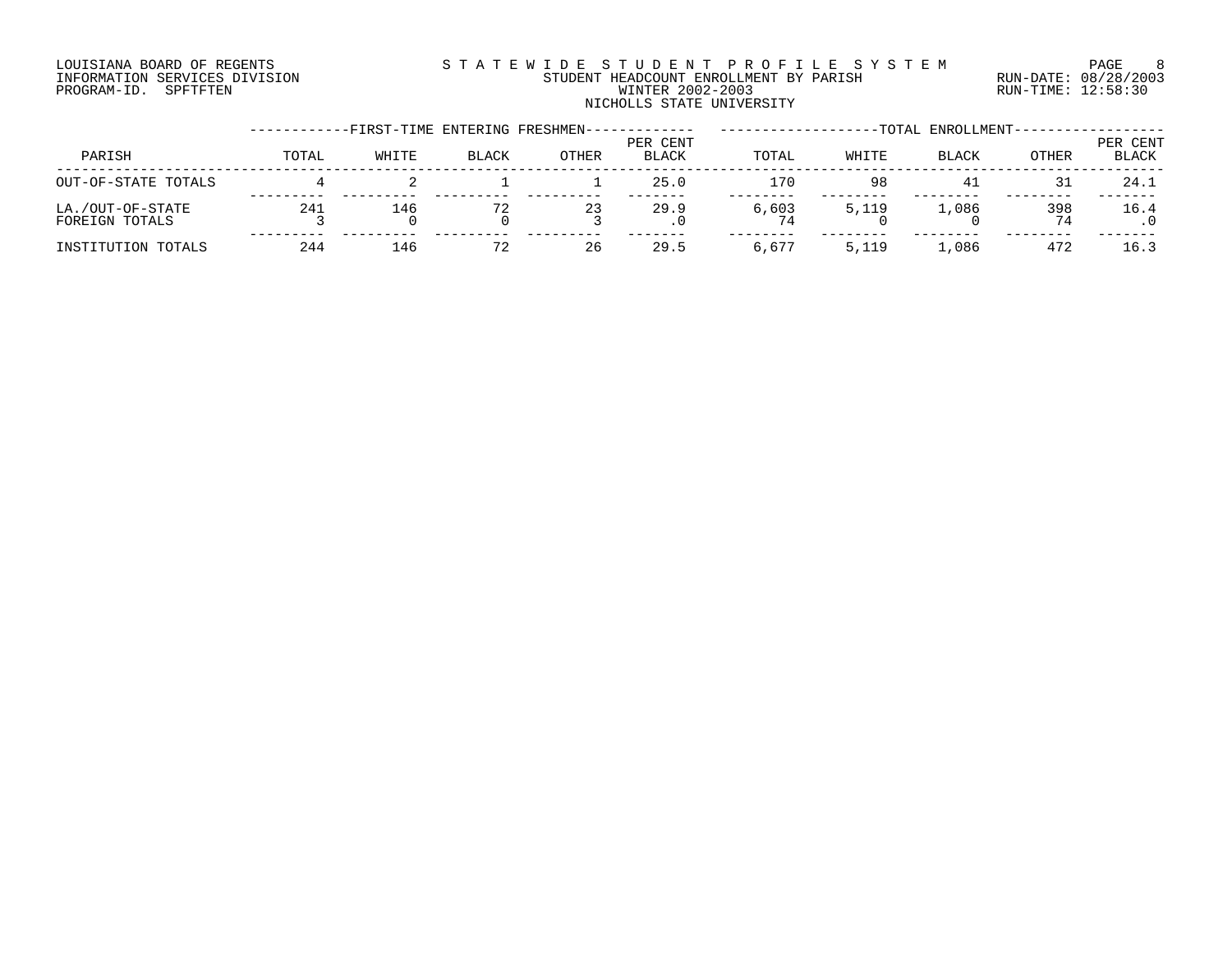# LOUISIANA BOARD OF REGENTS SOURCLEARIE STA T E W I D E S T U D E N T P R O F I L E S Y S T E M PAGE 8 INFORMATION SERVICES DIVISION STUDENT HEADCOUNT ENROLLMENT BY PARISH RUN-DATE: 08/28/2003 PROGRAM-ID. SPFTFTEN WINTER 2002-2003 RUN-TIME: 12:58:30 NICHOLLS STATE UNIVERSITY

|                                    |       | -FIRST-TIME ENTERING FRESHMEN- |              |       |                          |       |       | -TOTAL ENROLLMENT- |           |                   |
|------------------------------------|-------|--------------------------------|--------------|-------|--------------------------|-------|-------|--------------------|-----------|-------------------|
| PARISH                             | TOTAL | WHITE                          | <b>BLACK</b> | OTHER | PER CENT<br><b>BLACK</b> | TOTAL | WHITE | <b>BLACK</b>       | OTHER     | PER CENT<br>BLACK |
| OUT-OF-STATE TOTALS                |       |                                |              |       | 25.0                     | 170   | 98    | 41                 | 31        | 24.1              |
| LA./OUT-OF-STATE<br>FOREIGN TOTALS | 241   | 146                            |              | 23    | 29.9<br>$\cdot$ 0        | 6,603 | 5,119 | 1,086              | 398<br>74 | 16.4              |
| INSTITUTION TOTALS                 | 244   | 146                            | 72           | 26    | 29.5                     | 6,677 | 5,119 | 1,086              | 472       | 16.3              |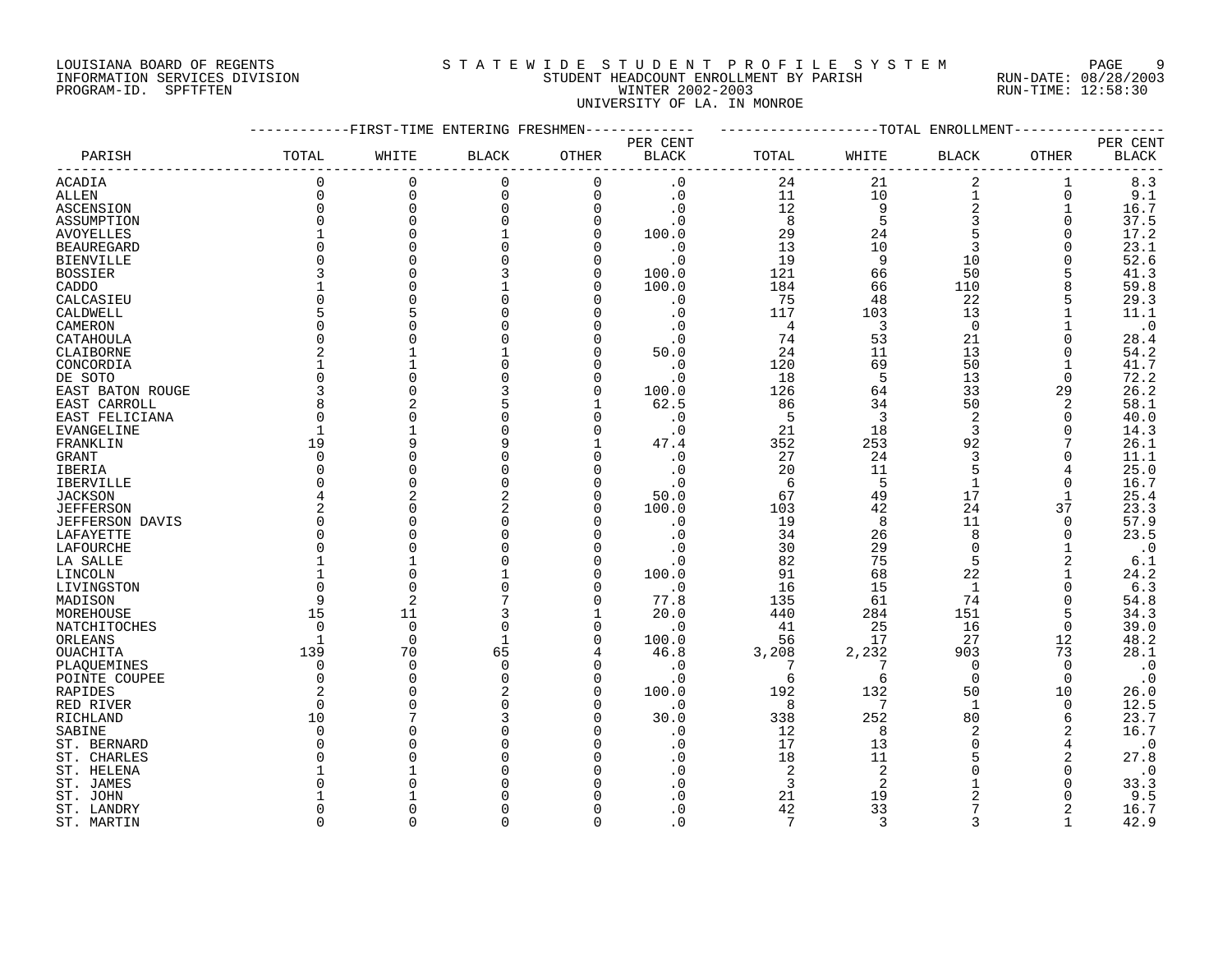# LOUISIANA BOARD OF REGENTS SOURCLEARIE WIDE STUDENT PROFILE SYSTEM PAGE 9 INFORMATION SERVICES DIVISION STUDENT HEADCOUNT ENROLLMENT BY PARISH RUN-DATE: 08/28/2003 PROGRAM-ID. SPFTFTEN WINTER 2002-2003 RUN-TIME: 12:58:30 UNIVERSITY OF LA. IN MONROE

|                        |                | -FIRST-TIME ENTERING FRESHMEN- |              |             |                        |                |                | -------------TOTAL ENROLLMENT |          |              |
|------------------------|----------------|--------------------------------|--------------|-------------|------------------------|----------------|----------------|-------------------------------|----------|--------------|
|                        |                |                                |              |             | PER CENT               |                |                |                               |          | PER CENT     |
| PARISH                 | TOTAL          | WHITE                          | <b>BLACK</b> | OTHER       | <b>BLACK</b>           | TOTAL          | WHITE          | BLACK                         | OTHER    | <b>BLACK</b> |
| <b>ACADIA</b>          | 0              | $\mathbf 0$                    | 0            | $\mathbf 0$ | $\cdot$ 0              | 24             | 21             | 2                             | 1        | 8.3          |
| <b>ALLEN</b>           | $\Omega$       | $\mathbf 0$                    | $\mathbf 0$  | $\Omega$    | $\cdot$ 0              | 11             | 10             | 1                             | $\Omega$ | 9.1          |
| ASCENSION              | 0              | $\Omega$                       | 0            | $\Omega$    | $\cdot$ 0              | 12             | 9              | $\overline{a}$                | 1        | 16.7         |
| ASSUMPTION             | $\Omega$       | $\Omega$                       | $\Omega$     | $\Omega$    | $\boldsymbol{\cdot}$ 0 | 8              | 5              | 3                             | $\Omega$ | 37.5         |
| <b>AVOYELLES</b>       |                | $\cap$                         |              | $\Omega$    | 100.0                  | 29             | 24             | 5                             | 0        | 17.2         |
| <b>BEAUREGARD</b>      | $\Omega$       |                                |              | ∩           | $\cdot$ 0              | 13             | 10             | 3                             | 0        | 23.1         |
| <b>BIENVILLE</b>       | U              |                                |              | $\Omega$    | $\cdot$ 0              | 19             | 9              | 10                            | $\Omega$ | 52.6         |
| <b>BOSSIER</b>         |                |                                |              | $\Omega$    | 100.0                  | 121            | 66             | 50                            |          | 41.3         |
| CADDO                  |                |                                |              | $\Omega$    | 100.0                  | 184            | 66             | 110                           | 8        | 59.8         |
| CALCASIEU              | $\Omega$       |                                |              |             | $\cdot$ 0              | 75             | 48             | 22                            |          | 29.3         |
| CALDWELL               | 5              |                                |              |             | $\cdot$ 0              | 117            | 103            | 13                            |          | 11.1         |
| CAMERON                | 0              |                                |              |             | $\cdot$ 0              | $\overline{4}$ | 3              | $\mathbf 0$                   |          | $\cdot$ 0    |
|                        | 0              |                                |              |             |                        | 74             | 53             | 21                            | $\Omega$ |              |
| CATAHOULA              | 2              |                                |              |             | $\cdot$ 0<br>50.0      | 24             | 11             | 13                            | 0        | 28.4<br>54.2 |
| CLAIBORNE              |                |                                |              |             |                        |                |                |                               |          |              |
| CONCORDIA              |                |                                |              |             | $\cdot$ 0              | 120            | 69             | 50                            |          | 41.7         |
| DE SOTO                | $\Omega$       |                                |              | $\cap$      | $\cdot$ 0              | 18             | 5              | 13                            | $\Omega$ | 72.2         |
| EAST BATON ROUGE       | 3              |                                |              | $\Omega$    | 100.0                  | 126            | 64             | 33                            | 29       | 26.2         |
| EAST CARROLL           | 8              |                                |              |             | 62.5                   | 86             | 34             | 50                            | 2        | 58.1         |
| EAST FELICIANA         | $\Omega$       |                                |              |             | $\cdot$ 0              | 5              | 3              | $\overline{2}$                | 0        | 40.0         |
| <b>EVANGELINE</b>      | $\mathbf{1}$   |                                |              |             | $\cdot$ 0              | 21             | 18             | 3                             | $\Omega$ | 14.3         |
| FRANKLIN               | 19             |                                |              |             | 47.4                   | 352            | 253            | 92                            |          | 26.1         |
| GRANT                  | $\Omega$       |                                |              | n           | . 0                    | 27             | 24             | 3                             | 0        | 11.1         |
| IBERIA                 | $\Omega$       |                                |              |             | $\cdot$ 0              | 20             | 11             | 5                             |          | 25.0         |
| <b>IBERVILLE</b>       | $\Omega$       | $\cap$                         | $\Omega$     |             | $\cdot$ 0              | 6              | 5              | $\mathbf{1}$                  | 0        | 16.7         |
| <b>JACKSON</b>         | 4              |                                |              |             | 50.0                   | 67             | 49             | 17                            |          | 25.4         |
| <b>JEFFERSON</b>       | $\overline{2}$ | $\cap$                         | 2            | n           | 100.0                  | 103            | 42             | 24                            | 37       | 23.3         |
| <b>JEFFERSON DAVIS</b> | $\Omega$       |                                |              |             | $\cdot$ 0              | 19             | 8              | 11                            | $\Omega$ | 57.9         |
| LAFAYETTE              | 0              |                                |              |             | . 0                    | 34             | 26             | 8                             | 0        | 23.5         |
| LAFOURCHE              | $\Omega$       | $\cap$                         |              |             | . 0                    | 30             | 29             | $\Omega$                      |          | $\cdot$ 0    |
| LA SALLE               |                |                                |              | n           | . 0                    | 82             | 75             | 5                             | 2        | 6.1          |
| LINCOLN                |                | $\bigcap$                      |              | n           | 100.0                  | 91             | 68             | 22                            |          | 24.2         |
| LIVINGSTON             | $\Omega$       | $\Omega$                       |              | n           | . 0                    | 16             | 15             | $\mathbf{1}$                  | $\Omega$ | 6.3          |
| MADISON                | 9              | $\overline{2}$                 |              |             | 77.8                   | 135            | 61             | 74                            | $\Omega$ | 54.8         |
| MOREHOUSE              | 15             | 11                             |              | 1           | 20.0                   | 440            | 284            | 151                           | 5        | 34.3         |
| NATCHITOCHES           | $\Omega$       | $\Omega$                       | 0            | $\Omega$    | $\cdot$ 0              | 41             | 25             | 16                            | 0        | 39.0         |
| ORLEANS                | 1              | $\overline{0}$                 | 1            | $\Omega$    | 100.0                  | 56             | 17             | 27                            | 12       | 48.2         |
| OUACHITA               | 139            | 70                             | 65           |             | 46.8                   | 3,208          | 2,232          | 903                           | 73       | 28.1         |
| PLAQUEMINES            | 0              | $\Omega$                       | $\Omega$     | $\Omega$    | $\cdot$ 0              | 7              |                | $\Omega$                      | $\Omega$ | $\cdot$ 0    |
| POINTE COUPEE          | $\Omega$       | $\cap$                         | $\Omega$     | $\Omega$    | $\cdot$ 0              | 6              | 6              | $\Omega$                      | $\Omega$ | $\cdot$ 0    |
| RAPIDES                | 2              |                                | 2            | $\Omega$    | 100.0                  | 192            | 132            | 50                            | 10       | 26.0         |
| RED RIVER              | $\Omega$       |                                |              |             | $\cdot$ 0              | 8              | 7              | $\mathbf{1}$                  | $\Omega$ | 12.5         |
| RICHLAND               | 10             |                                |              |             | 30.0                   | 338            | 252            | 80                            | 6        | 23.7         |
| SABINE                 | $\Omega$       |                                |              |             | $\cdot$ 0              | 12             | 8              | $\overline{2}$                | 2        | 16.7         |
| ST. BERNARD            | $\Omega$       |                                |              |             | . 0                    | 17             | 13             | $\Omega$                      | 4        | $\cdot$ 0    |
| ST. CHARLES            | O              |                                |              |             | . 0                    | 18             | 11             |                               | 2        | 27.8         |
| ST. HELENA             |                |                                |              |             | . 0                    | 2              | 2              |                               | $\Omega$ | $\cdot$ 0    |
| ST. JAMES              | U              |                                |              |             | . 0                    | 3              | $\overline{2}$ |                               | $\Omega$ | 33.3         |
| ST. JOHN               |                |                                |              |             | $\Omega$               | 21             | 19             |                               |          | 9.5          |
| ST. LANDRY             | <sup>0</sup>   |                                |              |             | $\cdot$ 0              | 42             | 33             | 7                             |          | 16.7         |
| ST. MARTIN             | $\cap$         | $\cap$                         | U            | $\Omega$    | $\Omega$               | 7              | $\mathbf{3}$   | $\mathbf{3}$                  |          | 42.9         |
|                        |                |                                |              |             |                        |                |                |                               |          |              |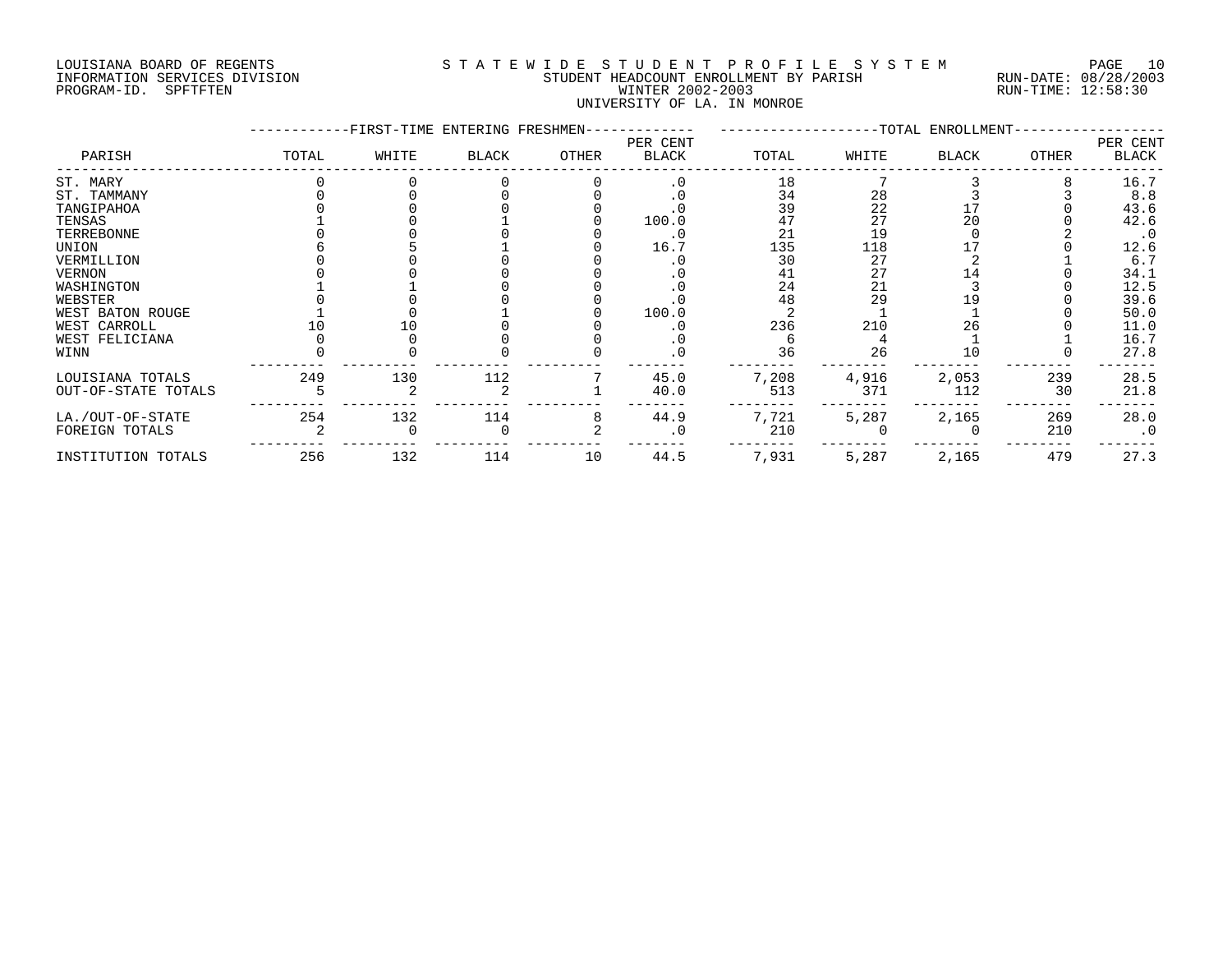# LOUISIANA BOARD OF REGENTS S T A T E W I D E S T U D E N T P R O F I L E S Y S T E M PAGE 10 INFORMATION SERVICES DIVISION STUDENT HEADCOUNT ENROLLMENT BY PARISH RUN-DATE: 08/28/2003 PROGRAM-ID. SPFTFTEN WINTER 2002-2003 RUN-TIME: 12:58:30 UNIVERSITY OF LA. IN MONROE

|                     |       | -FIRST-TIME ENTERING FRESHMEN- |       |       |                   |       |       | --TOTAL ENROLLMENT- |       |                   |
|---------------------|-------|--------------------------------|-------|-------|-------------------|-------|-------|---------------------|-------|-------------------|
| PARISH              | TOTAL | WHITE                          | BLACK | OTHER | PER CENT<br>BLACK | TOTAL | WHITE | <b>BLACK</b>        | OTHER | PER CENT<br>BLACK |
| ST. MARY            |       |                                |       |       | . 0               | 18    |       |                     |       | 16.7              |
| ST. TAMMANY         |       |                                |       |       |                   | 34    | 28    |                     |       | 8.8               |
| TANGIPAHOA          |       |                                |       |       |                   | 39    | 22    |                     |       | 43.6              |
| TENSAS              |       |                                |       |       | 100.0             | 47    | 27    | 20                  |       | 42.6              |
| TERREBONNE          |       |                                |       |       | . 0               | 21    | 19    |                     |       | $\cdot$ 0         |
| UNION               |       |                                |       |       | 16.7              | 135   | 118   |                     |       | 12.6              |
| VERMILLION          |       |                                |       |       |                   | 30    | 27    |                     |       | 6.7               |
| VERNON              |       |                                |       |       |                   | 41    | 27    | 14                  |       | 34.1              |
| WASHINGTON          |       |                                |       |       |                   | 24    | 21    |                     |       | 12.5              |
| WEBSTER             |       |                                |       |       |                   | 48    | 29    | 9.                  |       | 39.6              |
| WEST BATON ROUGE    |       |                                |       |       | 100.0             |       |       |                     |       | 50.0              |
| WEST CARROLL        |       |                                |       |       |                   | 236   | 210   | 26                  |       | 11.0              |
| WEST FELICIANA      |       |                                |       |       | . U               |       |       |                     |       | 16.7              |
| WINN                |       |                                |       |       |                   | 36    | 26    | 10                  |       | 27.8              |
| LOUISIANA TOTALS    | 249   | 130                            | 112   |       | 45.0              | 7,208 | 4,916 | 2,053               | 239   | 28.5              |
| OUT-OF-STATE TOTALS |       |                                |       |       | 40.0              | 513   | 371   | 112                 | 30    | 21.8              |
| LA./OUT-OF-STATE    | 254   | 132                            | 114   |       | 44.9              | 7,721 | 5,287 | 2,165               | 269   | 28.0              |
| FOREIGN TOTALS      |       |                                |       |       | $\cdot$ 0         | 210   |       |                     | 210   | $\cdot$ 0         |
| INSTITUTION TOTALS  | 256   | 132                            | 114   | 10    | 44.5              | 7,931 | 5,287 | 2,165               | 479   | 27.3              |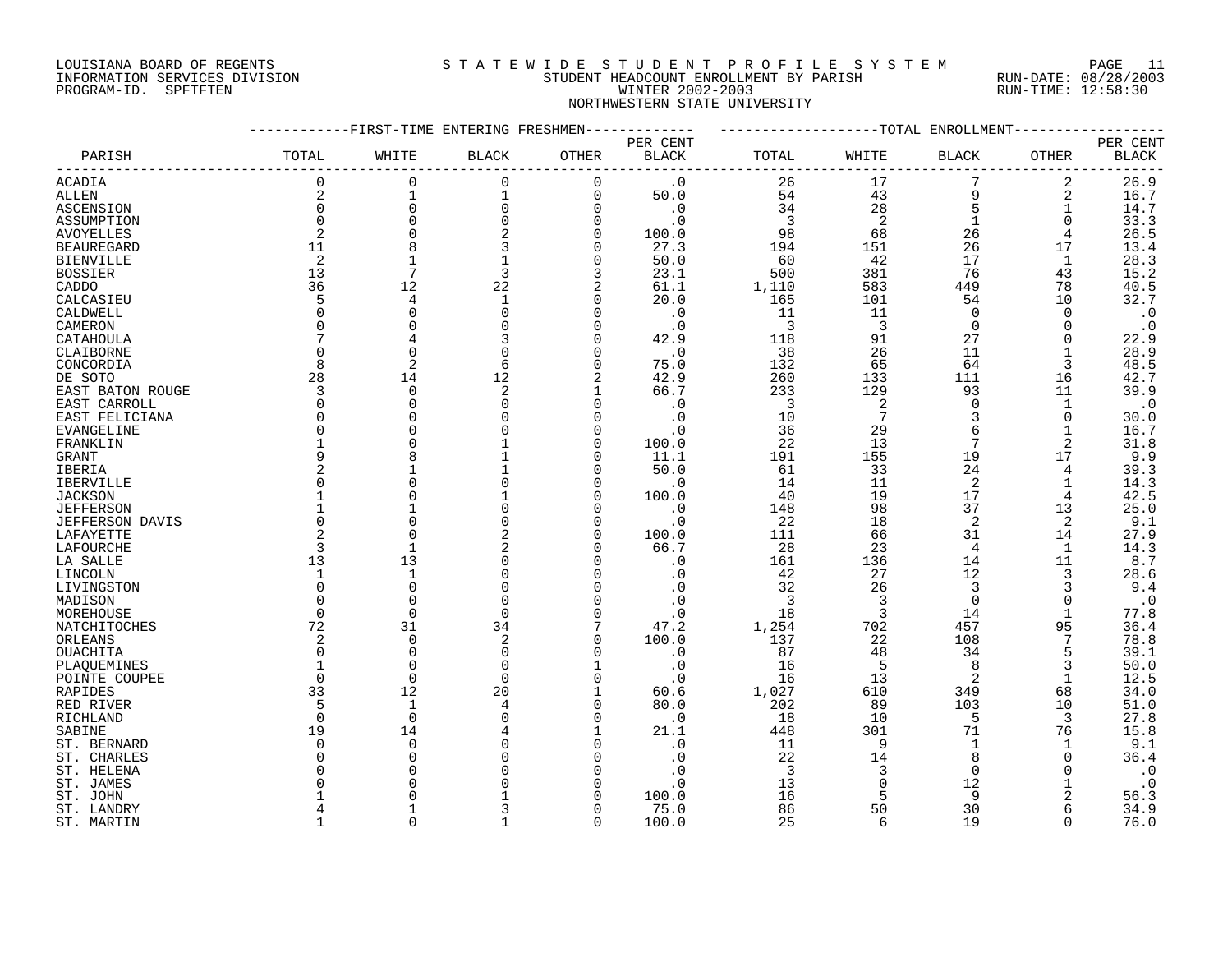## LOUISIANA BOARD OF REGENTS S T A T E W I D E S T U D E N T P R O F I L E S Y S T E M PAGE 11 INFORMATION SERVICES DIVISION STUDENT HEADCOUNT ENROLLMENT BY PARISH RUN-DATE: 08/28/2003 PROGRAM-ID. SPFTFTEN WINTER 2002-2003 RUN-TIME: 12:58:30 NORTHWESTERN STATE UNIVERSITY

|                        |                |                | -FIRST-TIME ENTERING FRESHMEN |             |              |       |                | -TOTAL ENROLLMENT |                |              |
|------------------------|----------------|----------------|-------------------------------|-------------|--------------|-------|----------------|-------------------|----------------|--------------|
|                        |                |                |                               |             | PER CENT     |       |                |                   |                | PER CENT     |
| PARISH                 | TOTAL          | WHITE          | <b>BLACK</b>                  | OTHER       | <b>BLACK</b> | TOTAL | WHITE          | <b>BLACK</b>      | OTHER          | <b>BLACK</b> |
| ACADIA                 | 0              | 0              | $\mathbf 0$                   | $\Omega$    | $\cdot$ 0    | 26    | 17             |                   | 2              | 26.9         |
| ALLEN                  | $\overline{2}$ | $\mathbf{1}$   | $\mathbf{1}$                  | $\mathbf 0$ | 50.0         | 54    | 43             | 9                 | 2              | 16.7         |
| ASCENSION              | 0              | $\mathbf 0$    | 0                             | $\Omega$    | $\cdot$ 0    | 34    | 28             | 5                 | 1              | 14.7         |
| ASSUMPTION             | $\Omega$       | $\Omega$       | $\Omega$                      | $\Omega$    | $\cdot$ 0    | 3     | $\overline{2}$ |                   | 0              | 33.3         |
| <b>AVOYELLES</b>       | $\overline{2}$ | $\Omega$       |                               | $\Omega$    | 100.0        | 98    | 68             | 26                | $\overline{4}$ | 26.5         |
| <b>BEAUREGARD</b>      | 11             | 8              | 3                             | $\Omega$    | 27.3         | 194   | 151            | 26                | 17             | 13.4         |
| <b>BIENVILLE</b>       | 2              |                |                               | 0           | 50.0         | 60    | 42             | 17                | 1              | 28.3         |
| <b>BOSSIER</b>         | 13             | 7              | 3                             | 3           | 23.1         | 500   | 381            | 76                | 43             | 15.2         |
| CADDO                  | 36             | 12             | 22                            | 2           | 61.1         | 1,110 | 583            | 449               | 78             | 40.5         |
| CALCASIEU              | 5              | 4              | $\mathbf{1}$                  | $\Omega$    | 20.0         | 165   | 101            | 54                | 10             | 32.7         |
| CALDWELL               | $\Omega$       | $\Omega$       | $\Omega$                      | n           | $\cdot$ 0    | 11    | 11             | $\Omega$          | $\Omega$       | $\cdot$ 0    |
| CAMERON                | $\Omega$       |                |                               | n           | $\cdot$ 0    | 3     | 3              | $\Omega$          | $\Omega$       | $\cdot$ 0    |
| CATAHOULA              | 7              |                |                               |             | 42.9         | 118   | 91             | 27                |                | 22.9         |
| CLAIBORNE              | $\Omega$       | $\Omega$       | $\Omega$                      |             | $\cdot$ 0    | 38    | 26             | 11                |                | 28.9         |
|                        | 8              | $\overline{2}$ | 6                             | $\Omega$    | 75.0         | 132   | 65             | 64                | 3              | 48.5         |
| CONCORDIA<br>DE SOTO   | 28             | 14             | 12                            | 2           | 42.9         | 260   | 133            | 111               | 16             | 42.7         |
|                        | 3              | $\overline{0}$ | 2                             |             | 66.7         | 233   | 129            | 93                | 11             | 39.9         |
| EAST BATON ROUGE       | 0              | $\Omega$       | $\Omega$                      |             |              | 3     | 2              | $\Omega$          |                |              |
| EAST CARROLL           | $\Omega$       | $\cap$         |                               |             | $\cdot$ 0    |       | 7              | 3                 |                | $\cdot$ 0    |
| EAST FELICIANA         | $\Omega$       | $\bigcap$      |                               |             | . 0          | 10    |                | 6                 | 0              | 30.0         |
| <b>EVANGELINE</b>      |                |                |                               |             | . 0          | 36    | 29             |                   |                | 16.7         |
| FRANKLIN               | 9              | $\Omega$       |                               | n<br>n      | 100.0        | 22    | 13             | 7                 | $\overline{2}$ | 31.8         |
| GRANT                  |                | 8              |                               |             | 11.1         | 191   | 155            | 19                | 17             | 9.9          |
| <b>IBERIA</b>          | $\overline{2}$ |                |                               |             | 50.0         | 61    | 33             | 24                | 4              | 39.3         |
| IBERVILLE              | <sup>0</sup>   |                |                               | ∩           | . 0          | 14    | 11             | $\overline{2}$    | 1              | 14.3         |
| <b>JACKSON</b>         |                |                |                               | $\cap$      | 100.0        | 40    | 19             | 17                | 4              | 42.5         |
| <b>JEFFERSON</b>       |                |                |                               | $\cap$      | $\cdot$ 0    | 148   | 98             | 37                | 13             | 25.0         |
| <b>JEFFERSON DAVIS</b> | $\Omega$       | $\bigcap$      |                               |             | . 0          | 22    | 18             | 2                 | 2              | 9.1          |
| LAFAYETTE              | $\overline{2}$ | $\Omega$       |                               |             | 100.0        | 111   | 66             | 31                | 14             | 27.9         |
| LAFOURCHE              | 3              | $\mathbf{1}$   | 2                             |             | 66.7         | 28    | 23             | 4                 | 1              | 14.3         |
| LA SALLE               | 13             | 13             |                               |             | $\cdot$ 0    | 161   | 136            | 14                | 11             | 8.7          |
| LINCOLN                | 1              | $\mathbf{1}$   | $\Omega$                      |             | $\cdot$ 0    | 42    | 27             | 12                | 3              | 28.6         |
| LIVINGSTON             | $\Omega$       | $\Omega$       | $\Omega$                      |             |              | 32    | 26             | 3                 | 3              | 9.4          |
| MADISON                | <sup>0</sup>   | $\cap$         | $\Omega$                      |             | $\cdot$ 0    | 3     | 3              | $\Omega$          | $\Omega$       | $\cdot$ 0    |
| MOREHOUSE              | $\mathbf 0$    | $\Omega$       | $\Omega$                      | $\Omega$    | . 0          | 18    | 3              | 14                | $\mathbf{1}$   | 77.8         |
| NATCHITOCHES           | 72             | 31             | 34                            |             | 47.2         | 1,254 | 702            | 457               | 95             | 36.4         |
| ORLEANS                | 2              | $\overline{0}$ | 2                             | $\Omega$    | 100.0        | 137   | 22             | 108               |                | 78.8         |
| OUACHITA               | $\Omega$       | $\Omega$       | 0                             | $\Omega$    | $\cdot$ 0    | 87    | 48             | 34                | 5              | 39.1         |
| PLAQUEMINES            |                | $\Omega$       | $\Omega$                      |             | $\cdot$ 0    | 16    | 5              | 8                 | 3              | 50.0         |
| POINTE COUPEE          | $\Omega$       | $\Omega$       | $\Omega$                      | $\cap$      | $\cdot$ 0    | 16    | 13             | $\overline{2}$    | 1              | 12.5         |
| RAPIDES                | 33             | 12             | 20                            |             | 60.6         | 1,027 | 610            | 349               | 68             | 34.0         |
| RED RIVER              | 5              | $\mathbf{1}$   |                               | $\Omega$    | 80.0         | 202   | 89             | 103               | 10             | 51.0         |
| RICHLAND               | $\mathbf 0$    | $\overline{0}$ |                               | O           | $\cdot$ 0    | 18    | 10             | 5                 | 3              | 27.8         |
| SABINE                 | 19             | 14             |                               |             | 21.1         | 448   | 301            | 71                | 76             | 15.8         |
| ST. BERNARD            | 0              | $\Omega$       |                               |             | . 0          | 11    | 9              | 1                 | 1              | 9.1          |
| ST. CHARLES            | O              | $\bigcap$      |                               |             | . 0          | 22    | 14             | 8                 | $\Omega$       | 36.4         |
| ST. HELENA             | O              |                |                               |             | . 0          | 3     | 3              | $\Omega$          |                | $\cdot$ 0    |
| ST. JAMES              |                |                |                               |             | . 0          | 13    |                | 12                |                | $\cdot$ 0    |
| ST. JOHN               |                |                |                               |             | 100.0        | 16    |                | q                 | 2              | 56.3         |
| ST. LANDRY             | 4              |                |                               | ∩           | 75.0         | 86    | 50             | 30                | 6              | 34.9         |
| ST. MARTIN             | 1              | $\cap$         |                               | $\Omega$    | 100.0        | 25    | 6              | 19                | $\Omega$       | 76.0         |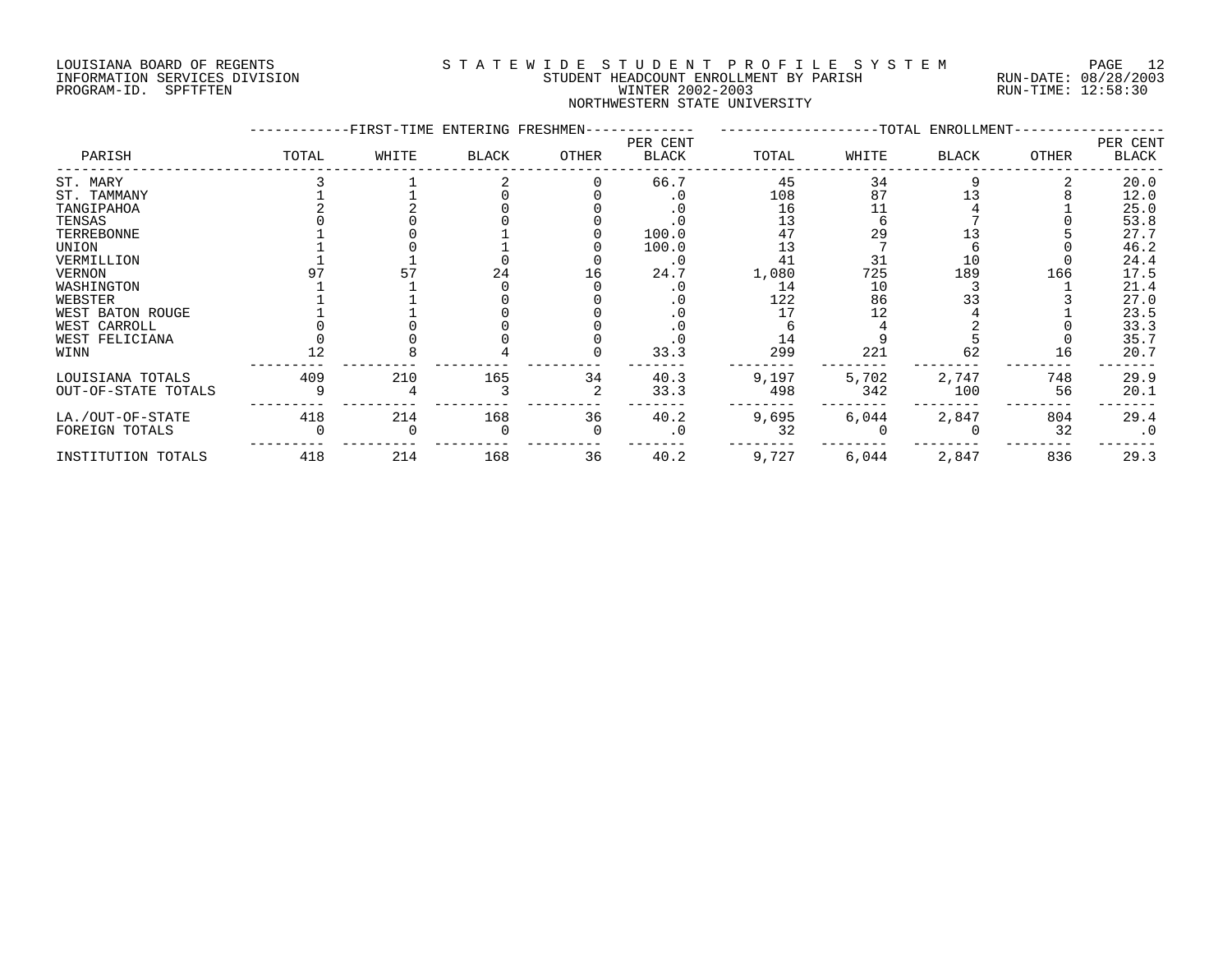#### LOUISIANA BOARD OF REGENTS S T A T E W I D E S T U D E N T P R O F I L E S Y S T E M PAGE 12 INFORMATION SERVICES DIVISION STUDENT HEADCOUNT ENROLLMENT BY PARISH RUN-DATE: 08/28/2003 PROGRAM-ID. SPFTFTEN WINTER 2002-2003 RUN-TIME: 12:58:30 NORTHWESTERN STATE UNIVERSITY

|                     |       | -FIRST-TIME ENTERING FRESHMEN- |       |       |                          |       |       | --TOTAL ENROLLMENT- |       |                   |
|---------------------|-------|--------------------------------|-------|-------|--------------------------|-------|-------|---------------------|-------|-------------------|
| PARISH              | TOTAL | WHITE                          | BLACK | OTHER | PER CENT<br><b>BLACK</b> | TOTAL | WHITE | <b>BLACK</b>        | OTHER | PER CENT<br>BLACK |
| ST. MARY            |       |                                |       |       | 66.7                     | 45    | 34    |                     |       | 20.0              |
| ST. TAMMANY         |       |                                |       |       |                          | 108   | 87    | 1 3                 |       | 12.0              |
| TANGIPAHOA          |       |                                |       |       |                          | 16    | 11    |                     |       | 25.0              |
| TENSAS              |       |                                |       |       |                          | 13    |       |                     |       | 53.8              |
| TERREBONNE          |       |                                |       |       | 100.0                    | 47    | 29    |                     |       | 27.7              |
| UNION               |       |                                |       |       | 100.0                    | 13    |       |                     |       | 46.2              |
| VERMILLION          |       |                                |       |       | $\cdot$ 0                | 41    | 31    | 10                  |       | 24.4              |
| VERNON              |       |                                | 24    | 16    | 24.7                     | 1,080 | 725   | 189                 | 166   | 17.5              |
| WASHINGTON          |       |                                |       |       | . 0                      | 14    | 10    |                     |       | 21.4              |
| WEBSTER             |       |                                |       |       | $\cdot$ 0                | 122   | 86    | 33                  |       | 27.0              |
| WEST BATON ROUGE    |       |                                |       |       |                          | 17    |       |                     |       | 23.5              |
| WEST CARROLL        |       |                                |       |       |                          |       |       |                     |       | 33.3              |
| WEST FELICIANA      |       |                                |       |       |                          | 14    |       |                     |       | 35.7              |
| WINN                |       |                                |       |       | 33.3                     | 299   | 221   | 62                  | 16    | 20.7              |
| LOUISIANA TOTALS    | 409   | 210                            | 165   | 34    | 40.3                     | 9,197 | 5,702 | 2,747               | 748   | 29.9              |
| OUT-OF-STATE TOTALS |       |                                |       |       | 33.3                     | 498   | 342   | 100                 | 56    | 20.1              |
| LA./OUT-OF-STATE    | 418   | 214                            | 168   | 36    | 40.2                     | 9,695 | 6,044 | 2,847               | 804   | 29.4              |
| FOREIGN TOTALS      |       |                                |       |       | . 0                      | 32    |       |                     | 32    | $\cdot$ 0         |
| INSTITUTION TOTALS  | 418   | 214                            | 168   | 36    | 40.2                     | 9,727 | 6,044 | 2,847               | 836   | 29.3              |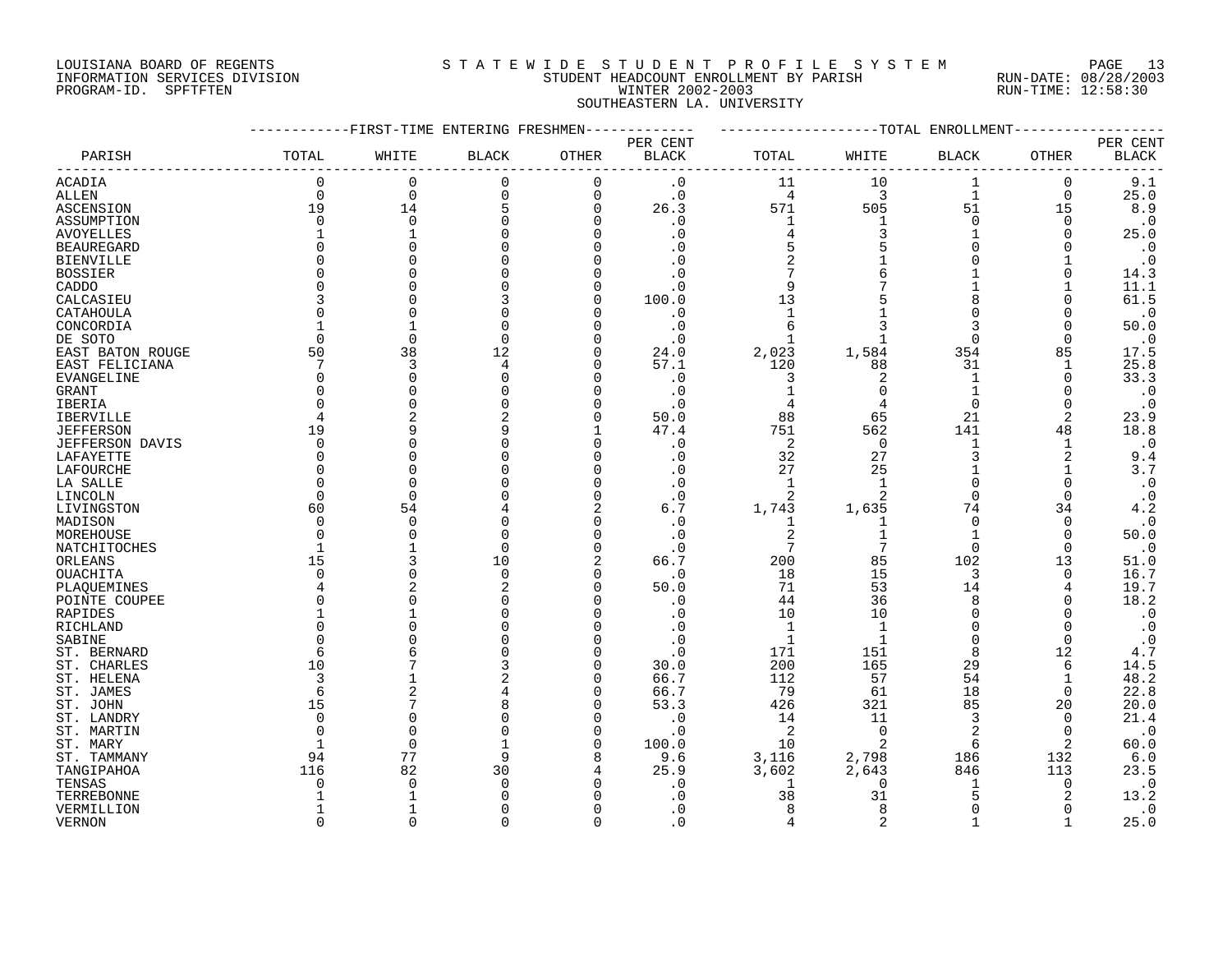# LOUISIANA BOARD OF REGENTS S T A T E W I D E S T U D E N T P R O F I L E S Y S T E M PAGE 13 INFORMATION SERVICES DIVISION STUDENT HEADCOUNT ENROLLMENT BY PARISH RUN-DATE: 08/28/2003 PROGRAM-ID. SPFTFTEN WINTER 2002-2003 RUN-TIME: 12:58:30 SOUTHEASTERN LA. UNIVERSITY

|                        |                | -FIRST-TIME ENTERING FRESHMEN |              |                |                        |                | -TOTAL             | ENROLLMENT     |             |              |
|------------------------|----------------|-------------------------------|--------------|----------------|------------------------|----------------|--------------------|----------------|-------------|--------------|
|                        |                |                               |              |                | PER CENT               |                |                    |                |             | PER CENT     |
| PARISH                 | TOTAL          | WHITE                         | <b>BLACK</b> | OTHER          | $\operatorname{BLACK}$ | TOTAL          | WHITE              | <b>BLACK</b>   | OTHER       | <b>BLACK</b> |
| <b>ACADIA</b>          | 0              | 0                             | 0            | $\Omega$       | $\cdot$ 0              | 11             | 10                 | 1              | 0           | 9.1          |
| ALLEN                  | $\mathbf 0$    | $\overline{0}$                | 0            | $\mathbf 0$    | $\cdot$ 0              | 4              | 3                  | $\mathbf{1}$   | $\mathbf 0$ | 25.0         |
| ASCENSION              | 19             | 14                            | 5            | $\overline{0}$ | 26.3                   | 571            | 505                | 51             | 15          | 8.9          |
| ASSUMPTION             | $\Omega$       | $\Omega$                      |              | $\cap$         | . 0                    | $\mathbf{1}$   |                    | $\Omega$       | $\Omega$    | $\cdot$ 0    |
| <b>AVOYELLES</b>       | 1              |                               |              |                | $\cdot$ 0              | 4              | 3                  |                | $\Omega$    | 25.0         |
| <b>BEAUREGARD</b>      | $\Omega$       |                               |              |                | . 0                    | 5              |                    | $\Omega$       |             | $\cdot$ 0    |
| <b>BIENVILLE</b>       | O              |                               |              |                |                        | $\overline{2}$ |                    | $\Omega$       |             | $\cdot$ 0    |
| <b>BOSSIER</b>         | O              |                               |              |                | . 0                    | 7              |                    |                | $\Omega$    | 14.3         |
| CADDO                  | O              |                               |              |                | . 0                    | 9              |                    |                |             | 11.1         |
| CALCASIEU              | 3              |                               |              |                | 100.0                  | 13             |                    |                | O           | 61.5         |
| CATAHOULA              | $\Omega$       |                               |              |                | . 0                    | $\mathbf{1}$   |                    |                | O           | $\cdot$ 0    |
| CONCORDIA              |                |                               | O            |                | $\cdot$ 0              | 6              |                    |                | $\Omega$    | 50.0         |
| DE SOTO                | $\Omega$       | $\Omega$                      | $\Omega$     |                | $\cdot$ 0              | $\mathbf{1}$   |                    | $\Omega$       | $\Omega$    | $\cdot$ 0    |
| EAST BATON ROUGE       | 50             | 38                            | 12           |                | 24.0                   | 2,023          | 1,584              | 354            | 85          | 17.5         |
| EAST FELICIANA         | 7              | 3                             | 4            |                | 57.1                   | 120            | 88                 | 31             |             | 25.8         |
| EVANGELINE             | 0              | $\Omega$                      |              | O              | $\cdot$ 0              | 3              | 2                  | 1              | 0           | 33.3         |
| GRANT                  | <sup>0</sup>   |                               |              |                | $\cdot$ 0              |                | $\Omega$           |                | $\Omega$    | $\cdot$ 0    |
| IBERIA                 | O              |                               |              |                | $\cdot$ 0              |                |                    | $\Omega$       | $\Omega$    | $\cdot$ 0    |
| IBERVILLE              | 4              |                               | 2            |                | 50.0                   | 88             | 65                 | 21             | 2           | 23.9         |
| <b>JEFFERSON</b>       | 19             | q                             | q            |                | 47.4                   | 751            | 562                | 141            | 48          | 18.8         |
| <b>JEFFERSON DAVIS</b> | $\Omega$       | C                             |              | n              | $\cdot$ 0              | 2              | $\Omega$           | $\mathbf{1}$   | 1           | $\cdot$ 0    |
| LAFAYETTE              | $\Omega$       |                               |              |                | $\cdot$ 0              | 32             | 27                 | 3              | 2           | 9.4          |
| LAFOURCHE              | $\Omega$       |                               |              |                | . 0                    | 27             | 25                 |                |             | 3.7          |
| LA SALLE               | $\Omega$       | $\cap$                        |              |                | . 0                    | 1              | 1                  | $\Omega$       | O           | $\cdot$ 0    |
| LINCOLN                | $\Omega$       | $\Omega$                      |              |                | $\cdot$ 0              |                | $\overline{2}$     | $\Omega$       | $\Omega$    | $\cdot$ 0    |
| LIVINGSTON             | 60             | 54                            |              |                | 6.7                    | 1,743          | 1,635              | 74             | 34          | 4.2          |
| MADISON                | $\Omega$       | $\Omega$                      |              |                | . 0                    | 1              | 1                  | $\mathbf 0$    | 0           | $\cdot$ 0    |
| MOREHOUSE              | $\Omega$       | C                             |              |                | $\cdot$ 0              | 2              |                    |                | $\Omega$    | 50.0         |
| NATCHITOCHES           | $\mathbf 1$    |                               | $\Omega$     | $\Omega$       | $\cdot$ 0              | 7              | 7                  | $\Omega$       | $\Omega$    | $\cdot$ 0    |
| ORLEANS                | 15             |                               | 10           | $\overline{2}$ | 66.7                   | 200            | 85                 | 102            | 13          | 51.0         |
| OUACHITA               | $\Omega$       | C                             | $\Omega$     | $\Omega$       | $\cdot$ 0              | 18             | 15                 | 3              | $\Omega$    | 16.7         |
| PLAQUEMINES            | $\overline{4}$ |                               | 2            | $\Omega$       | 50.0                   | 71             | 53                 | 14             | 4           | 19.7         |
| POINTE COUPEE          | O              |                               |              |                | $\cdot$ 0              | 44             | 36                 | 8              | O           | 18.2         |
| RAPIDES                | 1              |                               |              |                | . 0                    | 10             | 10                 | $\Omega$       |             | $\cdot$ 0    |
| RICHLAND               | O              |                               |              |                | . 0                    | $\mathbf{1}$   |                    | $\Omega$       | $\Omega$    | $\cdot$ 0    |
| SABINE                 | O              |                               |              |                | $\cdot$ 0              | $\mathbf{1}$   | -1                 | $\Omega$       | $\Omega$    | $\cdot$ 0    |
| ST. BERNARD            | 6              |                               |              |                | $\cdot$ 0              | 171            | 151                | 8              | 12          | 4.7          |
| ST. CHARLES            | 10             |                               |              |                | 30.0                   | 200            | 165                | 29             | 6           | 14.5         |
| ST. HELENA             | 3              |                               | 2            | n              | 66.7                   | 112            | 57                 | 54             | 1           | 48.2         |
| ST. JAMES              | 6              | 2                             |              | n              | 66.7                   | 79             | 61                 | 18             | $\Omega$    | 22.8         |
| ST. JOHN               | 15             |                               |              |                | 53.3                   | 426            | 321                | 85             | 20          | 20.0         |
| ST. LANDRY             | 0              | C                             |              |                | . 0                    | 14             | 11                 | 3              | 0           | 21.4         |
| ST. MARTIN             | ∩              | $\Omega$                      |              | n              | $\cdot$ 0              | $\overline{2}$ | $\Omega$           | $\overline{2}$ | $\Omega$    | $\cdot$ 0    |
| ST. MARY               |                | 0                             |              | $\Omega$       | 100.0                  | 10             | $\overline{2}$     | 6              | 2           | 60.0         |
| ST. TAMMANY            | 94             | 77                            | 9            |                | 9.6                    | 3,116          | 2,798              | 186            | 132         | 6.0          |
| TANGIPAHOA             | 116            | 82                            | 30           |                | 25.9                   | 3,602          | 2,643              | 846            | 113         | 23.5         |
| TENSAS                 | O              | $\cap$                        | $\Omega$     |                | . 0                    | 1              | $\Omega$           |                | 0           | $\cdot$ 0    |
| TERREBONNE             |                |                               |              |                | . 0                    | 38             | 31                 |                | 2           | 13.2         |
| VERMILLION             | 1<br>$\Omega$  | $\cap$                        | U            | $\Omega$       | . 0                    | 8<br>$\Delta$  | 8<br>$\mathcal{D}$ | $\Omega$       | $\Omega$    | $\cdot$ 0    |
| <b>VERNON</b>          |                |                               |              |                | $\Omega$               |                |                    |                |             | 25.0         |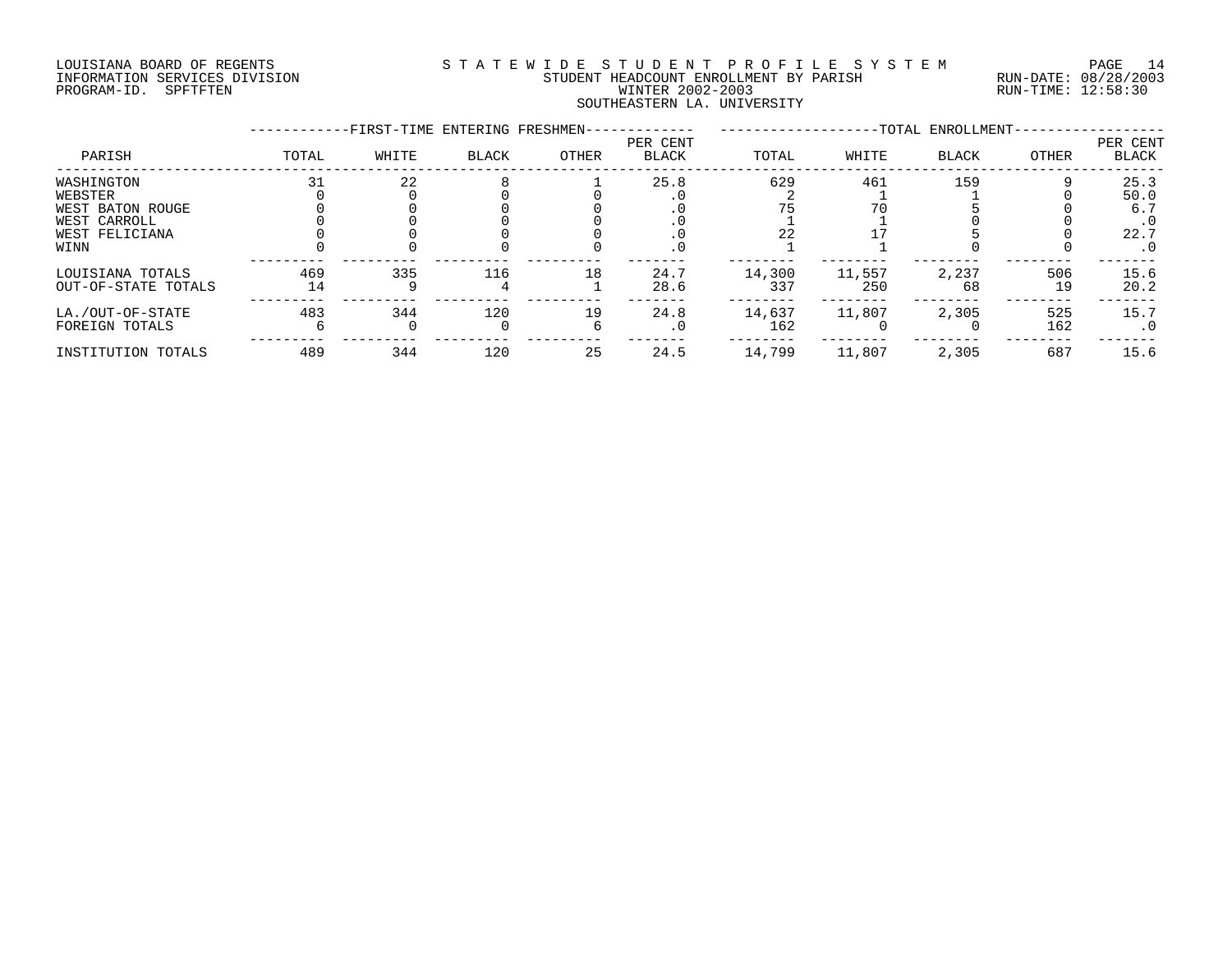# LOUISIANA BOARD OF REGENTS S T A T E W I D E S T U D E N T P R O F I L E S Y S T E M PAGE 14 INFORMATION SERVICES DIVISION STUDENT HEADCOUNT ENROLLMENT BY PARISH RUN-DATE: 08/28/2003 PROGRAM-ID. SPFTFTEN WINTER 2002-2003 RUN-TIME: 12:58:30 SOUTHEASTERN LA. UNIVERSITY

|                                                                                     |           | -FIRST-TIME ENTERING FRESHMEN- |              |       |                          |               |               | -TOTAL ENROLLMENT- |            |                                                       |
|-------------------------------------------------------------------------------------|-----------|--------------------------------|--------------|-------|--------------------------|---------------|---------------|--------------------|------------|-------------------------------------------------------|
| PARISH                                                                              | TOTAL     | WHITE                          | <b>BLACK</b> | OTHER | PER CENT<br><b>BLACK</b> | TOTAL         | WHITE         | <b>BLACK</b>       | OTHER      | PER CENT<br>BLACK                                     |
| WASHINGTON<br>WEBSTER<br>WEST BATON ROUGE<br>WEST CARROLL<br>WEST FELICIANA<br>WINN |           | 22                             |              |       | 25.8<br>. v<br>. 0       | 629<br>22     | 461<br>70     | 159                |            | 25.3<br>50.0<br>6.7<br>$\cdot$ 0<br>22.7<br>$\cdot$ 0 |
| LOUISIANA TOTALS<br>OUT-OF-STATE TOTALS                                             | 469<br>14 | 335                            | 116          | 18    | 24.7<br>28.6             | 14,300<br>337 | 11,557<br>250 | 2,237<br>68        | 506<br>19  | 15.6<br>20.2                                          |
| LA./OUT-OF-STATE<br>FOREIGN TOTALS                                                  | 483       | 344                            | 120          | 19    | 24.8<br>$\cdot$ 0        | 14,637<br>162 | 11,807        | 2,305              | 525<br>162 | 15.7<br>. 0                                           |
| INSTITUTION TOTALS                                                                  | 489       | 344                            | 120          | 25    | 24.5                     | 14,799        | 11,807        | 2,305              | 687        | 15.6                                                  |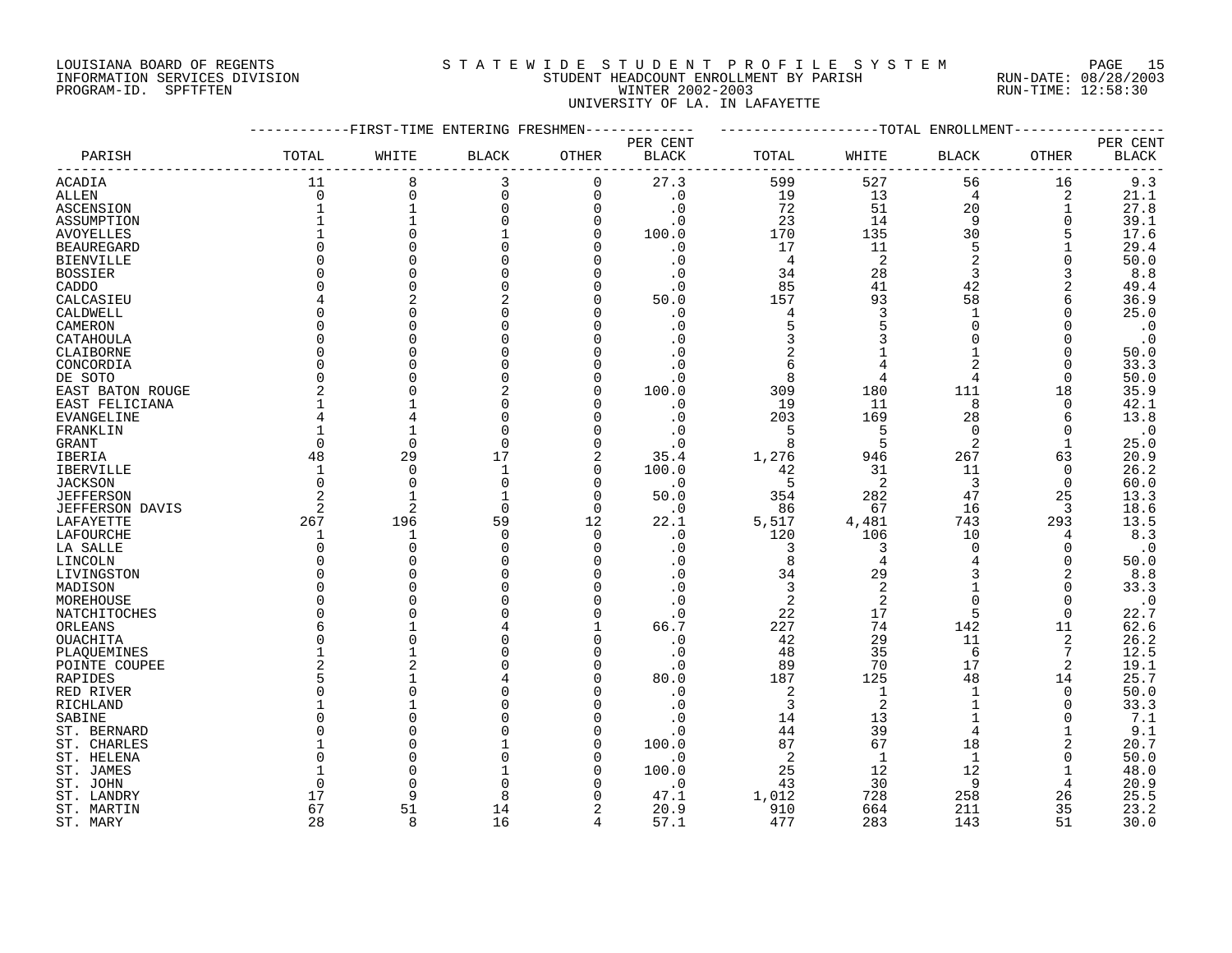# LOUISIANA BOARD OF REGENTS S T A T E W I D E S T U D E N T P R O F I L E S Y S T E M PAGE 15 INFORMATION SERVICES DIVISION STUDENT HEADCOUNT ENROLLMENT BY PARISH RUN-DATE: 08/28/2003 PROGRAM-ID. SPFTFTEN WINTER 2002-2003 RUN-TIME: 12:58:30 UNIVERSITY OF LA. IN LAFAYETTE

|                              |              |              | -FIRST-TIME ENTERING FRESHMEN |          |                        |                |                      | -TOTAL ENROLLMENT |               |                   |
|------------------------------|--------------|--------------|-------------------------------|----------|------------------------|----------------|----------------------|-------------------|---------------|-------------------|
|                              |              |              |                               |          | PER CENT               |                |                      |                   |               | PER CENT          |
| PARISH                       | TOTAL        | WHITE        | <b>BLACK</b>                  | OTHER    | <b>BLACK</b>           | TOTAL          | WHITE                | BLACK             | OTHER         | <b>BLACK</b>      |
| <b>ACADIA</b>                | 11           | 8            | 3                             | 0        | 27.3                   | 599            | 527                  | 56                | 16            | 9.3               |
| ALLEN                        | $\Omega$     | $\Omega$     | 0                             | $\Omega$ | $\cdot$ 0              | 19             | 13                   | 4                 | 2             | 21.1              |
| ASCENSION                    |              |              | $\mathbf 0$                   | $\Omega$ | $\cdot$ 0              | 72             | 51                   | 20                |               | 27.8              |
| ASSUMPTION                   |              |              | $\Omega$                      | $\Omega$ | . 0                    | 23             | 14                   | 9                 | 0             | 39.1              |
| <b>AVOYELLES</b>             |              |              |                               | $\Omega$ | 100.0                  | 170            | 135                  | 30                | 5             | 17.6              |
| <b>BEAUREGARD</b>            | $\Omega$     |              |                               |          | $\cdot$ 0              | 17             | 11                   | 5                 |               | 29.4              |
| <b>BIENVILLE</b>             | O            |              |                               | O        | . 0                    | 4              | 2                    | $\overline{2}$    | 0             | 50.0              |
| <b>BOSSIER</b>               |              |              |                               |          | $\cdot$ 0              | 34             | 28                   | 3                 | 3             | 8.8               |
| CADDO                        | U            |              |                               |          | $\cdot$ 0              | 85             | 41                   | 42                | 2             | 49.4              |
| CALCASIEU                    |              |              |                               |          | 50.0                   | 157            | 93                   | 58                | 6             | 36.9              |
| CALDWELL                     | U            |              |                               |          | . 0                    | $\overline{4}$ | 3                    | $\mathbf{1}$      | O             | 25.0              |
| CAMERON                      | O            |              |                               |          | . 0                    | 5              |                      | $\Omega$          | $\Omega$      | $\cdot$ 0         |
| CATAHOULA                    | $\Omega$     |              |                               |          |                        | 3              |                      | $\Omega$          | $\Omega$      | $\cdot$ 0         |
| CLAIBORNE                    | $\Omega$     |              |                               |          |                        | 2              |                      |                   | $\Omega$      | 50.0              |
|                              | $\Omega$     |              |                               |          |                        | 6              |                      | 2                 | $\Omega$      | 33.3              |
| CONCORDIA<br>DE SOTO         | 0            |              |                               |          | . 0                    | 8              | 4                    | 4                 | $\Omega$      | 50.0              |
|                              | 2            |              | 2                             |          | 100.0                  | 309            | 180                  | 111               | 18            | 35.9              |
| EAST BATON ROUGE             |              |              |                               |          |                        | 19             | 11                   | 8                 | $\Omega$      | 42.1              |
| EAST FELICIANA<br>EVANGELINE | 4            |              | O                             |          | $\cdot$ 0<br>$\cdot$ 0 | 203            | 169                  | 28                | 6             | 13.8              |
|                              |              |              |                               |          |                        | 5              | 5                    | $\Omega$          | $\Omega$      |                   |
| FRANKLIN                     | $\Omega$     | $\Omega$     | $\Omega$                      | $\Omega$ |                        | 8              | 5                    | 2                 | 1             | $\cdot$ 0<br>25.0 |
| GRANT                        | 48           | 29           | 17                            | 2        | $\cdot$ 0<br>35.4      | 1,276          | 946                  | 267               | 63            | 20.9              |
| IBERIA                       | $\mathbf{1}$ | $\Omega$     |                               | $\Omega$ | 100.0                  |                |                      | 11                | $\Omega$      | 26.2              |
| <b>IBERVILLE</b>             | $\Omega$     | $\Omega$     | $\Omega$                      | $\Omega$ |                        | 42             | 31<br>2              | 3                 |               |                   |
| <b>JACKSON</b>               |              |              |                               |          | $\cdot$ 0              | 5              |                      |                   | 0             | 60.0              |
| <b>JEFFERSON</b>             | 2            |              |                               | $\Omega$ | 50.0                   | 354            | 282                  | 47                | 25            | 13.3              |
| JEFFERSON DAVIS              | 2            | 2            | 0                             | $\Omega$ | $\cdot$ 0              | 86             | 67                   | 16                | 3             | 18.6              |
| LAFAYETTE                    | 267          | 196          | 59<br>$\Omega$                | 12       | 22.1                   | 5,517          | 4,481                | 743               | 293           | 13.5              |
| LAFOURCHE                    | $\Omega$     | 1<br>$\cap$  |                               | $\Omega$ | $\cdot$ 0              | 120            | 106                  | 10<br>$\Omega$    | 4             | 8.3               |
| LA SALLE                     | $\Omega$     |              |                               |          | . 0                    | 3              | 3<br>$\overline{4}$  |                   | $\Omega$      | $\cdot$ 0         |
| LINCOLN                      | $\Omega$     |              |                               |          |                        | 8              |                      | 3                 | $\Omega$<br>2 | 50.0<br>$8.8$     |
| LIVINGSTON                   | $\Omega$     |              |                               |          | . 0<br>$\cdot$ 0       | 34<br>3        | 29<br>$\overline{2}$ |                   |               | 33.3              |
| MADISON                      |              |              |                               |          |                        |                |                      |                   | $\Omega$      |                   |
| MOREHOUSE                    | <sup>0</sup> |              |                               |          | . 0                    | 2              | 2                    | $\Omega$          | O             | $\cdot$ 0         |
| NATCHITOCHES                 | O            |              |                               | $\Omega$ | . 0                    | 22             | 17                   | 5                 | $\Omega$      | 22.7              |
| ORLEANS                      | 6            |              |                               |          | 66.7                   | 227            | 74                   | 142               | 11            | 62.6              |
| OUACHITA                     | O            |              |                               |          | $\cdot$ 0              | 42             | 29                   | 11                | 2             | 26.2              |
| PLAQUEMINES                  |              |              |                               | n        | $\cdot$ 0              | 48             | 35                   | 6                 | 7             | 12.5              |
| POINTE COUPEE                | 2            |              |                               |          | $\cdot$ 0              | 89             | 70                   | 17                | 2             | 19.1              |
| RAPIDES                      | 5            |              |                               | n        | 80.0                   | 187            | 125                  | 48                | 14            | 25.7              |
| RED RIVER                    | $\Omega$     |              |                               |          | $\cdot$ 0              | $\overline{2}$ | $\mathbf{1}$         | $\mathbf{1}$      | $\Omega$      | 50.0              |
| RICHLAND                     |              |              |                               |          | . 0                    | 3              | $\overline{2}$       |                   | $\Omega$      | 33.3              |
| SABINE                       | O            |              |                               |          | . 0                    | 14             | 13                   |                   | 0             | 7.1               |
| ST. BERNARD                  | U            |              |                               |          | . 0                    | 44             | 39                   | $\overline{4}$    |               | 9.1               |
| ST. CHARLES                  |              |              |                               | ∩        | 100.0                  | 87             | 67                   | 18                | 2             | 20.7              |
| ST. HELENA                   | U            |              |                               |          | . 0                    | 2              | 1                    | -1                | $\Omega$      | 50.0              |
| ST. JAMES                    |              |              |                               |          | 100.0                  | 25             | 12                   | 12                |               | 48.0              |
| ST. JOHN                     | O            |              |                               |          | $\cdot$ 0              | 43             | 30                   | 9                 | 4             | 20.9              |
| ST. LANDRY                   | 17           | Q            | $\mathsf{R}$                  |          | 47.1                   | 1,012          | 728                  | 258               | 26            | 25.5              |
| ST. MARTIN                   | 67           | 51           | 14                            |          | 20.9                   | 910            | 664                  | 211               | 35            | 23.2              |
| ST. MARY                     | 28           | $\mathsf{R}$ | 16                            | $\Delta$ | 57.1                   | 477            | 283                  | 143               | 51            | 30.0              |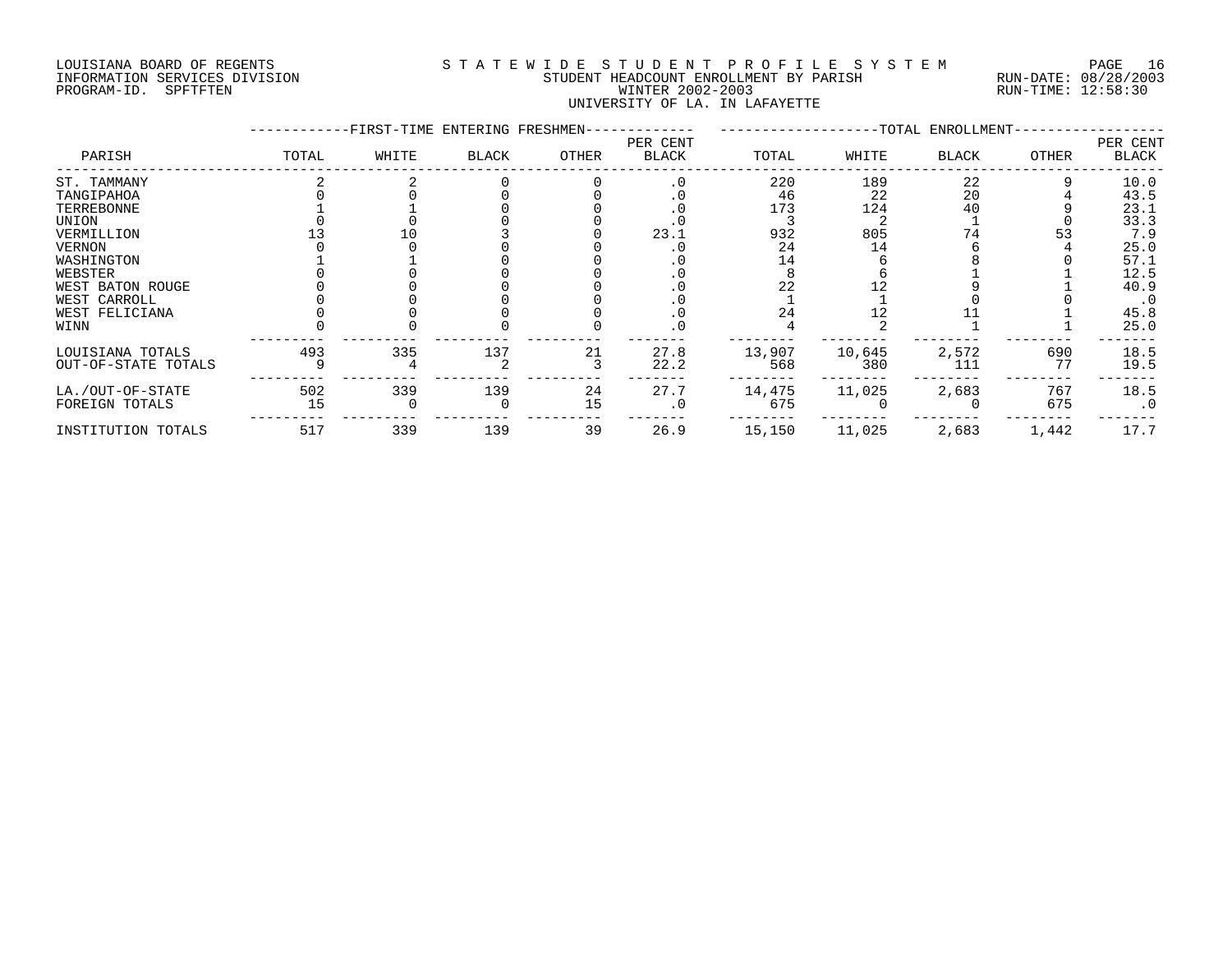## LOUISIANA BOARD OF REGENTS S T A T E W I D E S T U D E N T P R O F I L E S Y S T E M PAGE 16 INFORMATION SERVICES DIVISION STUDENT HEADCOUNT ENROLLMENT BY PARISH RUN-DATE: 08/28/2003 PROGRAM-ID. SPFTFTEN WINTER 2002-2003 RUN-TIME: 12:58:30 UNIVERSITY OF LA. IN LAFAYETTE

|                                                                                                                                                                |           | -FIRST-TIME ENTERING FRESHMEN- |              |          |                          |                                     |                               | -TOTAL ENROLLMENT-   |            |                                                                                          |
|----------------------------------------------------------------------------------------------------------------------------------------------------------------|-----------|--------------------------------|--------------|----------|--------------------------|-------------------------------------|-------------------------------|----------------------|------------|------------------------------------------------------------------------------------------|
| PARISH                                                                                                                                                         | TOTAL     | WHITE                          | <b>BLACK</b> | OTHER    | PER CENT<br><b>BLACK</b> | TOTAL                               | WHITE                         | <b>BLACK</b>         | OTHER      | PER CENT<br><b>BLACK</b>                                                                 |
| ST. TAMMANY<br>TANGIPAHOA<br>TERREBONNE<br>UNION<br>VERMILLION<br><b>VERNON</b><br>WASHINGTON<br>WEBSTER<br>WEST BATON ROUGE<br>WEST CARROLL<br>WEST FELICIANA |           |                                |              |          | 23.1                     | 220<br>46<br>173<br>932<br>24<br>24 | 189<br>22<br>124<br>805<br>14 | 22<br>20<br>40<br>74 |            | 10.0<br>43.5<br>23.1<br>33.3<br>7.9<br>25.0<br>57.1<br>12.5<br>40.9<br>$\cdot$ 0<br>45.8 |
| WINN                                                                                                                                                           |           |                                |              |          |                          |                                     |                               |                      |            | 25.0                                                                                     |
| LOUISIANA TOTALS<br>OUT-OF-STATE TOTALS                                                                                                                        | 493       | 335                            | 137          | 21       | 27.8<br>22.2             | 13,907<br>568                       | 10,645<br>380                 | 2,572<br>111         | 690<br>77  | 18.5<br>19.5                                                                             |
| LA./OUT-OF-STATE<br>FOREIGN TOTALS                                                                                                                             | 502<br>15 | 339                            | 139          | 24<br>15 | 27.7                     | 14,475<br>675                       | 11,025                        | 2,683                | 767<br>675 | 18.5<br>$\cdot$ 0                                                                        |
| INSTITUTION TOTALS                                                                                                                                             | 517       | 339                            | 139          | 39       | 26.9                     | 15,150                              | 11,025                        | 2,683                | 1,442      | 17.7                                                                                     |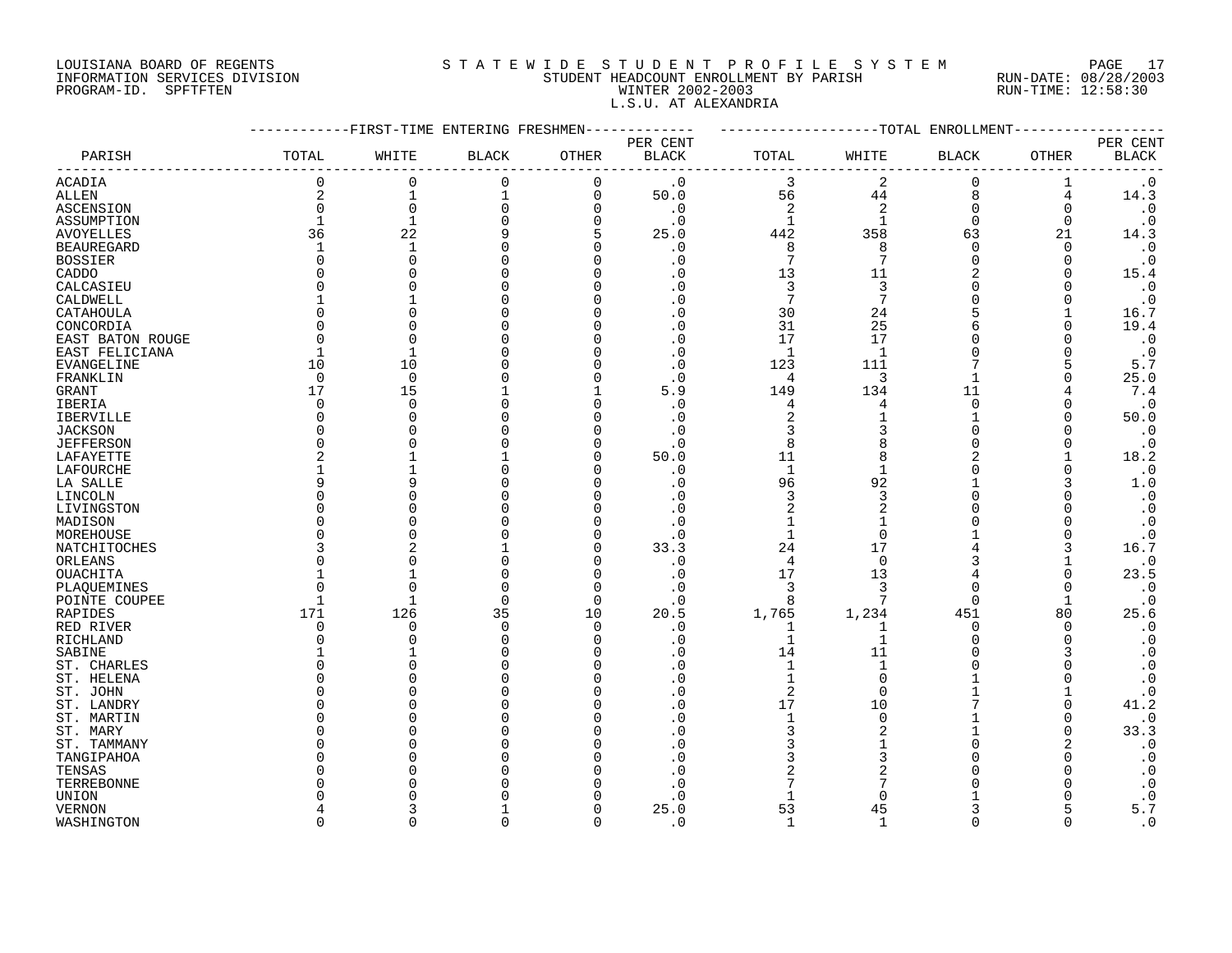# LOUISIANA BOARD OF REGENTS S T A T E W I D E S T U D E N T P R O F I L E S Y S T E M PAGE 17 INFORMATION SERVICES DIVISION STUDENT HEADCOUNT ENROLLMENT BY PARISH RUN-DATE: 08/28/2003 PROGRAM-ID. SPFTFTEN WINTER 2002-2003 RUN-TIME: 12:58:30 L.S.U. AT ALEXANDRIA

|                   |                | -FIRST-TIME ENTERING FRESHMEN |              |             |                          |                |                | -TOTAL ENROLLMENT |              |                          |
|-------------------|----------------|-------------------------------|--------------|-------------|--------------------------|----------------|----------------|-------------------|--------------|--------------------------|
| PARISH            | TOTAL          | WHITE                         | <b>BLACK</b> | OTHER       | PER CENT<br><b>BLACK</b> | TOTAL          | WHITE          | <b>BLACK</b>      | OTHER        | PER CENT<br><b>BLACK</b> |
| <b>ACADIA</b>     | 0              | 0                             | $\mathbf 0$  | $\mathbf 0$ | $\cdot$ 0                | 3              | $\overline{2}$ | $\mathbf 0$       | 1            | $\cdot$ 0                |
| ALLEN             | 2              | $\mathbf{1}$                  | 1            | $\mathbf 0$ | 50.0                     | 56             | 44             | 8                 | 4            | 14.3                     |
| ASCENSION         | 0              | $\mathbf 0$                   | $\mathbf 0$  | $\Omega$    | $\cdot$ 0                | $\overline{2}$ | $\overline{2}$ | $\Omega$          | 0            | $\cdot$ 0                |
| ASSUMPTION        |                | $\mathbf{1}$                  |              | $\Omega$    | $\cdot$ 0                | $\mathbf{1}$   |                | $\Omega$          | $\Omega$     | $\cdot$ 0                |
| <b>AVOYELLES</b>  | 36             | 22                            |              | 5           | 25.0                     | 442            | 358            | 63                | 21           | 14.3                     |
| <b>BEAUREGARD</b> | 1              | $\mathbf{1}$                  |              |             | $\cdot$ 0                | 8              | 8              | $\Omega$          | O            | $\boldsymbol{\cdot}$ 0   |
| <b>BOSSIER</b>    | 0              | $\Omega$                      |              | O           | . 0                      | $\overline{7}$ | 7              | $\Omega$          | 0            | $\cdot$ 0                |
| CADDO             | $\Omega$       |                               |              |             | . 0                      | 13             | 11             | 2                 | $\Omega$     | 15.4                     |
| CALCASIEU         | <sup>0</sup>   |                               |              |             | . 0                      | 3              | 3              | $\Omega$          | O            | $\cdot$ 0                |
| CALDWELL          |                |                               |              |             | . 0                      | 7              | 7              |                   | ∩            | $\cdot$ 0                |
| CATAHOULA         | $\Omega$       |                               |              |             | $\cdot$ 0                | 30             | 24             | 5                 |              | 16.7                     |
|                   | $\Omega$       |                               |              |             | . 0                      | 31             | 25             |                   | $\Omega$     | 19.4                     |
| CONCORDIA         | $\Omega$       | $\bigcap$                     |              |             | $\cdot$ 0                | 17             | 17             |                   |              |                          |
| EAST BATON ROUGE  | -1             |                               |              |             | $\cdot$ 0                | $\mathbf{1}$   | $\mathbf{1}$   |                   | $\Omega$     | $\cdot$ 0<br>$\cdot$ 0   |
| EAST FELICIANA    |                |                               |              |             |                          |                |                |                   |              |                          |
| EVANGELINE        | 10             | 10                            |              |             | . 0                      | 123            | 111            |                   | 5            | 5.7                      |
| FRANKLIN          | 0              | $\overline{0}$                |              |             | $\cdot$ 0                | 4              | 3              |                   | $\Omega$     | 25.0                     |
| GRANT             | 17             | 15                            |              |             | 5.9                      | 149            | 134            | 11                |              | 7.4                      |
| IBERIA            | $\Omega$       | $\Omega$                      |              |             | $\cdot$ 0                | 4              | 4              | $\Omega$          | $\Omega$     | $\cdot$ 0                |
| IBERVILLE         | <sup>0</sup>   | $\cap$                        |              |             | . 0                      | $\overline{2}$ |                |                   | 0            | 50.0                     |
| <b>JACKSON</b>    | U              |                               |              |             | . 0                      | 3              | 3              | $\Omega$          |              | $\cdot$ 0                |
| <b>JEFFERSON</b>  | <sup>0</sup>   |                               |              | n           | $\cdot$ 0                | 8              | 8              | $\Omega$          | $\Omega$     | $\cdot$ 0                |
| LAFAYETTE         | $\overline{2}$ |                               |              |             | 50.0                     | 11             | 8              | $\overline{a}$    |              | 18.2                     |
| LAFOURCHE         |                |                               |              |             | $\cdot$ 0                | $\mathbf{1}$   |                |                   | U            | $\cdot$ 0                |
| LA SALLE          | 9              | q                             |              |             | . 0                      | 96             | 92             |                   | 3            | $1\,.$ $0$               |
| LINCOLN           | O              |                               |              |             | . 0                      | 3              | 3              |                   |              | $\cdot$ 0                |
| LIVINGSTON        | O              |                               |              |             | . 0                      | $\overline{2}$ | $\overline{2}$ | ∩                 | ∩            | $\cdot$ 0                |
| MADISON           | O              |                               |              |             | . 0                      | $\mathbf{1}$   |                |                   |              | $\cdot$ 0                |
| MOREHOUSE         | O              | C                             |              |             | $\cdot$ 0                | $\mathbf{1}$   | $\Omega$       |                   | $\Omega$     | $\cdot$ 0                |
| NATCHITOCHES      | 3              |                               |              |             | 33.3                     | 24             | 17             |                   | 3            | 16.7                     |
| ORLEANS           | U              | C                             |              |             | $\cdot$ 0                | $\overline{4}$ | $\Omega$       |                   |              | $\cdot$ 0                |
| OUACHITA          |                |                               |              | n           | $\cdot$ 0                | 17             | 13             |                   | $\Omega$     | 23.5                     |
| PLAQUEMINES       | $\Omega$       | $\bigcap$                     | O            | $\Omega$    | . 0                      | 3              | 3              |                   | $\Omega$     | $\cdot$ 0                |
| POINTE COUPEE     | -1             |                               | $\Omega$     | $\cap$      | $\cdot$ 0                | 8              |                | $\Omega$          |              | $\cdot$ 0                |
| RAPIDES           | 171            | 126                           | 35           | 10          | 20.5                     | 1,765          | 1,234          | 451               | 80           | 25.6                     |
| RED RIVER         | 0              | $\Omega$                      | $\Omega$     | $\Omega$    | $\cdot$ 0                | $\mathbf{1}$   | 1              | $\Omega$          | $\Omega$     | $\cdot$ 0                |
| RICHLAND          | 0              | $\bigcap$                     | <sup>0</sup> | ∩           | $\cdot$ 0                | $\mathbf{1}$   | 1              | $\Omega$          | $\Omega$     | $\cdot$ 0                |
| SABINE            |                |                               |              |             | . 0                      | 14             | 11             |                   | 3            | $\boldsymbol{\cdot}$ 0   |
| ST. CHARLES       | U              |                               |              |             | $\cdot$ 0                |                |                |                   |              | $\boldsymbol{\cdot}$ 0   |
| ST. HELENA        | U              |                               |              |             | $\cdot$ 0                | $\mathbf{1}$   | O              |                   |              | $\cdot$ 0                |
| ST. JOHN          | O              |                               |              |             | $\cdot$ 0                | $\overline{2}$ | $\Omega$       |                   |              | $\cdot$ 0                |
| ST. LANDRY        | $\Omega$       |                               |              |             | . 0                      | 17             | 10             |                   | U            | 41.2                     |
| ST. MARTIN        | <sup>0</sup>   |                               |              |             | . 0                      | 1              | $\Omega$       |                   | $\Omega$     | $\boldsymbol{\cdot}$ 0   |
| ST. MARY          | U              |                               |              |             | $\cdot$ 0                | 3              | 2              |                   | <sup>0</sup> | 33.3                     |
| ST. TAMMANY       | O              |                               |              |             | . 0                      | 3              |                |                   | 2            | $\cdot$ 0                |
| TANGIPAHOA        | O              |                               |              |             | . 0                      |                |                |                   | ∩            | $\boldsymbol{\cdot}$ 0   |
| TENSAS            | U              |                               |              |             | . 0                      | 2              |                |                   |              | $\cdot$ 0                |
| TERREBONNE        |                |                               |              |             | . 0                      | 7              |                |                   |              | $\cdot$ 0                |
| UNION             |                |                               |              |             | . 0                      |                |                |                   |              | $\cdot$ 0                |
| <b>VERNON</b>     |                |                               |              |             | 25.0                     | 53             | 45             |                   |              | 5.7                      |
| WASHINGTON        | $\cap$         | $\cap$                        | U            | $\Omega$    | $\cdot$ 0                | $\mathbf{1}$   | $\mathbf{1}$   | $\cap$            | ∩            | $\cdot$ 0                |
|                   |                |                               |              |             |                          |                |                |                   |              |                          |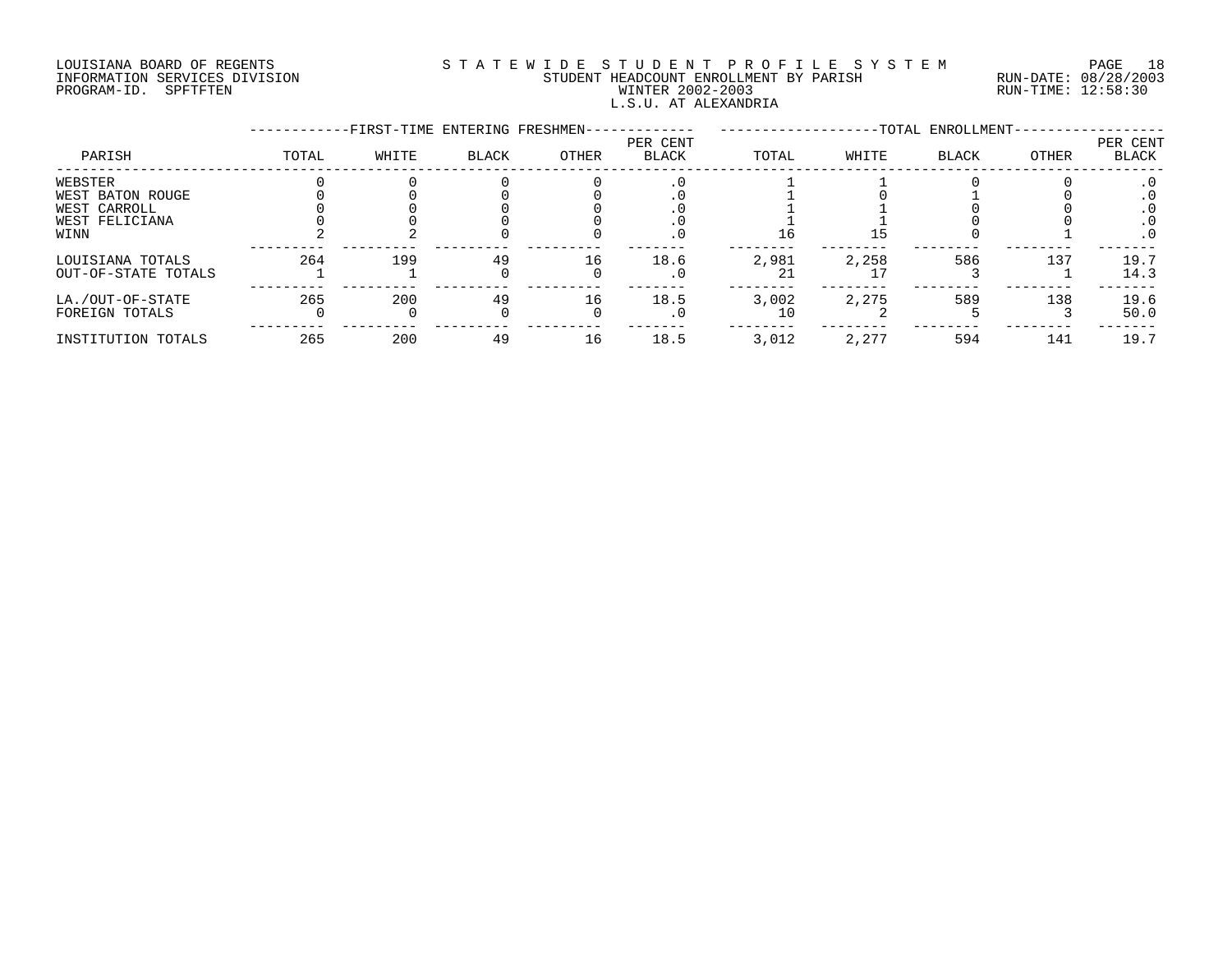# LOUISIANA BOARD OF REGENTS S T A T E W I D E S T U D E N T P R O F I L E S Y S T E M PAGE 18 INFORMATION SERVICES DIVISION STUDENT HEADCOUNT ENROLLMENT BY PARISH RUN-DATE: 08/28/2003 PROGRAM-ID. SPFTFTEN WINTER 2002-2003 RUN-TIME: 12:58:30 L.S.U. AT ALEXANDRIA

|                     |       | -FIRST-TIME ENTERING FRESHMEN- |              |       |                          |       |       | -TOTAL ENROLLMENT- |       |                   |
|---------------------|-------|--------------------------------|--------------|-------|--------------------------|-------|-------|--------------------|-------|-------------------|
| PARISH              | TOTAL | WHITE                          | <b>BLACK</b> | OTHER | PER CENT<br><b>BLACK</b> | TOTAL | WHITE | BLACK              | OTHER | PER CENT<br>BLACK |
| WEBSTER             |       |                                |              |       |                          |       |       |                    |       |                   |
| WEST BATON ROUGE    |       |                                |              |       |                          |       |       |                    |       |                   |
| WEST CARROLL        |       |                                |              |       |                          |       |       |                    |       |                   |
| WEST FELICIANA      |       |                                |              |       | . U                      |       |       |                    |       | . 0               |
| WINN                |       |                                |              |       | . 0                      | 16    | 15    |                    |       | $\cdot$ 0         |
| LOUISIANA TOTALS    | 264   | 199                            | 49           | 16    | 18.6                     | 2,981 | 2,258 | 586                | 137   | 19.7              |
| OUT-OF-STATE TOTALS |       |                                |              |       | . 0                      |       |       |                    |       | 14.3              |
| LA./OUT-OF-STATE    | 265   | 200                            | 49           | 16    | 18.5                     | 3,002 | 2,275 | 589                | 138   | 19.6              |
| FOREIGN TOTALS      |       |                                |              |       | . 0                      |       |       |                    |       | 50.0              |
| INSTITUTION TOTALS  | 265   | 200                            | 49           | 16    | 18.5                     | 3,012 | 2,277 | 594                | 141   | 19.7              |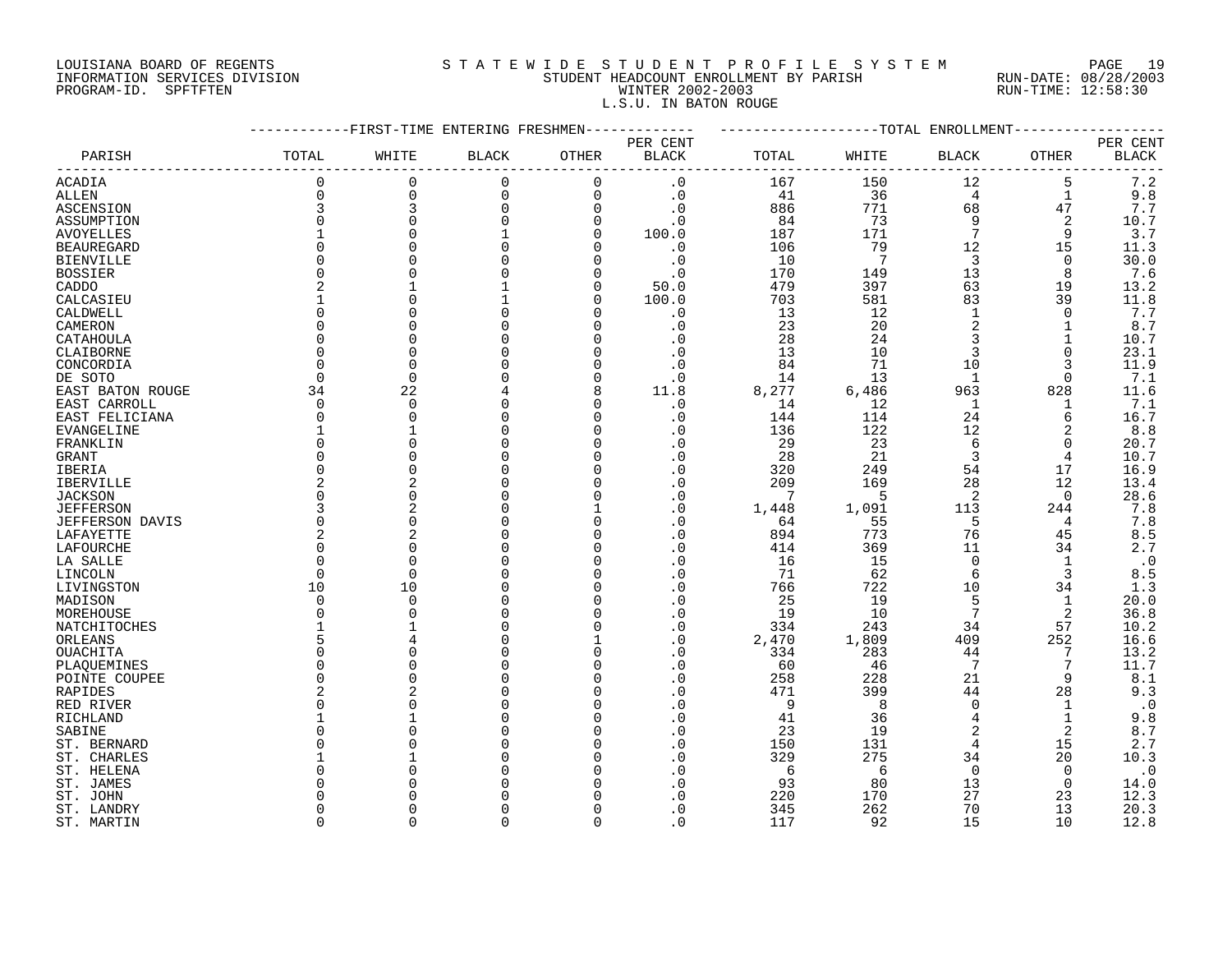## LOUISIANA BOARD OF REGENTS S T A T E W I D E S T U D E N T P R O F I L E S Y S T E M PAGE 19 INFORMATION SERVICES DIVISION STUDENT HEADCOUNT ENROLLMENT BY PARISH RUN-DATE: 08/28/2003 PROGRAM-ID. SPFTFTEN WINTER 2002-2003 RUN-TIME: 12:58:30 L.S.U. IN BATON ROUGE

|                        |                | -FIRST-TIME ENTERING FRESHMEN |              |             |              |       |              | -TOTAL ENROLLMENT |              |              |
|------------------------|----------------|-------------------------------|--------------|-------------|--------------|-------|--------------|-------------------|--------------|--------------|
|                        |                |                               |              |             | PER CENT     |       |              |                   |              | PER CENT     |
| PARISH                 | TOTAL          | WHITE                         | <b>BLACK</b> | OTHER       | <b>BLACK</b> | TOTAL | WHITE        | BLACK             | OTHER        | <b>BLACK</b> |
| ACADIA                 | 0              | 0                             | $\mathbf 0$  | $\Omega$    | . 0          | 167   | 150          | 12                | 5            | $7\,.2$      |
| ALLEN                  | 0              | 0                             | 0            | $\mathbf 0$ | $\cdot$ 0    | 41    | 36           | 4                 | 1            | 9.8          |
| ASCENSION              | 3              | 3                             | 0            | $\mathbf 0$ | $\cdot$ 0    | 886   | 771          | 68                | 47           | $7\,.7$      |
| ASSUMPTION             | $\Omega$       | $\Omega$                      | $\Omega$     | $\Omega$    | . 0          | 84    | 73           | 9                 | 2            | 10.7         |
| <b>AVOYELLES</b>       |                | $\Omega$                      |              | $\Omega$    | 100.0        | 187   | 171          | 7                 | 9            | 3.7          |
| <b>BEAUREGARD</b>      | $\Omega$       |                               |              |             | $\cdot$ 0    | 106   | 79           | 12                | 15           | 11.3         |
| <b>BIENVILLE</b>       | O              | C                             |              | O           | $\cdot$ 0    | 10    | 7            | 3                 | 0            | 30.0         |
| <b>BOSSIER</b>         | $\Omega$       |                               |              |             | $\cdot$ 0    | 170   | 149          | 13                | 8            | 7.6          |
| CADDO                  | 2              |                               |              | $\Omega$    | 50.0         | 479   | 397          | 63                | 19           | 13.2         |
| CALCASIEU              |                | $\cap$                        |              | n           | 100.0        | 703   | 581          | 83                | 39           | 11.8         |
| CALDWELL               | $\Omega$       | $\cap$                        |              |             | . 0          | 13    | 12           | $\mathbf{1}$      | $\Omega$     | 7.7          |
| CAMERON                | O              | C                             |              |             | . 0          | 23    | 20           | $\overline{2}$    | 1            | 8.7          |
| CATAHOULA              | $\Omega$       |                               |              |             | . 0          | 28    | 24           | 3                 |              | 10.7         |
|                        | $\Omega$       | $\bigcap$                     |              |             | . 0          | 13    | 10           | 3                 | 0            | 23.1         |
| CLAIBORNE              | $\Omega$       |                               |              |             |              |       |              |                   |              |              |
| CONCORDIA              |                | $\Omega$                      |              |             | . 0          | 84    | 71           | 10                | 3            | 11.9         |
| DE SOTO                | 0              | 0                             |              | $\Omega$    | $\cdot$ 0    | 14    | 13           | 1                 | 0            | 7.1          |
| EAST BATON ROUGE       | 34             | 22                            |              | 8           | 11.8         | 8,277 | 6,486        | 963               | 828          | 11.6         |
| EAST CARROLL           | 0              | $\overline{0}$                |              | $\Omega$    | $\cdot$ 0    | 14    | 12           | $\mathbf{1}$      | 1            | 7.1          |
| EAST FELICIANA         | 0              | $\Omega$                      | O            | $\Omega$    | . 0          | 144   | 114          | 24                | 6            | 16.7         |
| <b>EVANGELINE</b>      | 1              |                               |              | n           | . 0          | 136   | 122          | 12                | 2            | 8.8          |
| FRANKLIN               | $\Omega$       | $\cap$                        |              | n           | $\cdot$ 0    | 29    | 23           | 6                 | $\Omega$     | 20.7         |
| GRANT                  | $\Omega$       |                               |              |             | . 0          | 28    | 21           | 3                 | 4            | 10.7         |
| IBERIA                 | $\Omega$       | $\bigcap$                     |              |             | $\cdot$ 0    | 320   | 249          | 54                | 17           | 16.9         |
| IBERVILLE              | 2              | $\overline{2}$                |              | n           | . 0          | 209   | 169          | 28                | 12           | 13.4         |
| <b>JACKSON</b>         | O              | $\Omega$                      |              |             | $\cdot$ 0    | 7     | 5            | 2                 | $\Omega$     | 28.6         |
| <b>JEFFERSON</b>       | 3              |                               |              |             | $\cdot$ 0    | 1,448 | 1,091        | 113               | 244          | 7.8          |
| <b>JEFFERSON DAVIS</b> | $\Omega$       | $\Omega$                      |              |             | . 0          | 64    | 55           | 5                 | 4            | 7.8          |
| LAFAYETTE              | 2              |                               |              |             | . 0          | 894   | 773          | 76                | 45           | $8.5$        |
| LAFOURCHE              | $\Omega$       | $\cap$                        |              |             | . 0          | 414   | 369          | 11                | 34           | 2.7          |
| LA SALLE               | $\cap$         | $\bigcap$                     |              | $\Omega$    | $\Omega$     | 16    | 15           | $\Omega$          | $\mathbf{1}$ | $\cdot$ 0    |
| LINCOLN                | $\Omega$       | $\Omega$                      |              | $\Omega$    | $\cdot$ 0    | 71    | 62           | 6                 | 3            | $8.5\,$      |
| LIVINGSTON             | 10             | 10                            |              |             | $\cdot$ 0    | 766   | 722          | 10                | 34           | 1.3          |
| MADISON                | 0              | $\Omega$                      |              | ∩           | . 0          | 25    | 19           | 5                 | 1            | 20.0         |
| MOREHOUSE              | O              | $\cap$                        |              | $\Omega$    | . 0          | 19    | 10           | 7                 | 2            | 36.8         |
| NATCHITOCHES           |                |                               |              | $\Omega$    | $\cdot$ 0    | 334   | 243          | 34                | 57           | 10.2         |
| ORLEANS                | 5              |                               |              |             | $\cdot$ 0    | 2,470 | 1,809        | 409               | 252          | 16.6         |
| OUACHITA               | $\Omega$       |                               |              | $\Omega$    | . 0          | 334   | 283          | 44                | 7            | 13.2         |
| PLAQUEMINES            | $\Omega$       |                               |              | n           | $\cdot$ 0    | 60    | 46           | 7                 | 7            | 11.7         |
| POINTE COUPEE          | $\Omega$       | $\cap$                        |              | $\Omega$    | $\cdot$ 0    | 258   | 228          | 21                | 9            | 8.1          |
| RAPIDES                | $\overline{2}$ |                               |              | n           | $\cdot$ 0    | 471   | 399          | 44                | 28           | 9.3          |
| RED RIVER              | $\Omega$       |                               |              |             | . 0          | 9     | $\mathsf{R}$ | $\Omega$          |              | $\cdot$ 0    |
| RICHLAND               |                |                               |              |             | . 0          | 41    | 36           | 4                 |              | 9.8          |
| SABINE                 | O              |                               |              |             | $\cdot$ 0    | 23    | 19           | $\overline{2}$    | 2            | 8.7          |
| ST. BERNARD            | O              |                               |              | $\Omega$    | $\cdot$ 0    | 150   | 131          | 4                 | 15           | 2.7          |
| ST. CHARLES            |                |                               |              |             | $\cdot$ 0    | 329   | 275          | 34                | 20           | 10.3         |
| ST. HELENA             | O              |                               |              |             | . 0          | 6     | 6            | $\Omega$          | $\Omega$     | $\cdot$ 0    |
| ST. JAMES              | N              |                               |              |             | . 0          | 93    | 80           | 13                | 0            | 14.0         |
| ST. JOHN               |                |                               |              |             | $\Omega$     | 220   | 170          | 27                | 23           | 12.3         |
| ST. LANDRY             | O              |                               |              |             | $\cdot$ 0    | 345   | 262          | 70                | 13           | 20.3         |
|                        | $\cap$         | $\cap$                        | $\Omega$     | $\Omega$    | . 0          |       |              | 15                |              | 12.8         |
| ST. MARTIN             |                |                               |              |             |              | 117   | 92           |                   | 10           |              |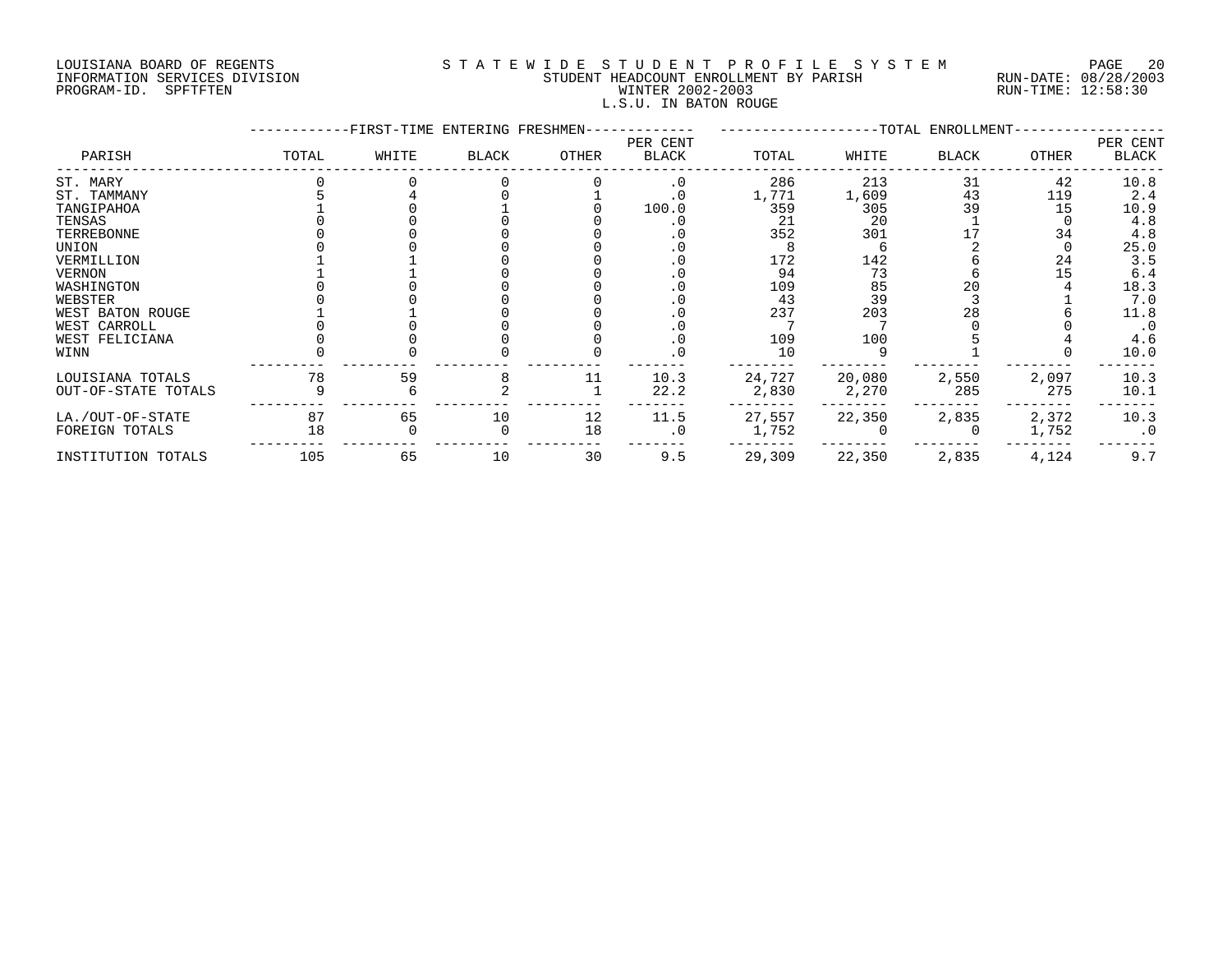# LOUISIANA BOARD OF REGENTS S T A T E W I D E S T U D E N T P R O F I L E S Y S T E M PAGE 20 INFORMATION SERVICES DIVISION STUDENT HEADCOUNT ENROLLMENT BY PARISH RUN-DATE: 08/28/2003 PROGRAM-ID. SPFTFTEN WINTER 2002-2003 RUN-TIME: 12:58:30 L.S.U. IN BATON ROUGE

|                     |       | -FIRST-TIME ENTERING FRESHMEN- |              |       |                          |        |        | -TOTAL ENROLLMENT- |              |                   |
|---------------------|-------|--------------------------------|--------------|-------|--------------------------|--------|--------|--------------------|--------------|-------------------|
| PARISH              | TOTAL | WHITE                          | <b>BLACK</b> | OTHER | PER CENT<br><b>BLACK</b> | TOTAL  | WHITE  | <b>BLACK</b>       | <b>OTHER</b> | PER CENT<br>BLACK |
| ST. MARY            |       |                                |              |       | $\cdot$ 0                | 286    | 213    | 31                 | 42           | 10.8              |
| ST. TAMMANY         |       |                                |              |       | . 0                      | 1,771  | 1,609  | 43                 | 119          | 2.4               |
| TANGIPAHOA          |       |                                |              |       | 100.0                    | 359    | 305    | 39                 | 15           | 10.9              |
| TENSAS              |       |                                |              |       |                          | 21     | 20     |                    |              | 4.8               |
| TERREBONNE          |       |                                |              |       |                          | 352    | 301    |                    | 34           | 4.8               |
| UNION               |       |                                |              |       |                          |        |        |                    |              | 25.0              |
| VERMILLION          |       |                                |              |       |                          | 172    | 142    |                    | 24           | 3.5               |
| VERNON              |       |                                |              |       |                          | 94     | 73     |                    | 15           | 6.4               |
| WASHINGTON          |       |                                |              |       |                          | 109    | 85     | 20                 |              | 18.3              |
| WEBSTER             |       |                                |              |       |                          | 43     | 39     |                    |              | 7.0               |
| WEST BATON ROUGE    |       |                                |              |       |                          | 237    | 203    | 28                 |              | 11.8              |
| WEST CARROLL        |       |                                |              |       |                          |        |        |                    |              | $\cdot$ 0         |
| WEST FELICIANA      |       |                                |              |       | . 0                      | 109    | 100    |                    |              | 4.6               |
| WINN                |       |                                |              |       |                          | 10     |        |                    |              | 10.0              |
| LOUISIANA TOTALS    | 78    | 59                             |              | 11    | 10.3                     | 24,727 | 20,080 | 2,550              | 2,097        | 10.3              |
| OUT-OF-STATE TOTALS |       |                                |              |       | 22.2                     | 2,830  | 2,270  | 285                | 275          | 10.1              |
| LA./OUT-OF-STATE    | 87    | 65                             | 10           | 12    | 11.5                     | 27,557 | 22,350 | 2,835              | 2,372        | 10.3              |
| FOREIGN TOTALS      | 18    |                                |              | 18    | $\cdot$ 0                | 1,752  |        |                    | 1,752        | $\cdot$ 0         |
| INSTITUTION TOTALS  | 105   | 65                             | 10           | 30    | 9.5                      | 29,309 | 22,350 | 2,835              | 4,124        | 9.7               |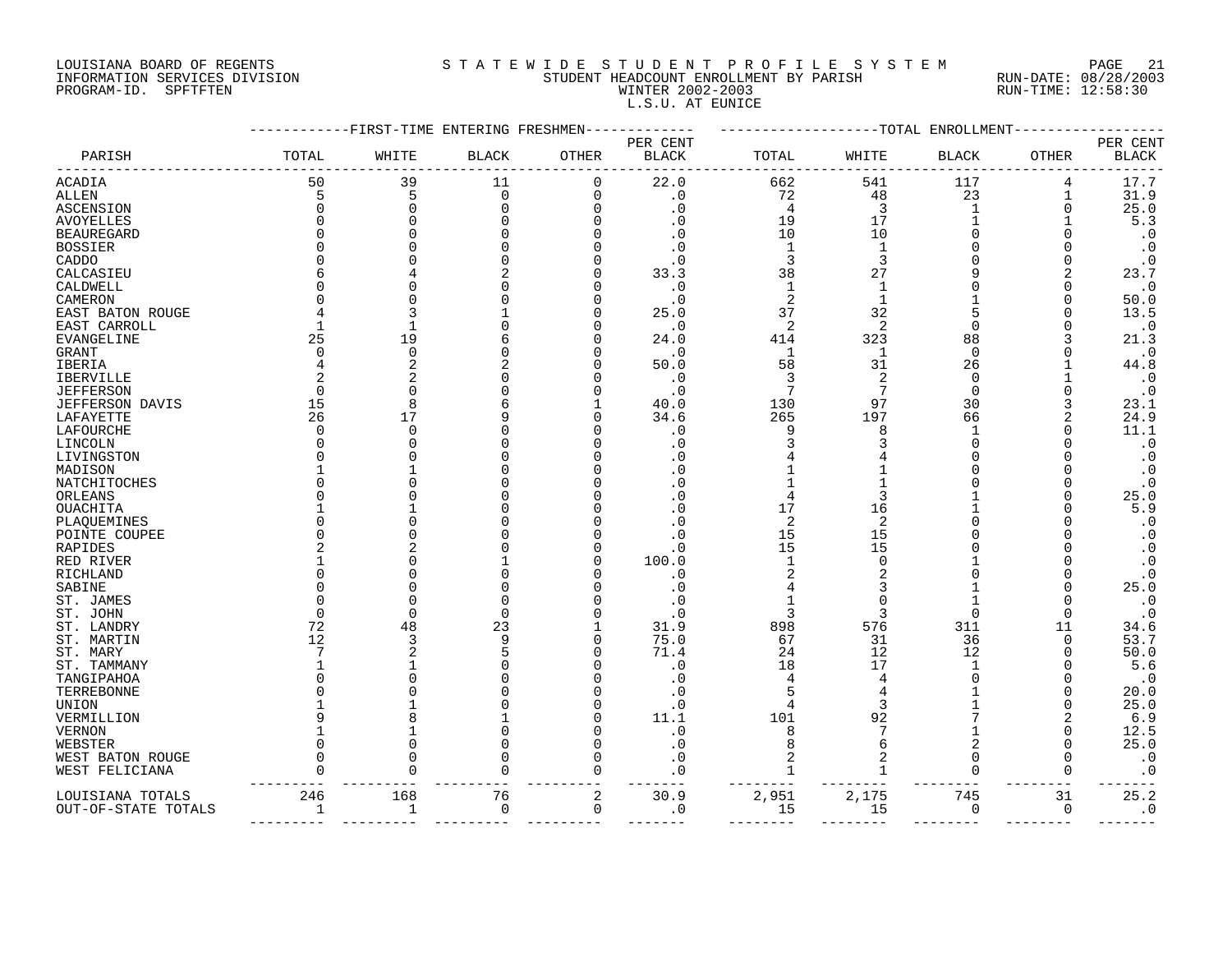# LOUISIANA BOARD OF REGENTS S T A T E W I D E S T U D E N T P R O F I L E S Y S T E M PAGE 21 INFORMATION SERVICES DIVISION STUDENT HEADCOUNT ENROLLMENT BY PARISH RUN-DATE: 08/28/2003 PROGRAM-ID. SPFTFTEN WINTER 2002-2003 RUN-TIME: 12:58:30 L.S.U. AT EUNICE

|                     |              |               | FIRST-TIME ENTERING FRESHMEN- |             |              |              |              | -TOTAL ENROLLMENT |              |                        |
|---------------------|--------------|---------------|-------------------------------|-------------|--------------|--------------|--------------|-------------------|--------------|------------------------|
|                     |              |               |                               |             | PER CENT     |              |              |                   |              | PER CENT               |
| PARISH              | TOTAL        | WHITE         | <b>BLACK</b>                  | OTHER       | <b>BLACK</b> | TOTAL        | WHITE        | <b>BLACK</b>      | <b>OTHER</b> | <b>BLACK</b>           |
| ACADIA              | 50           | 39            | 11                            | 0           | 22.0         | 662          | 541          | 117               | 4            | 17.7                   |
| ALLEN               | 5            | 5             | $\mathbf 0$                   | $\mathbf 0$ | . 0          | 72           | 48           | 23                | 1            | 31.9                   |
| ASCENSION           | <sup>0</sup> | $\mathbf 0$   | $\Omega$                      | 0           | $\cdot$ 0    | 4            | 3            | 1                 | 0            | 25.0                   |
| AVOYELLES           |              | U             |                               | O           | . 0          | 19           | 17           |                   |              | 5.3                    |
| <b>BEAUREGARD</b>   |              |               |                               |             |              | 10           | 10           |                   |              | $\cdot$ 0              |
| <b>BOSSIER</b>      |              |               |                               |             | C            | 1            | $\mathbf{1}$ |                   |              | $\cdot$ 0              |
| CADDO               |              |               |                               |             | . 0          | 3            | 3            |                   |              | $\cdot$ 0              |
| CALCASIEU           |              |               |                               | O           | 33.3         | 38           | 27           |                   |              | 23.7                   |
| CALDWELL            |              |               |                               | O           | . 0          | $\mathbf{1}$ | $\mathbf{1}$ |                   |              | $\cdot$ 0              |
| CAMERON             |              |               |                               | O           | . 0          | 2            |              |                   |              | 50.0                   |
| EAST BATON ROUGE    |              | 3             |                               | O           | 25.0         | 37           | 32           | 5                 |              | 13.5                   |
| EAST CARROLL        |              | $\mathbf{1}$  |                               | O           | . 0          | 2            | 2            | $\Omega$          |              | $\cdot$ 0              |
| EVANGELINE          | 25           | 19            |                               | 0           | 24.0         | 414          | 323          | 88                |              | 21.3                   |
| GRANT               |              | 0             |                               | O           | $\cdot$ 0    | $\mathbf 1$  | $\mathbf{1}$ | $\Omega$          |              | $\cdot$ 0              |
| IBERIA              |              | 2             |                               | O           | 50.0         | 58           | 31           | 26                |              | 44.8                   |
| <b>IBERVILLE</b>    |              | 2             |                               | O           | $\cdot$ 0    | 3            | 2            | $\Omega$          |              | $\cdot$ 0              |
| <b>JEFFERSON</b>    |              | $\Omega$      |                               | O           | . 0          | 7            | 7            | $\Omega$          |              | $\cdot$ 0              |
| JEFFERSON DAVIS     | 15           | 8             |                               |             | 40.0         | 130          | 97           | 30                |              | 23.1                   |
| LAFAYETTE           | 26           | 17            |                               | O           | 34.6         | 265          | 197          | 66                |              | 24.9                   |
| LAFOURCHE           |              | $\Omega$      |                               |             | . 0          | 9            | 8            |                   |              | 11.1                   |
| LINCOLN             |              | U             |                               |             | 0            |              |              | ∩                 |              | $\boldsymbol{\cdot}$ 0 |
| LIVINGSTON          |              | O             |                               |             | C.           |              |              | ∩                 |              | $\boldsymbol{\cdot}$ 0 |
| MADISON             |              |               |                               |             | . 0          |              |              | O                 |              | $\cdot$ 0              |
| NATCHITOCHES        |              | O             |                               |             | $\Omega$     |              |              |                   |              | $\cdot$ 0              |
| ORLEANS             |              | O             |                               |             | . 0          | 4            |              |                   |              | 25.0                   |
| OUACHITA            |              |               |                               |             | . 0          | 17           | 16           |                   |              | 5.9                    |
| PLAQUEMINES         |              | $\Omega$      |                               |             | . 0          | 2            | 2            |                   |              | $\cdot$ 0              |
| POINTE COUPEE       |              | $\Omega$      |                               |             | . 0          | 15           | 15           |                   |              | $\boldsymbol{\cdot}$ 0 |
| RAPIDES             |              | 2             |                               | O           | . 0          | 15           | 15           |                   |              | $\cdot$ 0              |
| RED RIVER           |              | $\Omega$      |                               | O           | 100.0        |              |              |                   |              | $\cdot$ 0              |
| RICHLAND            |              | $\Omega$      |                               | O           | . 0          | 2            |              |                   |              | $\boldsymbol{\cdot}$ 0 |
| SABINE              |              | $\Omega$      |                               |             | . 0          |              |              |                   |              | 25.0                   |
| ST. JAMES           |              | 0             |                               |             | . 0          | 1            | O            |                   |              | $\cdot$ 0              |
| ST. JOHN            | U            | $\Omega$      | $\Omega$                      |             | . 0          | 3            | 3            | $\Omega$          | $\Omega$     | $\cdot$ 0              |
| ST. LANDRY          | 72           | 48            | 23                            |             | 31.9         | 898          | 576          | 311               | 11           | 34.6                   |
| ST. MARTIN          | 12           | 3             | 9                             | 0           | 75.0         | 67           | 31           | 36                | $\Omega$     | 53.7                   |
| ST. MARY            |              | 2             |                               | O           | 71.4         | 24           | 12           | 12                |              | 50.0                   |
| ST. TAMMANY         |              | $\mathbf{1}$  |                               | O           | . 0          | 18           | 17           | 1                 |              | 5.6                    |
| TANGIPAHOA          |              | $\Omega$      |                               |             | . 0          | 4            |              | ∩                 |              | $\cdot$ 0              |
| TERREBONNE          |              | O             |                               |             | . 0          |              |              |                   |              | 20.0                   |
| UNION               |              |               |                               | O           | . 0          | 4            | 3            |                   |              | 25.0                   |
| VERMILLION          |              | 8             |                               | O           | 11.1         | 101          | 92           |                   |              | 6.9                    |
| VERNON              |              |               |                               | O           | $\cdot$ 0    | 8            |              |                   | O            | 12.5                   |
| WEBSTER             |              | $\Omega$      |                               | 0           | $\cdot$ 0    | 8            | 6            | 2                 | O            | 25.0                   |
| WEST BATON ROUGE    |              | $\Omega$<br>U |                               | 0           | . 0          | 2            | 2            | $\Omega$<br>∩     | O            | $\cdot$ 0              |
| WEST FELICIANA      |              |               | O                             | 0           | $\cdot$ 0    | 1            |              |                   | O            | $\cdot$ 0              |
| LOUISIANA TOTALS    | 246          | 168           | 76                            | $\sqrt{2}$  | 30.9         | 2,951        | 2,175        | 745               | 31           | 25.2                   |
| OUT-OF-STATE TOTALS | 1            | 1             | 0                             | 0           | . 0          | 15           | 15           | 0                 | 0            | $\cdot$ 0              |
|                     |              |               |                               |             |              |              |              |                   |              |                        |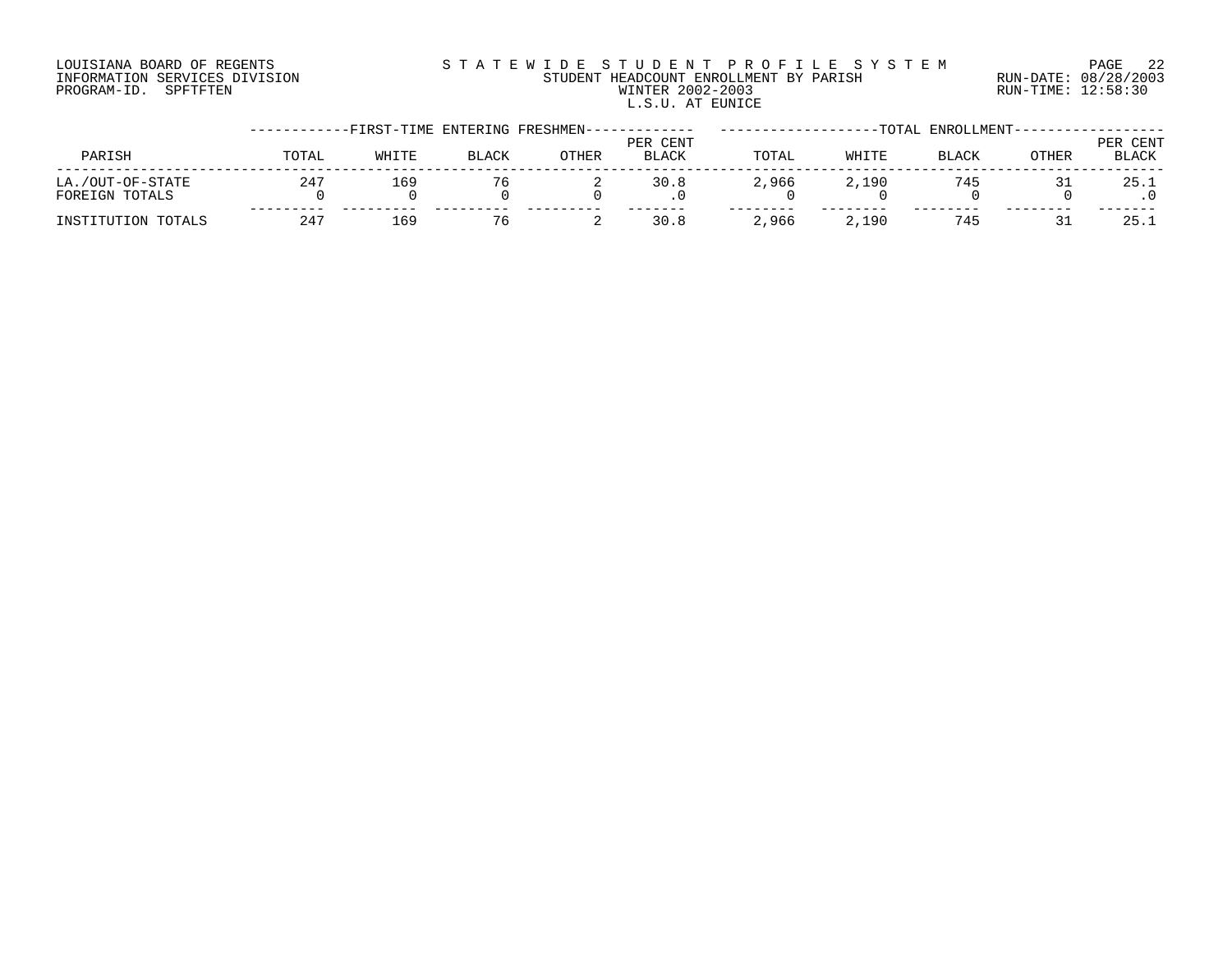# LOUISIANA BOARD OF REGENTS S T A T E W I D E S T U D E N T P R O F I L E S Y S T E M PAGE 22 INFORMATION SERVICES DIVISION STUDENT HEADCOUNT ENROLLMENT BY PARISH RUN-DATE: 08/28/2003 PROGRAM-ID. SPFTFTEN WINTER 2002-2003 RUN-TIME: 12:58:30 L.S.U. AT EUNICE

|                                    |              |       |              | -FIRST-TIME ENTERING FRESHMEN----- |                          |       |       | -TOTAL ENROLLMENT-- |              |                          |
|------------------------------------|--------------|-------|--------------|------------------------------------|--------------------------|-------|-------|---------------------|--------------|--------------------------|
| PARISH                             | TOTAL        | WHITE | <b>BLACK</b> | OTHER                              | PER CENT<br><b>BLACK</b> | TOTAL | WHITE | <b>BLACK</b>        | <b>OTHER</b> | PER CENT<br><b>BLACK</b> |
| LA./OUT-OF-STATE<br>FOREIGN TOTALS | $24^{\circ}$ | 169   |              |                                    | 30.8                     | 2,966 | 2,190 | 745                 |              | 25.1                     |
| INSTITUTION TOTALS                 | 247          | 169   | 76           |                                    | 30.8                     | 2,966 | 2,190 | 745                 |              | 25.1                     |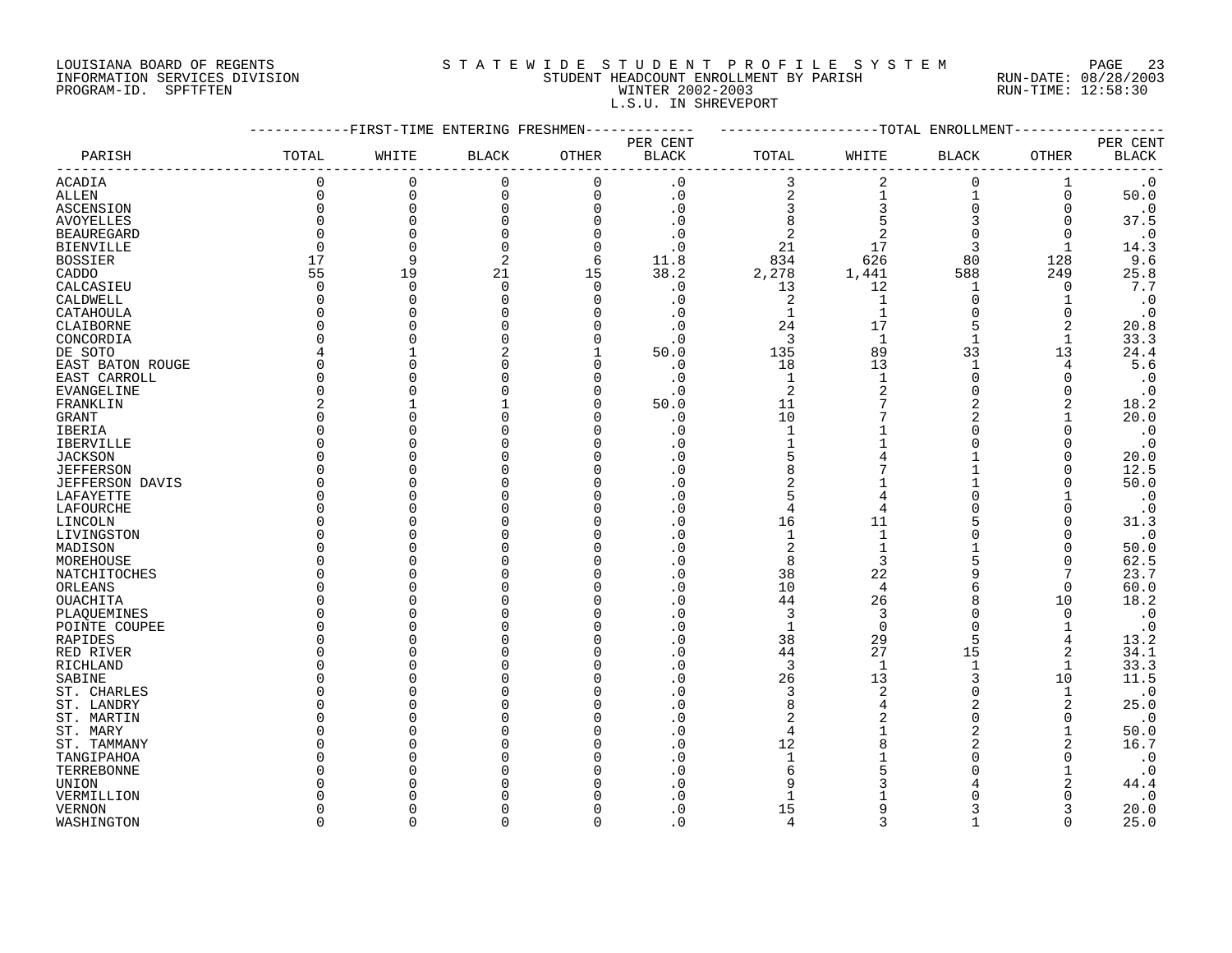# LOUISIANA BOARD OF REGENTS S T A T E W I D E S T U D E N T P R O F I L E S Y S T E M PAGE 23 INFORMATION SERVICES DIVISION STUDENT HEADCOUNT ENROLLMENT BY PARISH RUN-DATE: 08/28/2003 PROGRAM-ID. SPFTFTEN WINTER 2002-2003 RUN-TIME: 12:58:30 L.S.U. IN SHREVEPORT

|                          |                   | --------FIRST-TIME ENTERING FRESHMEN- |              |             | -----------     | -------------------TOTAL ENROLLMENT- |                |                |              |                        |
|--------------------------|-------------------|---------------------------------------|--------------|-------------|-----------------|--------------------------------------|----------------|----------------|--------------|------------------------|
|                          |                   |                                       |              |             | PER CENT        |                                      |                |                |              | PER CENT               |
| PARISH                   | TOTAL             | WHITE                                 | <b>BLACK</b> | OTHER       | <b>BLACK</b>    | TOTAL                                | WHITE          | <b>BLACK</b>   | OTHER        | $\operatorname{BLACK}$ |
| <b>ACADIA</b>            | 0                 | 0                                     | 0            | $\mathbf 0$ | $\cdot$ 0       | 3                                    | 2              | $\mathbf 0$    | 1            | $\cdot$ 0              |
| <b>ALLEN</b>             | 0                 | $\overline{0}$                        | $\mathbf 0$  | $\Omega$    | $\cdot$ 0       | $\overline{\mathbf{c}}$              | 1              | $\mathbf{1}$   | $\mathbf 0$  | 50.0                   |
| ASCENSION                | 0                 | $\mathbf 0$                           | 0            | $\Omega$    | $\cdot$ 0       | $\mathsf 3$                          | 3              | $\Omega$       | 0            | $\cdot$ 0              |
| AVOYELLES                | 0                 | $\Omega$                              | $\Omega$     | $\Omega$    | . 0             | 8                                    | 5              | 3              | 0            | 37.5                   |
| <b>BEAUREGARD</b>        | $\Omega$          | $\Omega$                              |              | $\Omega$    | . 0             | $\overline{2}$                       | 2              | $\Omega$       | $\Omega$     | $\cdot$ 0              |
| <b>BIENVILLE</b>         | $\Omega$          | $\Omega$                              | $\Omega$     | $\Omega$    | . 0             | 21                                   | 17             | 3              | 1            | 14.3                   |
| <b>BOSSIER</b>           | 17                | 9                                     | 2            | 6           | 11.8            | 834                                  | 626            | 80             | 128          | 9.6                    |
| CADDO                    | 55                | 19                                    | 21           | 15          | 38.2            | 2,278                                | 1,441          | 588            | 249          | 25.8                   |
| CALCASIEU                | $\Omega$          | $\Omega$                              | $\mathbf 0$  | $\Omega$    | $\cdot$ 0       | 13                                   | 12             | -1             | 0            | 7.7                    |
| CALDWELL                 | 0                 | $\Omega$                              | $\Omega$     | $\Omega$    | $\cdot$ 0       | $\overline{2}$                       | $\mathbf{1}$   | $\Omega$       |              | $\cdot$ 0              |
| CATAHOULA                | <sup>0</sup>      |                                       |              | ∩           | $\cdot$ 0       | $\mathbf 1$                          | $\mathbf 1$    | $\Omega$       | 0            | $\cdot$ 0              |
| CLAIBORNE                | <sup>0</sup>      |                                       |              | ∩           | . 0             | 24                                   | 17             | 5              | 2            | 20.8                   |
| CONCORDIA                | $\Omega$          |                                       |              | $\cap$      | $\cdot$ 0       | 3                                    | 1              | $\mathbf{1}$   | 1            | 33.3                   |
| DE SOTO                  | 4                 |                                       | 2            |             | 50.0            | 135                                  | 89             | 33             | 13           | 24.4                   |
| EAST BATON ROUGE         | $\Omega$          |                                       |              | $\cap$      | $\cdot$ 0       | 18                                   | 13             | $\mathbf{1}$   | 4            | 5.6                    |
| EAST CARROLL             | $\Omega$          |                                       |              |             | $\cdot$ 0       | $\mathbf{1}$                         | $\mathbf{1}$   | $\Omega$       | ∩            | $\cdot$ 0              |
| EVANGELINE               | 0                 |                                       |              | $\Omega$    | $\cdot$ 0       | $\overline{2}$                       | $\overline{2}$ | $\Omega$       | O            | $\cdot$ 0              |
| FRANKLIN                 | 2                 |                                       |              |             | 50.0            | 11                                   | 7              | 2              |              | 18.2                   |
| GRANT                    | <sup>0</sup>      |                                       |              |             | $\cdot$ 0       | 10                                   |                | 2              |              | 20.0                   |
| IBERIA                   | O                 |                                       |              |             | . 0             | $\mathbf{1}$                         |                |                | ∩            | $\cdot$ 0              |
| <b>IBERVILLE</b>         | O                 |                                       |              |             | . 0             | $\mathbf{1}$                         |                |                | ∩            | $\cdot$ 0              |
| <b>JACKSON</b>           | <sup>0</sup>      |                                       |              |             | . 0             | 5                                    |                |                | $\Omega$     | 20.0                   |
| <b>JEFFERSON</b>         | $\Omega$          |                                       |              |             | . 0             | 8                                    |                |                | $\Omega$     | 12.5                   |
| JEFFERSON DAVIS          | 0                 |                                       |              |             | . 0             | 2                                    |                |                | 0            | 50.0                   |
| LAFAYETTE                | <sup>0</sup>      |                                       |              |             | . 0             | 5                                    |                |                |              | $\cdot$ 0              |
| LAFOURCHE                | <sup>0</sup>      |                                       |              |             | $\cdot$ 0       | 4                                    | 4              | <sup>0</sup>   | $\Omega$     | $\cdot$ 0              |
| LINCOLN                  | $\Omega$          |                                       |              |             | . 0             | 16                                   | 11             |                | $\Omega$     | 31.3                   |
| LIVINGSTON               | O                 |                                       |              |             | . 0             | $\mathbf{1}$                         |                |                | $\Omega$     | $\cdot$ 0              |
| MADISON                  | $\Omega$          |                                       |              |             | . 0             | $\overline{c}$                       |                |                | $\Omega$     | 50.0                   |
| MOREHOUSE                | $\Omega$          |                                       |              |             | . 0             | 8                                    | 3              | 5              | $\Omega$     | 62.5                   |
| NATCHITOCHES             | 0                 |                                       |              |             | . 0             | 38                                   | 22             | 9              | 7            | 23.7                   |
| ORLEANS                  | O                 |                                       |              |             | . 0             | 10                                   | 4              | 6              | 0            | 60.0                   |
| <b>OUACHITA</b>          | <sup>0</sup><br>U |                                       |              |             | . 0             | 44                                   | 26             |                | 10           | 18.2                   |
| PLAQUEMINES              | O                 |                                       |              |             | . 0<br>$\Omega$ | 3<br>$\mathbf{1}$                    | 3<br>$\Omega$  | $\Omega$       | $\Omega$     | $\boldsymbol{\cdot}$ 0 |
| POINTE COUPEE<br>RAPIDES | <sup>0</sup>      |                                       |              |             | . 0             | 38                                   | 29             | 5              | 4            | $\cdot$ 0<br>13.2      |
| RED RIVER                | 0                 |                                       |              |             | . 0             | 44                                   | 27             | 15             | 2            | 34.1                   |
| RICHLAND                 | O                 |                                       |              |             | . 0             | 3                                    | $\mathbf{1}$   |                |              | 33.3                   |
| SABINE                   | O                 |                                       |              |             | . 0             | 26                                   | 13             | 3              | 10           | 11.5                   |
| ST. CHARLES              | O                 |                                       |              |             | . 0             | 3                                    | $\overline{2}$ | $\Omega$       | $\mathbf{1}$ | $\cdot$ 0              |
| ST. LANDRY               | O                 |                                       |              |             | . 0             | 8                                    | 4              | 2              | 2            | 25.0                   |
| ST. MARTIN               | <sup>0</sup>      |                                       |              |             | . 0             | $\overline{2}$                       |                | $\Omega$       | $\Omega$     | $\cdot$ 0              |
| ST. MARY                 | $\Omega$          |                                       |              |             | $\cdot$ 0       | $\overline{4}$                       |                | $\overline{a}$ |              | 50.0                   |
| ST. TAMMANY              | O                 |                                       |              |             | . 0             | 12                                   |                |                | 2            | 16.7                   |
| TANGIPAHOA               | O                 |                                       |              |             | . 0             | $\mathbf{1}$                         |                |                | $\Omega$     | $\cdot$ 0              |
| TERREBONNE               | O                 |                                       |              |             | . 0             | 6                                    |                |                |              | $\cdot$ 0              |
| UNION                    | N                 |                                       |              |             | . 0             | 9                                    |                |                | 2            | 44.4                   |
| VERMILLION               |                   |                                       |              |             | $\Omega$        |                                      |                |                |              | $\cdot$ 0              |
| <b>VERNON</b>            | O                 |                                       |              |             | $\cdot$ 0       | 15                                   |                |                |              | 20.0                   |
| WASHINGTON               | $\cap$            | $\cap$                                | U            | $\Omega$    | $\Omega$        | $\overline{4}$                       | ς              |                | $\Omega$     | 25.0                   |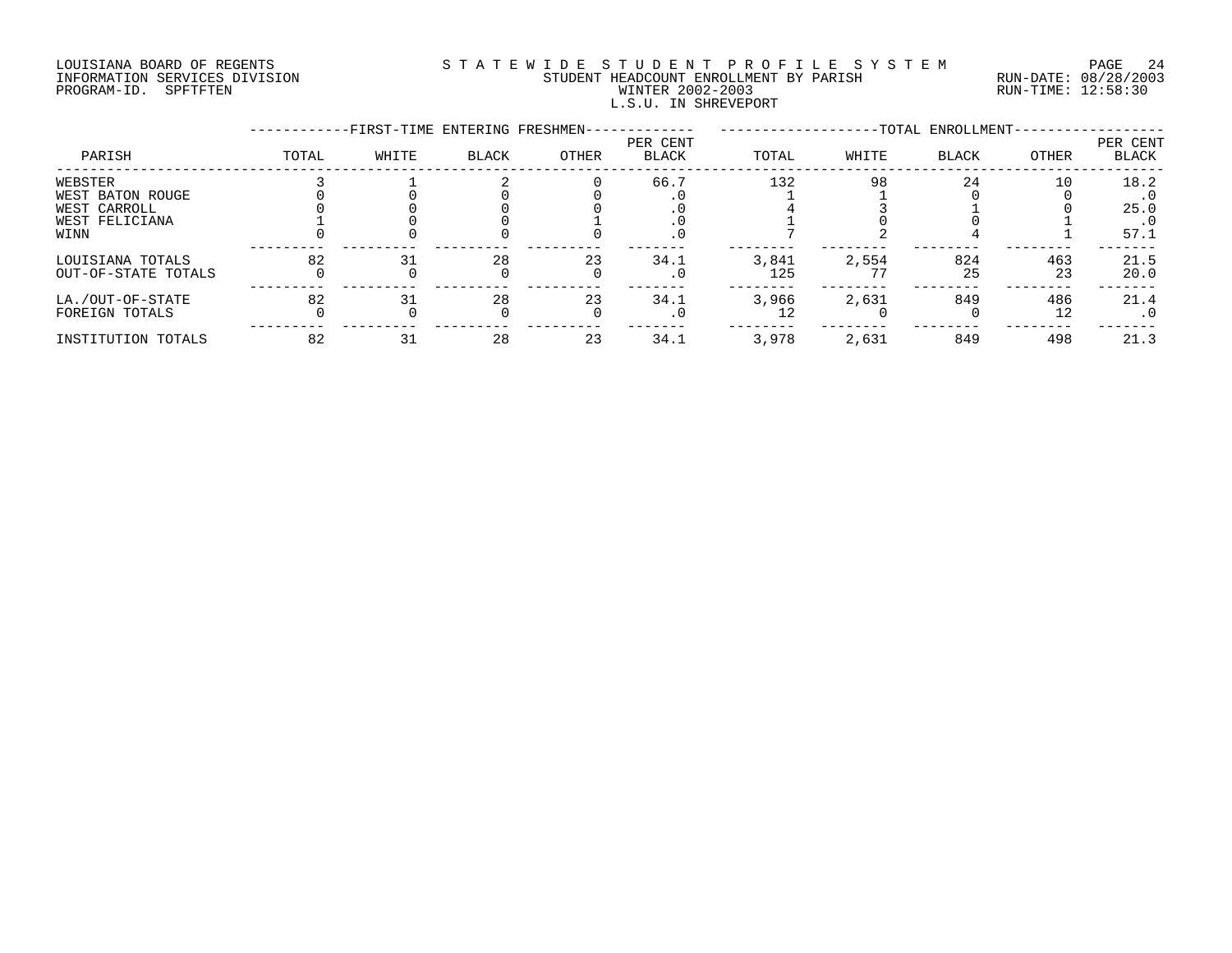# LOUISIANA BOARD OF REGENTS S T A T E W I D E S T U D E N T P R O F I L E S Y S T E M PAGE 24 INFORMATION SERVICES DIVISION STUDENT HEADCOUNT ENROLLMENT BY PARISH RUN-DATE: 08/28/2003 PROGRAM-ID. SPFTFTEN WINTER 2002-2003 RUN-TIME: 12:58:30 L.S.U. IN SHREVEPORT

|                                                                       |       | -FIRST-TIME ENTERING FRESHMEN- |              |       |                          |              |       | -TOTAL ENROLLMENT- |           |                                   |
|-----------------------------------------------------------------------|-------|--------------------------------|--------------|-------|--------------------------|--------------|-------|--------------------|-----------|-----------------------------------|
| PARISH                                                                | TOTAL | WHITE                          | <b>BLACK</b> | OTHER | PER CENT<br><b>BLACK</b> | TOTAL        | WHITE | <b>BLACK</b>       | OTHER     | PER CENT<br>BLACK                 |
| WEBSTER<br>WEST BATON ROUGE<br>WEST CARROLL<br>WEST FELICIANA<br>WINN |       |                                |              |       | 66.7<br>. 0              | 132          | 98    | 24                 | 10        | 18.2<br>25.0<br>$\cdot$ 0<br>57.1 |
| LOUISIANA TOTALS<br>OUT-OF-STATE TOTALS                               | 82    |                                | 28           | 23    | 34.1<br>$\cdot$ 0        | 3,841<br>125 | 2,554 | 824<br>25          | 463<br>23 | 21.5<br>20.0                      |
| LA./OUT-OF-STATE<br>FOREIGN TOTALS                                    | 82    |                                | 28           | 23    | 34.1<br>$\cdot$ 0        | 3,966        | 2,631 | 849                | 486<br>12 | 21.4<br>. 0                       |
| INSTITUTION TOTALS                                                    | 82    | 31                             | 28           | 23    | 34.1                     | 3,978        | 2,631 | 849                | 498       | 21.3                              |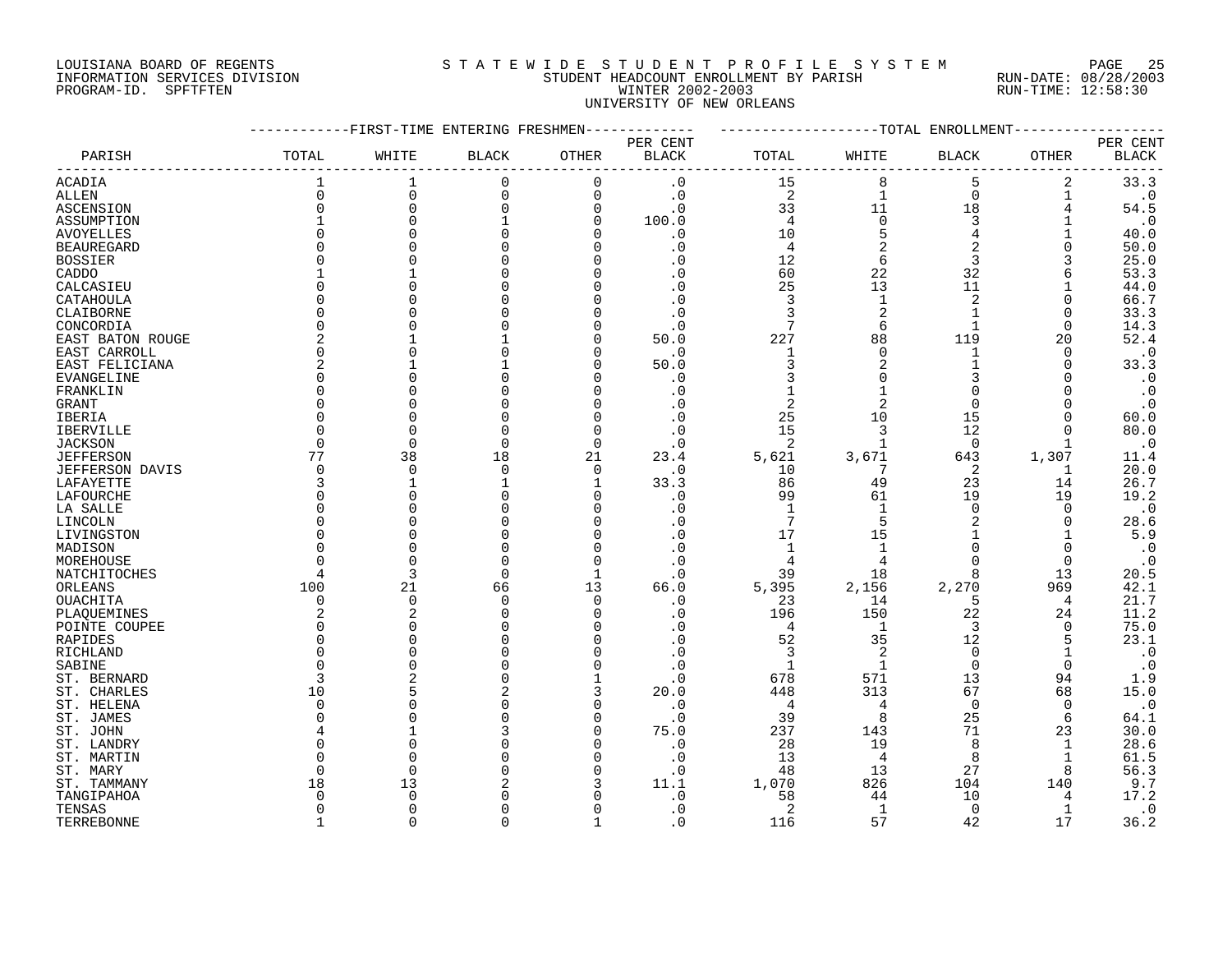## LOUISIANA BOARD OF REGENTS S T A T E W I D E S T U D E N T P R O F I L E S Y S T E M PAGE 25 INFORMATION SERVICES DIVISION STUDENT HEADCOUNT ENROLLMENT BY PARISH RUN-DATE: 08/28/2003 PROGRAM-ID. SPFTFTEN WINTER 2002-2003 RUN-TIME: 12:58:30 UNIVERSITY OF NEW ORLEANS

|                   | -----------FIRST-TIME ENTERING FRESHMEN------------ |                |              |                |                          | ------------------TOTAL ENROLLMENT-------- |                |                |              |                          |
|-------------------|-----------------------------------------------------|----------------|--------------|----------------|--------------------------|--------------------------------------------|----------------|----------------|--------------|--------------------------|
| PARISH            | TOTAL                                               | WHITE          | <b>BLACK</b> | OTHER          | PER CENT<br><b>BLACK</b> | TOTAL                                      | WHITE          | <b>BLACK</b>   | <b>OTHER</b> | PER CENT<br><b>BLACK</b> |
| <b>ACADIA</b>     |                                                     |                | $\mathbf 0$  | $\Omega$       | $\cdot$ 0                | 15                                         |                | 5              | 2            | 33.3                     |
| ALLEN             | $\mathsf{O}\xspace$                                 | $\mathbf 0$    | 0            | 0              | $\cdot$ 0                | $\overline{c}$                             | $\mathbf{1}$   | $\mathbf 0$    | 1            | $\cdot$ 0                |
| ASCENSION         | $\Omega$                                            | $\Omega$       | $\Omega$     | 0              | $\cdot$ 0                | 33                                         | 11             | 18             | 4            | 54.5                     |
| ASSUMPTION        |                                                     | $\Omega$       |              | $\mathbf 0$    | 100.0                    | $\overline{4}$                             | $\mathsf 0$    | $\mathbf{3}$   | 1            | $\cdot$ 0                |
| <b>AVOYELLES</b>  |                                                     |                |              | $\Omega$       | $\cdot$ 0                | 10                                         | 5              | $\overline{4}$ |              | 40.0                     |
| <b>BEAUREGARD</b> |                                                     |                |              | $\mathbf 0$    | $\cdot$ 0                | $\overline{4}$                             | $\overline{c}$ | 2              | $\Omega$     | 50.0                     |
| <b>BOSSIER</b>    |                                                     |                |              | 0              | . 0                      | 12                                         | $\epsilon$     | $\overline{3}$ | 3            | 25.0                     |
| CADDO             |                                                     |                |              | $\Omega$       | $\cdot$ 0                | 60                                         | $2\sqrt{2}$    | 32             | 6            | 53.3                     |
| CALCASIEU         |                                                     |                |              | $\Omega$       | $\cdot$ 0                | 25                                         | 13             | 11             |              | 44.0                     |
| CATAHOULA         | $\Omega$                                            |                |              | 0              | . 0                      | $\mathbf{3}$                               | $\mathbf{1}$   | $\overline{2}$ | 0            | 66.7                     |
| CLAIBORNE         | $\Omega$                                            |                |              | $\Omega$       |                          | 3                                          | 2              |                | $\Omega$     | 33.3                     |
| CONCORDIA         | $\Omega$                                            |                |              | $\Omega$       | $\cdot$ 0                | $7\phantom{.0}$                            | - 6            | $\mathbf{1}$   | $\Omega$     | 14.3                     |
| EAST BATON ROUGE  |                                                     |                |              | 0              | 50.0                     | 227                                        | 88             | 119            | 20           | 52.4                     |
| EAST CARROLL      | $\Omega$                                            |                |              | $\mathbf 0$    | $\cdot$ 0                | $\mathbf{1}$                               | $\mathbf 0$    | 1              | $\Omega$     | $\cdot$ 0                |
| EAST FELICIANA    | 2                                                   |                |              | 0              | 50.0                     | 3                                          | 2              |                | 0            | 33.3                     |
|                   | $\Omega$                                            |                |              | $\Omega$       | $\cdot$ 0                |                                            |                | 3              |              | $\cdot$ 0                |
| EVANGELINE        |                                                     |                |              | $\Omega$       | $\cdot$ 0                |                                            |                | $\mathbf 0$    |              | $\cdot$ 0                |
| FRANKLIN          |                                                     |                |              |                |                          |                                            |                |                |              |                          |
| GRANT             |                                                     |                |              | $\mathbf 0$    | $\cdot$ 0                | $\overline{2}$                             | 2              | $\mathbf 0$    |              | $\cdot$ 0                |
| IBERIA            |                                                     |                |              | 0              |                          | 25                                         | 10             | 15             | $\Omega$     | 60.0                     |
| IBERVILLE         |                                                     |                |              | $\mathbf 0$    | $\cdot$ 0                | 15                                         | 3              | 12             | $\Omega$     | 80.0                     |
| <b>JACKSON</b>    | $\Omega$                                            | $\cap$         | 0            | 0              | $\cdot$ 0                | - 2                                        | 1              | 0              | 1            | $\cdot$ 0                |
| <b>JEFFERSON</b>  | 77                                                  | 38             | 18           | 21             | 23.4                     | 5,621                                      | 3,671          | 643            | 1,307        | 11.4                     |
| JEFFERSON DAVIS   | $\overline{0}$                                      | $\Omega$       | $\mathbf 0$  | $\overline{0}$ | $\cdot$ 0                | 10                                         | $\overline{7}$ | 2              | 1            | 20.0                     |
| LAFAYETTE         | 3                                                   |                |              | 1              | 33.3                     | 86                                         | 49             | 23             | 14           | 26.7                     |
| LAFOURCHE         | $\Omega$                                            |                |              | $\Omega$       | $\cdot$ 0                | 99                                         | 61             | 19             | 19           | 19.2                     |
| LA SALLE          | $\Omega$                                            |                |              | $\mathbf 0$    | $\cdot$ 0                | $\mathbf{1}$                               | 1              | $\mathbf 0$    | $\mathbf 0$  | $\cdot$ 0                |
| LINCOLN           |                                                     |                |              | 0              |                          | $7\phantom{.0}$                            |                |                | $\Omega$     | 28.6                     |
| LIVINGSTON        |                                                     |                |              | $\Omega$       | $\cdot$ 0                | 17                                         | 15             | $\mathbf{1}$   | $\mathbf{1}$ | 5.9                      |
| MADISON           |                                                     |                |              | $\mathbf 0$    | $\cdot$ 0                | $\mathbf{1}$                               | 1              | $\mathbf 0$    | $\mathbf 0$  | $\cdot$ 0                |
| MOREHOUSE         |                                                     |                |              | $\mathbf 0$    | $\cdot$ 0                | 4                                          | 4              | $\Omega$       | $\mathbf 0$  | $\cdot$ 0                |
| NATCHITOCHES      |                                                     | 3              | $\Omega$     | $\mathbf{1}$   | $\cdot$ 0                | 39                                         | 18             | 8              | 13           | 20.5                     |
| ORLEANS           | 100                                                 | 21             | 66           | 13             | 66.0                     | 5,395                                      | 2,156          | 2,270          | 969          | 42.1                     |
| <b>OUACHITA</b>   | $\Omega$                                            | $\overline{0}$ | $\Omega$     | $\overline{0}$ | $\cdot$ 0                | 23                                         | 14             | 5              | 4            | 21.7                     |
| PLAQUEMINES       | 2                                                   | $\overline{2}$ | $\Omega$     | 0              | $\cdot$ 0                | 196                                        | 150            | 22             | 24           | 11.2                     |
| POINTE COUPEE     | $\Omega$                                            |                |              | $\mathbf 0$    | $\cdot$ 0                | $\overline{4}$                             | $\overline{1}$ | 3              | 0            | 75.0                     |
| RAPIDES           | $\Omega$                                            |                |              | $\Omega$       | $\cdot$ 0                | 52                                         | 35             | 12             | 5            | 23.1                     |
| RICHLAND          |                                                     |                |              | $\mathbf 0$    | $\cdot$ 0                | 3                                          | 2              | $\mathbf 0$    |              | $\cdot$ 0                |
| SABINE            |                                                     |                |              | $\mathbf 0$    | $\cdot$ 0                | -1                                         | $\overline{1}$ | $\overline{0}$ | $\Omega$     | $\cdot$ 0                |
| ST. BERNARD       | 3                                                   |                |              | 1              | $\cdot$ 0                | 678                                        | 571            | 13             | 94           | 1.9                      |
|                   | 10                                                  |                |              | 3              | 20.0                     | 448                                        | 313            | 67             | 68           | 15.0                     |
| ST. CHARLES       | $\Omega$                                            |                |              | $\mathbf 0$    | $\cdot$ 0                | $\overline{4}$                             | 4              | $\overline{0}$ | $\Omega$     | $\cdot$ 0                |
| ST. HELENA        | $\Omega$                                            |                |              |                |                          |                                            | 8              |                |              |                          |
| ST. JAMES         |                                                     |                |              | 0              | $\cdot$ 0                | 39                                         |                | 25             | 6            | 64.1                     |
| ST. JOHN          |                                                     |                |              | $\mathbf 0$    | 75.0                     | 237                                        | 143            | 71             | 23           | 30.0                     |
| ST. LANDRY        |                                                     |                |              | $\mathbf 0$    | $\cdot$ 0                | 28                                         | 19             | 8              | 1            | 28.6                     |
| ST. MARTIN        |                                                     | $\Omega$       |              | $\mathbf 0$    | $\cdot$ 0                | 13                                         | $\overline{4}$ | 8              | $\mathbf 1$  | 61.5                     |
| ST. MARY          | $\Omega$                                            | $\Omega$       |              | $\mathbf 0$    | $\cdot$ 0                | 48                                         | 13             | 27             | 8            | 56.3                     |
| ST. TAMMANY       | 18                                                  | 13             |              | 3              | 11.1                     | 1,070                                      | 826            | 104            | 140          | 9.7                      |
| TANGIPAHOA        |                                                     |                |              |                | . 0                      | 58                                         | 44             | 10             | 4            | 17.2                     |
| TENSAS            | O                                                   | ∩              |              | $\Omega$       | $\cdot$ 0                | 2                                          | <sup>1</sup>   | $\overline{0}$ | 1            | $\cdot$ 0                |
| TERREBONNE        |                                                     | $\cap$         |              |                | . 0                      | 116                                        | 57             | 42             | 17           | 36.2                     |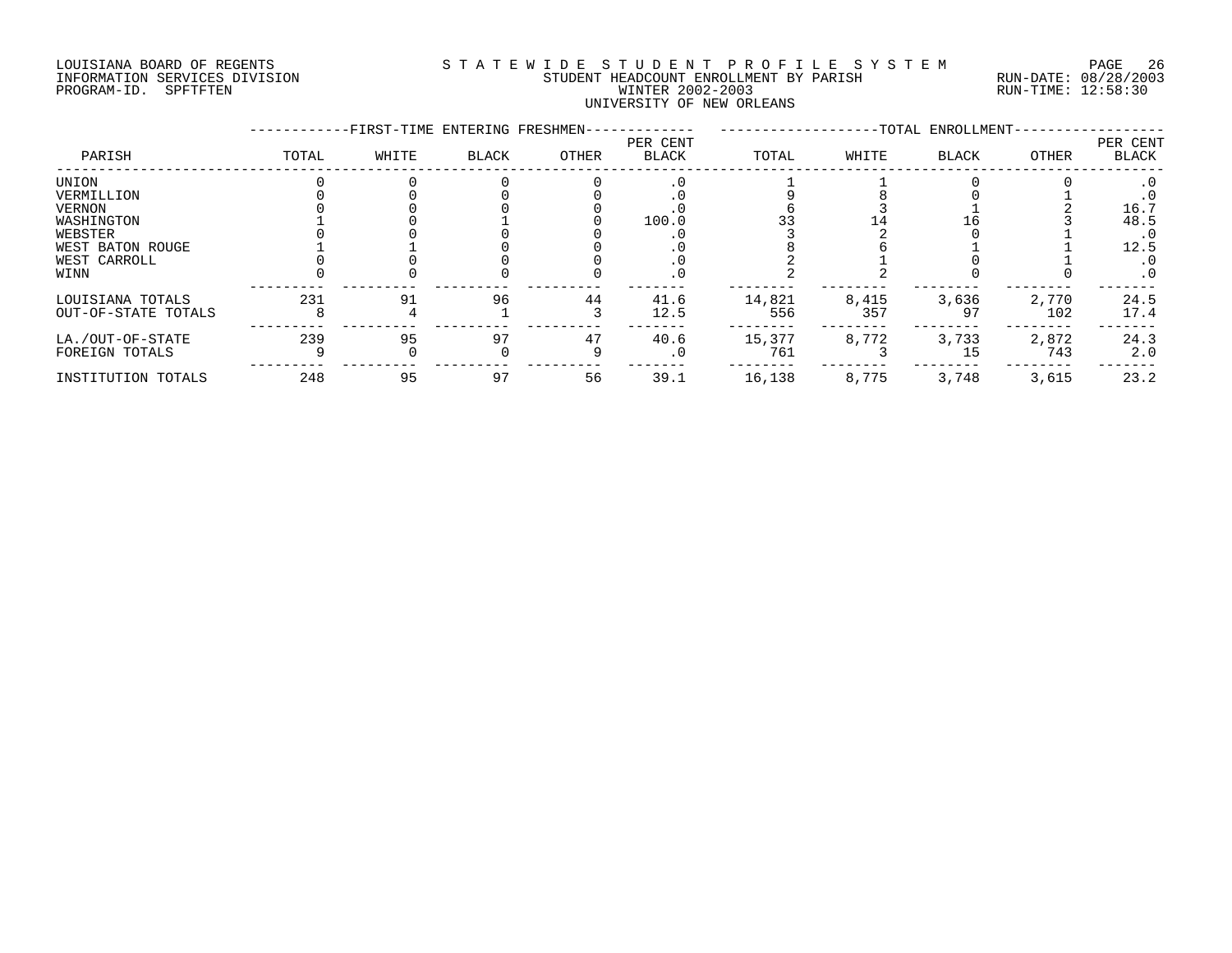# LOUISIANA BOARD OF REGENTS S T A T E W I D E S T U D E N T P R O F I L E S Y S T E M PAGE 26 INFORMATION SERVICES DIVISION STUDENT HEADCOUNT ENROLLMENT BY PARISH RUN-DATE: 08/28/2003 PROGRAM-ID. SPFTFTEN WINTER 2002-2003 RUN-TIME: 12:58:30 UNIVERSITY OF NEW ORLEANS

|                     |       |       | -TOTAL ENROLLMENT-<br>-FIRST-TIME ENTERING FRESHMEN- |       |                          |        |       |       |              |                   |
|---------------------|-------|-------|------------------------------------------------------|-------|--------------------------|--------|-------|-------|--------------|-------------------|
| PARISH              | TOTAL | WHITE | BLACK                                                | OTHER | PER CENT<br><b>BLACK</b> | TOTAL  | WHITE | BLACK | <b>OTHER</b> | PER CENT<br>BLACK |
| UNION               |       |       |                                                      |       |                          |        |       |       |              |                   |
| VERMILLION          |       |       |                                                      |       |                          |        |       |       |              |                   |
| <b>VERNON</b>       |       |       |                                                      |       |                          |        |       |       |              | 16.7              |
| WASHINGTON          |       |       |                                                      |       | 100.0                    |        |       |       |              | 48.5              |
| WEBSTER             |       |       |                                                      |       |                          |        |       |       |              | $\cdot$ 0         |
| WEST BATON ROUGE    |       |       |                                                      |       |                          |        |       |       |              | 12.5              |
| WEST CARROLL        |       |       |                                                      |       |                          |        |       |       |              | $\cdot$ 0         |
| WINN                |       |       |                                                      |       |                          |        |       |       |              | $\cdot$ 0         |
| LOUISIANA TOTALS    | 231   | 91    | 96                                                   | 44    | 41.6                     | 14,821 | 8,415 | 3,636 | 2,770        | 24.5              |
| OUT-OF-STATE TOTALS |       |       |                                                      |       | 12.5                     | 556    | 357   | 97    | 102          | 17.4              |
| LA./OUT-OF-STATE    | 239   | 95    | 97                                                   | 47    | 40.6                     | 15,377 | 8,772 | 3,733 | 2,872        | 24.3              |
| FOREIGN TOTALS      |       |       |                                                      |       | . 0                      | 761    |       | 15    | 743          | 2.0               |
| INSTITUTION TOTALS  | 248   | 95    | 97                                                   | 56    | 39.1                     | 16,138 | 8,775 | 3,748 | 3,615        | 23.2              |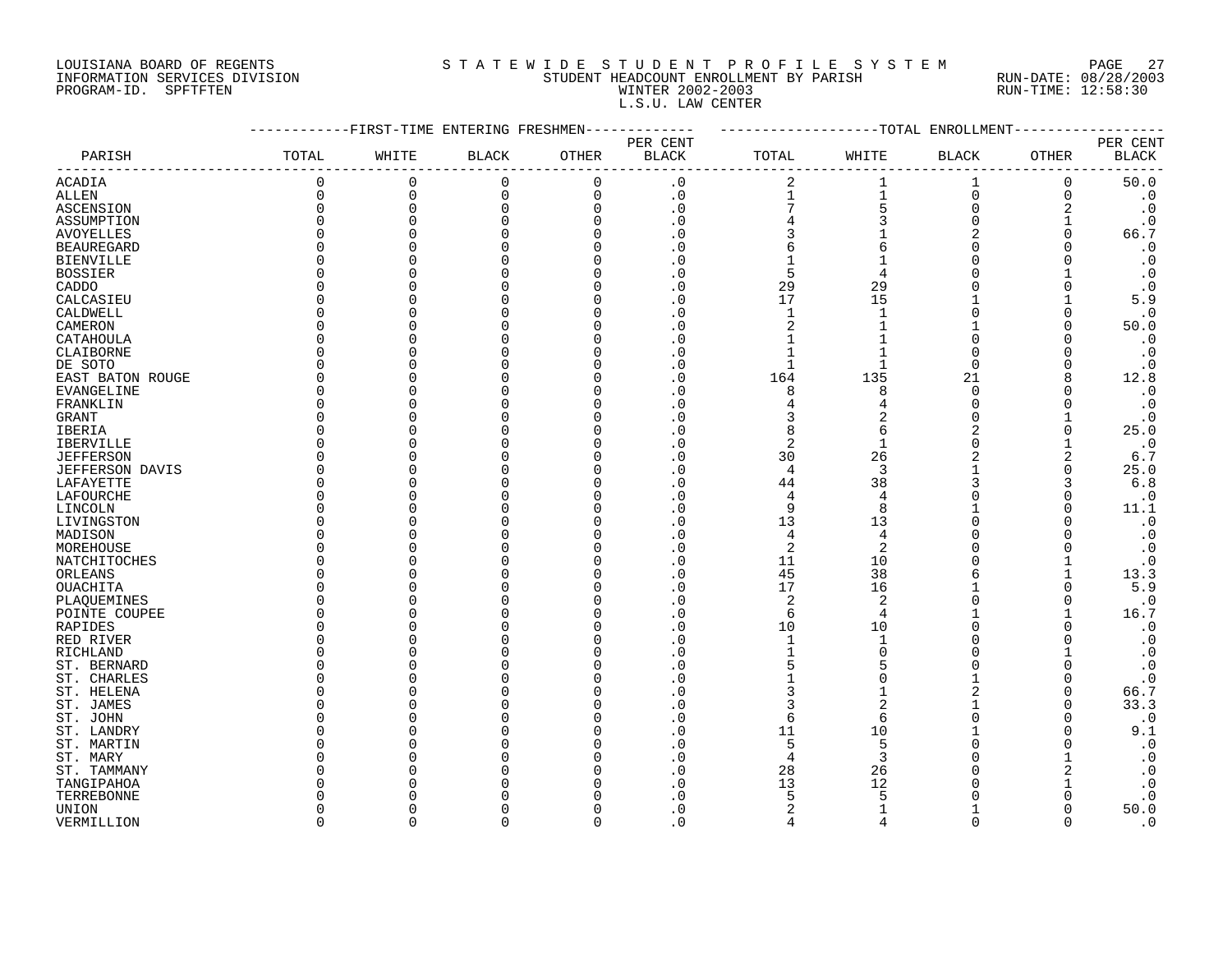# LOUISIANA BOARD OF REGENTS S T A T E W I D E S T U D E N T P R O F I L E S Y S T E M PAGE 27 INFORMATION SERVICES DIVISION STUDENT HEADCOUNT ENROLLMENT BY PARISH RUN-DATE: 08/28/2003 PROGRAM-ID. SPFTFTEN WINTER 2002-2003 RUN-TIME: 12:58:30 L.S.U. LAW CENTER

|                        |              |          | -FIRST-TIME ENTERING FRESHMEN- |              |                            |                |                | --TOTAL ENROLLMENT |               |                                |
|------------------------|--------------|----------|--------------------------------|--------------|----------------------------|----------------|----------------|--------------------|---------------|--------------------------------|
|                        |              |          |                                |              | PER CENT                   |                |                |                    |               | PER CENT                       |
| PARISH                 | TOTAL        | WHITE    | <b>BLACK</b>                   | <b>OTHER</b> | <b>BLACK</b>               | TOTAL          | WHITE          | <b>BLACK</b>       | OTHER         | <b>BLACK</b>                   |
| <b>ACADIA</b>          | 0            | 0        | $\mathbf 0$                    | $\mathbf 0$  | $\cdot$ 0                  | $\overline{c}$ |                | 1                  | 0             | 50.0                           |
| ALLEN                  | 0            | $\Omega$ | 0                              | $\mathbf 0$  | $\cdot$ 0                  | $\mathbf{1}$   | $\mathbf{1}$   | $\overline{0}$     | 0             | $\cdot$ 0                      |
| ASCENSION              | $\Omega$     | $\Omega$ | $\Omega$                       | $\Omega$     | $\cdot$ 0                  |                | 5              | $\Omega$           | 2             | $\cdot$ 0                      |
| ASSUMPTION             | $\Omega$     |          |                                | $\cap$       | . 0                        |                |                | $\Omega$           |               | $\cdot$ 0                      |
| <b>AVOYELLES</b>       | $\Omega$     |          |                                |              | . 0                        |                |                | 2                  | $\Omega$      | 66.7                           |
| <b>BEAUREGARD</b>      | $\Omega$     |          |                                |              | . 0                        | 6              | 6              |                    |               | $\boldsymbol{\cdot}$ 0         |
| <b>BIENVILLE</b>       | O            |          |                                | ∩            | . 0                        |                |                | $\Omega$           |               | $\boldsymbol{\cdot}$ 0         |
| <b>BOSSIER</b>         | O            |          |                                |              | . 0                        | 5              |                |                    |               | $\cdot$ 0                      |
| CADDO                  | O            |          |                                |              | . 0                        | 29             | 29             |                    |               | $\cdot$ 0                      |
| CALCASIEU              | U            |          |                                |              | $\overline{\phantom{0}}$ . | 17             | 15             |                    |               | $5.9$                          |
| CALDWELL               | O            |          |                                |              | $\Omega$                   | $\mathbf{1}$   | $\mathbf{1}$   | $\Omega$           |               | $\cdot$ 0                      |
| CAMERON                | O            |          |                                |              | . 0                        | $\overline{2}$ |                |                    | U             | 50.0                           |
| CATAHOULA              | $\Omega$     |          |                                |              | $\cdot$ 0                  |                |                | $\Omega$           |               | $\cdot$ 0                      |
| CLAIBORNE              | $\Omega$     |          |                                |              | . 0                        |                |                | $\Omega$           |               | $\cdot$ 0                      |
| DE SOTO                | <sup>0</sup> |          |                                |              | $\cdot$ 0                  | $\mathbf{1}$   |                | $\Omega$           |               | $\cdot$ 0                      |
| EAST BATON ROUGE       | 0            |          |                                |              | . 0                        | 164            | 135            | 21                 | 8             | 12.8                           |
| EVANGELINE             | 0            |          |                                |              | $\cdot$ 0                  | 8              | 8              | $\Omega$           |               | $\cdot$ 0                      |
| FRANKLIN               | $\Omega$     |          |                                |              | . 0                        |                | 4              | $\Omega$           |               | $\boldsymbol{\cdot}$ 0         |
| GRANT                  | <sup>0</sup> |          |                                |              | . 0                        | 3              | $\overline{2}$ | $\Omega$           |               | $\cdot$ 0                      |
| <b>IBERIA</b>          | $\Omega$     |          |                                |              | $\Omega$                   | 8              | 6              | 2                  | U             | 25.0                           |
| <b>IBERVILLE</b>       | O            |          |                                |              | $\cdot$ 0                  | $\overline{2}$ | $\mathbf{1}$   | $\Omega$           |               | $\cdot$ 0                      |
| <b>JEFFERSON</b>       | $\Omega$     |          |                                |              | $\Omega$                   | 30             | 26             | $\overline{a}$     | 2             | 6.7                            |
| <b>JEFFERSON DAVIS</b> | $\Omega$     |          |                                |              | $\cdot$ 0                  | $\overline{4}$ | 3              |                    | $\Omega$      | 25.0                           |
| LAFAYETTE              | <sup>0</sup> |          |                                |              | . 0                        | 44             | 38             | 3                  | 3             | $6.8$                          |
| LAFOURCHE              | O            |          |                                |              | $\Omega$                   | 4              | 4              |                    |               | $\cdot$ 0                      |
| LINCOLN                | 0            |          |                                |              | . 0                        | 9              | 8              |                    | O             | 11.1                           |
| LIVINGSTON             | O            |          |                                |              | $\Omega$                   | 13             | 13             |                    |               | $\boldsymbol{\cdot}$ 0         |
| MADISON                | <sup>0</sup> |          |                                |              | . 0                        | $\overline{4}$ | 4              |                    |               | $\boldsymbol{\cdot}$ 0         |
| MOREHOUSE              | $\Omega$     |          |                                |              | $\overline{0}$             | $\overline{2}$ | $\overline{2}$ |                    |               | $\boldsymbol{\cdot}$ 0         |
| NATCHITOCHES           | U            |          |                                |              | $\Omega$                   | 11             | 10             |                    |               | $\cdot$ 0                      |
| ORLEANS                | O            |          |                                |              | $\cdot$ 0                  | 45             | 38             | 6                  |               | 13.3                           |
| <b>OUACHITA</b>        | $\Omega$     |          |                                |              | $\Omega$                   | 17             | 16             |                    |               | $5.9$                          |
| PLAQUEMINES            | O            |          |                                |              | . 0                        | $\overline{c}$ | 2              | $\Omega$           | O             | $\boldsymbol{\cdot}$ 0         |
| POINTE COUPEE          | O            |          |                                |              | . 0                        | 6              | 4              |                    |               | 16.7                           |
| RAPIDES                | O            |          |                                |              | . 0                        | 10             | 10             | $\Omega$           |               | $\cdot$ 0                      |
| RED RIVER              | <sup>0</sup> |          |                                |              | . 0                        | $\mathbf{1}$   |                | $\Omega$           |               | $\cdot$ 0                      |
| RICHLAND               | <sup>0</sup> |          |                                |              | . 0                        |                | $\Omega$       | $\Omega$           |               | $\cdot$ 0                      |
| ST. BERNARD            | U            |          |                                |              | . 0                        | 5              | U              |                    |               | $\boldsymbol{\cdot}$ 0         |
| ST. CHARLES            | O<br>O       |          |                                |              | $\Omega$<br>$\cdot$ 0      | 3              |                | $\overline{2}$     | ∩<br>$\Omega$ | $\boldsymbol{\cdot}$ 0<br>66.7 |
| ST. HELENA             | $\Omega$     |          |                                |              | . 0                        | 3              | $\overline{2}$ |                    | $\Omega$      | 33.3                           |
| ST. JAMES<br>ST. JOHN  | <sup>0</sup> |          |                                |              | . 0                        | 6              | 6              | $\Omega$           | $\Omega$      | $\cdot$ 0                      |
| ST. LANDRY             | U            |          |                                |              | $\cdot$ 0                  | 11             | 10             |                    |               | 9.1                            |
| ST. MARTIN             | O            |          |                                |              | . 0                        | 5              | .5             | $\Omega$           |               | $\cdot$ 0                      |
| ST. MARY               | O            |          |                                |              | . 0                        | $\overline{4}$ | 3              |                    |               | $\cdot$ 0                      |
| ST. TAMMANY            | O            |          |                                |              | . 0                        | 28             | 26             |                    |               | $\cdot$ 0                      |
| TANGIPAHOA             | $\Omega$     |          |                                |              | . 0                        | 13             | 12             |                    |               | $\cdot$ 0                      |
| TERREBONNE             |              |          |                                |              | $\Omega$                   | 5              |                |                    |               | $\cdot$ 0                      |
| UNION                  | O            |          |                                |              | $\cdot$ 0                  | $\overline{c}$ |                |                    |               | 50.0                           |
| VERMILLION             | $\cap$       | $\cap$   | $\Omega$                       | $\Omega$     | $\overline{0}$             | $\Delta$       | $\Delta$       | $\Omega$           | $\Omega$      | $\cdot$ 0                      |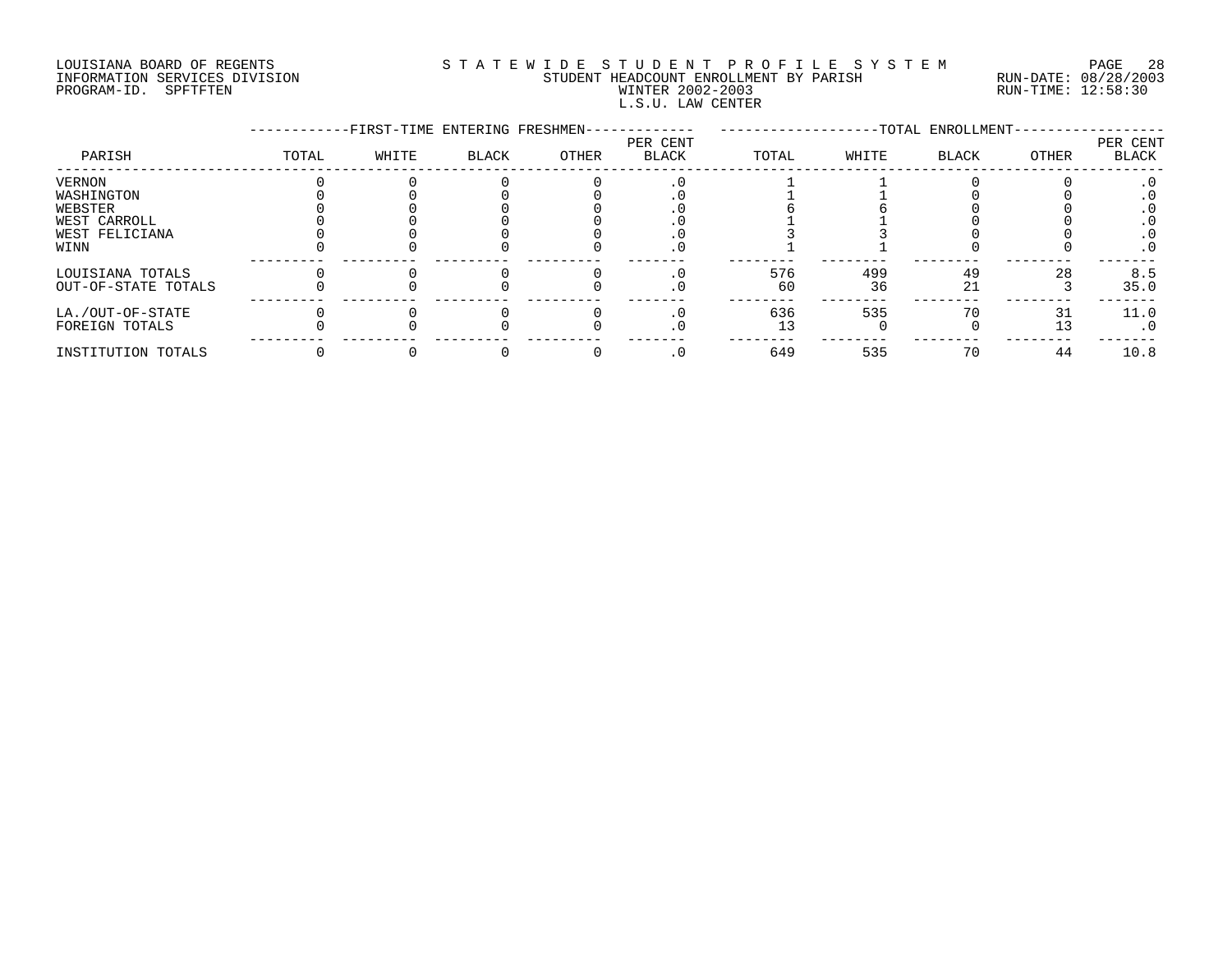# LOUISIANA BOARD OF REGENTS S T A T E W I D E S T U D E N T P R O F I L E S Y S T E M PAGE 28 INFORMATION SERVICES DIVISION STUDENT HEADCOUNT ENROLLMENT BY PARISH RUN-DATE: 08/28/2003 PROGRAM-ID. SPFTFTEN WINTER 2002-2003 RUN-TIME: 12:58:30 L.S.U. LAW CENTER

|                     |       |       |              | -FIRST-TIME ENTERING FRESHMEN-<br>-TOTAL ENROLLMENT- |                          |       |       |       |       |                   |
|---------------------|-------|-------|--------------|------------------------------------------------------|--------------------------|-------|-------|-------|-------|-------------------|
| PARISH              | TOTAL | WHITE | <b>BLACK</b> | OTHER                                                | PER CENT<br><b>BLACK</b> | TOTAL | WHITE | BLACK | OTHER | PER CENT<br>BLACK |
| <b>VERNON</b>       |       |       |              |                                                      |                          |       |       |       |       |                   |
| WASHINGTON          |       |       |              |                                                      |                          |       |       |       |       |                   |
| WEBSTER             |       |       |              |                                                      |                          |       |       |       |       |                   |
| WEST CARROLL        |       |       |              |                                                      |                          |       |       |       |       |                   |
| WEST FELICIANA      |       |       |              |                                                      |                          |       |       |       |       | . 0               |
| WINN                |       |       |              |                                                      | . 0                      |       |       |       |       | $\cdot$ 0         |
| LOUISIANA TOTALS    |       |       |              |                                                      |                          | 576   | 499   | 49    | 28    | 8.5               |
| OUT-OF-STATE TOTALS |       |       |              |                                                      |                          | 60    | 36    | 21    |       | 35.0              |
| LA./OUT-OF-STATE    |       |       |              |                                                      |                          | 636   | 535   |       |       | 11.0              |
| FOREIGN TOTALS      |       |       |              |                                                      |                          |       |       |       |       | $\cdot$ 0         |
| INSTITUTION TOTALS  |       |       |              |                                                      |                          | 649   | 535   | 70    | 44    | 10.8              |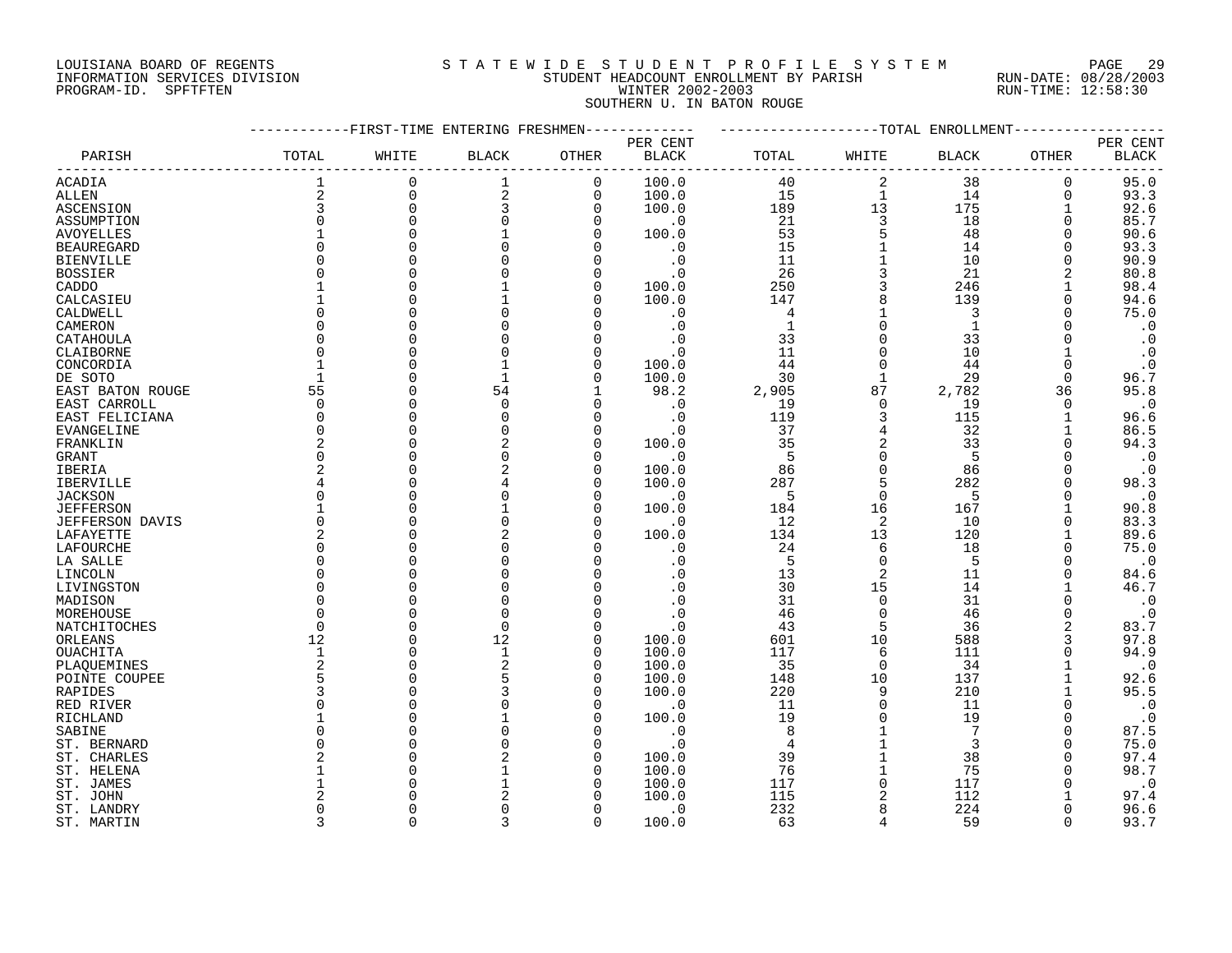# LOUISIANA BOARD OF REGENTS S T A T E W I D E S T U D E N T P R O F I L E S Y S T E M PAGE 29 INFORMATION SERVICES DIVISION STUDENT HEADCOUNT ENROLLMENT BY PARISH RUN-DATE: 08/28/2003 PROGRAM-ID. SPFTFTEN WINTER 2002-2003 RUN-TIME: 12:58:30 SOUTHERN U. IN BATON ROUGE

|                     | -----------FIRST-TIME ENTERING FRESHMEN------------ |             |                         |                |                          | ------------------TOTAL ENROLLMENT- |                     |              |              |                          |
|---------------------|-----------------------------------------------------|-------------|-------------------------|----------------|--------------------------|-------------------------------------|---------------------|--------------|--------------|--------------------------|
| PARISH              | TOTAL                                               | WHITE       | $\operatorname{BLACK}$  | OTHER          | PER CENT<br><b>BLACK</b> | TOTAL                               | WHITE               | <b>BLACK</b> | OTHER        | PER CENT<br><b>BLACK</b> |
| <b>ACADIA</b>       |                                                     | $\Omega$    | 1                       | $\overline{0}$ | 100.0                    | 40                                  | 2                   | 38           | 0            | 95.0                     |
| ALLEN               | $\overline{2}$                                      | $\mathbf 0$ | $\overline{\mathbf{c}}$ | 0              | 100.0                    | 15                                  | $\mathbf{1}$        | 14           | 0            | 93.3                     |
| <b>ASCENSION</b>    | 3                                                   | $\mathbf 0$ | 3                       | $\mathbf 0$    | 100.0                    | 189                                 | 13                  | 175          |              | 92.6                     |
| ASSUMPTION          | $\Omega$                                            | $\mathbf 0$ |                         | $\Omega$       | $\cdot$ 0                | 21                                  | $\overline{3}$      | 18           | 0            | 85.7                     |
| AVOYELLES           |                                                     | $\Omega$    |                         | $\Omega$       | 100.0                    | 53                                  | $\overline{5}$      | 48           | 0            | 90.6                     |
| <b>BEAUREGARD</b>   | $\Omega$                                            |             |                         |                | $\cdot$ 0                | 15                                  |                     | 14           | $\Omega$     | 93.3                     |
| <b>BIENVILLE</b>    | $\Omega$                                            |             |                         |                | $\cdot$ 0                | 11                                  | $\mathbf 1$         | 10           | 0            | 90.9                     |
| <b>BOSSIER</b>      |                                                     |             |                         |                | $\cdot$ 0                | 26                                  | $\mathbf{3}$        | 21           | 2            | 80.8                     |
| CADDO               |                                                     |             |                         | $\Omega$       | 100.0                    | 250                                 | $\mathbf{3}$        | 246          |              | 98.4                     |
| CALCASIEU           |                                                     |             |                         |                | 100.0                    | 147                                 | 8                   | 139          | 0            | 94.6                     |
| CALDWELL            |                                                     |             |                         |                | $\cdot$ 0                | $\overline{4}$                      |                     | 3            | $\Omega$     | 75.0                     |
| CAMERON             | $\Omega$                                            |             |                         |                | $\boldsymbol{\cdot}$ 0   | <sup>1</sup>                        | $\Omega$            | $\mathbf{1}$ |              | $\cdot$ 0                |
| CATAHOULA           | $\Omega$                                            |             |                         |                |                          | 33                                  | $\mathbf 0$         | 33           |              | $\cdot$ 0                |
| CLAIBORNE           | $\Omega$                                            |             |                         |                | $\cdot$ 0                | 11                                  | $\Omega$            | 10           |              | $\cdot$ 0                |
| CONCORDIA           | $\mathbf{1}$                                        |             |                         |                | 100.0                    | 44                                  | $\mathbf 0$         | 44           | $\mathbf 0$  | $\cdot$ 0                |
| DE SOTO             |                                                     |             |                         | O              | 100.0                    | 30                                  | 1                   | 29           | $\Omega$     | 96.7                     |
| EAST BATON ROUGE    | 55                                                  | $\Omega$    | 54                      |                | 98.2                     | 2,905                               | 87                  | 2,782        | 36           | 95.8                     |
| EAST CARROLL        | $\Omega$                                            |             | $\mathbf 0$             |                | $\cdot$ 0                | 19                                  | $\Omega$            | 19           | $\mathbf 0$  | $\cdot$ 0                |
| EAST FELICIANA      | $\Omega$                                            |             | $\Omega$                |                | $\cdot$ 0                | 119                                 | 3                   | 115          |              | 96.6                     |
| <b>EVANGELINE</b>   | $\Omega$                                            |             |                         | $\Omega$       | $\cdot$ 0                | 37                                  | $\overline{4}$      | 32           | 1            | 86.5                     |
| FRANKLIN            | 2                                                   |             |                         | $\Omega$       | 100.0                    | 35                                  | $\overline{a}$      | 33           | $\Omega$     | 94.3                     |
| GRANT               | $\Omega$                                            |             |                         | $\Omega$       | $\cdot$ 0                | $-5$                                | $\mathbf 0$         | 5            |              | $\cdot$ 0                |
|                     | $\overline{2}$                                      |             |                         |                | 100.0                    | 86                                  | $\mathsf{O}\xspace$ | 86           |              |                          |
| IBERIA<br>IBERVILLE |                                                     |             |                         | $\Omega$       | 100.0                    | 287                                 | 5                   | 282          |              | $\cdot$ 0<br>98.3        |
|                     | $\Omega$                                            |             |                         | $\Omega$       |                          | $-5$                                | $\mathbf 0$         | 5            | $\Omega$     |                          |
| <b>JACKSON</b>      |                                                     |             |                         |                | $\cdot$ 0                | 184                                 | 16                  | 167          |              | $\cdot$ 0                |
| <b>JEFFERSON</b>    | $\Omega$                                            |             |                         |                | 100.0                    |                                     | 2                   |              | $\Omega$     | 90.8                     |
| JEFFERSON DAVIS     |                                                     |             |                         |                | $\cdot$ 0                | -12                                 |                     | 10           |              | 83.3                     |
| LAFAYETTE           | 2                                                   |             |                         |                | 100.0                    | 134                                 | 13                  | 120          | $\mathbf{1}$ | 89.6                     |
| LAFOURCHE           | $\Omega$                                            |             |                         |                | $\cdot$ 0                | 24                                  | 6                   | 18           | 0            | 75.0                     |
| LA SALLE            | $\Omega$                                            |             |                         |                | $\cdot$ 0                | $5^{\circ}$                         | $\Omega$            | 5            | $\Omega$     | $\cdot$ 0                |
| LINCOLN             | $\Omega$                                            |             |                         |                |                          | 13                                  | 2                   | 11           | $\Omega$     | 84.6                     |
| LIVINGSTON          | $\Omega$                                            |             |                         |                |                          | 30                                  | 15                  | 14           |              | 46.7                     |
| MADISON             | $\Omega$                                            |             |                         |                | $\cdot$ 0                | 31                                  | $\Omega$            | 31           | $\Omega$     | $\cdot$ 0                |
| MOREHOUSE           | $\Omega$                                            |             |                         |                | $\cdot$ 0                | 46                                  | $\mathbf 0$         | 46           | 0            | $\cdot$ 0                |
| NATCHITOCHES        | $\Omega$                                            | $\Omega$    | $\Omega$                |                | $\cdot$ 0                | 43                                  | 5                   | 36           | 2            | 83.7                     |
| ORLEANS             | 12                                                  | $\Omega$    | 12                      | $\Omega$       | 100.0                    | 601                                 | 10                  | 588          | 3            | 97.8                     |
| OUACHITA            | 1                                                   | $\Omega$    | $\mathbf{1}$            | $\mathbf 0$    | 100.0                    | 117                                 | 6                   | 111          | $\Omega$     | 94.9                     |
| PLAQUEMINES         | 2                                                   |             |                         |                | 100.0                    | 35                                  | $\Omega$            | 34           |              | $\cdot$ 0                |
| POINTE COUPEE       | 5                                                   |             |                         | $\Omega$       | 100.0                    | 148                                 | 10                  | 137          |              | 92.6                     |
| RAPIDES             | 3                                                   |             |                         |                | 100.0                    | 220                                 | 9                   | 210          |              | 95.5                     |
| RED RIVER           | $\Omega$                                            |             |                         | $\Omega$       | $\cdot$ 0                | 11                                  | $\Omega$            | 11           | $\Omega$     | $\cdot$ 0                |
| RICHLAND            |                                                     |             |                         |                | 100.0                    | 19                                  | $\Omega$            | 19           | $\Omega$     | $\cdot$ 0                |
| SABINE              | $\Omega$                                            |             |                         |                | $\cdot$ 0                | 8                                   |                     |              | $\Omega$     | 87.5                     |
| ST. BERNARD         | $\Omega$                                            |             |                         | ∩              | $\cdot$ 0                | 4                                   | $\mathbf{1}$        | 3            | $\Omega$     | 75.0                     |
| ST. CHARLES         | $\overline{2}$                                      |             |                         | $\Omega$       | 100.0                    | 39                                  | $\mathbf{1}$        | 38           | $\Omega$     | 97.4                     |
| ST. HELENA          |                                                     |             |                         |                | 100.0                    | 76                                  | $\mathbf{1}$        | 75           | $\Omega$     | 98.7                     |
| ST. JAMES           |                                                     |             |                         |                | 100.0                    | 117                                 | $\Omega$            | 117          | $\Omega$     | $\cdot$ 0                |
| ST. JOHN            |                                                     |             |                         |                | 100.0                    | 115                                 |                     | 112          |              | 97.4                     |
| ST. LANDRY          | <sup>0</sup>                                        | C           |                         | $\cap$         | $\cdot$ 0                | 232                                 |                     | 224          |              | 96.6                     |
| ST. MARTIN          | ζ                                                   | $\cap$      | ς                       | $\Omega$       | 100.0                    | 63                                  |                     | 59           | $\Omega$     | 93.7                     |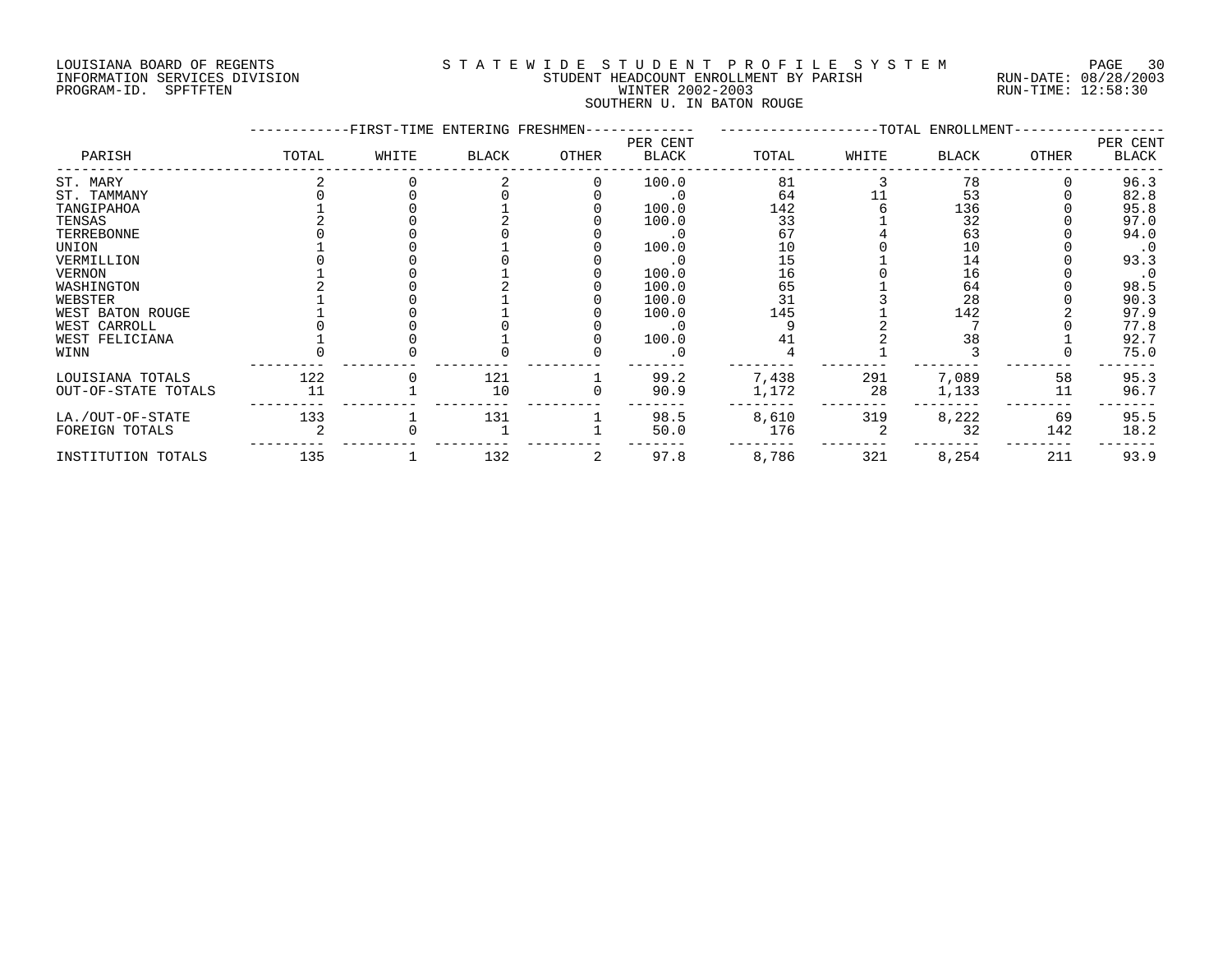#### LOUISIANA BOARD OF REGENTS S T A T E W I D E S T U D E N T P R O F I L E S Y S T E M PAGE 30 INFORMATION SERVICES DIVISION STUDENT HEADCOUNT ENROLLMENT BY PARISH RUN-DATE: 08/28/2003 PROGRAM-ID. SPFTFTEN WINTER 2002-2003 RUN-TIME: 12:58:30 SOUTHERN U. IN BATON ROUGE

|                     |       | -FIRST-TIME ENTERING FRESHMEN- |              |       |                   |       |       | --TOTAL ENROLLMENT- |              |                   |
|---------------------|-------|--------------------------------|--------------|-------|-------------------|-------|-------|---------------------|--------------|-------------------|
| PARISH              | TOTAL | WHITE                          | <b>BLACK</b> | OTHER | PER CENT<br>BLACK | TOTAL | WHITE | <b>BLACK</b>        | <b>OTHER</b> | PER CENT<br>BLACK |
| ST. MARY            |       |                                |              |       | 100.0             | 81    |       | 78                  |              | 96.3              |
| ST. TAMMANY         |       |                                |              |       |                   | 64    |       | 53                  |              | 82.8              |
| TANGIPAHOA          |       |                                |              |       | 100.0             | 142   |       | 136                 |              | 95.8              |
| TENSAS              |       |                                |              |       | 100.0             | 33    |       | 32                  |              | 97.0              |
| TERREBONNE          |       |                                |              |       | . 0               | 67    |       | 63                  |              | 94.0              |
| UNION               |       |                                |              |       | 100.0             | 10    |       | 10                  |              | $\cdot$ 0         |
| VERMILLION          |       |                                |              |       |                   | 15    |       | 14                  |              | 93.3              |
| <b>VERNON</b>       |       |                                |              |       | 100.0             | 16    |       | 16                  |              | $\cdot$ 0         |
| WASHINGTON          |       |                                |              |       | 100.0             | 65    |       | 64                  |              | 98.5              |
| WEBSTER             |       |                                |              |       | 100.0             | 31    |       | 28                  |              | 90.3              |
| WEST BATON ROUGE    |       |                                |              |       | 100.0             | 145   |       | 142                 |              | 97.9              |
| WEST CARROLL        |       |                                |              |       |                   |       |       |                     |              | 77.8              |
| WEST FELICIANA      |       |                                |              |       | 100.0             |       |       | 38                  |              | 92.7              |
| WINN                |       |                                |              |       | . 0               |       |       |                     |              | 75.0              |
| LOUISIANA TOTALS    | 122   |                                | 121          |       | 99.2              | 7,438 | 291   | 7,089               | 58           | 95.3              |
| OUT-OF-STATE TOTALS | 11    |                                | 10           |       | 90.9              | 1,172 | 28    | 1,133               | 11           | 96.7              |
| LA./OUT-OF-STATE    | 133   |                                | 131          |       | 98.5              | 8,610 | 319   | 8,222               | 69           | 95.5              |
| FOREIGN TOTALS      |       |                                |              |       | 50.0              | 176   |       | 32                  | 142          | 18.2              |
| INSTITUTION TOTALS  | 135   |                                | 132          |       | 97.8              | 8,786 | 321   | 8,254               | 211          | 93.9              |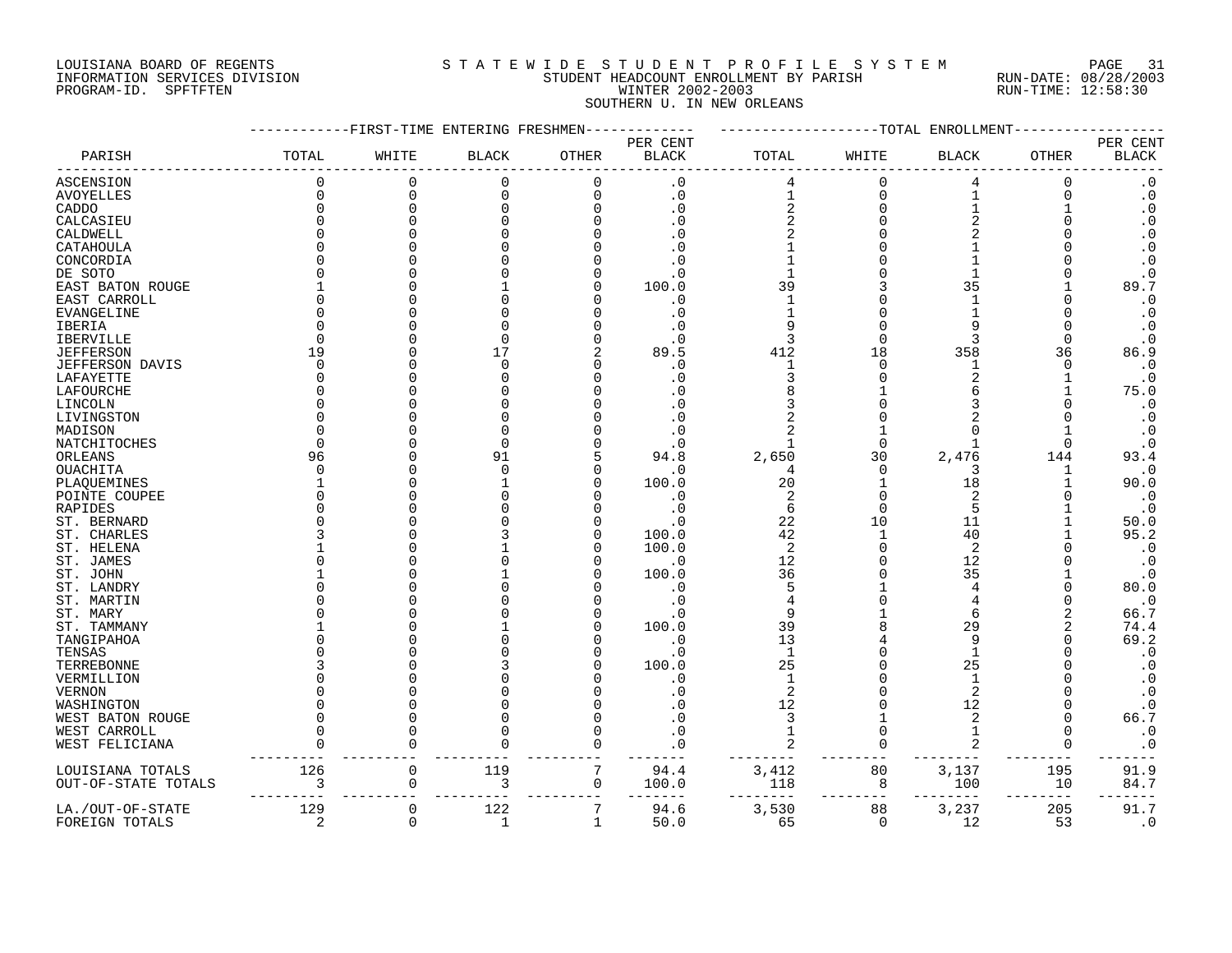# LOUISIANA BOARD OF REGENTS SOURCLEARIE S T A T E W I D E S T U D E N T P R O F I L E S Y S T E M PAGE 31 INFORMATION SERVICES DIVISION STUDENT HEADCOUNT ENROLLMENT BY PARISH RUN-DATE: 08/28/2003 PROGRAM-ID. SPFTFTEN WINTER 2002-2003 RUN-TIME: 12:58:30 SOUTHERN U. IN NEW ORLEANS

|                        |              | ------FIRST-TIME ENTERING FRESHMEN------------ |              |              |                          |                         |          | ------------TOTAL ENROLLMENT- |              |                            |
|------------------------|--------------|------------------------------------------------|--------------|--------------|--------------------------|-------------------------|----------|-------------------------------|--------------|----------------------------|
| PARISH                 | TOTAL        | WHITE                                          | <b>BLACK</b> | OTHER        | PER CENT<br><b>BLACK</b> | TOTAL                   | WHITE    | <b>BLACK</b>                  | <b>OTHER</b> | PER CENT<br>$_{\rm BLACK}$ |
| <b>ASCENSION</b>       | $\Omega$     | $\mathbf 0$                                    | $\mathbf 0$  | $\cap$       | . 0                      |                         | $\Omega$ | 4                             | $\Omega$     | $\boldsymbol{\cdot}$ 0     |
| <b>AVOYELLES</b>       | $\Omega$     | $\Omega$                                       | $\mathbf 0$  | $\Omega$     | $\cdot$ 0                | $\mathbf{1}$            | $\Omega$ |                               | $\Omega$     | $\boldsymbol{\cdot}$ 0     |
| CADDO                  | $\Omega$     | $\Omega$                                       | $\Omega$     | $\Omega$     | $\cdot$ 0                | $\overline{a}$          | $\Omega$ |                               |              | $\boldsymbol{\cdot}$ 0     |
| CALCASIEU              | $\Omega$     |                                                |              |              | . 0                      | $\overline{2}$          |          | $\overline{2}$                |              | $\boldsymbol{\cdot}$ 0     |
| CALDWELL               | $\cap$       |                                                |              |              |                          |                         |          |                               |              | $\boldsymbol{\cdot}$ 0     |
| CATAHOULA              |              |                                                |              |              |                          |                         |          |                               |              | $\boldsymbol{\cdot}$ 0     |
| CONCORDIA              | O            |                                                |              |              | . 0                      |                         |          |                               |              | $\cdot$ 0                  |
| DE SOTO                |              |                                                |              |              | . 0                      |                         |          |                               |              | $\cdot$ 0                  |
| EAST BATON ROUGE       |              |                                                |              |              | 100.0                    | 39                      |          | 35                            |              | 89.7                       |
| EAST CARROLL           | $\Omega$     |                                                |              |              | $\cdot$ 0                | $\mathbf{1}$            |          | $\mathbf{1}$                  |              | $\boldsymbol{\cdot}$ 0     |
| EVANGELINE             | U            |                                                |              |              | $\cdot$ 0                |                         |          |                               |              | $\cdot$ 0                  |
| IBERIA                 |              |                                                |              |              | $\cdot$ 0                | 9                       |          | q                             | $\Omega$     | $\cdot$ 0                  |
| <b>IBERVILLE</b>       | $\Omega$     |                                                |              |              | $\cdot$ 0                | 3                       |          | 3                             | 0            | $\cdot$ 0                  |
| <b>JEFFERSON</b>       | 19           |                                                | 17           |              | 89.5                     | 412                     | 18       | 358                           | 36           | 86.9                       |
| <b>JEFFERSON DAVIS</b> | $\Omega$     |                                                | $\Omega$     |              | $\cdot$ 0                | $\mathbf{1}$            |          | 1                             | $\Omega$     | $\cdot$ 0                  |
| LAFAYETTE              | U            |                                                |              |              | . 0                      | 3                       |          | $\overline{a}$                |              | $\cdot$ 0                  |
| LAFOURCHE              | <sup>0</sup> |                                                |              |              |                          | 8                       |          |                               |              | 75.0                       |
| LINCOLN                | U            |                                                |              |              |                          |                         |          |                               |              | $\cdot$ 0                  |
| LIVINGSTON             | U            |                                                |              |              |                          |                         |          |                               |              | $\cdot$ 0                  |
| MADISON                | O            |                                                |              |              |                          |                         |          | $\Omega$                      |              | $\cdot$ 0                  |
| NATCHITOCHES           | ∩            |                                                | $\Omega$     |              |                          |                         |          |                               | $\Omega$     | $\cdot$ 0                  |
| ORLEANS                | 96           |                                                | 91           |              | 94.8                     | 2,650                   | 30       | 2,476                         | 144          | 93.4                       |
| OUACHITA               | $\Omega$     |                                                | $\Omega$     |              | $\cdot$ 0                | 4                       | $\cap$   | 3                             | 1            | $\cdot$ 0                  |
| PLAQUEMINES            |              |                                                |              |              | 100.0                    | 20                      |          | 18                            |              | 90.0                       |
| POINTE COUPEE          | U            |                                                |              |              | $\cdot$ 0                | $\overline{2}$          |          | 2                             |              | $\cdot$ 0                  |
| RAPIDES                | ∩            |                                                |              |              | $\cdot$ 0                | 6                       | $\cap$   | 5                             |              | $\cdot$ 0                  |
| ST. BERNARD            |              |                                                |              |              | $\cdot$ 0                | 22                      | 10       | 11                            |              | 50.0                       |
| ST. CHARLES            |              |                                                |              |              | 100.0                    | 42                      |          | 40                            |              | 95.2                       |
| ST. HELENA             |              |                                                |              |              | 100.0                    | $\overline{2}$          |          | 2                             |              | $\cdot$ 0                  |
|                        |              |                                                |              |              |                          | 12                      |          | 12                            |              |                            |
| ST. JAMES              |              |                                                |              |              | $\boldsymbol{\cdot}$ 0   | 36                      |          | 35                            |              | $\cdot$ 0                  |
| ST. JOHN               |              |                                                |              |              | 100.0                    | 5                       |          | $\overline{4}$                |              | $\cdot$ 0<br>80.0          |
| ST. LANDRY             |              |                                                |              |              | . 0                      |                         |          |                               |              |                            |
| ST. MARTIN             |              |                                                |              |              | $\cdot$ 0                |                         |          |                               |              | $\cdot$ 0                  |
| ST. MARY               |              |                                                |              |              | . 0                      | 9                       |          | 6                             | 2            | 66.7                       |
| ST. TAMMANY            |              |                                                |              |              | 100.0                    | 39                      |          | 29                            | 2            | 74.4                       |
| TANGIPAHOA             |              |                                                |              |              | .0                       | 13                      |          | 9                             |              | 69.2                       |
| TENSAS                 |              |                                                |              |              | $\cdot$ 0                | $\mathbf{1}$            |          |                               |              | $\cdot$ 0                  |
| TERREBONNE             |              |                                                |              |              | 100.0                    | 25                      |          | 25                            |              | $\cdot$ 0                  |
| VERMILLION             |              |                                                |              |              | . 0                      | $\mathbf{1}$            |          | $\mathbf{1}$                  |              | $\cdot$ 0                  |
| <b>VERNON</b>          |              |                                                |              |              | $\Omega$                 | $\overline{\mathbf{c}}$ |          | $\overline{2}$                |              | $\boldsymbol{\cdot}$ 0     |
| WASHINGTON             |              |                                                |              |              |                          | 12                      |          | 12                            |              | $\cdot$ 0                  |
| WEST BATON ROUGE       | U            |                                                |              |              |                          | 3                       |          | 2                             |              | 66.7                       |
| WEST CARROLL           | U            | C                                              |              |              |                          |                         |          |                               | $\Omega$     | $\cdot$ 0                  |
| WEST FELICIANA         | $\Omega$     | $\Omega$                                       |              |              | $\cdot$ 0                |                         | $\Omega$ | 2                             | $\Omega$     | $\cdot$ 0                  |
| LOUISIANA TOTALS       | 126          | $\mathbf 0$                                    | 119          | 7            | 94.4                     | 3,412                   | 80       | 3,137                         | 195          | 91.9                       |
| OUT-OF-STATE TOTALS    | 3            | 0                                              | 3            | $\mathbf 0$  | 100.0                    | 118                     | 8        | 100                           | 10           | 84.7                       |
|                        |              |                                                |              |              |                          |                         |          |                               |              |                            |
| LA./OUT-OF-STATE       | 129          | $\mathbf 0$                                    | 122          | 7            | 94.6                     | 3,530                   | 88       | 3,237                         | 205          | 91.7                       |
| FOREIGN TOTALS         | 2            | $\mathbf 0$                                    | $\mathbf{1}$ | $\mathbf{1}$ | 50.0                     | 65                      | $\Omega$ | 12                            | 53           | $\cdot$ 0                  |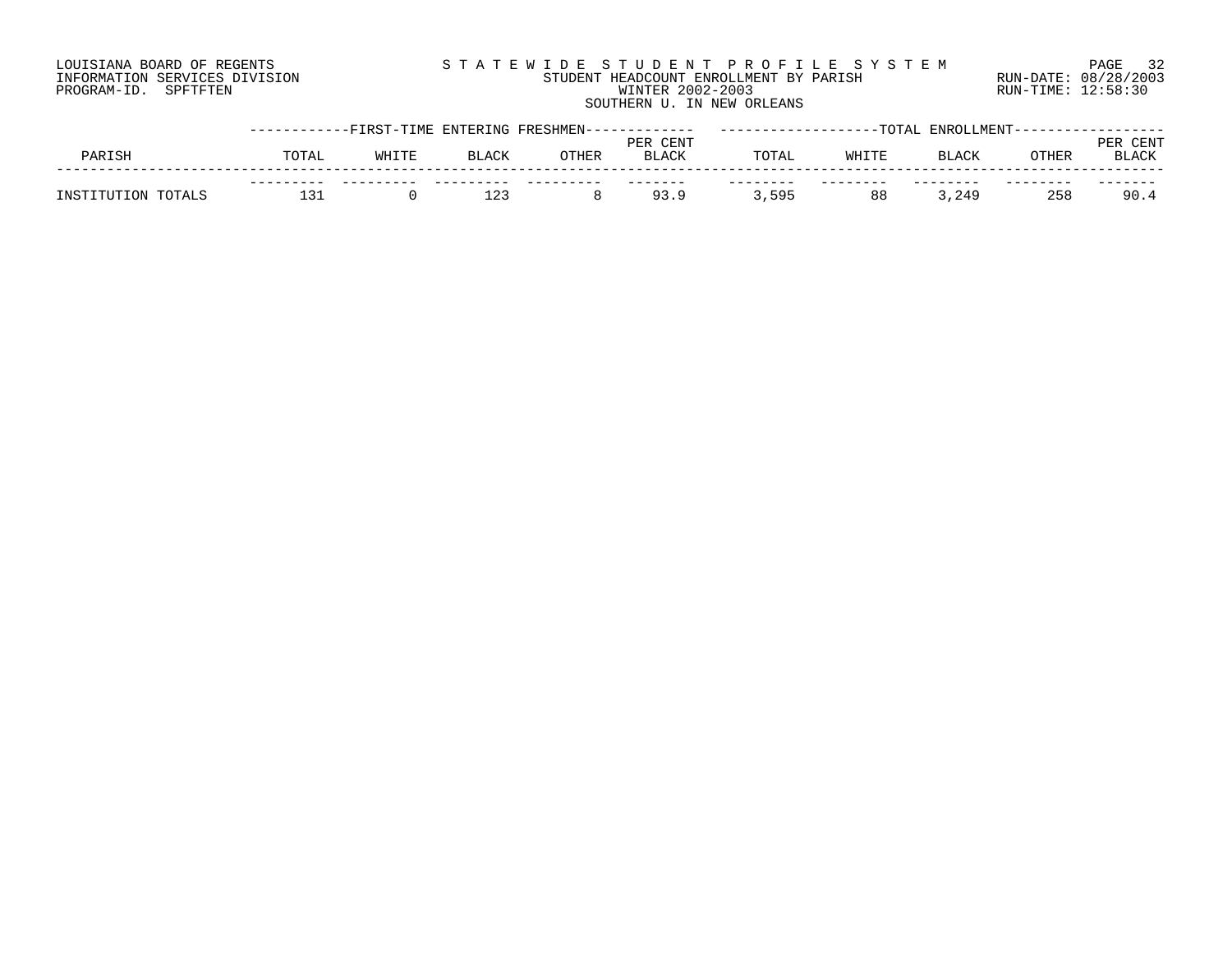# LOUISIANA BOARD OF REGENTS S T A T E W I D E S T U D E N T P R O F I L E S Y S T E M PAGE 32 INFORMATION SERVICES DIVISION STUDENT HEADCOUNT ENROLLMENT BY PARISH RUN-DATE: 08/28/2003 PROGRAM-ID. SPFTFTEN WINTER 2002-2003 RUN-TIME: 12:58:30 SOUTHERN U. IN NEW ORLEANS

|                    |       | -----------FIRST-TIME ENTERING FRESHMEN------- |              |       | PER CENT     |       |       | -TOTAL ENROLLMENT-- |              | CENT         |
|--------------------|-------|------------------------------------------------|--------------|-------|--------------|-------|-------|---------------------|--------------|--------------|
| PARISH             | TOTAL | WHITE                                          | <b>BLACK</b> | OTHER | <b>BLACK</b> | TOTAL | WHITE | BLACK               | <b>OTHER</b> | <b>BLACK</b> |
| INSTITUTION TOTALS |       |                                                | 123          |       | 93.9         | ,595  | 88    | 249,                | 258          | 90.4         |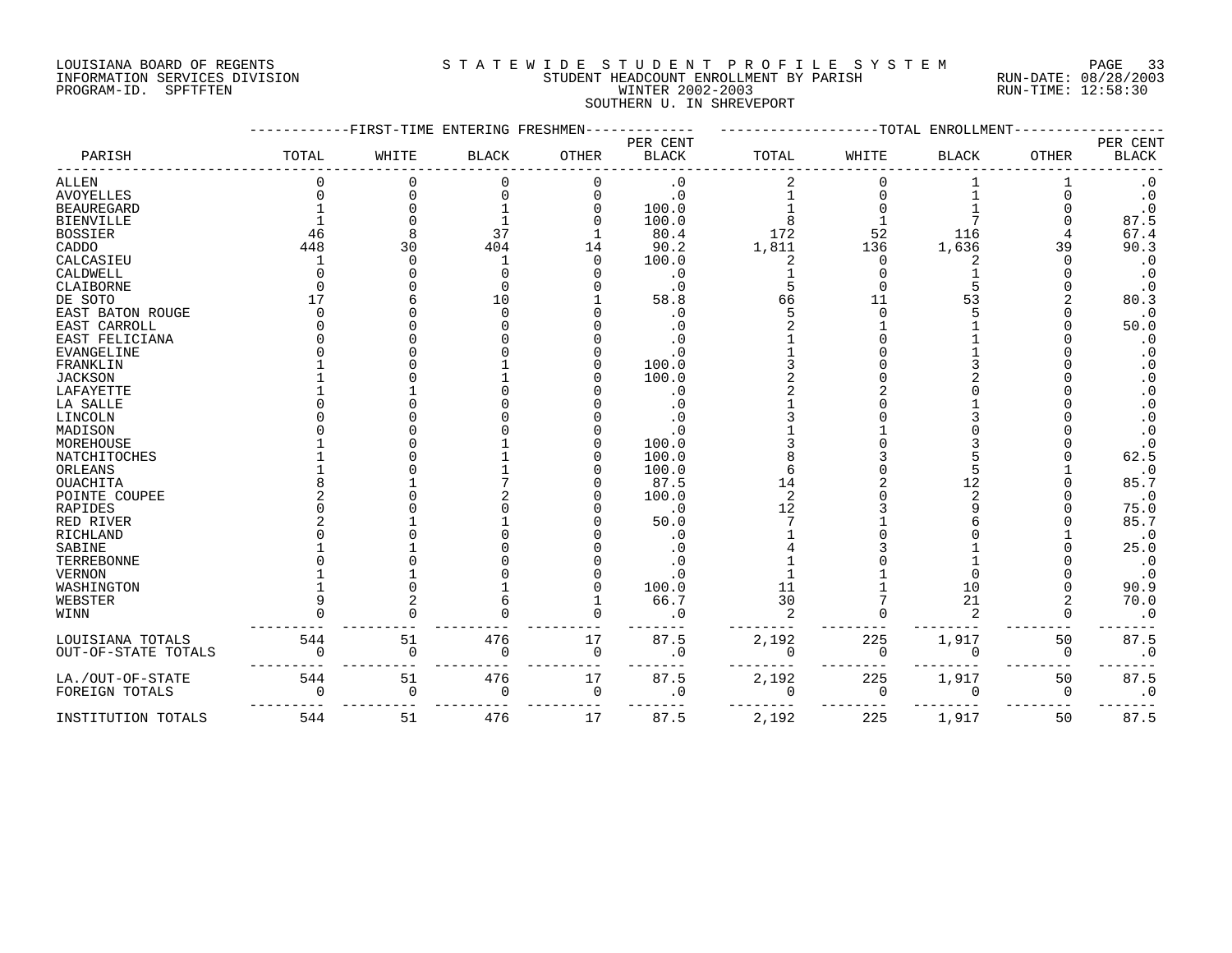# LOUISIANA BOARD OF REGENTS S T A T E W I D E S T U D E N T P R O F I L E S Y S T E M PAGE 33 INFORMATION SERVICES DIVISION STUDENT HEADCOUNT ENROLLMENT BY PARISH RUN-DATE: 08/28/2003 PROGRAM-ID. SPFTFTEN WINTER 2002-2003 RUN-TIME: 12:58:30 SOUTHERN U. IN SHREVEPORT

|                     |             |          | FIRST-TIME ENTERING FRESHMEN |          |                          |                | -TOTAL      | <b>ENROLLMENT</b> |              |                                    |
|---------------------|-------------|----------|------------------------------|----------|--------------------------|----------------|-------------|-------------------|--------------|------------------------------------|
| PARISH              | TOTAL       | WHITE    | <b>BLACK</b>                 | OTHER    | PER CENT<br><b>BLACK</b> | TOTAL          | WHITE       | <b>BLACK</b>      | <b>OTHER</b> | PER CENT<br>$\operatorname{BLACK}$ |
| ALLEN               |             |          | $\Omega$                     |          | $\cdot$ 0                |                |             |                   |              | $\cdot 0$                          |
| <b>AVOYELLES</b>    |             |          | $\Omega$                     | $\Omega$ | $\cdot$ 0                |                | U           |                   |              | $\cdot$ 0                          |
| <b>BEAUREGARD</b>   |             |          |                              |          | 100.0                    |                |             |                   |              | $\cdot$ 0                          |
| <b>BIENVILLE</b>    |             |          |                              |          | 100.0                    |                |             |                   |              | 87.5                               |
| <b>BOSSIER</b>      | 46          |          | 37                           |          | 80.4                     | 172            | 52          | 116               |              | 67.4                               |
| CADDO               | 448         | 30       | 404                          | 14       | 90.2                     | 1,811          | 136         | 1,636             | 39           | 90.3                               |
| CALCASIEU           |             |          |                              |          | 100.0                    | 2              | $\Omega$    |                   |              | $\cdot$ 0                          |
| CALDWELL            |             |          |                              |          | . 0                      |                |             |                   |              | $\cdot$ 0                          |
| CLAIBORNE           |             |          | $\Omega$                     |          | . 0                      |                |             |                   |              | . 0                                |
| DE SOTO             |             |          | 10                           |          | 58.8                     | 66             | 11          | 53                |              | 80.3                               |
| EAST BATON ROUGE    |             |          | $\Omega$                     |          | . 0                      |                |             |                   |              | $\cdot$ 0                          |
| EAST CARROLL        |             |          |                              |          |                          |                |             |                   |              | 50.0                               |
| EAST FELICIANA      |             |          |                              |          |                          |                |             |                   |              | . 0                                |
| <b>EVANGELINE</b>   |             |          |                              |          | . 0                      |                |             |                   |              | $\cdot$ 0                          |
| FRANKLIN            |             |          |                              |          | 100.0                    |                |             |                   |              | $\cdot$ 0                          |
| <b>JACKSON</b>      |             |          |                              |          | 100.0                    |                |             |                   |              | . 0                                |
| LAFAYETTE           |             |          |                              |          | . 0                      |                |             |                   |              | . 0                                |
| LA SALLE            |             |          |                              |          |                          |                |             |                   |              | . 0                                |
| LINCOLN             |             |          |                              |          |                          |                |             |                   |              | . 0                                |
| MADISON             |             |          |                              |          |                          |                |             |                   |              | $\cdot$ 0                          |
| MOREHOUSE           |             |          |                              |          | 100.0                    |                |             |                   |              |                                    |
| NATCHITOCHES        |             |          |                              |          | 100.0                    |                |             |                   |              | 62.5                               |
| ORLEANS             |             |          |                              |          | 100.0                    |                |             |                   |              | $\cdot$ 0                          |
| OUACHITA            |             |          |                              |          | 87.5                     | 14             |             | 12                |              | 85.7                               |
| POINTE COUPEE       |             |          |                              |          | 100.0                    | $\overline{2}$ |             |                   |              | $\cdot$ 0                          |
| RAPIDES             |             |          |                              |          | $\cdot$ 0                | 12             |             |                   |              | 75.0                               |
| RED RIVER           |             |          |                              |          | 50.0                     |                |             |                   |              | 85.7                               |
| RICHLAND            |             |          |                              |          | $\cdot$ 0                |                |             |                   |              | $\cdot$ 0                          |
| SABINE              |             |          |                              |          |                          |                |             |                   |              | 25.0                               |
| TERREBONNE          |             |          |                              |          |                          |                |             |                   |              | . 0                                |
| <b>VERNON</b>       |             |          |                              |          |                          |                |             |                   |              | . 0                                |
| WASHINGTON          |             |          |                              |          | 100.0                    | 11             |             | 10                |              | 90.9                               |
| WEBSTER             |             |          |                              |          | 66.7                     | 30             |             | 21                |              | 70.0                               |
| WINN                |             |          |                              |          |                          | $\mathfrak{D}$ |             | $\mathcal{D}$     |              | . 0                                |
| LOUISIANA TOTALS    | 544         | 51       | 476                          | 17       | 87.5                     | 2,192          | 225         | 1,917             | 50           | 87.5                               |
| OUT-OF-STATE TOTALS | $\Omega$    |          | $\Omega$                     | 0        |                          | 0              | 0           |                   | $\Omega$     | $\cdot$ 0                          |
| LA./OUT-OF-STATE    | 544         | 51       | 476                          | 17       | 87.5                     | 2,192          | 225         | 1,917             | 50           | 87.5                               |
| FOREIGN TOTALS      | $\mathbf 0$ | $\Omega$ | $\mathbf 0$                  | 0        | $\cdot$ 0                | 0              | $\mathbf 0$ | $\Omega$          | $\mathbf 0$  | $\cdot$ 0                          |
| INSTITUTION TOTALS  | 544         | 51       | 476                          | 17       | 87.5                     | 2,192          | 225         | 1,917             | 50           | 87.5                               |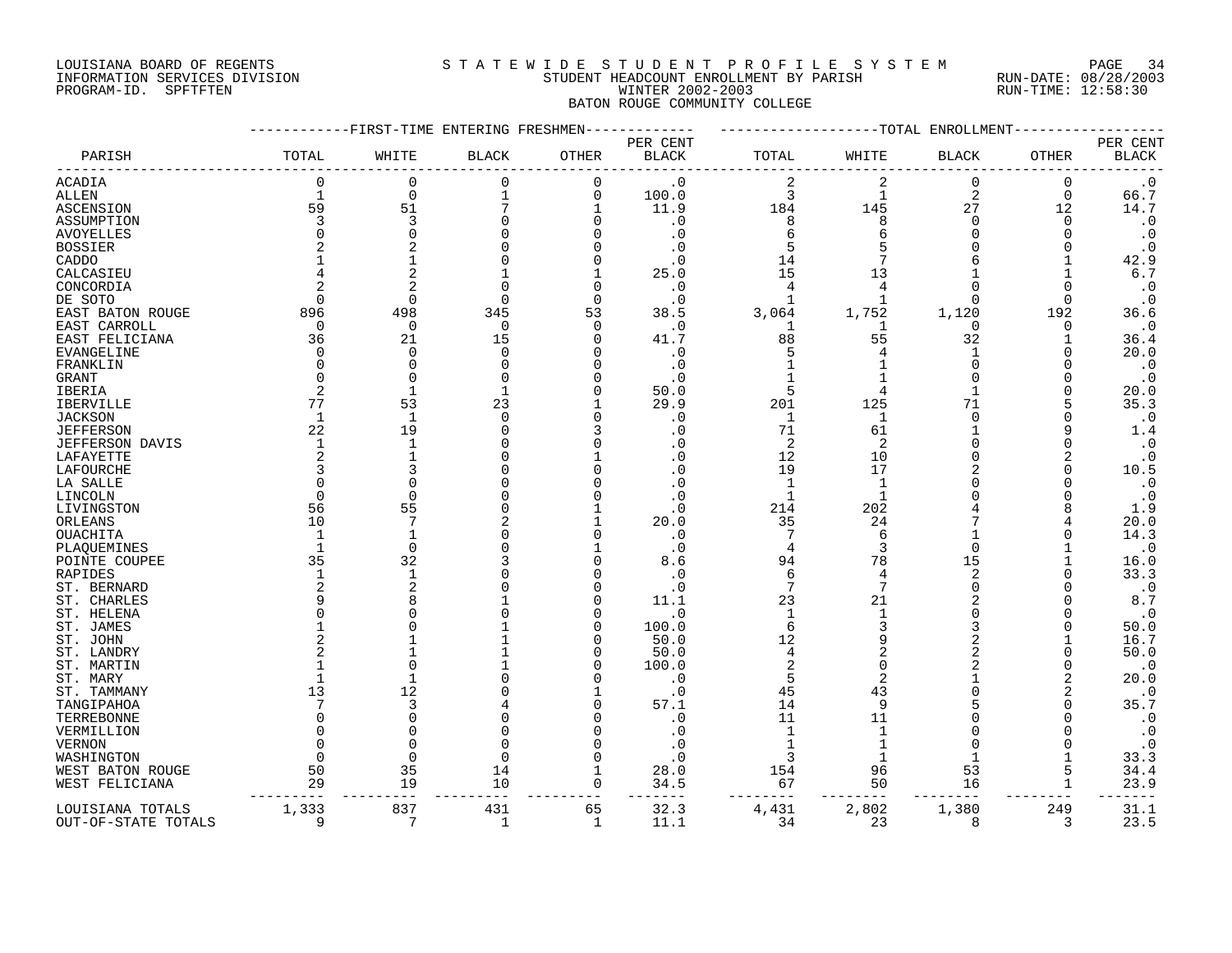## LOUISIANA BOARD OF REGENTS S T A T E W I D E S T U D E N T P R O F I L E S Y S T E M PAGE 34 INFORMATION SERVICES DIVISION STUDENT HEADCOUNT ENROLLMENT BY PARISH RUN-DATE: 08/28/2003 PROGRAM-ID. SPFTFTEN WINTER 2002-2003 RUN-TIME: 12:58:30 BATON ROUGE COMMUNITY COLLEGE

|                        |              | --------FIRST-TIME ENTERING FRESHMEN- |              |              |                          |              |              | ------------TOTAL ENROLLMENT |             |                          |
|------------------------|--------------|---------------------------------------|--------------|--------------|--------------------------|--------------|--------------|------------------------------|-------------|--------------------------|
| PARISH                 | TOTAL        | WHITE                                 | <b>BLACK</b> | OTHER        | PER CENT<br><b>BLACK</b> | TOTAL        | WHITE        | BLACK                        | OTHER       | PER CENT<br><b>BLACK</b> |
| ACADIA                 | $\mathbf 0$  | 0                                     | 0            | 0            | $\cdot$ 0                | 2            | 2            | 0                            | 0           | $\cdot$ 0                |
| ALLEN                  | $\mathbf{1}$ | 0                                     | $\mathbf{1}$ | 0            | 100.0                    | 3            | $\mathbf 1$  | $\overline{2}$               | $\mathbf 0$ | 66.7                     |
| ASCENSION              | 59           | 51                                    | 7            | 1            | 11.9                     | 184          | 145          | 27                           | 12          | 14.7                     |
| ASSUMPTION             |              | 3                                     |              | O            | . 0                      | 8            |              | <sup>n</sup>                 | $\Omega$    | $\cdot$ 0                |
| AVOYELLES              |              | $\Omega$                              |              |              | . 0                      | 6            |              | <sup>n</sup>                 | ∩           | $\cdot$ 0                |
| <b>BOSSIER</b>         |              | 2                                     |              |              | . 0                      | 5            |              |                              |             | $\cdot$ 0                |
| CADDO                  |              |                                       |              |              | . 0                      | 14           |              |                              |             | 42.9                     |
| CALCASIEU              |              | $\overline{2}$                        |              |              | 25.0                     | 15           | 13           |                              |             | 6.7                      |
| CONCORDIA              |              | $\overline{2}$                        |              | $\Omega$     | . 0                      |              |              |                              | ∩           | $\cdot$ 0                |
| DE SOTO                | $\Omega$     | $\Omega$                              | $\Omega$     | $\Omega$     | . 0                      | $\mathbf{1}$ |              | <sup>n</sup>                 | ∩           | $\cdot$ 0                |
| EAST BATON ROUGE       | 896          | 498                                   | 345          | 53           | 38.5                     | 3,064        | 1,752        | 1,120                        | 192         | 36.6                     |
| EAST CARROLL           | $\Omega$     | $\Omega$                              | $\Omega$     | O            | . 0                      | 1            |              | $\Omega$                     | O           | $\cdot$ 0                |
| EAST FELICIANA         | 36           | 21                                    | 15           | O            | 41.7                     | 88           | 55           | 32                           |             | 36.4                     |
| EVANGELINE             |              | 0                                     | ∩            |              | . 0                      | 5            |              | 1                            | O           | 20.0                     |
| FRANKLIN               |              | $\Omega$                              |              |              | . 0                      |              |              | <sup>n</sup>                 |             | $\cdot$ 0                |
| GRANT                  |              | $\Omega$                              |              |              | . 0                      |              |              |                              |             | $\cdot$ 0                |
| IBERIA                 |              | $\mathbf{1}$                          | 1            |              | 50.0                     | 5            |              |                              |             | 20.0                     |
| <b>IBERVILLE</b>       | 77           | 53                                    | 23           |              | 29.9                     | 201          | 125          | 71                           |             | 35.3                     |
|                        | $\mathbf{1}$ | -1                                    | $\Omega$     |              |                          |              | $\mathbf{1}$ | $\Omega$                     |             | $\cdot$ 0                |
| JACKSON                | 22           | 19                                    |              |              | . 0                      | 1<br>71      |              |                              |             |                          |
| <b>JEFFERSON</b>       |              | $\mathbf{1}$                          |              |              | . 0                      |              | 61           |                              |             | 1.4                      |
| <b>JEFFERSON DAVIS</b> | $\mathbf{1}$ |                                       |              |              | . 0                      | 2            | 2            |                              |             | $\cdot$ 0                |
| LAFAYETTE              |              | 1                                     |              |              | . 0                      | 12           | 10           |                              |             | $\cdot$ 0                |
| <b>LAFOURCHE</b>       |              |                                       |              |              | . 0                      | 19           | 17           |                              |             | 10.5                     |
| LA SALLE               |              | $\Omega$                              |              |              |                          | $\mathbf 1$  | -1           |                              |             | $\cdot$ 0                |
| LINCOLN                |              | $\Omega$                              |              |              | . 0                      | 1            |              |                              |             | $\cdot$ 0                |
| LIVINGSTON             | 56           | 55                                    |              |              | . 0                      | 214          | 202          |                              |             | 1.9                      |
| ORLEANS                | 10           | 7                                     |              |              | 20.0                     | 35           | 24           |                              |             | 20.0                     |
| OUACHITA               | -1           | $\mathbf{1}$                          |              |              | $\cdot$ 0                | 7            | 6            |                              |             | 14.3                     |
| PLAQUEMINES            |              | $\Omega$                              |              |              | $\cdot$ 0                | 4            |              | <sup>n</sup>                 |             | $\cdot$ 0                |
| POINTE COUPEE          | 35           | 32                                    |              |              | 8.6                      | 94           | 78           | 15                           |             | 16.0                     |
| RAPIDES                | $\mathbf{1}$ | $\mathbf{1}$                          |              |              | . 0                      | 6            | 4            | 2                            |             | 33.3                     |
| ST. BERNARD            |              | 2                                     |              |              | $\cdot$ 0                | 7            |              | <sup>n</sup>                 |             | $\cdot$ 0                |
| ST. CHARLES            |              | 8                                     |              |              | 11.1                     | 23           | 21           |                              |             | 8.7                      |
| ST. HELENA             |              | U                                     |              |              | . 0                      | $\mathbf{1}$ |              |                              |             | $\cdot$ 0                |
| ST. JAMES              |              | U                                     |              |              | 100.0                    | 6            |              |                              |             | 50.0                     |
| ST. JOHN               |              |                                       |              |              | 50.0                     | 12           |              |                              |             | 16.7                     |
| ST. LANDRY             |              |                                       |              |              | 50.0                     | 4            |              |                              |             | 50.0                     |
| ST. MARTIN             |              | $\Omega$                              |              |              | 100.0                    | 2            |              |                              |             | $\cdot$ 0                |
| ST. MARY               |              | $\mathbf{1}$                          |              |              | . 0                      | 5            |              |                              | 2           | 20.0                     |
| ST. TAMMANY            | 13           | 12                                    |              |              | . 0                      | 45           | 43           |                              |             | $\cdot$ 0                |
| TANGIPAHOA             |              | 3                                     |              |              | 57.1                     | 14           | 9            |                              |             | 35.7                     |
| TERREBONNE             |              | 0                                     |              |              | . 0                      | 11           | 11           |                              |             | $\cdot$ 0                |
| VERMILLION             |              | $\Omega$                              |              |              | . 0                      | -1           |              |                              |             | $\cdot$ 0                |
| VERNON                 |              | $\Omega$                              |              |              | . 0                      |              |              |                              |             | $\cdot$ 0                |
| WASHINGTON             |              | ∩                                     |              |              | . 0                      | 3            |              |                              |             | 33.3                     |
| WEST BATON ROUGE       | 50           | 35                                    | 14           | 1            | 28.0                     | 154          | 96           | 53                           | 5           | 34.4                     |
| WEST FELICIANA         | 29           | 19                                    | 10           | 0            | 34.5                     | 67           | 50           | 16                           |             | 23.9                     |
| LOUISIANA TOTALS       | 1,333        | 837                                   | 431          | 65           | 32.3                     | 4,431        | 2,802        | 1,380                        | 249         | 31.1                     |
| OUT-OF-STATE TOTALS    | q            | 7                                     | -1           | $\mathbf{1}$ | 11.1                     | 34           | 23           | 8                            | 3           | 23.5                     |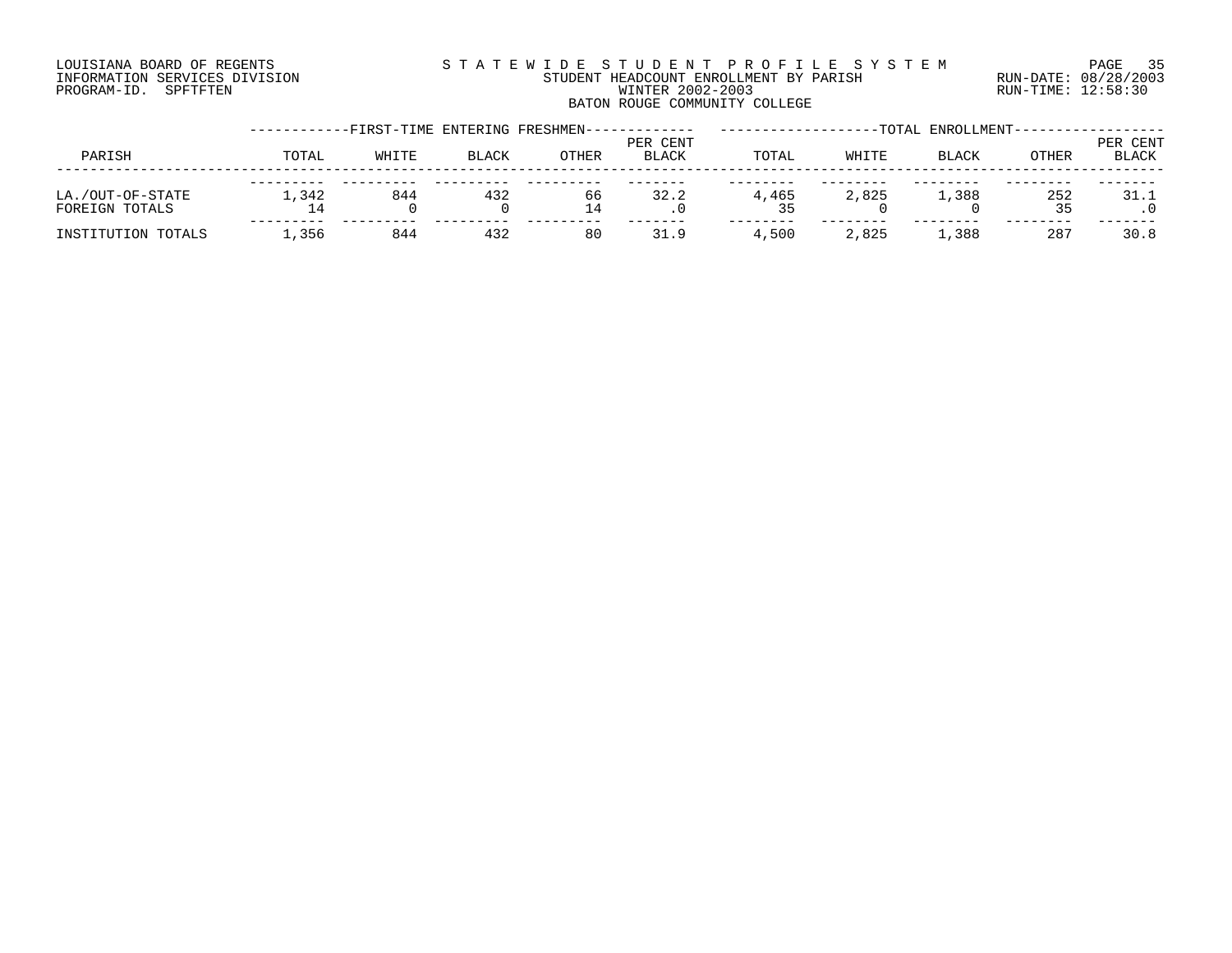# LOUISIANA BOARD OF REGENTS S T A T E W I D E S T U D E N T P R O F I L E S Y S T E M PAGE 35 INFORMATION SERVICES DIVISION STUDENT HEADCOUNT ENROLLMENT BY PARISH RUN-DATE: 08/28/2003 PROGRAM-ID. SPFTFTEN WINTER 2002-2003 RUN-TIME: 12:58:30 BATON ROUGE COMMUNITY COLLEGE

|                                    |       |       |              | -FIRST-TIME ENTERING FRESHMEN---- |                          |       |       | -TOTAL ENROLLMENT- |           |                          |
|------------------------------------|-------|-------|--------------|-----------------------------------|--------------------------|-------|-------|--------------------|-----------|--------------------------|
| PARISH                             | TOTAL | WHITE | <b>BLACK</b> | <b>OTHER</b>                      | PER CENT<br><b>BLACK</b> | TOTAL | WHITE | BLACK              | OTHER     | PER CENT<br><b>BLACK</b> |
| LA./OUT-OF-STATE<br>FOREIGN TOTALS | 1,342 | 844   | 432          | 66<br>14                          | 32.2                     | 4,465 | 2,825 | 1,388              | 252<br>35 | 31.1                     |
| INSTITUTION TOTALS                 | 1,356 | 844   | 432          | 80                                | 31.9                     | 4,500 | 2,825 | ⊥,388              | 287       | 30.8                     |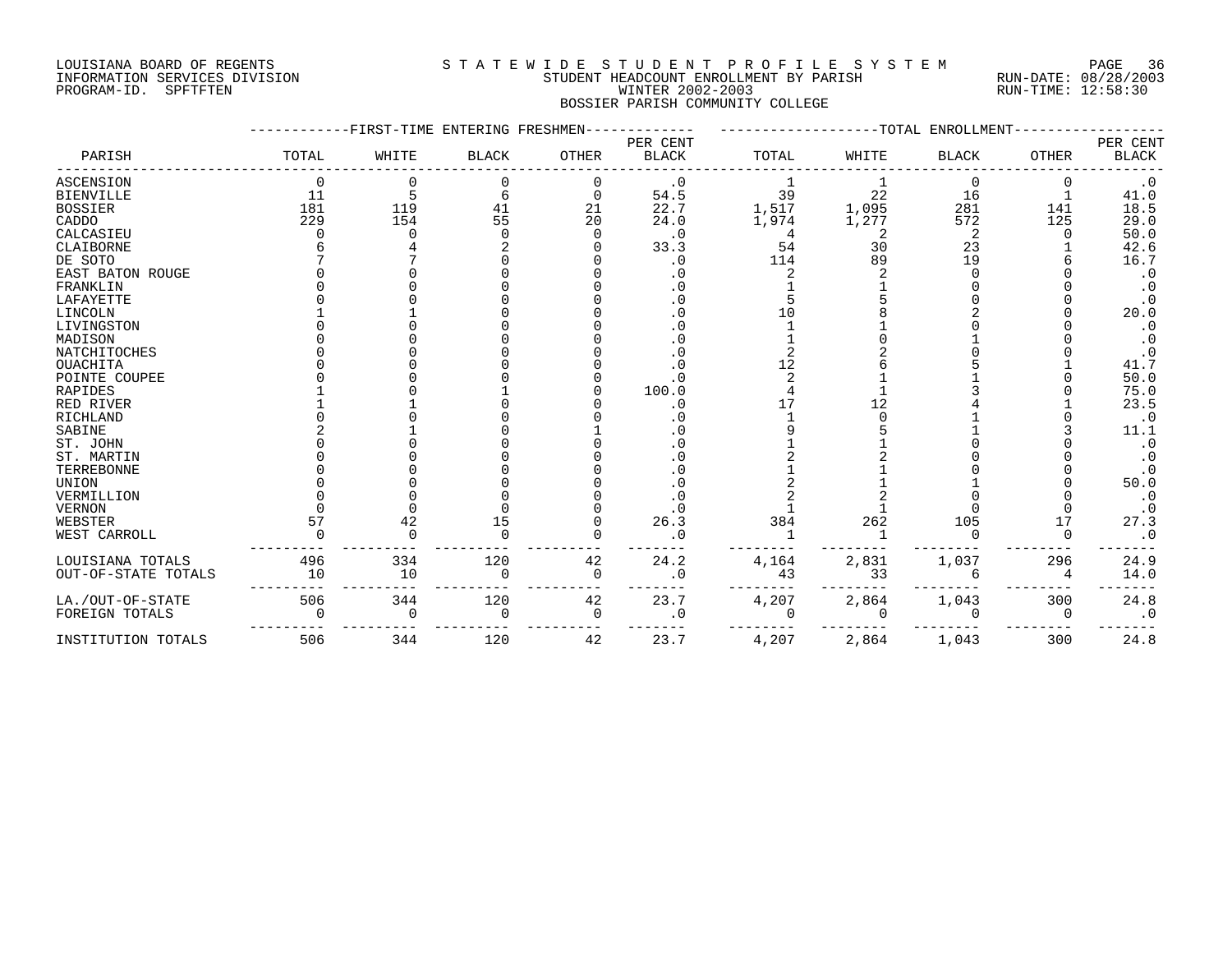#### LOUISIANA BOARD OF REGENTS S T A T E W I D E S T U D E N T P R O F I L E S Y S T E M PAGE 36 INFORMATION SERVICES DIVISION STUDENT HEADCOUNT ENROLLMENT BY PARISH RUN-DATE: 08/28/2003 PROGRAM-ID. SPFTFTEN WINTER 2002-2003 RUN-TIME: 12:58:30 BOSSIER PARISH COMMUNITY COLLEGE

|                     |          | -------FIRST-TIME ENTERING FRESHMEN- |              |              |              |          | -----------TOTAL | ENROLLMENT   |              |              |
|---------------------|----------|--------------------------------------|--------------|--------------|--------------|----------|------------------|--------------|--------------|--------------|
|                     |          |                                      |              |              | PER CENT     |          |                  |              |              | PER CENT     |
| PARISH              | TOTAL    | WHITE                                | <b>BLACK</b> | <b>OTHER</b> | <b>BLACK</b> | TOTAL    | WHITE            | <b>BLACK</b> | <b>OTHER</b> | <b>BLACK</b> |
| ASCENSION           | $\Omega$ |                                      |              | 0            | $\cdot$ 0    |          |                  | 0            | 0            | $\cdot$ 0    |
| <b>BIENVILLE</b>    | 11       | 5                                    |              |              | 54.5         | 39       | 22               | 16           |              | 41.0         |
| <b>BOSSIER</b>      | 181      | 119                                  | 41           | 21           | 22.7         | 1,517    | 1,095            | 281          | 141          | 18.5         |
| CADDO               | 229      | 154                                  | 55           | 20           | 24.0         | 1,974    | 1,277            | 572          | 125          | 29.0         |
| CALCASIEU           |          |                                      |              |              | $\cdot$ 0    | 4        |                  |              | n            | 50.0         |
| CLAIBORNE           |          |                                      |              |              | 33.3         | 54       | 30               | 23           |              | 42.6         |
| DE SOTO             |          |                                      |              |              | . 0          | 114      | 89               | 19           |              | 16.7         |
| EAST BATON ROUGE    |          |                                      |              |              |              |          |                  |              |              | $\cdot$ 0    |
| FRANKLIN            |          |                                      |              |              | . 0          |          |                  |              |              |              |
| LAFAYETTE           |          |                                      |              |              | . 0          |          |                  |              |              | $\cdot$ 0    |
| LINCOLN             |          |                                      |              |              |              | 1 ೧      |                  |              |              | 20.0         |
| LIVINGSTON          |          |                                      |              |              |              |          |                  |              |              | $\cdot$ 0    |
| MADISON             |          |                                      |              |              |              |          |                  |              |              | $\cdot$ 0    |
| NATCHITOCHES        |          |                                      |              |              | . 0          |          |                  |              |              | $\cdot$ 0    |
| <b>OUACHITA</b>     |          |                                      |              |              |              | 12       |                  |              |              | 41.7         |
| POINTE COUPEE       |          |                                      |              |              | . 0          |          |                  |              |              | 50.0         |
| RAPIDES             |          |                                      |              |              | 100.0        |          |                  |              |              | 75.0         |
| RED RIVER           |          |                                      |              |              | . 0          |          | 12               |              |              | 23.5         |
| RICHLAND            |          |                                      |              |              |              |          |                  |              |              | $\cdot$ 0    |
| SABINE              |          |                                      |              |              |              |          |                  |              |              | 11.1         |
| ST. JOHN            |          |                                      |              |              |              |          |                  |              |              | $\cdot$ 0    |
| ST. MARTIN          |          |                                      |              |              |              |          |                  |              |              | $\cdot$ 0    |
| TERREBONNE          |          |                                      |              |              |              |          |                  |              |              | $\cdot$ 0    |
| UNION               |          |                                      |              |              | . 0          |          |                  |              |              | 50.0         |
| VERMILLION          |          |                                      |              |              | . 0          |          |                  |              |              | $\cdot$ 0    |
| VERNON              |          |                                      |              |              | . 0          |          |                  |              |              | $\cdot$ 0    |
| WEBSTER             | 57       | 42                                   | 15           |              | 26.3         | 384      | 262              | 105          | 17           | 27.3         |
| WEST CARROLL        |          |                                      |              |              | . 0          |          |                  |              |              | $\cdot$ 0    |
| LOUISIANA TOTALS    | 496      | 334                                  | 120          | 42           | 24.2         | 4,164    | 2,831            | 1,037        | 296          | 24.9         |
| OUT-OF-STATE TOTALS | 10       | 10                                   |              | $\Omega$     | . 0          | 43       | 33               |              |              | 14.0         |
| LA./OUT-OF-STATE    | 506      | 344                                  | 120          | 42           | 23.7         | 4,207    | 2,864            | 1,043        | 300          | 24.8         |
| FOREIGN TOTALS      |          | 0                                    | $\Omega$     | $\Omega$     | . 0          | $\Omega$ | $\Omega$         | $\Omega$     | $\Omega$     | $\cdot$ 0    |
| INSTITUTION TOTALS  | 506      | 344                                  | 120          | 42           | 23.7         | 4,207    | 2,864            | 1,043        | 300          | 24.8         |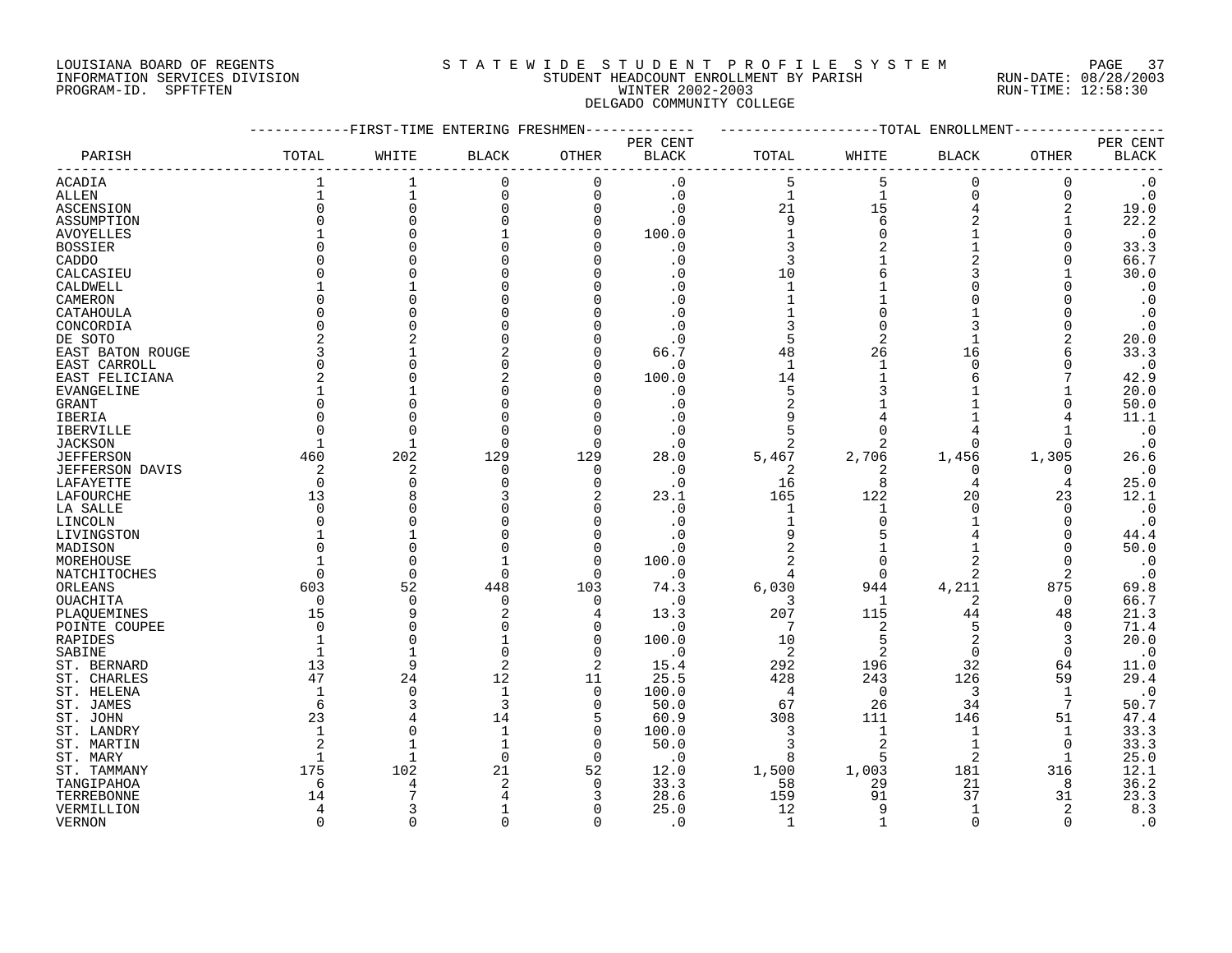## LOUISIANA BOARD OF REGENTS S T A T E W I D E S T U D E N T P R O F I L E S Y S T E M PAGE 37 INFORMATION SERVICES DIVISION STUDENT HEADCOUNT ENROLLMENT BY PARISH RUN-DATE: 08/28/2003 PROGRAM-ID. SPFTFTEN WINTER 2002-2003 RUN-TIME: 12:58:30 DELGADO COMMUNITY COLLEGE

|                  | -----------FIRST-TIME ENTERING FRESHMEN------------ |                |              |                |                             |                                                    |                         | -------------TOTAL ENROLLMENT------- |              |                                    |
|------------------|-----------------------------------------------------|----------------|--------------|----------------|-----------------------------|----------------------------------------------------|-------------------------|--------------------------------------|--------------|------------------------------------|
| PARISH           | TOTAL                                               | WHITE          | <b>BLACK</b> | OTHER          | PER CENT<br><b>BLACK</b>    | TOTAL                                              | WHITE                   | <b>BLACK</b>                         | OTHER        | PER CENT<br>$\operatorname{BLACK}$ |
| <b>ACADIA</b>    |                                                     |                |              | $\mathbf 0$    | . 0                         |                                                    |                         | 0                                    |              | $\cdot$ 0                          |
| ALLEN            | $1\,$                                               | $\mathbf 1$    | 0            | 0              | $\cdot$ 0                   | $\mathbf{1}$                                       | $\mathbf{1}$            | 0                                    | 0            | $\cdot$ 0                          |
| ASCENSION        |                                                     | $\overline{0}$ | $\Omega$     | 0              | $\cdot$ 0                   | $\begin{array}{c}\n21 \\ 9 \\ 1 \\ 3\n\end{array}$ | 15                      | $\overline{4}$                       |              | 19.0                               |
| ASSUMPTION       |                                                     | $\Omega$       |              | $\mathsf 0$    | $\cdot$ 0                   |                                                    | $6\overline{6}$         | $\overline{a}$                       | $\mathbf{1}$ | 22.2                               |
| AVOYELLES        |                                                     |                |              | 0              | 100.0                       |                                                    |                         | $\mathbf{1}$                         | 0            | $\cdot$ 0                          |
| <b>BOSSIER</b>   |                                                     |                |              | $\Omega$       | . 0                         |                                                    |                         | $\mathbf{1}$                         | $\Omega$     | 33.3                               |
| CADDO            |                                                     |                |              | 0              | . 0                         | 3                                                  |                         | 2                                    | 0            | 66.7                               |
| CALCASIEU        |                                                     |                |              | $\Omega$       |                             | 10                                                 |                         | 3                                    |              | 30.0                               |
| CALDWELL         |                                                     |                |              | $\Omega$       | $\cdot$ 0                   | $\mathbf{1}$                                       |                         | 0                                    |              | $\cdot$ 0                          |
| CAMERON          |                                                     |                |              |                | $\cdot$ 0                   | $\mathbf 1$                                        |                         | $\Omega$                             |              | $\cdot$ 0                          |
| CATAHOULA        |                                                     |                |              |                |                             |                                                    | $\mathbf 0$             |                                      |              | $\ddot{o}$                         |
| CONCORDIA        |                                                     |                |              | $\Omega$       |                             | $\frac{1}{3}$                                      | $\Omega$                | 3                                    | $\Omega$     | $\cdot$ 0                          |
| DE SOTO          |                                                     |                |              |                |                             | 5                                                  | 2                       | $\mathbf{1}$                         |              | 20.0                               |
| EAST BATON ROUGE |                                                     |                |              | $\Omega$       | 66.7                        | 48                                                 | 26                      | 16                                   |              | 33.3                               |
|                  |                                                     |                |              | $\Omega$       |                             | $\mathbf{1}$                                       | $\mathbf{1}$            | 0                                    | 0            | $\cdot$ 0                          |
| EAST CARROLL     |                                                     |                |              | $\Omega$       | $\cdot$ 0<br>100.0          | 14                                                 |                         | 6                                    |              | 42.9                               |
| EAST FELICIANA   |                                                     |                |              |                |                             | 5                                                  |                         |                                      |              |                                    |
| EVANGELINE       |                                                     |                |              |                | $\cdot$ 0                   |                                                    |                         |                                      |              | 20.0                               |
| GRANT            |                                                     |                |              | $\mathbf 0$    | $\cdot$ 0                   | $\sqrt{2}$                                         |                         |                                      |              | 50.0                               |
| IBERIA           |                                                     |                |              | $\mathbf 0$    |                             |                                                    |                         |                                      |              | 11.1                               |
| <b>IBERVILLE</b> |                                                     | $\Omega$       |              | $\Omega$       | $\cdot$ 0                   | 5                                                  |                         |                                      |              | $\cdot$ 0                          |
| <b>JACKSON</b>   |                                                     | $\mathbf{1}$   | $\Omega$     | $\mathbf 0$    | . 0                         |                                                    |                         | 0                                    | 0            | $\cdot$ 0                          |
| <b>JEFFERSON</b> | 460                                                 | 202            | 129          | 129            | 28.0                        | 5,467                                              | $\mathbb{R}^2$<br>2,706 | 1,456                                | 1,305        | 26.6                               |
| JEFFERSON DAVIS  | 2                                                   | 2              | 0            | 0              | $\cdot$ 0                   | $\overline{2}$                                     |                         | $\mathbf 0$                          | 0            | $\cdot$ 0                          |
| LAFAYETTE        | $\overline{0}$                                      | $\Omega$       |              | $\mathbf 0$    | $\cdot$ 0                   | 16                                                 | - 8                     | 4                                    | 4            | 25.0                               |
| LAFOURCHE        | 13                                                  |                |              |                | 23.1                        | 165                                                | 122                     | 20                                   | 23           | 12.1                               |
| LA SALLE         | $\Omega$                                            |                |              | 0              | $\cdot$ 0                   | $\mathbf{1}$                                       | $\mathbf{1}$            | $\Omega$                             | $\Omega$     | $\cdot$ 0                          |
| LINCOLN          |                                                     |                |              | $\Omega$       | $\cdot$ 0                   | $\mathbf{1}$                                       |                         |                                      |              | $\cdot$ 0                          |
| LIVINGSTON       |                                                     |                |              | $\Omega$       | . 0                         | 9                                                  |                         |                                      | $\Omega$     | 44.4                               |
| MADISON          |                                                     | $\mathbf 0$    |              | $\mathbf 0$    | $\cdot$ 0                   |                                                    |                         |                                      | 0            | 50.0                               |
| MOREHOUSE        |                                                     | $\Omega$       |              | $\Omega$       | 100.0                       |                                                    |                         |                                      | $\Omega$     | $\cdot$ 0                          |
| NATCHITOCHES     |                                                     | $\Omega$       | $\Omega$     | $\Omega$       | $\overline{\phantom{0}}$ .0 |                                                    | $\overline{0}$          | 2                                    | 2            | $\cdot$ 0                          |
| ORLEANS          | 603                                                 | 52             | 448          | 103            | 74.3                        | 6,030                                              | 944                     | 4,211                                | 875          | 69.8                               |
| <b>OUACHITA</b>  | $\Omega$                                            | $\mathbf 0$    | $\Omega$     | $\overline{0}$ | $\cdot$ 0                   | 3                                                  | $\overline{1}$          | 2                                    | $\Omega$     | 66.7                               |
| PLAQUEMINES      | 15                                                  | 9              | 2            | $\overline{4}$ | 13.3                        | 207                                                | 115                     | 44                                   | 48           | 21.3                               |
| POINTE COUPEE    | $\Omega$                                            | $\mathbf 0$    |              | $\mathbf 0$    | $\cdot$ 0                   | 7                                                  | 2                       | 5                                    | $\Omega$     | 71.4                               |
| RAPIDES          | $\mathbf{1}$                                        | $\Omega$       |              | $\Omega$       | 100.0                       | 10                                                 | - 5                     | $\overline{2}$                       | 3            | 20.0                               |
| SABINE           |                                                     | $\mathbf{1}$   |              | $\mathbf 0$    | $\cdot$ 0                   | $\overline{\phantom{0}}^2$                         | $\overline{2}$          | $\Omega$                             | $\mathbf 0$  | $\cdot$ 0                          |
| ST. BERNARD      | 13                                                  | 9              |              | 2              | 15.4                        | 292                                                | 196                     | 32                                   | 64           | 11.0                               |
| ST. CHARLES      | 47                                                  | 24             | 12           | 11             | 25.5                        | 428                                                | 243                     | 126                                  | 59           | 29.4                               |
| ST. HELENA       |                                                     | $\Omega$       | $\mathbf{1}$ | $\mathbf 0$    | 100.0                       | $\overline{4}$                                     | $\overline{0}$          | $\overline{\phantom{a}}$             | $\mathbf{1}$ |                                    |
|                  | 6                                                   | 3              |              | $\mathbf 0$    | 50.0                        | 67                                                 | 26                      | 34                                   | 7            | 50.7                               |
| ST. JAMES        | 23                                                  |                | 14           |                | 60.9                        | 308                                                | 111                     | 146                                  | 51           |                                    |
| ST. JOHN         |                                                     |                |              | 5              |                             |                                                    |                         |                                      |              | 47.4                               |
| ST. LANDRY       | $\mathbf{1}$                                        | $\mathbf 0$    |              | $\mathbf 0$    | 100.0                       | $\overline{\mathbf{3}}$                            | $\overline{1}$          | $\mathbf{1}$<br>$\mathbf{1}$         | 1            | 33.3                               |
| ST. MARTIN       |                                                     | $\mathbf{1}$   |              | $\mathbf 0$    | 50.0                        | 3                                                  | 2                       |                                      | 0            | 33.3                               |
| ST. MARY         | 1                                                   | $\mathbf{1}$   | $\Omega$     | $\overline{0}$ | $\cdot$ 0                   | 8                                                  | 5                       | 2                                    | $\mathbf{1}$ | 25.0                               |
| ST. TAMMANY      | 175                                                 | 102            | 21           | 52             | 12.0                        | 1,500                                              | 1,003                   | 181                                  | 316          | 12.1                               |
| TANGIPAHOA       | 6                                                   | 4              | 2            | $\Omega$       | 33.3                        | 58                                                 | 29                      | 21                                   | 8            | 36.2                               |
| TERREBONNE       | 14                                                  |                |              | 3              | 28.6                        | 159                                                | 91                      | 37                                   | 31           | 23.3                               |
| VERMILLION       | 4                                                   | 3              |              | 0              | 25.0                        | 12                                                 | 9                       | 1                                    | 2            | 8.3                                |
| VERNON           |                                                     | $\Omega$       |              | $\Omega$       | $\cdot$ 0                   | <sup>1</sup>                                       | $\mathbf{1}$            | $\Omega$                             | $\Omega$     | $\cdot$ 0                          |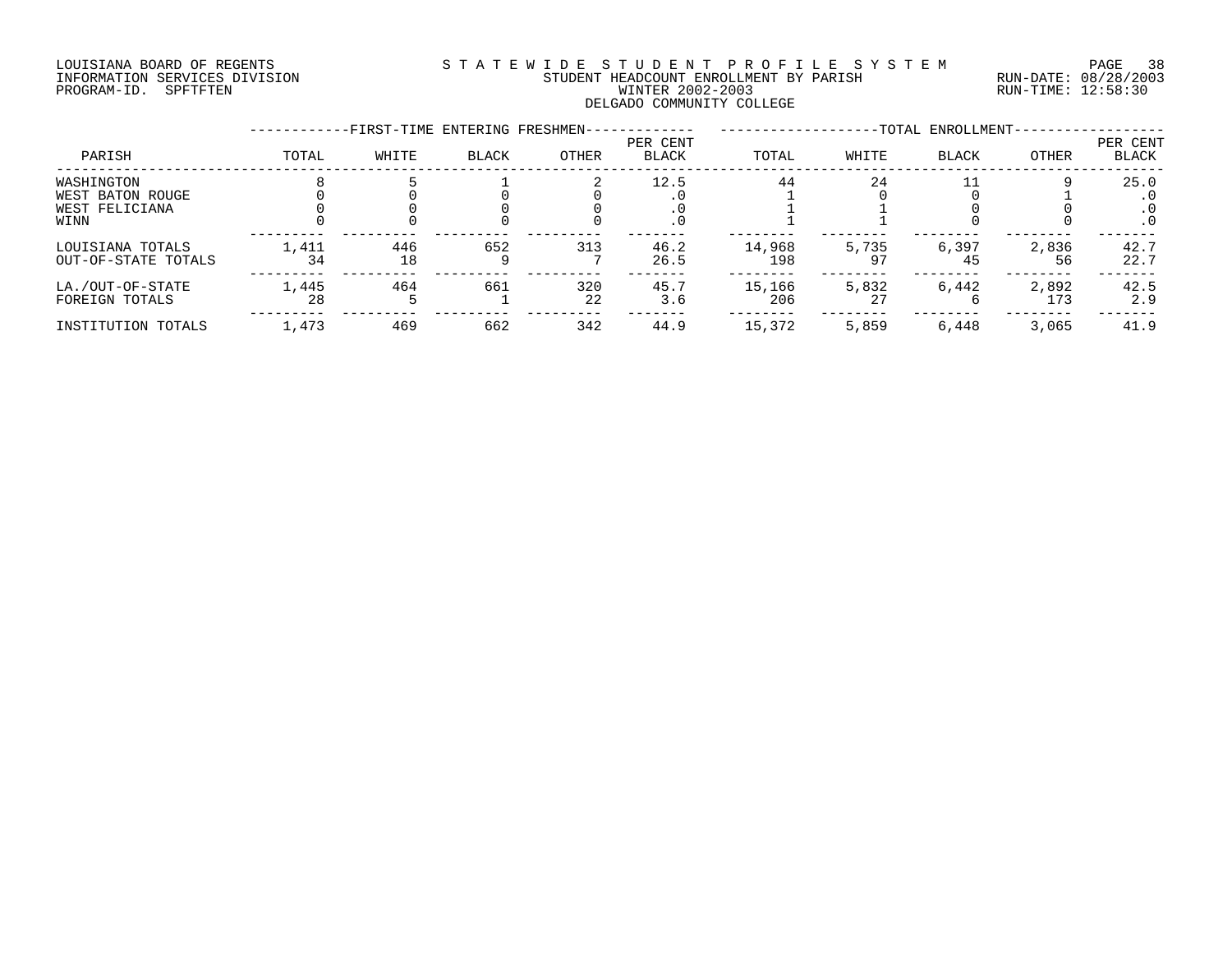# LOUISIANA BOARD OF REGENTS S T A T E W I D E S T U D E N T P R O F I L E S Y S T E M PAGE 38 INFORMATION SERVICES DIVISION STUDENT HEADCOUNT ENROLLMENT BY PARISH RUN-DATE: 08/28/2003 PROGRAM-ID. SPFTFTEN WINTER 2002-2003 RUN-TIME: 12:58:30 DELGADO COMMUNITY COLLEGE

|                                                          |             | -FIRST-TIME ENTERING FRESHMEN- |              |           |                          |               |             | -TOTAL ENROLLMENT- |              |                                |
|----------------------------------------------------------|-------------|--------------------------------|--------------|-----------|--------------------------|---------------|-------------|--------------------|--------------|--------------------------------|
| PARISH                                                   | TOTAL       | WHITE                          | <b>BLACK</b> | OTHER     | PER CENT<br><b>BLACK</b> | TOTAL         | WHITE       | <b>BLACK</b>       | OTHER        | PER CENT<br><b>BLACK</b>       |
| WASHINGTON<br>WEST BATON ROUGE<br>WEST FELICIANA<br>WINN |             |                                |              |           | 12.5<br>. 0              | 44            | 24          |                    |              | 25.0<br>$\cdot$ 0<br>$\cdot$ 0 |
| LOUISIANA TOTALS<br>OUT-OF-STATE TOTALS                  | 1,411<br>34 | 446<br>18                      | 652          | 313       | 46.2<br>26.5             | 14,968<br>198 | 5,735       | 6,397<br>45        | 2,836<br>56  | 42.7<br>22.7                   |
| LA./OUT-OF-STATE<br>FOREIGN TOTALS                       | 1,445<br>28 | 464                            | 661          | 320<br>22 | 45.7<br>3.6              | 15,166<br>206 | 5,832<br>27 | 6,442              | 2,892<br>173 | 42.5<br>2.9                    |
| INSTITUTION TOTALS                                       | 1,473       | 469                            | 662          | 342       | 44.9                     | 15,372        | 5,859       | 6,448              | 3,065        | 41.9                           |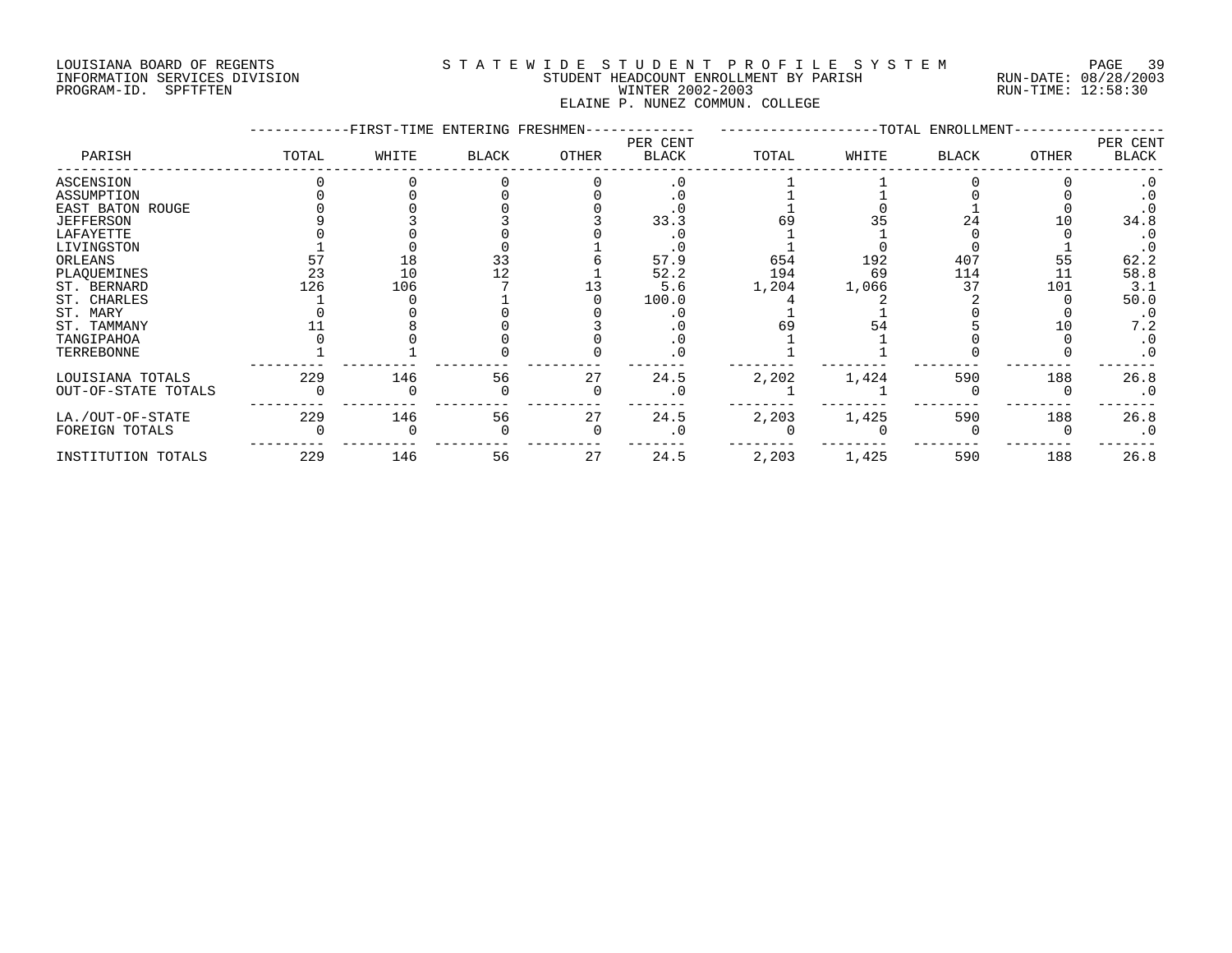# LOUISIANA BOARD OF REGENTS S T A T E W I D E S T U D E N T P R O F I L E S Y S T E M PAGE 39 INFORMATION SERVICES DIVISION STUDENT HEADCOUNT ENROLLMENT BY PARISH RUN-DATE: 08/28/2003 PROGRAM-ID. SPFTFTEN WINTER 2002-2003 RUN-TIME: 12:58:30 ELAINE P. NUNEZ COMMUN. COLLEGE

|                     |       | FIRST-TIME ENTERING FRESHMEN- |              |       |                          |       |       | -TOTAL ENROLLMENT- |              |                   |
|---------------------|-------|-------------------------------|--------------|-------|--------------------------|-------|-------|--------------------|--------------|-------------------|
| PARISH              | TOTAL | WHITE                         | <b>BLACK</b> | OTHER | PER CENT<br><b>BLACK</b> | TOTAL | WHITE | <b>BLACK</b>       | <b>OTHER</b> | PER CENT<br>BLACK |
| ASCENSION           |       |                               |              |       |                          |       |       |                    |              |                   |
| ASSUMPTION          |       |                               |              |       |                          |       |       |                    |              |                   |
| EAST BATON ROUGE    |       |                               |              |       |                          |       |       |                    |              |                   |
| <b>JEFFERSON</b>    |       |                               |              |       | 33.3                     |       |       | 24                 |              | 34.8              |
| LAFAYETTE           |       |                               |              |       |                          |       |       |                    |              |                   |
| LIVINGSTON          |       |                               |              |       |                          |       |       |                    |              |                   |
| ORLEANS             |       | 18                            | 33           |       | 57.9                     | 654   | 192   | 407                | 55           | 62.2              |
| PLAQUEMINES         | 23    | 10                            |              |       | 52.2                     | 194   | 69    | 114                | 11           | 58.8              |
| ST. BERNARD         | 126   | 106                           |              |       | 5.6                      | 1,204 | 1,066 | 37                 | 101          | 3.1               |
| ST. CHARLES         |       |                               |              |       | 100.0                    |       |       |                    |              | 50.0              |
| ST. MARY            |       |                               |              |       |                          |       |       |                    |              | $\cdot$ 0         |
| ST. TAMMANY         |       |                               |              |       |                          | 69    | 54    |                    |              | 7.2               |
| TANGIPAHOA          |       |                               |              |       |                          |       |       |                    |              | $\cdot$ 0         |
| TERREBONNE          |       |                               |              |       |                          |       |       |                    |              | $\cdot$ 0         |
| LOUISIANA TOTALS    | 229   | 146                           | 56           | 27    | 24.5                     | 2,202 | 1,424 | 590                | 188          | 26.8              |
| OUT-OF-STATE TOTALS |       |                               |              |       |                          |       |       |                    |              | $\cdot$ 0         |
| LA./OUT-OF-STATE    | 229   | 146                           | 56           | 27    | 24.5                     | 2,203 | 1,425 | 590                | 188          | 26.8              |
| FOREIGN TOTALS      |       |                               |              |       |                          |       |       |                    |              | $\cdot$ 0         |
| INSTITUTION TOTALS  | 229   | 146                           | 56           | 27    | 24.5                     | 2,203 | 1,425 | 590                | 188          | 26.8              |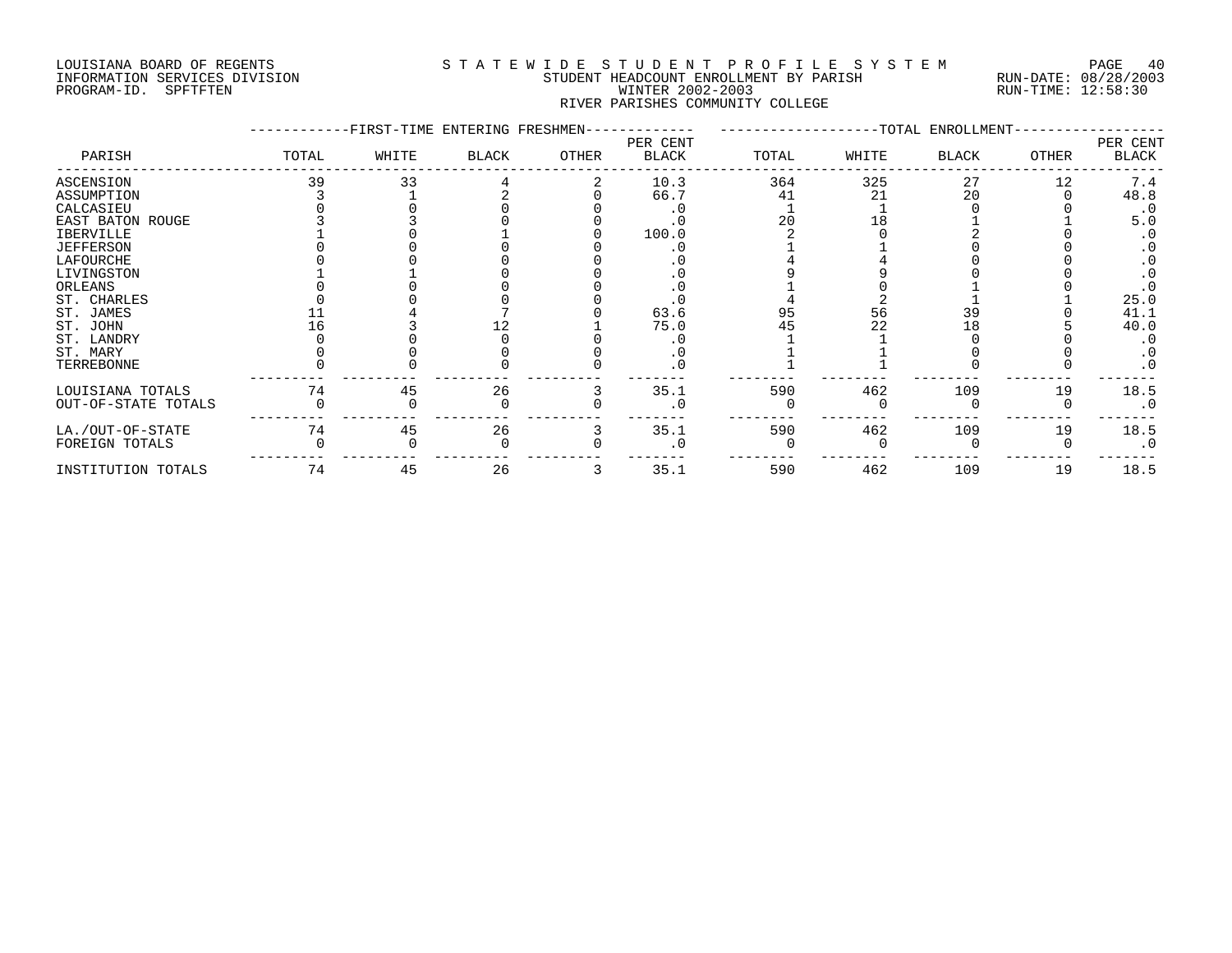# LOUISIANA BOARD OF REGENTS S T A T E W I D E S T U D E N T P R O F I L E S Y S T E M PAGE 40 INFORMATION SERVICES DIVISION STUDENT HEADCOUNT ENROLLMENT BY PARISH RUN-DATE: 08/28/2003 PROGRAM-ID. SPFTFTEN WINTER 2002-2003 RUN-TIME: 12:58:30 RIVER PARISHES COMMUNITY COLLEGE

|                     |       | -FIRST-TIME ENTERING FRESHMEN- |              |       |                   |       |       | -------------------TOTAL ENROLLMENT- |       |                   |
|---------------------|-------|--------------------------------|--------------|-------|-------------------|-------|-------|--------------------------------------|-------|-------------------|
| PARISH              | TOTAL | WHITE                          | <b>BLACK</b> | OTHER | PER CENT<br>BLACK | TOTAL | WHITE | <b>BLACK</b>                         | OTHER | PER CENT<br>BLACK |
| ASCENSION           | 39    | 33                             |              |       | 10.3              | 364   | 325   | 27                                   | 12    | 7.4               |
| ASSUMPTION          |       |                                |              |       | 66.7              | 41    | 21    | 20                                   |       | 48.8              |
| CALCASIEU           |       |                                |              |       |                   |       |       |                                      |       | $\cdot$ 0         |
| EAST BATON ROUGE    |       |                                |              |       |                   | 2.0   |       |                                      |       | 5.0               |
| IBERVILLE           |       |                                |              |       | 100.0             |       |       |                                      |       |                   |
| <b>JEFFERSON</b>    |       |                                |              |       |                   |       |       |                                      |       |                   |
| LAFOURCHE           |       |                                |              |       |                   |       |       |                                      |       |                   |
| LIVINGSTON          |       |                                |              |       |                   |       |       |                                      |       |                   |
| ORLEANS             |       |                                |              |       |                   |       |       |                                      |       |                   |
| ST. CHARLES         |       |                                |              |       |                   |       |       |                                      |       | 25.0              |
| ST. JAMES           |       |                                |              |       | 63.6              | 95    | 56    | 39                                   |       | 41.1              |
| ST. JOHN            |       |                                |              |       | 75.0              | 45    | 22    | 1 R                                  |       | 40.0              |
| ST. LANDRY          |       |                                |              |       |                   |       |       |                                      |       |                   |
| ST. MARY            |       |                                |              |       |                   |       |       |                                      |       |                   |
| TERREBONNE          |       |                                |              |       |                   |       |       |                                      |       |                   |
| LOUISIANA TOTALS    | 74    | 45                             | 26           |       | 35.1              | 590   | 462   | 109                                  | 19    | 18.5              |
| OUT-OF-STATE TOTALS |       |                                |              |       |                   |       |       |                                      |       | $\cdot$ 0         |
| LA./OUT-OF-STATE    | 74    | 45                             | 26           |       | 35.1              | 590   | 462   | 109                                  | 19    | 18.5              |
| FOREIGN TOTALS      |       |                                |              |       |                   |       |       |                                      |       | $\cdot$ 0         |
| INSTITUTION TOTALS  | 74    | 45                             | 26           |       | 35.1              | 590   | 462   | 109                                  | 19    | 18.5              |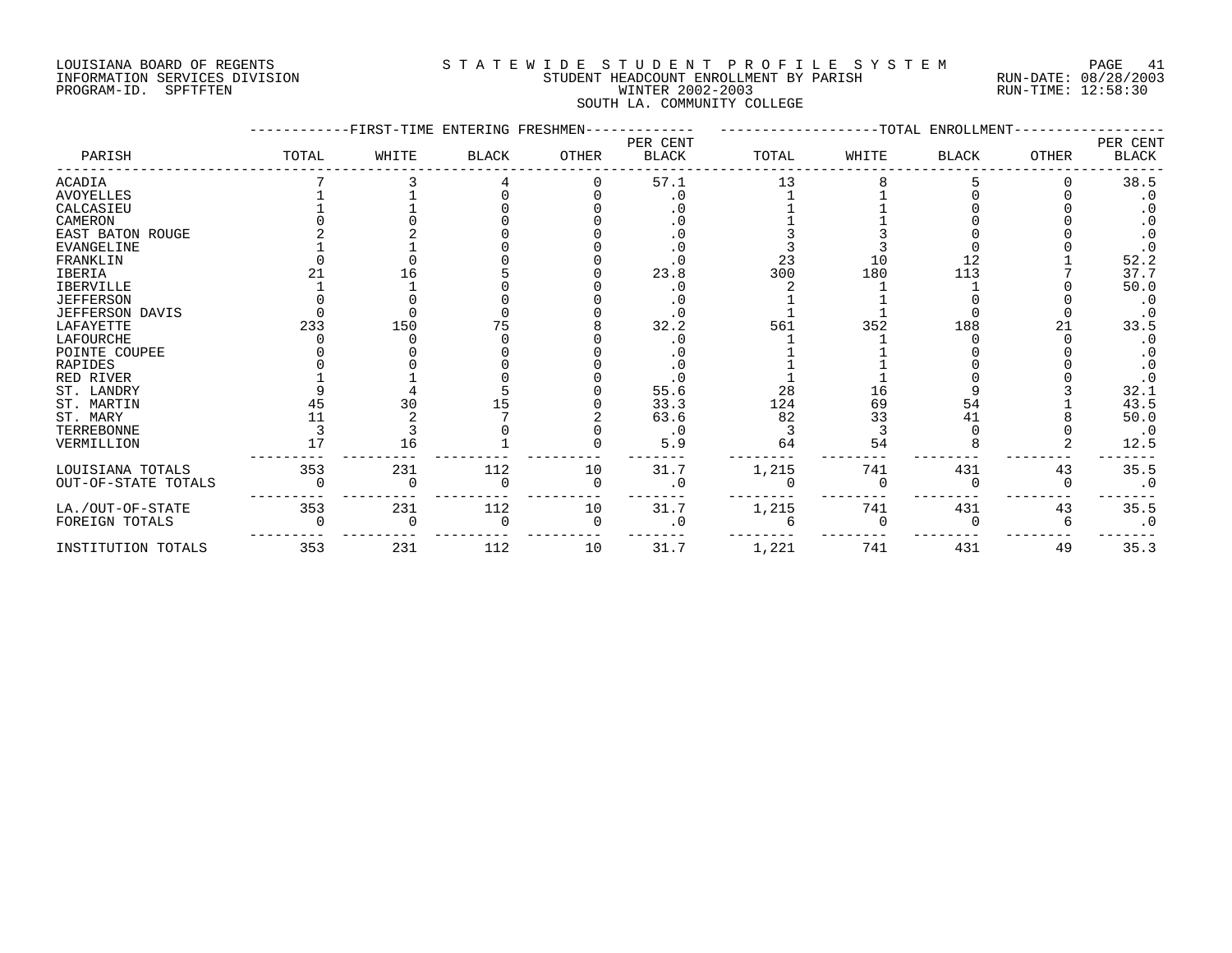# LOUISIANA BOARD OF REGENTS S T A T E W I D E S T U D E N T P R O F I L E S Y S T E M PAGE 41 INFORMATION SERVICES DIVISION STUDENT HEADCOUNT ENROLLMENT BY PARISH RUN-DATE: 08/28/2003 PROGRAM-ID. SPFTFTEN WINTER 2002-2003 RUN-TIME: 12:58:30 SOUTH LA. COMMUNITY COLLEGE

|                     |       | FIRST-TIME ENTERING FRESHMEN- |              |          |                          |       |       | -TOTAL ENROLLMENT- |       |                   |
|---------------------|-------|-------------------------------|--------------|----------|--------------------------|-------|-------|--------------------|-------|-------------------|
| PARISH              | TOTAL | WHITE                         | <b>BLACK</b> | OTHER    | PER CENT<br><b>BLACK</b> | TOTAL | WHITE | <b>BLACK</b>       | OTHER | PER CENT<br>BLACK |
| <b>ACADIA</b>       |       |                               |              |          | 57.1                     | 13    |       |                    |       | 38.5              |
| <b>AVOYELLES</b>    |       |                               |              |          |                          |       |       |                    |       | $\cdot$ 0         |
| CALCASIEU           |       |                               |              |          |                          |       |       |                    |       |                   |
| CAMERON             |       |                               |              |          |                          |       |       |                    |       |                   |
| EAST BATON ROUGE    |       |                               |              |          |                          |       |       |                    |       |                   |
| EVANGELINE          |       |                               |              |          |                          |       |       |                    |       |                   |
| FRANKLIN            |       |                               |              |          |                          | 23    | 10    | 12                 |       | 52.2              |
| <b>IBERIA</b>       |       | 16                            |              |          | 23.8                     | 300   | 180   | 113                |       | 37.7              |
| <b>IBERVILLE</b>    |       |                               |              |          |                          |       |       |                    |       | 50.0              |
| <b>JEFFERSON</b>    |       |                               |              |          |                          |       |       |                    |       | $\cdot$ 0         |
| JEFFERSON DAVIS     |       |                               |              |          |                          |       |       |                    |       |                   |
| LAFAYETTE           | 233   | 150                           |              |          | 32.2                     | 561   | 352   | 188                |       | 33.5              |
| LAFOURCHE           |       |                               |              |          |                          |       |       |                    |       |                   |
| POINTE COUPEE       |       |                               |              |          |                          |       |       |                    |       |                   |
| RAPIDES             |       |                               |              |          |                          |       |       |                    |       |                   |
| RED RIVER           |       |                               |              |          |                          |       |       |                    |       |                   |
| ST. LANDRY          |       |                               |              |          | 55.6                     | 28    | 16    |                    |       | 32.1              |
| ST. MARTIN          | 45    | 30                            |              |          | 33.3                     | 124   | 69    | 54                 |       | 43.5              |
| ST. MARY            |       |                               |              |          | 63.6                     | 82    | 33    | 41                 |       | 50.0              |
| TERREBONNE          |       |                               |              |          | $\cdot$ 0                |       |       |                    |       | $\cdot$ 0         |
| VERMILLION          |       | 16                            |              |          | 5.9                      | 64    | 54    |                    |       | 12.5              |
| LOUISIANA TOTALS    | 353   | 231                           | 112          | 10       | 31.7                     | 1,215 | 741   | 431                | 43    | 35.5              |
| OUT-OF-STATE TOTALS |       |                               |              | $\Omega$ | 0                        |       |       |                    |       | $\cdot$ 0         |
| LA./OUT-OF-STATE    | 353   | 231                           | 112          | 10       | 31.7                     | 1,215 | 741   | 431                | 43    | 35.5              |
| FOREIGN TOTALS      |       |                               |              | $\Omega$ |                          |       |       |                    |       | $\cdot$ 0         |
| INSTITUTION TOTALS  | 353   | 231                           | 112          | 10       | 31.7                     | 1,221 | 741   | 431                | 49    | 35.3              |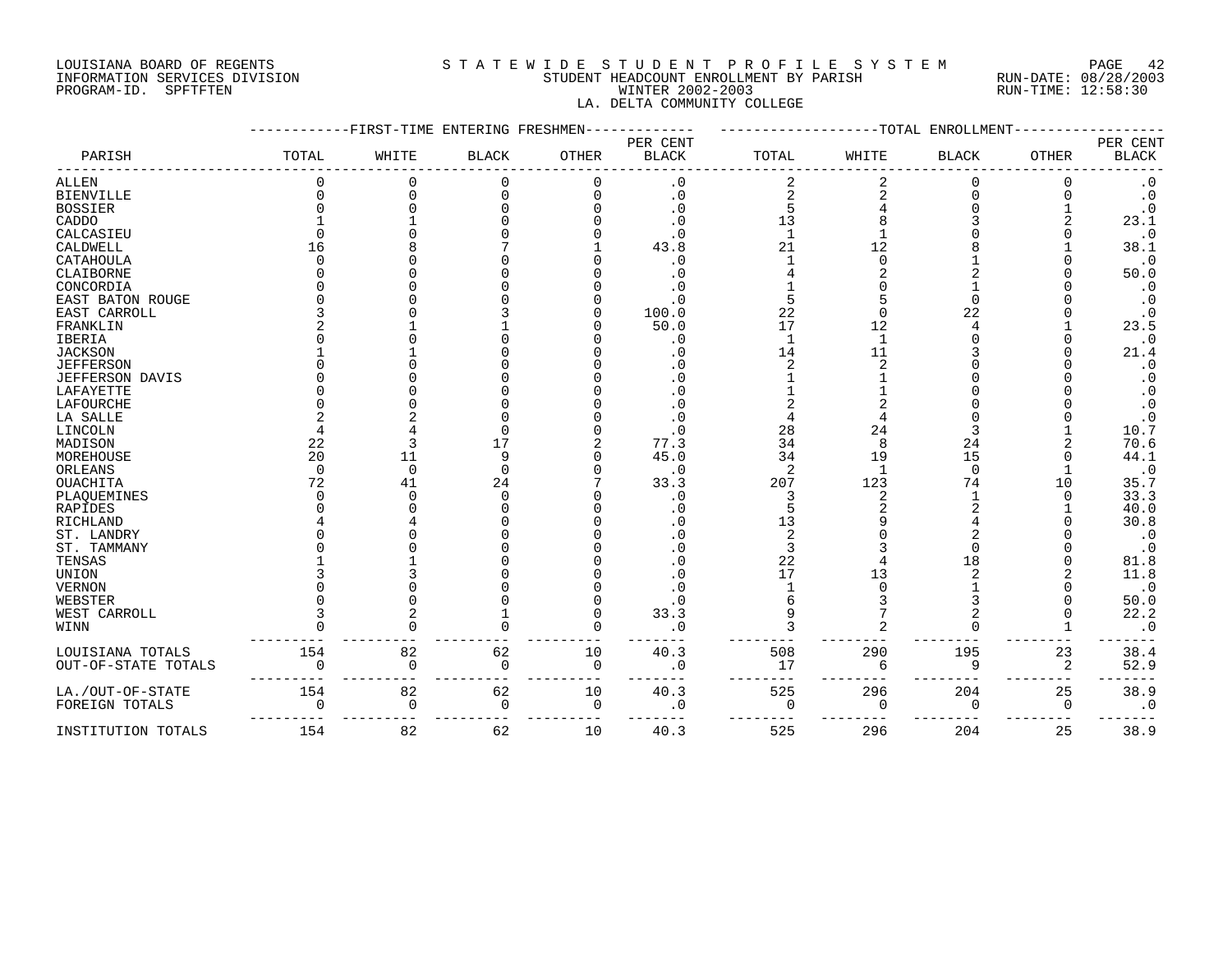## LOUISIANA BOARD OF REGENTS S T A T E W I D E S T U D E N T P R O F I L E S Y S T E M PAGE 42 INFORMATION SERVICES DIVISION STUDENT HEADCOUNT ENROLLMENT BY PARISH RUN-DATE: 08/28/2003 PROGRAM-ID. SPFTFTEN WINTER 2002-2003 RUN-TIME: 12:58:30 LA. DELTA COMMUNITY COLLEGE

|                        |          | FIRST-TIME ENTERING FRESHMEN |              |              |              |             |              | -TOTAL ENROLLMENT |              |                        |
|------------------------|----------|------------------------------|--------------|--------------|--------------|-------------|--------------|-------------------|--------------|------------------------|
|                        |          |                              |              |              | PER CENT     |             |              |                   |              | PER CENT               |
| PARISH                 | TOTAL    | WHITE                        | <b>BLACK</b> | <b>OTHER</b> | <b>BLACK</b> | TOTAL       | WHITE        | <b>BLACK</b>      | <b>OTHER</b> | <b>BLACK</b>           |
| ALLEN                  |          |                              |              |              | $\cdot$ 0    |             |              |                   |              | $\cdot$ 0              |
| <b>BIENVILLE</b>       |          |                              |              |              | . 0          |             |              |                   |              | $\cdot$ 0              |
| <b>BOSSIER</b>         |          |                              |              |              | . 0          |             |              |                   |              | $\cdot$ 0              |
| CADDO                  |          |                              |              |              | . 0          | 13          |              |                   |              | 23.1                   |
| CALCASIEU              |          |                              |              |              | . ∩          |             |              |                   |              | $\cdot$ 0              |
| CALDWELL               | 16       |                              |              |              | 43.8         | 21          |              |                   |              | 38.1                   |
| CATAHOULA              |          |                              |              |              | . 0          |             |              |                   |              | $\cdot$ 0              |
| CLAIBORNE              |          |                              |              |              |              |             |              |                   |              |                        |
|                        |          |                              |              |              |              |             |              |                   |              | 50.0                   |
| CONCORDIA              |          |                              |              |              |              |             |              |                   |              | $\cdot$ 0              |
| EAST BATON ROUGE       |          |                              |              |              | . 0          |             |              |                   |              | $\cdot$ 0              |
| EAST CARROLL           |          |                              |              |              | 100.0        | 22          |              | 22                |              | $\cdot$ 0              |
| FRANKLIN               |          |                              |              |              | 50.0         | 17          | 12           |                   |              | 23.5                   |
| IBERIA                 |          |                              |              |              | . 0          |             |              |                   |              | $\cdot$ 0              |
| <b>JACKSON</b>         |          |                              |              |              |              | 14          | 11           |                   |              | 21.4                   |
| <b>JEFFERSON</b>       |          |                              |              |              |              |             |              |                   |              | $\cdot$ 0              |
| <b>JEFFERSON DAVIS</b> |          |                              |              |              |              |             |              |                   |              | $\cdot$ 0              |
| LAFAYETTE              |          |                              |              |              | . 0          |             |              |                   |              | $\cdot$ 0              |
| LAFOURCHE              |          |                              |              |              | . 0          |             |              |                   |              | $\cdot$ 0              |
| LA SALLE               |          |                              |              |              |              |             |              |                   |              | $\cdot$ 0              |
| LINCOLN                |          |                              |              |              | . 0          | 28          | 24           |                   |              | 10.7                   |
| MADISON                | 22       |                              |              |              | 77.3         | 34          | $\mathsf{R}$ | 24                |              | 70.6                   |
| MOREHOUSE              | 20       | 11                           |              |              | 45.0         | 34          | 19           | 15                |              | 44.1                   |
| ORLEANS                | $\Omega$ | $\Omega$                     |              |              | $\cdot$ 0    | 2           |              | $\Omega$          |              | $\cdot$ 0              |
| OUACHITA               | 72       | 41                           | 24           |              | 33.3         | 207         | 123          | 74                | 10           | 35.7                   |
| PLAOUEMINES            |          |                              |              |              | . 0          |             |              |                   |              | 33.3                   |
| RAPIDES                |          |                              |              |              | $\cdot$ 0    |             |              |                   |              | 40.0                   |
| RICHLAND               |          |                              |              |              |              | 13          |              |                   |              | 30.8                   |
| ST. LANDRY             |          |                              |              |              |              |             |              |                   |              |                        |
| ST. TAMMANY            |          |                              |              |              | . 0          |             |              |                   |              | $\cdot$ 0<br>$\cdot$ 0 |
|                        |          |                              |              |              |              |             |              | 18                |              |                        |
| TENSAS                 |          |                              |              |              |              | 22          |              |                   |              | 81.8                   |
| UNION                  |          |                              |              |              |              | 17          | 13           |                   |              | 11.8                   |
| <b>VERNON</b>          |          |                              |              |              |              |             |              |                   |              | $\cdot$ 0              |
| WEBSTER                |          |                              |              |              |              |             |              |                   |              | 50.0                   |
| WEST CARROLL           |          |                              |              |              | 33.3         |             |              |                   |              | 22.2                   |
| $\texttt{WINN}$        |          |                              |              |              | $\cdot$ 0    |             |              |                   |              | $\cdot$ 0              |
| LOUISIANA TOTALS       | 154      | 82                           | 62           | 10           | 40.3         | 508         | 290          | 195               | 23           | 38.4                   |
| OUT-OF-STATE TOTALS    |          | $\Omega$                     | $\Omega$     | $\Omega$     | . 0          | 17          | 6            | 9                 | 2            | 52.9                   |
|                        |          |                              |              |              |              |             |              |                   |              |                        |
| LA./OUT-OF-STATE       | 154      | 82                           | 62           | 10           | 40.3         | 525         | 296          | 204               | 25           | 38.9                   |
| FOREIGN TOTALS         | $\Omega$ | $\Omega$                     | $\Omega$     | $\mathbf 0$  | . 0          | $\mathbf 0$ | $\Omega$     | 0                 | 0            | $\cdot$ 0              |
| INSTITUTION TOTALS     | 154      | 82                           | 62           | 10           | 40.3         | 525         | 296          | 204               | 25           | 38.9                   |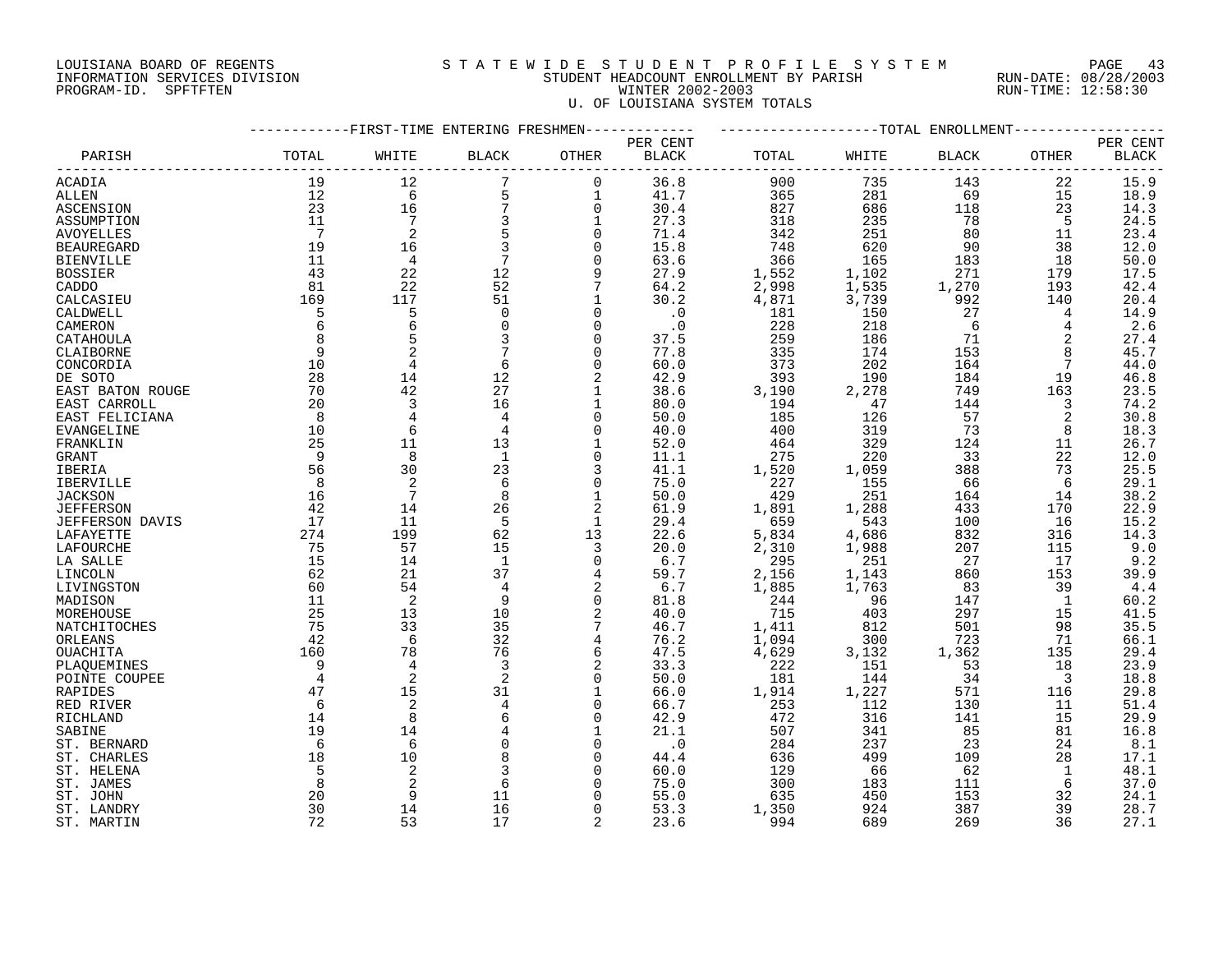# LOUISIANA BOARD OF REGENTS S T A T E W I D E S T U D E N T P R O F I L E S Y S T E M PAGE 43 INFORMATION SERVICES DIVISION STUDENT HEADCOUNT ENROLLMENT BY PARISH RUN-DATE: 08/28/2003 PROGRAM-ID. SPFTFTEN WINTER 2002-2003 RUN-TIME: 12:58:30 U. OF LOUISIANA SYSTEM TOTALS

|                   |                | -FIRST-TIME ENTERING FRESHMEN |              |                |              |       |            | --TOTAL ENROLLMENT |       |              |
|-------------------|----------------|-------------------------------|--------------|----------------|--------------|-------|------------|--------------------|-------|--------------|
|                   |                |                               |              |                | PER CENT     |       |            |                    |       | PER CENT     |
| PARISH            | TOTAL          | WHITE                         | <b>BLACK</b> | OTHER          | <b>BLACK</b> | TOTAL | WHITE      | <b>BLACK</b>       | OTHER | <b>BLACK</b> |
| ACADIA            | 19             | 12                            | 7            | $\mathbf 0$    | 36.8         |       | 900<br>735 | 143                | 22    | 15.9         |
| ALLEN             | 12             | 6                             | 5            | 1              | 41.7         |       | 281<br>365 | 69                 | 15    | 18.9         |
| ASCENSION         | 23             | 16                            | 7            | $\overline{0}$ | 30.4         |       | 686<br>827 | 118                | 23    | 14.3         |
| ASSUMPTION        | 11             | $\overline{7}$                | 3            | 1              | 27.3         | 318   | 235        | 78                 | 5     | 24.5         |
| <b>AVOYELLES</b>  | 7              | $\overline{2}$                | 5            | $\Omega$       | 71.4         |       | 251<br>342 | 80                 | 11    | 23.4         |
| <b>BEAUREGARD</b> | 19             | 16                            | 3            | $\mathbf 0$    | 15.8         |       | 748<br>620 | 90                 | 38    | 12.0         |
| <b>BIENVILLE</b>  | 11             | 4                             | 7            | $\Omega$       | 63.6         |       | 165<br>366 | 183                | 18    | 50.0         |
| <b>BOSSIER</b>    | 43             | 22                            | 12           |                | 27.9         | 1,552 | 1,102      | 271                | 179   | 17.5         |
| CADDO             | 81             | 22                            | 52           |                | 64.2         | 2,998 | 1,535      | 1,270              | 193   | 42.4         |
| CALCASIEU         | 169            | 117                           | 51           |                | 30.2         | 4,871 | 3,739      | 992                | 140   | 20.4         |
| CALDWELL          | 5              | 5                             | $\mathbf 0$  | $\Omega$       | $\cdot$ 0    | 181   | 150        | 27                 | 4     | 14.9         |
| CAMERON           | 6              | 6                             | $\mathbf 0$  | $\Omega$       | $\cdot$ 0    |       | 228<br>218 | 6                  | 4     | 2.6          |
| CATAHOULA         | 8              | 5                             | 3            |                | 37.5         |       | 259<br>186 | 71                 | 2     | 27.4         |
| CLAIBORNE         | 9              | $\overline{2}$                |              | $\Omega$       | 77.8         |       | 174<br>335 | 153                | 8     | 45.7         |
| CONCORDIA         | 10             | $\overline{4}$                | 6            | 0              | 60.0         |       | 202<br>373 | 164                |       | 44.0         |
| DE SOTO           | 28             | 14                            | 12           | 2              | 42.9         |       | 393<br>190 | 184                | 19    | 46.8         |
| EAST BATON ROUGE  | 70             | 42                            | 27           | 1              | 38.6         | 3,190 | 2,278      | 749                | 163   | 23.5         |
| EAST CARROLL      | 20             | $\overline{3}$                | 16           | $\mathbf 1$    | 80.0         | 194   | 47         | 144                | 3     | 74.2         |
| EAST FELICIANA    | 8              | 4                             | 4            | 0              | 50.0         | 185   | 126        | 57                 | 2     | 30.8         |
| <b>EVANGELINE</b> | 10             | 6                             | 4            | $\Omega$       | 40.0         |       | 319<br>400 | 73                 | 8     | 18.3         |
| FRANKLIN          | 25             | 11                            | 13           | 1              | 52.0         |       | 329<br>464 | 124                | 11    | 26.7         |
| GRANT             | 9              | 8                             | $\mathbf{1}$ | $\Omega$       | 11.1         |       | 275<br>220 | 33                 | 22    | 12.0         |
| IBERIA            | 56             | 30                            | 23           | 3              | 41.1         | 1,520 | 1,059      | 388                | 73    | 25.5         |
| IBERVILLE         | 8              | $\overline{2}$                | $\sqrt{6}$   | $\overline{0}$ | 75.0         | 227   | 155        | 66                 | 6     | 29.1         |
| <b>JACKSON</b>    | 16             | 7                             | 8            | $\mathbf 1$    | 50.0         | 429   | 251        | 164                | 14    | 38.2         |
| <b>JEFFERSON</b>  | 42             | 14                            | 26           | $\overline{2}$ | 61.9         | 1,891 | 1,288      | 433                | 170   | 22.9         |
| JEFFERSON DAVIS   | 17             | 11                            | 5            | $\mathbf 1$    | 29.4         |       | 543<br>659 | 100                | 16    | 15.2         |
| LAFAYETTE         | 274            | 199                           | 62           | 13             | 22.6         | 5,834 | 4,686      | 832                | 316   | 14.3         |
| LAFOURCHE         | 75             | 57                            | 15           | 3              | 20.0         | 2,310 | 1,988      | 207                | 115   | 9.0          |
| LA SALLE          | 15             | 14                            | $\mathbf{1}$ | $\Omega$       | 6.7          |       | 295<br>251 | 27                 | 17    | 9.2          |
| LINCOLN           | 62             | 21                            | 37           | $\overline{4}$ | 59.7         | 2,156 | 1,143      | 860                | 153   | 39.9         |
| LIVINGSTON        | 60             | 54                            | 4            | $\overline{2}$ | 6.7          | 1,885 | 1,763      | 83                 | 39    | 4.4          |
| MADISON           | 11             | $\overline{2}$                | 9            | $\mathbf 0$    | 81.8         |       | 244<br>96  | 147                | 1     | 60.2         |
| MOREHOUSE         | 25             | 13                            | 10           | 2              | 40.0         |       | 715<br>403 | 297                | 15    | 41.5         |
| NATCHITOCHES      | 75             | 33                            | 35           |                | 46.7         | 1,411 | 812        | 501                | 98    | 35.5         |
| ORLEANS           | 42             | 6                             | 32           | $\overline{4}$ | 76.2         | 1,094 | 300        | 723                | 71    | 66.1         |
| OUACHITA          | 160            | 78                            | 76           | 6              | 47.5         | 4,629 | 3,132      | 1,362              | 135   | 29.4         |
| PLAQUEMINES       | 9              | $\overline{4}$                | 3            |                | 33.3         |       | 151<br>222 | 53                 | 18    | 23.9         |
| POINTE COUPEE     | $\overline{4}$ | $\overline{2}$                | 2            | $\Omega$       | 50.0         | 181   | 144        | 34                 | 3     | 18.8         |
| RAPIDES           | 47             | 15                            | 31           | $\mathbf 1$    | 66.0         | 1,914 | 1,227      | 571                | 116   | 29.8         |
| RED RIVER         | 6              | $\overline{2}$                | 4            | $\Omega$       | 66.7         |       | 112<br>253 | 130                | 11    | 51.4         |
| RICHLAND          | 14             | 8                             | 6            | 0              | 42.9         |       | 316<br>472 | 141                | 15    | 29.9         |
| SABINE            | 19             | 14                            |              |                | 21.1         |       | 507<br>341 | 85                 | 81    | 16.8         |
| ST. BERNARD       | 6              | 6                             | 0            | $\Omega$       | $\cdot$ 0    |       | 284<br>237 | 23                 | 24    | 8.1          |
| ST. CHARLES       | 18             | 10                            | 8            | n              | 44.4         |       | 499<br>636 | 109                | 28    | 17.1         |
| ST. HELENA        | 5              | $\overline{2}$                | 3            |                | 60.0         |       | 66<br>129  | 62                 |       | 48.1         |
| ST. JAMES         | 8              | $\overline{c}$                | 6            |                | 75.0         |       | 300<br>183 | 111                | 6     | 37.0         |
| ST. JOHN          | 20             | 9                             | 11           |                | 55.0         |       | 635<br>450 | 153                | 32    | 24.1         |
| ST. LANDRY        | 30             | 14                            | 16           | $\Omega$       | 53.3         | 1,350 | 924        | 387                | 39    | 28.7         |
| ST. MARTIN        | 72             | 53                            | 17           | 2              | 23.6         |       | 994<br>689 | 269                | 36    | 27.1         |
|                   |                |                               |              |                |              |       |            |                    |       |              |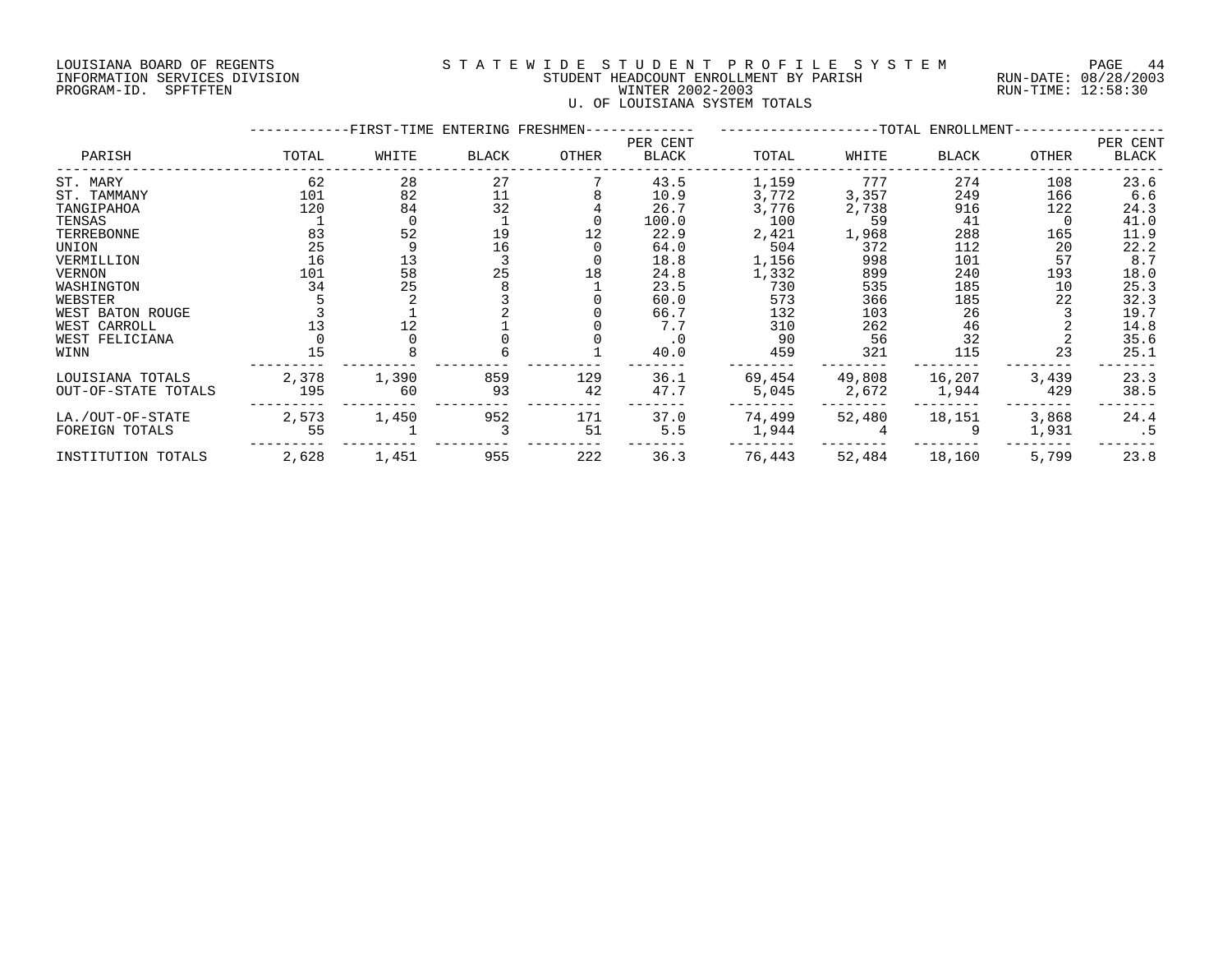## LOUISIANA BOARD OF REGENTS S T A T E W I D E S T U D E N T P R O F I L E S Y S T E M PAGE 44 INFORMATION SERVICES DIVISION STUDENT HEADCOUNT ENROLLMENT BY PARISH RUN-DATE: 08/28/2003 PROGRAM-ID. SPFTFTEN WINTER 2002-2003 RUN-TIME: 12:58:30 U. OF LOUISIANA SYSTEM TOTALS

|                     |       | FIRST-TIME ENTERING FRESHMEN- |       |       |                   |        |        | --TOTAL ENROLLMENT- |       |                   |
|---------------------|-------|-------------------------------|-------|-------|-------------------|--------|--------|---------------------|-------|-------------------|
| PARISH              | TOTAL | WHITE                         | BLACK | OTHER | PER CENT<br>BLACK | TOTAL  | WHITE  | BLACK               | OTHER | PER CENT<br>BLACK |
| ST. MARY            | 62    | 28                            | 27    |       | 43.5              | 1,159  | 777    | 274                 | 108   | 23.6              |
| ST. TAMMANY         | 101   | 82                            | 11    |       | 10.9              | 3,772  | 3,357  | 249                 | 166   | 6.6               |
| TANGIPAHOA          | 120   | 84                            | 32    |       | 26.7              | 3,776  | 2,738  | 916                 | 122   | 24.3              |
| TENSAS              |       |                               |       |       | 100.0             | 100    | 59     | 41                  |       | 41.0              |
| TERREBONNE          | 83    | 52                            | 19    |       | 22.9              | 2,421  | 1,968  | 288                 | 165   | 11.9              |
| UNION               | 25    |                               | 16    |       | 64.0              | 504    | 372    | 112                 | 20    | 22.2              |
| VERMILLION          | 16    | 13                            |       |       | 18.8              | 1,156  | 998    | 101                 | 57    | 8.7               |
| <b>VERNON</b>       | 101   | 58<br>25                      | 25    | 18    | 24.8              | 1,332  | 899    | 240                 | 193   | 18.0              |
| WASHINGTON          | 34    |                               |       |       | 23.5              | 730    | 535    | 185                 | 10    | 25.3              |
| WEBSTER             |       |                               |       |       | 60.0              | 573    | 366    | 185                 | 22    | 32.3              |
| WEST BATON ROUGE    |       |                               |       |       | 66.7              | 132    | 103    | 26                  |       | 19.7              |
| WEST CARROLL        |       | 12                            |       |       | 7.7               | 310    | 262    | 46                  |       | 14.8              |
| WEST FELICIANA      |       |                               |       |       | $\cdot$ 0         | 90     | 56     | 32                  |       | 35.6              |
| WINN                | 15    |                               |       |       | 40.0              | 459    | 321    | 115                 | 23    | 25.1              |
| LOUISIANA TOTALS    | 2,378 | 1,390                         | 859   | 129   | 36.1              | 69,454 | 49,808 | 16,207              | 3,439 | 23.3              |
| OUT-OF-STATE TOTALS | 195   | 60                            | 93    | 42    | 47.7              | 5,045  | 2,672  | 1,944               | 429   | 38.5              |
| LA./OUT-OF-STATE    | 2,573 | 1,450                         | 952   | 171   | 37.0              | 74,499 | 52,480 | 18,151              | 3,868 | 24.4              |
| FOREIGN TOTALS      | 55    |                               |       | 51    | 5.5               | 1,944  |        |                     | 1,931 | $\cdot$ 5         |
| INSTITUTION TOTALS  | 2,628 | 1,451                         | 955   | 222   | 36.3              | 76,443 | 52,484 | 18,160              | 5,799 | 23.8              |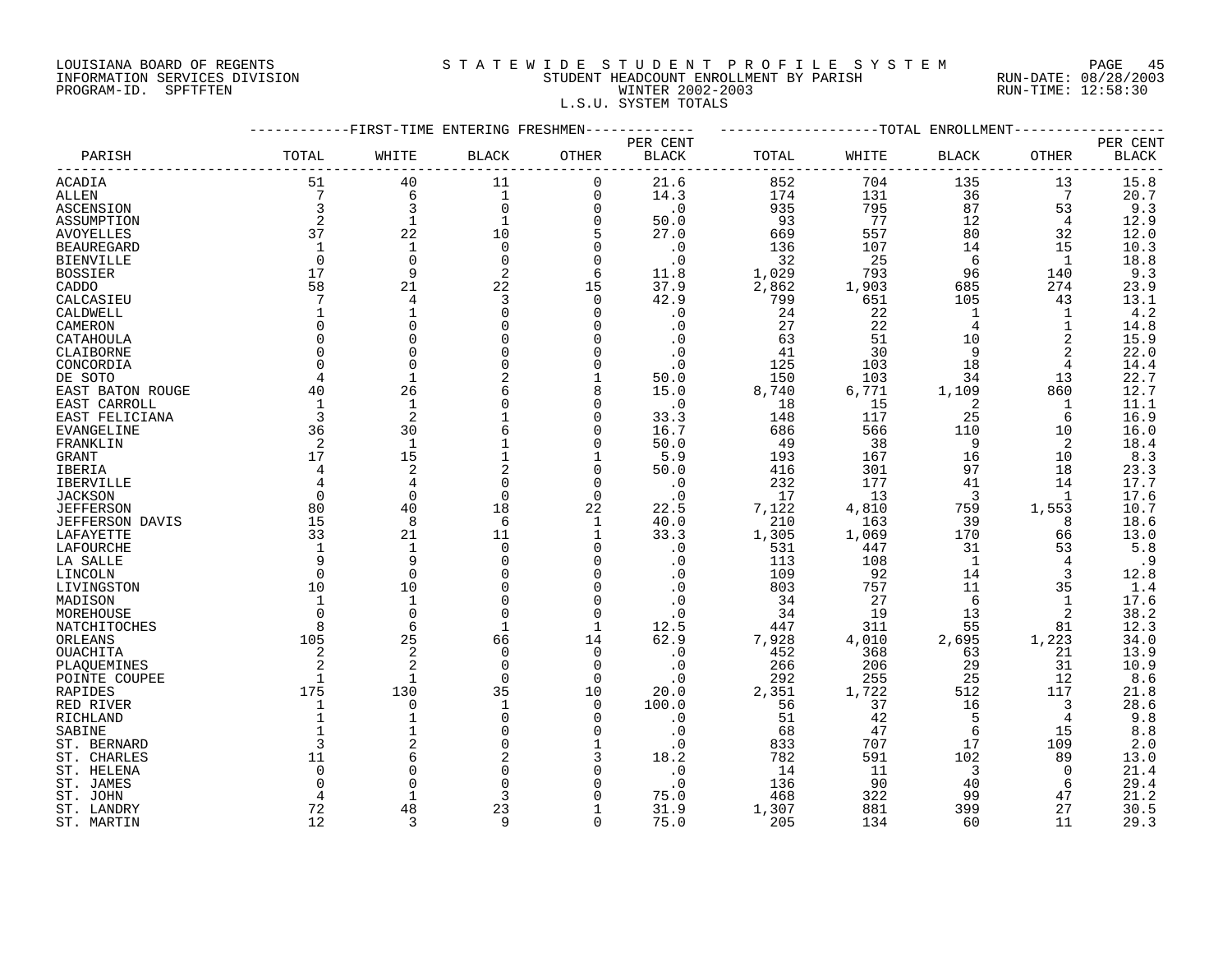# LOUISIANA BOARD OF REGENTS S T A T E W I D E S T U D E N T P R O F I L E S Y S T E M PAGE 45 INFORMATION SERVICES DIVISION STUDENT HEADCOUNT ENROLLMENT BY PARISH RUN-DATE: 08/28/2003 PROGRAM-ID. SPFTFTEN WINTER 2002-2003 RUN-TIME: 12:58:30 L.S.U. SYSTEM TOTALS

|                   |                | ------FIRST-TIME ENTERING FRESHMEN- |              |              | -----------            | -------------------TOTAL ENROLLMENT- |       |              |              |          |
|-------------------|----------------|-------------------------------------|--------------|--------------|------------------------|--------------------------------------|-------|--------------|--------------|----------|
|                   |                |                                     |              |              | PER CENT               |                                      |       |              |              | PER CENT |
| PARISH            | TOTAL          | WHITE                               | <b>BLACK</b> | OTHER        | BLACK                  | TOTAL                                | WHITE | <b>BLACK</b> | OTHER        | BLACK    |
| <b>ACADIA</b>     | 51             | 40                                  | 11           | 0            | 21.6                   | 852                                  | 704   | 135          | 13           | 15.8     |
| ALLEN             | 7              | 6                                   | $\mathbf{1}$ | $\mathbf 0$  | 14.3                   | 174                                  | 131   | 36           | 7            | 20.7     |
| ASCENSION         | 3              | 3                                   | $\mathbf 0$  | 0            | $\boldsymbol{\cdot}$ 0 | 935                                  | 795   | 87           | 53           | 9.3      |
| ASSUMPTION        | $\overline{2}$ | 1                                   |              | 0            | 50.0                   | 93                                   | 77    | 12           | 4            | 12.9     |
| <b>AVOYELLES</b>  | 37             | 22                                  | 10           | 5            | 27.0                   | 669                                  | 557   | 80           | 32           | 12.0     |
| <b>BEAUREGARD</b> | 1              | 1                                   | $\mathbf 0$  | $\mathbf 0$  | $\cdot$ 0              | 136                                  | 107   | 14           | 15           | 10.3     |
| <b>BIENVILLE</b>  | $\Omega$       | $\Omega$                            | $\Omega$     | $\Omega$     | $\cdot$ 0              | 32                                   | 25    | 6            | $\mathbf{1}$ | 18.8     |
| <b>BOSSIER</b>    | 17             | 9                                   | 2            | 6            | 11.8                   | 1,029                                | 793   | 96           | 140          | 9.3      |
| CADDO             | 58             | 21                                  | 22           | 15           | 37.9                   | 2,862                                | 1,903 | 685          | 274          | 23.9     |
| CALCASIEU         | 7              | 4                                   | 3            | $\mathbf 0$  | 42.9                   | 799                                  | 651   | 105          | 43           | 13.1     |
| CALDWELL          | $\mathbf 1$    |                                     | $\mathbf 0$  | 0            | . 0                    | 24                                   | 22    | 1            | 1            | 4.2      |
| CAMERON           | $\Omega$       | ∩                                   | $\Omega$     | $\Omega$     | . 0                    | 27                                   | 22    | 4            | 1            | 14.8     |
| CATAHOULA         | $\Omega$       |                                     | O            | $\mathbf 0$  | $\cdot$ 0              | 63                                   | 51    | 10           | 2            | 15.9     |
| CLAIBORNE         | $\Omega$       |                                     | $\Omega$     | $\mathbf 0$  | . 0                    | 41                                   | 30    | 9            | 2            | 22.0     |
| CONCORDIA         | $\Omega$       | $\Omega$                            | $\Omega$     | $\Omega$     | $\cdot$ 0              | 125                                  | 103   | 18           | 4            | 14.4     |
| DE SOTO           | 4              | $\mathbf{1}$                        |              | 1            | 50.0                   | 150                                  | 103   | 34           | 13           | 22.7     |
| EAST BATON ROUGE  | 40             | 26                                  | 6            | 8            | 15.0                   | 8,740                                | 6,771 | 1,109        | 860          | 12.7     |
| EAST CARROLL      | 1              | 1                                   | 0            | $\mathbf 0$  | $\cdot$ 0              | 18                                   | 15    | 2            | 1            | 11.1     |
| EAST FELICIANA    | 3              | 2                                   |              | 0            | 33.3                   | 148                                  | 117   | 25           | 6            | 16.9     |
| EVANGELINE        | 36             | 30                                  | 6            | 0            | 16.7                   | 686                                  | 566   | 110          | 10           | 16.0     |
| FRANKLIN          | 2              | $\mathbf{1}$                        |              | $\Omega$     | 50.0                   | 49                                   | 38    | 9            | 2            | 18.4     |
| <b>GRANT</b>      | 17             | 15                                  |              | 1            | 5.9                    | 193                                  | 167   | 16           | 10           | 8.3      |
| IBERIA            | 4              | $\overline{2}$                      |              | $\mathbf 0$  | 50.0                   | 416                                  | 301   | 97           | 18           | 23.3     |
| IBERVILLE         | 4              | 4                                   | 0            | 0            | $\cdot$ 0              | 232                                  | 177   | 41           | 14           | 17.7     |
| <b>JACKSON</b>    | $\Omega$       | $\Omega$                            | $\Omega$     | 0            | . 0                    | 17                                   | 13    | 3            | 1            | 17.6     |
| <b>JEFFERSON</b>  | 80             | 40                                  | 18           | 22           | 22.5                   | 7,122                                | 4,810 | 759          | 1,553        | 10.7     |
| JEFFERSON DAVIS   | 15             | 8                                   | 6            | 1            | 40.0                   | 210                                  | 163   | 39           | 8            | 18.6     |
| LAFAYETTE         | 33             | 21                                  | 11           | 1            | 33.3                   | 1,305                                | 1,069 | 170          | 66           | 13.0     |
| LAFOURCHE         | 1              | $\mathbf{1}$                        | $\Omega$     | 0            | $\cdot$ 0              | 531                                  | 447   | 31           | 53           | 5.8      |
| LA SALLE          | 9              | q                                   | $\Omega$     | $\mathbf 0$  | . 0                    | 113                                  | 108   | $\mathbf{1}$ | 4            | .9       |
| LINCOLN           | 0              | 0                                   | 0            | $\mathbf 0$  | . 0                    | 109                                  | 92    | 14           | 3            | 12.8     |
| LIVINGSTON        | 10             | 10                                  | 0            | 0            | . 0                    | 803                                  | 757   | 11           | 35           | 1.4      |
| MADISON           | 1              | $\mathbf{1}$                        | $\Omega$     | $\mathbf 0$  |                        | 34                                   | 27    | 6            | 1            | 17.6     |
| MOREHOUSE         | $\Omega$       | $\Omega$                            | $\Omega$     | $\mathbf 0$  | . 0                    | 34                                   | 19    | 13           | 2            | 38.2     |
| NATCHITOCHES      | 8              | 6                                   | $\mathbf{1}$ | $\mathbf{1}$ | 12.5                   | 447                                  | 311   | 55           | 81           | 12.3     |
| ORLEANS           | 105            | 25                                  | 66           | 14           | 62.9                   | 7,928                                | 4,010 | 2,695        | 1,223        | 34.0     |
| OUACHITA          | 2              | $\overline{2}$                      | $\mathbf 0$  | $\mathbf 0$  | $\cdot$ 0              | 452                                  | 368   | 63           | 21           | 13.9     |
| PLAQUEMINES       |                |                                     | $\Omega$     | 0            | $\cdot$ 0              | 266                                  | 206   | 29           | 31           | 10.9     |
| POINTE COUPEE     | 1              | 1                                   | $\Omega$     | $\mathbf 0$  | $\cdot$ 0              | 292                                  | 255   | 25           | 12           | 8.6      |
| RAPIDES           | 175            | 130                                 | 35           | 10           | 20.0                   | 2,351                                | 1,722 | 512          | 117          | 21.8     |
| RED RIVER         | 1              | $\Omega$                            | 1            | $\Omega$     | 100.0                  | 56                                   | 37    | 16           | 3            | 28.6     |
| RICHLAND          | $\mathbf{1}$   |                                     | 0            | 0            | . 0                    | 51                                   | 42    | 5            | 4            | 9.8      |
| SABINE            |                |                                     | $\Omega$     | $\Omega$     | $\cdot$ 0              | 68                                   | 47    | $\sqrt{2}$   | 15           | $8.8\,$  |
| ST. BERNARD       | 3              |                                     | $\Omega$     | 1            | $\cdot$ 0              | 833                                  | 707   | 17           | 109          | 2.0      |
| ST. CHARLES       | 11             |                                     | 2            |              | 18.2                   | 782                                  | 591   | 102          | 89           | 13.0     |
| ST. HELENA        | $\Omega$       |                                     | $\Omega$     | $\mathbf 0$  | $\cdot$ 0              | 14                                   | 11    | 3            | $\Omega$     | 21.4     |
| ST. JAMES         | ∩              |                                     | 0            | 0            | $\cdot$ 0              | 136                                  | 90    | 40           | 6            | 29.4     |
| ST. JOHN          |                |                                     | 3            | $\cap$       | 75.0                   | 468                                  | 322   | 99           | 47           | 21.2     |
| ST. LANDRY        | 72             | 48                                  | 23           | 1            | 31.9                   | 1,307                                | 881   | 399          | 27           | 30.5     |
| ST. MARTIN        | 12             | 3                                   | 9            | $\Omega$     | 75.0                   | 205                                  | 134   | 60           | 11           | 29.3     |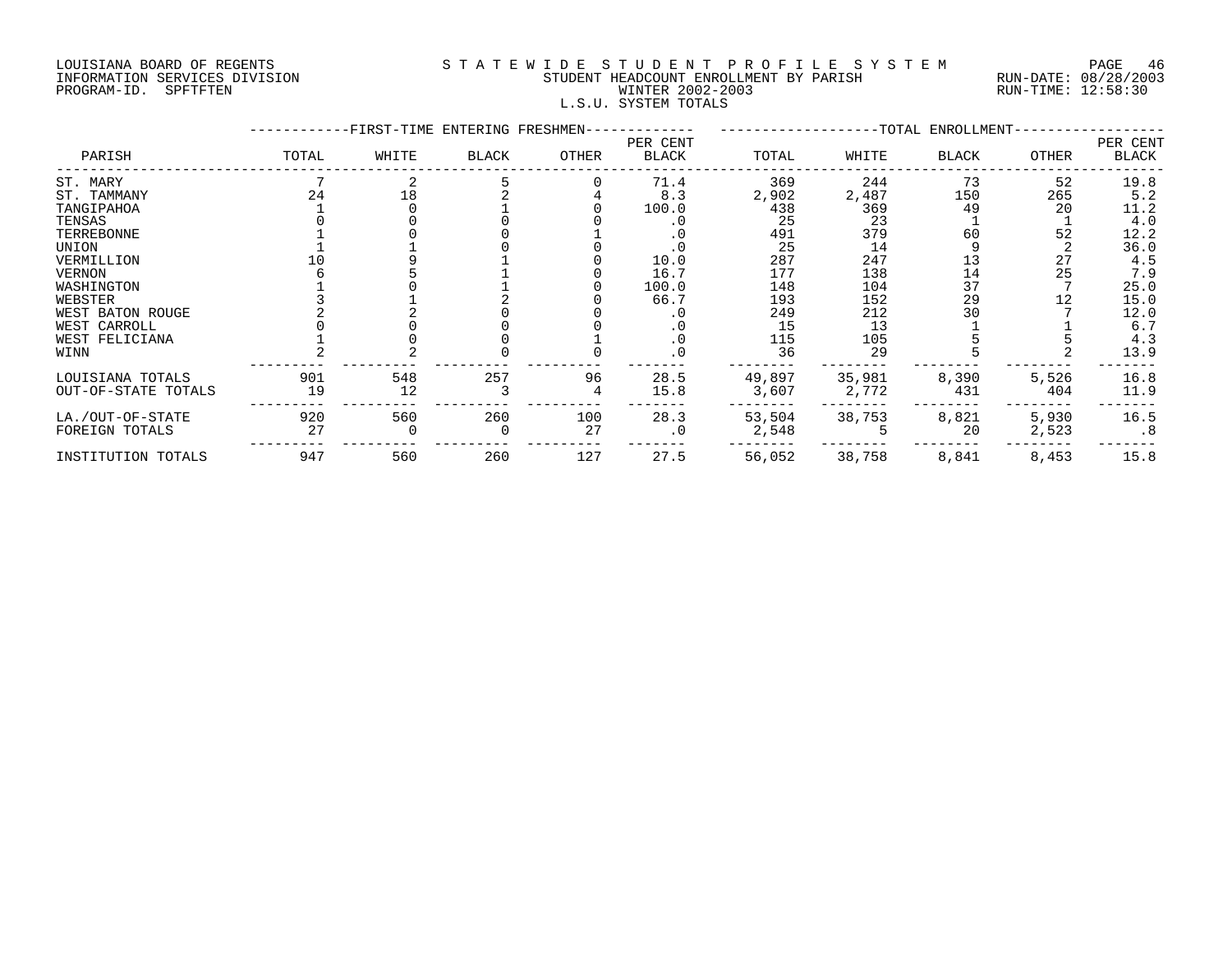## LOUISIANA BOARD OF REGENTS S T A T E W I D E S T U D E N T P R O F I L E S Y S T E M PAGE 46 INFORMATION SERVICES DIVISION STUDENT HEADCOUNT ENROLLMENT BY PARISH RUN-DATE: 08/28/2003 PROGRAM-ID. SPFTFTEN WINTER 2002-2003 RUN-TIME: 12:58:30 L.S.U. SYSTEM TOTALS

|                     |       | -FIRST-TIME ENTERING FRESHMEN- |              |       |                   |        |        | --TOTAL ENROLLMENT- |       |                   |
|---------------------|-------|--------------------------------|--------------|-------|-------------------|--------|--------|---------------------|-------|-------------------|
| PARISH              | TOTAL | WHITE                          | <b>BLACK</b> | OTHER | PER CENT<br>BLACK | TOTAL  | WHITE  | BLACK               | OTHER | PER CENT<br>BLACK |
| ST. MARY            |       |                                |              |       | 71.4              | 369    | 244    | 73                  | 52    | 19.8              |
| ST. TAMMANY         | 24    | 18                             |              |       | 8.3               | 2,902  | 2,487  | 150                 | 265   | 5.2               |
| TANGIPAHOA          |       |                                |              |       | 100.0             | 438    | 369    | 49                  | 20    | 11.2              |
| TENSAS              |       |                                |              |       |                   | 25     | 23     |                     |       | 4.0               |
| TERREBONNE          |       |                                |              |       |                   | 491    | 379    | 60                  | 52    | 12.2              |
| UNION               |       |                                |              |       |                   | 25     | 14     |                     |       | 36.0              |
| VERMILLION          |       |                                |              |       | 10.0              | 287    | 247    | 13                  | 27    | 4.5               |
| <b>VERNON</b>       |       |                                |              |       | 16.7              | 177    | 138    | 14                  | 25    | 7.9               |
| WASHINGTON          |       |                                |              |       | 100.0             | 148    | 104    | 37                  |       | 25.0              |
| WEBSTER             |       |                                |              |       | 66.7              | 193    | 152    | 29                  | 12    | 15.0              |
| WEST BATON ROUGE    |       |                                |              |       |                   | 249    | 212    | 30                  |       | 12.0              |
| WEST CARROLL        |       |                                |              |       |                   | 15     | 13     |                     |       | 6.7               |
| WEST FELICIANA      |       |                                |              |       | . 0               | 115    | 105    |                     |       | 4.3               |
| WINN                |       |                                |              |       | . 0               | 36     | 29     |                     |       | 13.9              |
| LOUISIANA TOTALS    | 901   | 548                            | 257          | 96    | 28.5              | 49,897 | 35,981 | 8,390               | 5,526 | 16.8              |
| OUT-OF-STATE TOTALS | 19    | 12                             |              |       | 15.8              | 3,607  | 2,772  | 431                 | 404   | 11.9              |
| LA./OUT-OF-STATE    | 920   | 560                            | 260          | 100   | 28.3              | 53,504 | 38,753 | 8,821               | 5,930 | 16.5              |
| FOREIGN TOTALS      | 27    |                                |              | 27    | $\cdot$ 0         | 2,548  |        | 20                  | 2,523 | .8                |
| INSTITUTION TOTALS  | 947   | 560                            | 260          | 127   | 27.5              | 56,052 | 38,758 | 8,841               | 8,453 | 15.8              |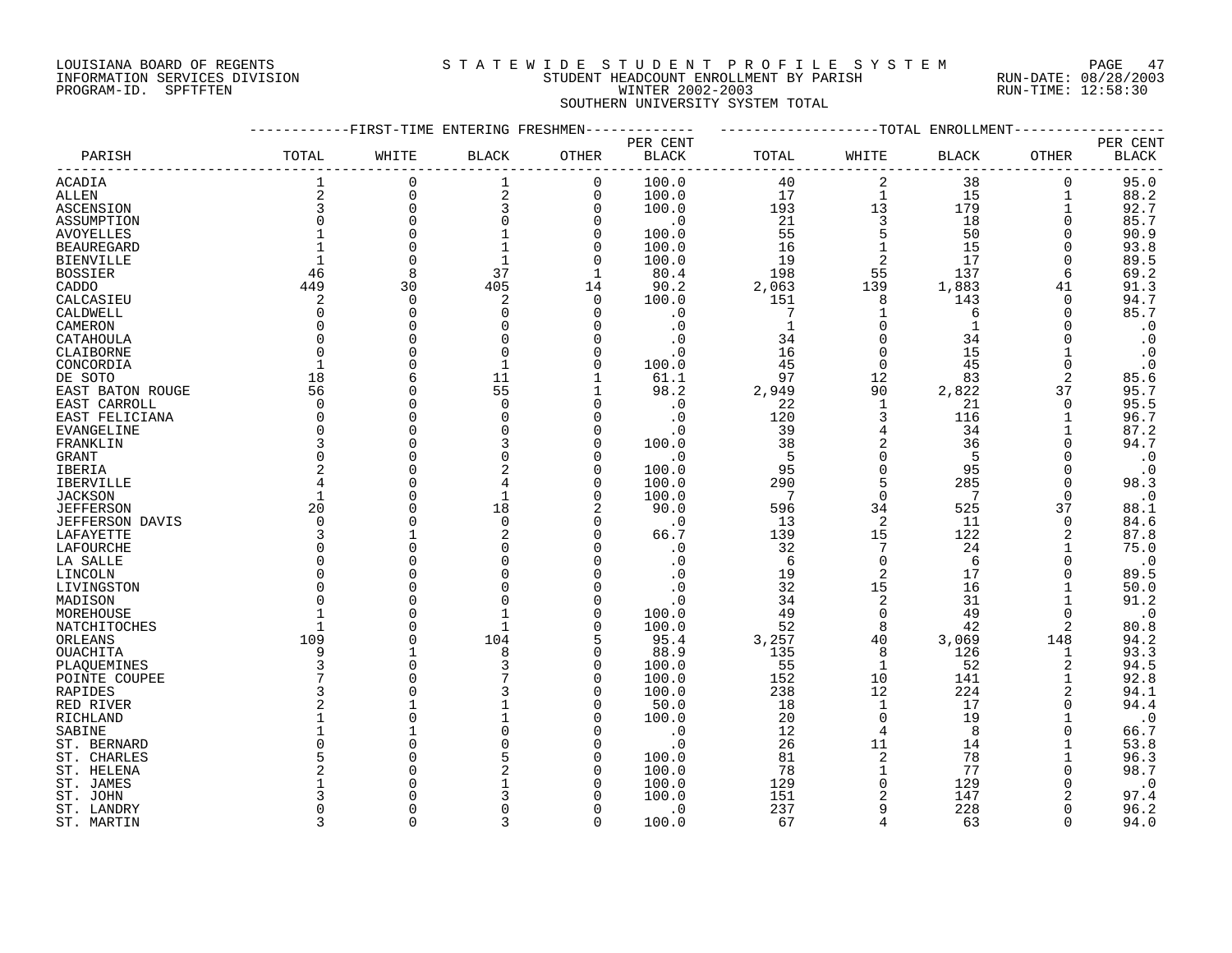## LOUISIANA BOARD OF REGENTS S T A T E W I D E S T U D E N T P R O F I L E S Y S T E M PAGE 47 INFORMATION SERVICES DIVISION STUDENT HEADCOUNT ENROLLMENT BY PARISH RUN-DATE: 08/28/2003 PROGRAM-ID. SPFTFTEN WINTER 2002-2003 RUN-TIME: 12:58:30 SOUTHERN UNIVERSITY SYSTEM TOTAL

|                              |                | -FIRST-TIME ENTERING FRESHMEN |              |                |                |              |                | -TOTAL ENROLLMENT |          |              |
|------------------------------|----------------|-------------------------------|--------------|----------------|----------------|--------------|----------------|-------------------|----------|--------------|
|                              |                |                               |              |                | PER CENT       |              |                |                   |          | PER CENT     |
| PARISH                       | TOTAL          | WHITE                         | <b>BLACK</b> | OTHER          | <b>BLACK</b>   | TOTAL        | WHITE          | <b>BLACK</b>      | OTHER    | <b>BLACK</b> |
| <b>ACADIA</b>                | 1              | 0                             | 1            | $\mathbf 0$    | 100.0          | 40           | $\overline{2}$ | 38                | 0        | 95.0         |
| ALLEN                        | $\overline{2}$ | $\Omega$                      | 2            | $\mathbf 0$    | 100.0          | 17           | $\mathbf 1$    | 15                |          | 88.2         |
| ASCENSION                    | 3              | $\Omega$                      | 3            | $\overline{0}$ | 100.0          | 193          | 13             | 179               |          | 92.7         |
| ASSUMPTION                   | $\Omega$       | $\Omega$                      | $\Omega$     | $\Omega$       | $\cdot$ 0      | 21           | 3              | 18                | $\Omega$ | 85.7         |
| <b>AVOYELLES</b>             |                | $\Omega$                      |              | $\Omega$       | 100.0          | 55           | 5              | 50                | $\Omega$ | 90.9         |
| <b>BEAUREGARD</b>            |                | $\Omega$                      |              | $\Omega$       | 100.0          | 16           | $\mathbf{1}$   | 15                | O        | 93.8         |
| <b>BIENVILLE</b>             |                | $\Omega$                      |              | 0              | 100.0          | 19           | $\overline{c}$ | 17                | 0        | 89.5         |
| <b>BOSSIER</b>               | 46             | 8                             | 37           | 1              | 80.4           | 198          | 55             | 137               | 6        | 69.2         |
| CADDO                        | 449            | 30                            | 405          | 14             | 90.2           | 2,063        | 139            | 1,883             | 41       | 91.3         |
| CALCASIEU                    | 2              | $\overline{0}$                | 2            | $\Omega$       | 100.0          | 151          | 8              | 143               | 0        | 94.7         |
| CALDWELL                     | $\Omega$       | $\Omega$                      | $\Omega$     | $\Omega$       | . 0            | 7            | $\mathbf{1}$   | 6                 | $\Omega$ | 85.7         |
| CAMERON                      | $\Omega$       | C                             |              |                | . 0            | $\mathbf{1}$ | $\Omega$       |                   |          | $\cdot$ 0    |
| CATAHOULA                    | $\Omega$       |                               |              |                | . 0            | 34           |                | 34                |          | $\cdot$ 0    |
| CLAIBORNE                    | $\Omega$       | $\cap$                        | $\Omega$     |                | $\cdot$ 0      | 16           | $\Omega$       | 15                |          | $\cdot$ 0    |
| CONCORDIA                    |                | $\cap$                        |              | $\Omega$       | 100.0          | 45           | $\Omega$       | 45                | $\Omega$ | $\cdot$ 0    |
| DE SOTO                      | 18             | 6                             | 11           |                | 61.1           | 97           | 12             | 83                | 2        | 85.6         |
| EAST BATON ROUGE             | 56             |                               | 55           |                | 98.2           | 2,949        | 90             | 2,822             | 37       | 95.7         |
| EAST CARROLL                 | $\mathbf 0$    | U                             | $\Omega$     |                | $\cdot$ 0      | 22           | 1              | 21                | $\Omega$ | 95.5         |
| EAST FELICIANA               | 0              | $\Omega$                      | $\Omega$     | n              | $\cdot$ 0      | 120          | 3              | 116               |          | 96.7         |
| <b>EVANGELINE</b>            | $\Omega$       |                               |              | n              | . 0            | 39           | 4              | 34                |          | 87.2         |
| FRANKLIN                     | 3              | $\cap$                        |              | $\cap$         | 100.0          | 38           | $\overline{a}$ | 36                | $\Omega$ | 94.7         |
| GRANT                        | $\Omega$       |                               | $\Omega$     | $\cap$         | . 0            | 5            | $\Omega$       | 5                 | $\Omega$ | $\cdot$ 0    |
| IBERIA                       |                | $\cap$                        |              | $\Omega$       | 100.0          | 95           | $\Omega$       | 95                |          | $\cdot$ 0    |
| IBERVILLE                    | 4              | $\cap$                        | 4            | $\Omega$       | 100.0          | 290          | 5              | 285               | $\Omega$ | 98.3         |
| <b>JACKSON</b>               |                | $\cap$                        | $\mathbf{1}$ | $\Omega$       | 100.0          | 7            | $\Omega$       |                   | $\Omega$ | $\cdot$ 0    |
| <b>JEFFERSON</b>             | 20             | $\bigcap$                     | 18           |                | 90.0           | 596          | 34             | 525               | 37       | 88.1         |
| <b>JEFFERSON DAVIS</b>       | $\Omega$       |                               | $\mathbf 0$  | $\Omega$       | . 0            | 13           | 2              | 11                | 0        | 84.6         |
| LAFAYETTE                    | 3              |                               |              | $\cap$         | 66.7           | 139          | 15             | 122               | 2        | 87.8         |
| LAFOURCHE                    | $\Omega$       |                               |              |                | . 0            | 32           | 7              | 24                |          | 75.0         |
| LA SALLE                     | $\Omega$       |                               |              |                | $\cdot$ 0      | 6            | $\Omega$       | 6                 |          | $\cdot$ 0    |
| LINCOLN                      | $\Omega$       |                               |              |                | . 0            | 19           | $\overline{2}$ | 17                | $\Omega$ | 89.5         |
| LIVINGSTON                   | $\Omega$       |                               |              |                | .0             | 32           | 15             | 16                |          | 50.0         |
| MADISON                      | U              |                               |              |                | $\cdot$ 0      | 34           | 2              | 31                |          | 91.2         |
| MOREHOUSE                    |                |                               |              | $\Omega$       | 100.0          | 49           | $\Omega$       | 49                | 0        | $\cdot$ 0    |
| NATCHITOCHES                 |                | C                             | $\mathbf{1}$ | $\Omega$       | 100.0          | 52           | 8              | 42                | 2        | 80.8         |
| ORLEANS                      | 109<br>9       |                               | 104<br>8     | 5<br>$\Omega$  | 95.4           | 3,257        | 40<br>8        | 3,069<br>126      | 148      | 94.2         |
| OUACHITA                     | 3              |                               |              | $\cap$         | 88.9           | 135          | $\mathbf{1}$   |                   | 1<br>2   | 93.3<br>94.5 |
| PLAQUEMINES<br>POINTE COUPEE | 7              |                               |              | $\Omega$       | 100.0<br>100.0 | 55<br>152    | 10             | 52<br>141         |          | 92.8         |
| RAPIDES                      | 3              |                               |              | $\cap$         | 100.0          | 238          | 12             | 224               | 2        | 94.1         |
| RED RIVER                    | $\overline{2}$ |                               |              | ∩              | 50.0           | 18           | 1              | 17                | $\Omega$ | 94.4         |
| RICHLAND                     |                |                               |              |                | 100.0          | 20           | $\Omega$       | 19                |          | $\cdot$ 0    |
| SABINE                       |                |                               |              |                | $\cdot$ 0      | 12           | 4              | 8                 |          | 66.7         |
| ST. BERNARD                  | O              |                               |              | $\Omega$       | $\cdot$ 0      | 26           | 11             | 14                |          | 53.8         |
| ST. CHARLES                  | 5              |                               |              | $\cap$         | 100.0          | 81           | 2              | 78                |          | 96.3         |
| ST. HELENA                   | 2              |                               |              | $\cap$         | 100.0          | 78           |                | 77                |          | 98.7         |
| ST. JAMES                    |                |                               |              |                | 100.0          | 129          | $\cap$         | 129               | O        | $\cdot$ 0    |
| ST. JOHN                     |                |                               |              |                | 100.0          | 151          | 2              | 147               | 2        | 97.4         |
| ST. LANDRY                   | <sup>0</sup>   |                               |              |                | $\cdot$ 0      | 237          |                | 228               | $\Omega$ | 96.2         |
| ST. MARTIN                   | ζ              | $\cap$                        | ς            | $\Omega$       | 100.0          | 67           |                | 63                | $\Omega$ | 94.0         |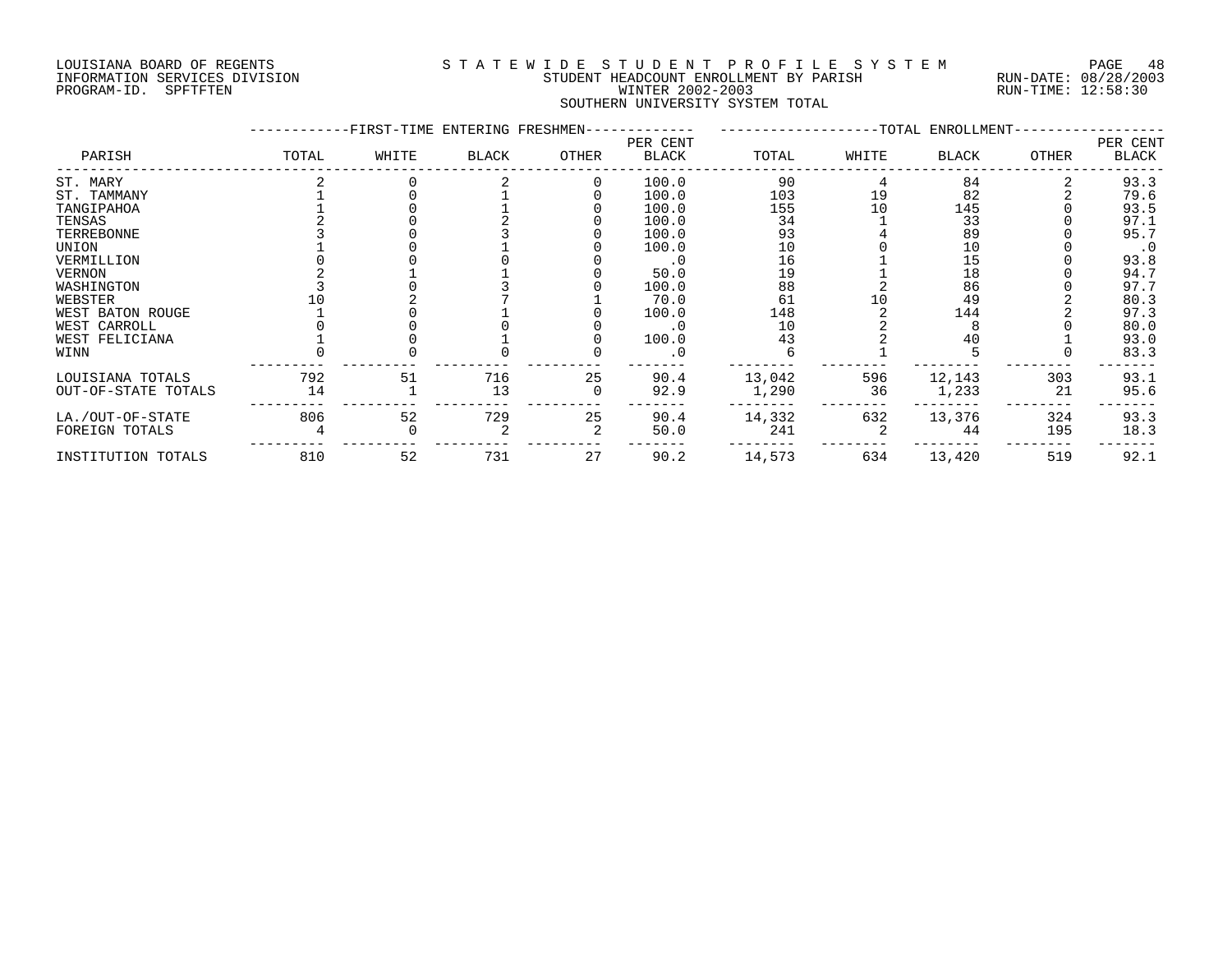#### LOUISIANA BOARD OF REGENTS S T A T E W I D E S T U D E N T P R O F I L E S Y S T E M PAGE 48 INFORMATION SERVICES DIVISION STUDENT HEADCOUNT ENROLLMENT BY PARISH RUN-DATE: 08/28/2003 PROGRAM-ID. SPFTFTEN WINTER 2002-2003 RUN-TIME: 12:58:30 SOUTHERN UNIVERSITY SYSTEM TOTAL

|                     |       | -FIRST-TIME ENTERING FRESHMEN- |              |       |                          |        |       | -TOTAL ENROLLMENT- |              |                   |
|---------------------|-------|--------------------------------|--------------|-------|--------------------------|--------|-------|--------------------|--------------|-------------------|
| PARISH              | TOTAL | WHITE                          | <b>BLACK</b> | OTHER | PER CENT<br><b>BLACK</b> | TOTAL  | WHITE | <b>BLACK</b>       | <b>OTHER</b> | PER CENT<br>BLACK |
| ST. MARY            |       |                                |              |       | 100.0                    | 90     |       | 84                 |              | 93.3              |
| ST. TAMMANY         |       |                                |              |       | 100.0                    | 103    | 19    | 82                 |              | 79.6              |
| TANGIPAHOA          |       |                                |              |       | 100.0                    | 155    | 10    | 145                |              | 93.5              |
| TENSAS              |       |                                |              |       | 100.0                    | 34     |       | 33                 |              | 97.1              |
| TERREBONNE          |       |                                |              |       | 100.0                    | 93     |       | 89                 |              | 95.7              |
| UNION               |       |                                |              |       | 100.0                    | 10     |       | 10                 |              | $\cdot$ 0         |
| VERMILLION          |       |                                |              |       |                          | 16     |       | 15                 |              | 93.8              |
| <b>VERNON</b>       |       |                                |              |       | 50.0                     | 19     |       | 18                 |              | 94.7              |
| WASHINGTON          |       |                                |              |       | 100.0                    | 88     |       | 86                 |              | 97.7              |
| WEBSTER             |       |                                |              |       | 70.0                     | 61     |       | 49                 |              | 80.3              |
| WEST BATON ROUGE    |       |                                |              |       | 100.0                    | 148    |       | 144                |              | 97.3              |
| WEST CARROLL        |       |                                |              |       |                          | 10     |       |                    |              | 80.0              |
| WEST FELICIANA      |       |                                |              |       | 100.0                    | 43     |       | 40                 |              | 93.0              |
| WINN                |       |                                |              |       |                          |        |       |                    |              | 83.3              |
| LOUISIANA TOTALS    | 792   | 51                             | 716          | 25    | 90.4                     | 13,042 | 596   | 12,143             | 303          | 93.1              |
| OUT-OF-STATE TOTALS | 14    |                                | 13           |       | 92.9                     | 1,290  | 36    | 1,233              | 21           | 95.6              |
| LA./OUT-OF-STATE    | 806   | 52                             | 729          | 25    | 90.4                     | 14,332 | 632   | 13,376             | 324          | 93.3              |
| FOREIGN TOTALS      |       |                                |              |       | 50.0                     | 241    |       | 44                 | 195          | 18.3              |
| INSTITUTION TOTALS  | 810   | 52                             | 731          | 27    | 90.2                     | 14,573 | 634   | 13,420             | 519          | 92.1              |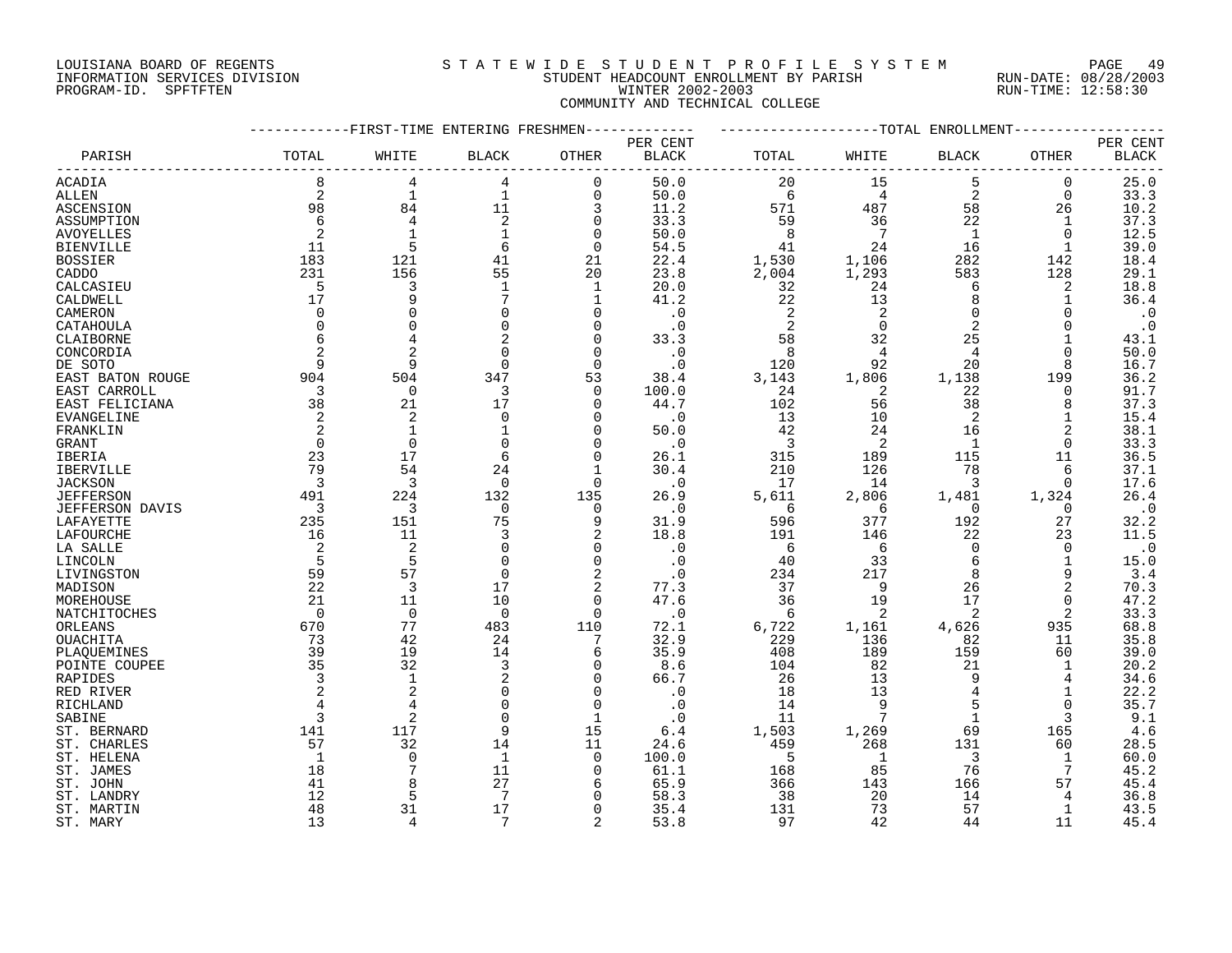# LOUISIANA BOARD OF REGENTS S T A T E W I D E S T U D E N T P R O F I L E S Y S T E M PAGE 49 INFORMATION SERVICES DIVISION STUDENT HEADCOUNT ENROLLMENT BY PARISH RUN-DATE: 08/28/2003 PROGRAM-ID. SPFTFTEN WINTER 2002-2003 RUN-TIME: 12:58:30 COMMUNITY AND TECHNICAL COLLEGE

|                        |              | -FIRST-TIME ENTERING FRESHMEN |                 |                |                                    |                |                 | TOTAL<br>ENROLLMENT |                   |                          |
|------------------------|--------------|-------------------------------|-----------------|----------------|------------------------------------|----------------|-----------------|---------------------|-------------------|--------------------------|
| PARISH                 | TOTAL        | WHITE                         | <b>BLACK</b>    | OTHER          | PER CENT<br>$\operatorname{BLACK}$ | TOTAL          | WHITE           | <b>BLACK</b>        | OTHER             | PER CENT<br><b>BLACK</b> |
| ACADIA                 | 8            | 4                             | 4               | $\Omega$       | 50.0                               | 20             | 15              | 5                   | $\mathbf 0$       | 25.0                     |
| ALLEN                  | 2            | $\mathbf{1}$                  | $\mathbf 1$     | 0              | 50.0                               | 6              | 4               | $\overline{2}$      | 0                 | 33.3                     |
| ASCENSION              | 98           | 84                            | 11              | 3              | 11.2                               | 571            | 487             | 58                  | 26                | 10.2                     |
| ASSUMPTION             | 6            | $\overline{4}$                | $\overline{2}$  | $\Omega$       | 33.3                               | 59             | 36              | 22                  | 1                 | 37.3                     |
|                        |              |                               |                 |                |                                    |                |                 |                     |                   |                          |
| <b>AVOYELLES</b>       |              |                               | $\mathbf{1}$    | $\Omega$       | 50.0                               | 8              | $7\phantom{.0}$ | $\mathbf{1}$        | $\Omega$          | 12.5                     |
| <b>BIENVILLE</b>       | 11           | 5                             | 6               | $\mathbf 0$    | 54.5                               | 41             | 24              | 16                  | $\mathbf{1}$      | 39.0                     |
| <b>BOSSIER</b>         | 183          | 121                           | 41              | 21             | 22.4                               | 1,530          | 1,106           | 282                 | 142               | 18.4                     |
| CADDO                  | 231          | 156                           | 55              | 20             | 23.8                               | 2,004          | 1,293           | 583                 | 128               | 29.1                     |
| CALCASIEU              | 5            | 3                             | $\mathbf{1}$    | 1              | 20.0                               | 32             | 24              | 6                   | 2                 | 18.8                     |
| CALDWELL               | 17           | 9                             |                 | $\mathbf{1}$   | 41.2                               | 22             | 13              | 8                   | 1                 | 36.4                     |
| CAMERON                | $\Omega$     | $\Omega$                      | $\mathbf 0$     | $\Omega$       | $\cdot$ 0                          | 2              | 2               | $\mathbf 0$         | $\Omega$          | $\cdot$ 0                |
| CATAHOULA              | $\Omega$     | $\Omega$                      | $\Omega$        | $\Omega$       | $\cdot$ 0                          | $\overline{2}$ | 0               | 2                   | $\Omega$          | $\cdot$ 0                |
| CLAIBORNE              |              | 4                             |                 | $\Omega$       | 33.3                               | 58             | 32              | 25                  |                   | 43.1                     |
| CONCORDIA              |              | $\overline{c}$                | $\Omega$        | $\Omega$       | $\cdot$ 0                          | 8              | 4               | $\overline{4}$      | $\Omega$          | 50.0                     |
| DE SOTO                | 9            | 9                             | $\Omega$        | $\Omega$       | $\cdot$ 0                          | 120            | 92              | 20                  | 8                 | 16.7                     |
| EAST BATON ROUGE       | 904          | 504                           | 347             | 53             | 38.4                               | 3,143          | 1,806           | 1,138               | 199               | 36.2                     |
| EAST CARROLL           | 3            | $\mathbf 0$                   | 3               | $\Omega$       | 100.0                              | 24             | 2               | 22                  | 0                 | 91.7                     |
| EAST FELICIANA         | 38           | 21                            | 17              | $\Omega$       | 44.7                               | 102            | 56              | 38                  | 8                 | 37.3                     |
| EVANGELINE             | 2            | 2                             | $\mathbf 0$     | $\Omega$       | $\cdot$ 0                          | 13             | 10              | $\overline{2}$      | 1                 | 15.4                     |
| FRANKLIN               |              | 1                             |                 | $\Omega$       | 50.0                               | 42             | 24              | 16                  | 2                 | 38.1                     |
| <b>GRANT</b>           | $\Omega$     | $\Omega$                      | $\Omega$        | $\Omega$       | $\cdot$ 0                          | 3              | 2               | $\mathbf{1}$        | $\Omega$          | 33.3                     |
| IBERIA                 | 23           | 17                            | 6               | $\Omega$       | 26.1                               | 315            | 189             | 115                 | 11                | 36.5                     |
| <b>IBERVILLE</b>       | 79           | 54                            | 24              |                | 30.4                               | 210            | 126             | 78                  | 6                 | 37.1                     |
| <b>JACKSON</b>         | 3            | 3                             | $\overline{0}$  | $\Omega$       | $\cdot$ 0                          | 17             | 14              | 3                   | $\mathbf 0$       | 17.6                     |
|                        | 491          | 224                           | 132             | 135            | 26.9                               | 5,611          | 2,806           | 1,481               |                   | 26.4                     |
| <b>JEFFERSON</b>       | 3            | 3                             | $\mathbf 0$     | $\Omega$       | $\cdot$ 0                          | 6              | 6               | $\Omega$            | 1,324<br>$\Omega$ |                          |
| <b>JEFFERSON DAVIS</b> | 235          | 151                           | 75              | 9              |                                    | 596            | 377             | 192                 | 27                | $\cdot$ 0                |
| LAFAYETTE              |              |                               |                 |                | 31.9                               |                |                 |                     |                   | 32.2                     |
| LAFOURCHE              | 16           | 11                            | 3               | $\overline{a}$ | 18.8                               | 191            | 146             | 22                  | 23                | 11.5                     |
| LA SALLE               | 2            | 2                             | $\Omega$        | $\Omega$       | $\cdot$ 0                          | 6              | 6               | $\overline{0}$      | $\Omega$          | $\cdot$ 0                |
| LINCOLN                | 5            | 5                             | $\Omega$        | $\Omega$       | $\cdot$ 0                          | 40             | 33              | 6                   | 1                 | 15.0                     |
| LIVINGSTON             | 59           | 57                            | $\Omega$        | $\overline{a}$ | $\cdot$ 0                          | 234            | 217             | 8                   | 9                 | 3.4                      |
| MADISON                | 22           | 3                             | 17              | 2              | 77.3                               | 37             | 9               | 26                  | $\overline{2}$    | 70.3                     |
| MOREHOUSE              | 21           | 11                            | 10              | $\Omega$       | 47.6                               | 36             | 19              | 17                  | $\mathbf 0$       | 47.2                     |
| NATCHITOCHES           | $\Omega$     | $\Omega$                      | $\Omega$        | $\Omega$       | $\cdot$ 0                          | 6              | 2               | 2                   | 2                 | 33.3                     |
| ORLEANS                | 670          | 77                            | 483             | 110            | 72.1                               | 6,722          | 1,161           | 4,626               | 935               | 68.8                     |
| OUACHITA               | 73           | 42                            | 24              |                | 32.9                               | 229            | 136             | 82                  | 11                | 35.8                     |
| PLAQUEMINES            | 39           | 19                            | 14              | 6              | 35.9                               | 408            | 189             | 159                 | 60                | 39.0                     |
| POINTE COUPEE          | 35           | 32                            | 3               | <sup>0</sup>   | 8.6                                | 104            | 82              | 21                  | 1                 | 20.2                     |
| RAPIDES                |              | $\mathbf{1}$                  |                 | $\Omega$       | 66.7                               | 26             | 13              | 9                   | 4                 | 34.6                     |
| RED RIVER              |              | 2                             | $\Omega$        | $\Omega$       | . 0                                | 18             | 13              |                     | 1                 | 22.2                     |
| RICHLAND               |              | 4                             | $\Omega$        | $\Omega$       | $\cdot$ 0                          | 14             | 9               | 5                   | $\Omega$          | 35.7                     |
| SABINE                 |              | 2                             | $\Omega$        | 1              | $\cdot$ 0                          | 11             | 7               | $\mathbf{1}$        | 3                 | 9.1                      |
| ST. BERNARD            | 141          | 117                           | 9               | 15             | 6.4                                | 1,503          | 1,269           | 69                  | 165               | 4.6                      |
| ST. CHARLES            | 57           | 32                            | 14              | 11             | 24.6                               | 459            | 268             | 131                 | 60                | 28.5                     |
| ST. HELENA             | $\mathbf{1}$ | 0                             | $\mathbf{1}$    | $\Omega$       | 100.0                              | 5              | 1               | 3                   | 1                 | 60.0                     |
| ST. JAMES              | 18           |                               | 11              | 0              | 61.1                               | 168            | 85              | 76                  | 7                 | 45.2                     |
| ST. JOHN               | 41           |                               | 27              | 6              | 65.9                               | 366            | 143             | 166                 | 57                | 45.4                     |
| ST. LANDRY             | 12           | 5                             | $7\phantom{.0}$ |                | 58.3                               | 38             | 20              | 14                  | 4                 | 36.8                     |
| ST. MARTIN             | 48           | 31                            | 17              | $\Omega$       | 35.4                               | 131            | 73              | 57                  | 1                 | 43.5                     |
| ST. MARY               | 13           | 4                             | $7\phantom{.0}$ | $\overline{2}$ | 53.8                               | 97             | 42              | 44                  | 11                | 45.4                     |
|                        |              |                               |                 |                |                                    |                |                 |                     |                   |                          |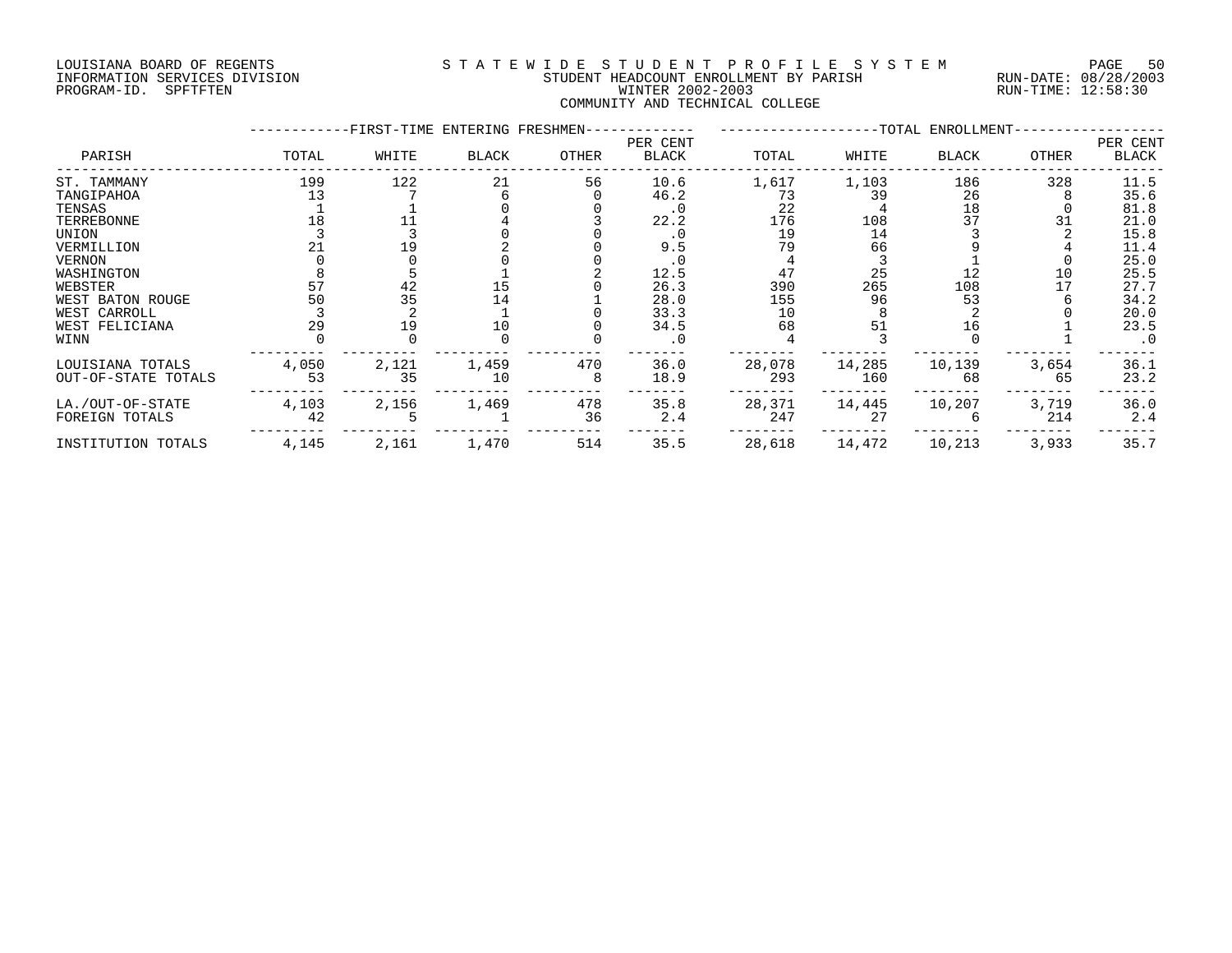# LOUISIANA BOARD OF REGENTS S T A T E W I D E S T U D E N T P R O F I L E S Y S T E M PAGE 50 INFORMATION SERVICES DIVISION STUDENT HEADCOUNT ENROLLMENT BY PARISH RUN-DATE: 08/28/2003 PROGRAM-ID. SPFTFTEN WINTER 2002-2003 RUN-TIME: 12:58:30 COMMUNITY AND TECHNICAL COLLEGE

|                                         | -FIRST-TIME ENTERING FRESHMEN- |             |              |           |                          | -TOTAL ENROLLMENT- |               |              |              |                   |  |
|-----------------------------------------|--------------------------------|-------------|--------------|-----------|--------------------------|--------------------|---------------|--------------|--------------|-------------------|--|
| PARISH                                  | TOTAL                          | WHITE       | <b>BLACK</b> | OTHER     | PER CENT<br><b>BLACK</b> | TOTAL              | WHITE         | BLACK        | OTHER        | PER CENT<br>BLACK |  |
| ST. TAMMANY                             | 199                            | 122         | 21           | 56        | 10.6                     | 1,617              | 1,103         | 186          | 328          | 11.5              |  |
| TANGIPAHOA                              | 13                             |             |              |           | 46.2                     | 73                 | 39            | 26           |              | 35.6              |  |
| TENSAS                                  |                                |             |              |           | . 0                      | 22                 |               | 18           |              | 81.8              |  |
| TERREBONNE                              |                                |             |              |           | 22.2                     | 176                | 108           | 37           | 31           | 21.0              |  |
| UNION                                   |                                |             |              |           | . 0                      | 19                 | 14            |              |              | 15.8              |  |
| VERMILLION                              |                                |             |              |           | 9.5                      | 79                 | 66            |              |              | 11.4              |  |
| <b>VERNON</b>                           |                                |             |              |           |                          |                    |               |              |              | 25.0              |  |
| WASHINGTON                              |                                |             |              |           | 12.5                     | 47                 | 25            |              | 10           | 25.5              |  |
| WEBSTER                                 | 57                             | 42          | 15           |           | 26.3                     | 390                | 265           | 108          |              | 27.7              |  |
| WEST BATON ROUGE                        | 50                             | 35          | 14           |           | 28.0                     | 155                | 96            | 53           |              | 34.2              |  |
| WEST CARROLL                            |                                |             |              |           | 33.3                     | 10                 |               |              |              | 20.0              |  |
| WEST FELICIANA                          | 29                             | 19          | 10           |           | 34.5                     | 68                 | 51            | 16           |              | 23.5              |  |
| WINN                                    |                                |             |              |           | $\cdot$ 0                |                    |               |              |              | $\cdot$ 0         |  |
| LOUISIANA TOTALS<br>OUT-OF-STATE TOTALS | 4,050<br>53                    | 2,121<br>35 | 1,459<br>10  | 470       | 36.0<br>18.9             | 28,078<br>293      | 14,285<br>160 | 10,139<br>68 | 3,654<br>65  | 36.1<br>23.2      |  |
| LA./OUT-OF-STATE<br>FOREIGN TOTALS      | 4,103<br>42                    | 2,156       | 1,469        | 478<br>36 | 35.8<br>2.4              | 28,371<br>247      | 14,445<br>27  | 10,207       | 3,719<br>214 | 36.0<br>2.4       |  |
| INSTITUTION TOTALS                      | 4,145                          | 2,161       | 1,470        | 514       | 35.5                     | 28,618             | 14,472        | 10,213       | 3,933        | 35.7              |  |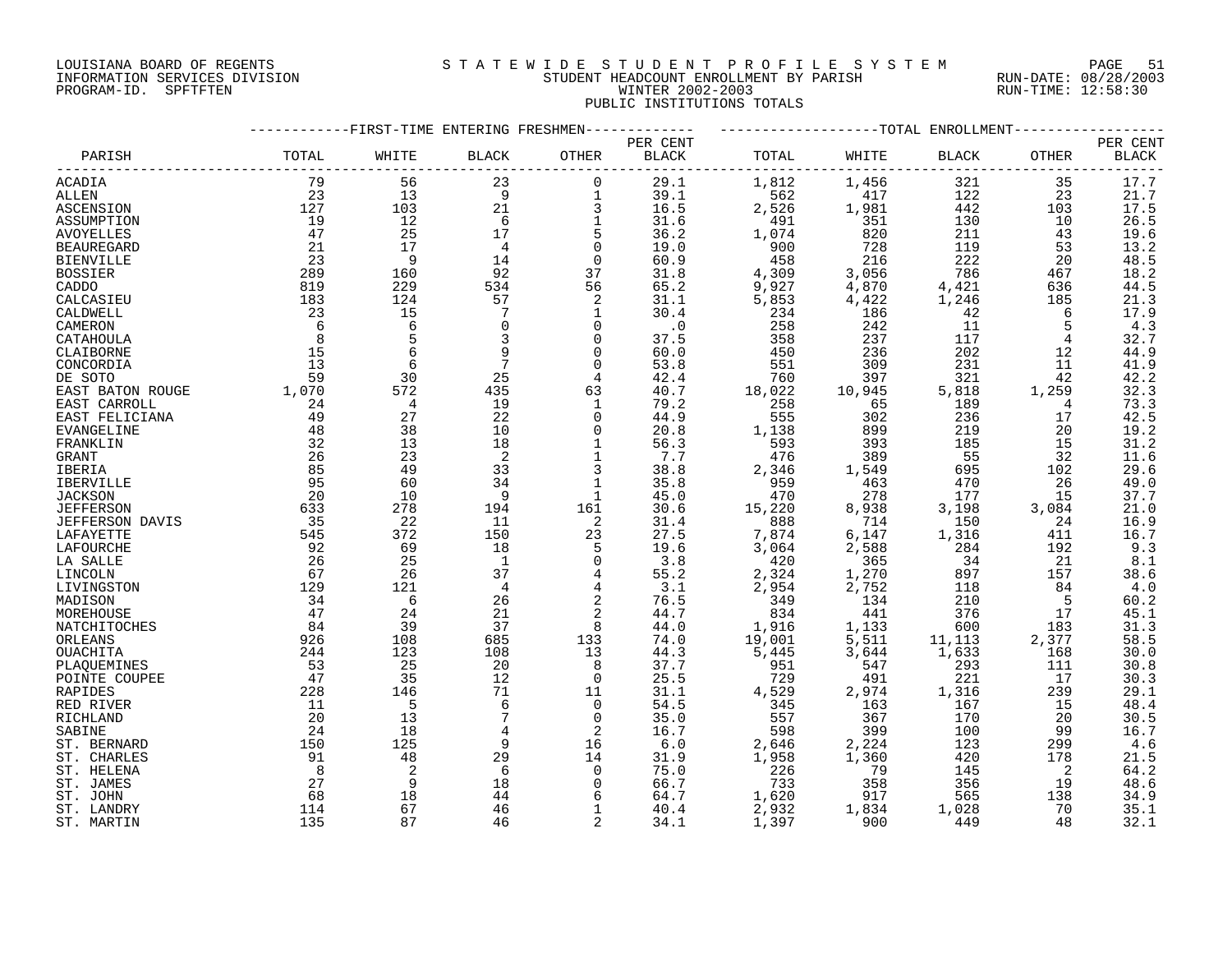### LOUISIANA BOARD OF REGENTS S T A T E W I D E S T U D E N T P R O F I L E S Y S T E M PAGE 51 INFORMATION SERVICES DIVISION STUDENT HEADCOUNT ENROLLMENT BY PARISH RUN-DATE: 08/28/2003 PROGRAM-ID. SPFTFTEN WINTER 2002-2003 RUN-TIME: 12:58:30 PUBLIC INSTITUTIONS TOTALS

|                   |         |                | -FIRST-TIME ENTERING FRESHMEN |                |              |        |         |             | --TOTAL ENROLLMENT |                     |
|-------------------|---------|----------------|-------------------------------|----------------|--------------|--------|---------|-------------|--------------------|---------------------|
|                   |         |                |                               |                | PER CENT     |        |         |             |                    | PER CENT            |
| PARISH            | TOTAL   | WHITE          | <b>BLACK</b>                  | OTHER          | <b>BLACK</b> | TOTAL  | WHITE   | BLACK       | OTHER              | <b>BLACK</b>        |
| ACADIA            | 79      | 56             | 23                            | $\mathbf 0$    | 29.1         | 1,812  | 1,456   | 321         | 35                 | 17.7                |
| ALLEN             | 23      | 13             | 9                             | $\mathbf 1$    | 39.1         | 562    | 417     | 122         | 23                 | 21.7                |
| ASCENSION         | 127     | 103            | 21                            | 3              | 16.5         | 2,526  | 1,981   | 442         | 103                | $\frac{17.5}{26.5}$ |
| ASSUMPTION        | 19      | 12             | 6                             | 1              | 31.6         | 491    | 351     | 130         | 10                 |                     |
| <b>AVOYELLES</b>  | 47      | 25             | 17                            | 5              | 36.2         | 1,074  | 820     | 211         | 43                 | 19.6                |
| <b>BEAUREGARD</b> | 21      | 17             | $\overline{4}$                | $\overline{0}$ | 19.0         | 900    | 728     | 119         | 53                 | 13.2                |
| <b>BIENVILLE</b>  | 23      | 9              | 14                            | 0              | 60.9         | 458    | 216     | 222         | 20                 | 48.5                |
| <b>BOSSIER</b>    | 289     | 160            | 92                            | 37             | 31.8         | 4,309  | 3,056   | 786         | 467                | 18.2                |
| CADDO             | 819     | 229            | 534                           | 56             | 65.2         | 9,927  | 4,870   | 4,421       | 636                | 44.5                |
| CALCASIEU         | 183     | 124            | 57                            | 2              | 31.1         | 5,853  | 4,422   |             | 185                | 21.3                |
| CALDWELL          | 23      | 15             | 7                             | 1              | 30.4         | 234    | 186     | 1,246<br>42 | 6                  | 17.9                |
|                   | 6       | 6              | $\mathbf 0$                   | $\Omega$       |              |        |         | 11          |                    |                     |
| CAMERON           |         | 5              |                               | $\Omega$       | $\cdot$ 0    | 258    | 242     |             | 5                  | 4.3                 |
| CATAHOULA         | 8<br>15 | 6              | 3                             |                | 37.5         | 358    | 237     | 117         | 4                  | 32.7                |
| CLAIBORNE         |         |                | 9                             | $\Omega$       | 60.0         | 450    | 236     | 202         | 12                 | 44.9                |
| CONCORDIA         | 13      | 6              | $\overline{7}$                | $\Omega$       | 53.8         | 551    | 309     | 231         | 11                 | 41.9                |
| DE SOTO           | 59      | 30             | 25                            | 4              | 42.4         | 760    | 397     | 321         | 42                 | 42.2                |
| EAST BATON ROUGE  | 1,070   | 572            | 435                           | 63             | 40.7         | 18,022 | 10,945  | 5,818       | 1,259              | 32.3                |
| EAST CARROLL      | 24      | $\overline{4}$ | 19                            | 1              | 79.2         | 258    | 65      | 189         | 4                  | 73.3                |
| EAST FELICIANA    | 49      | 27             | 22                            | 0              | 44.9         | 555    | 302     | 236         | 17                 | 42.5                |
| EVANGELINE        | 48      | 38             | 10                            | $\Omega$       | 20.8         | 1,138  | 899     | 219         | 20                 | 19.2                |
| FRANKLIN          | 32      | 13             | 18                            | $\mathbf 1$    | 56.3         | 593    | 393     | 185         | 15                 | 31.2                |
| GRANT             | 26      | 23             | 2                             | $\mathbf 1$    | 7.7          | 476    | 389     | 55          | 32                 | 11.6                |
| <b>IBERIA</b>     | 85      | 49             | 33                            | 3              | 38.8         | 2,346  | 1,549   | 695         | 102                | 29.6                |
| IBERVILLE         | 95      | 60             | 34                            | 1              | 35.8         | 959    | 463     | 470         | 26                 | 49.0                |
| <b>JACKSON</b>    | 20      | 10             | 9                             | 1              | 45.0         | 470    | 278     | 177         | 15                 | 37.7                |
| <b>JEFFERSON</b>  | 633     | 278            | 194                           | 161            | 30.6         | 15,220 | 8,938   | 3,198       | 3,084              | 21.0                |
| JEFFERSON DAVIS   | 35      | 22             | 11                            | 2              | 31.4         | 888    | 714     | 150         | 24                 | 16.9                |
| LAFAYETTE         | 545     | 372            | 150                           | 23             | 27.5         | 7,874  | $6,147$ | 1,316       | 411                | 16.7                |
| LAFOURCHE         | 92      | 69             | 18                            | 5              | 19.6         | 3,064  | 2,588   | 284         | 192                | 9.3                 |
| LA SALLE          | 26      | 25             | $\mathbf{1}$                  | $\Omega$       | 3.8          | 420    | 365     | 34          | 21                 | $8.1\,$             |
| LINCOLN           | 67      | 26             | 37                            | 4              | 55.2         | 2,324  | 1,270   | 897         | 157                | 38.6                |
| LIVINGSTON        | 129     | 121            | 4                             | 4              | 3.1          | 2,954  | 2,752   | 118         | 84                 | 4.0                 |
| MADISON           | 34      | 6              | 26                            | $\sqrt{2}$     | 76.5         | 349    | 134     | 210         | -5                 | 60.2                |
| MOREHOUSE         | 47      | 24             | 21                            | $\overline{2}$ | 44.7         | 834    | 441     | 376         | 17                 | 45.1                |
| NATCHITOCHES      | 84      | 39             | 37                            | 8              | 44.0         | 1,916  | 1,133   | 600         | 183                |                     |
| ORLEANS           | 926     | 108            | 685                           | 133            | 74.0         | 19,001 | 5,511   | 11,113      | 2,377              | $31.3$<br>58.5      |
| OUACHITA          | 244     | 123            | 108                           | 13             | 44.3         | 5,445  | 3,644   | 1,633       | 168                | 30.0                |
| PLAQUEMINES       | 53      | 25             | 20                            | 8              | 37.7         | 951    | 547     | 293         | 111                | 30.8                |
| POINTE COUPEE     | 47      | 35             | 12                            | $\Omega$       | 25.5         | 729    | 491     | 221         | 17                 | 30.3                |
| RAPIDES           | 228     | 146            | 71                            | 11             | 31.1         | 4,529  | 2,974   | 1,316       | 239                | 29.1                |
| RED RIVER         | 11      | 5              | 6                             | $\Omega$       | 54.5         | 345    | 163     | 167         | 15                 | 48.4                |
| RICHLAND          | 20      | 13             | 7                             | 0              | 35.0         | 557    | 367     | 170         | 20                 | 30.5                |
| SABINE            | 24      | 18             | 4                             | 2              | 16.7         | 598    | 399     | 100         | 99                 | 16.7                |
| ST. BERNARD       | 150     | 125            | 9                             | 16             | 6.0          | 2,646  | 2,224   | 123         | 299                | 4.6                 |
| ST. CHARLES       | 91      | 48             | 29                            | 14             | 31.9         | 1,958  | 1,360   | 420         | 178                | 21.5                |
| ST. HELENA        | 8       | 2              | 6                             | $\Omega$       | 75.0         | 226    | 79      | 145         | 2                  | 64.2                |
| ST. JAMES         | 27      | 9              | 18                            | 0              | 66.7         | 733    | 358     | 356         | 19                 | 48.6                |
| ST. JOHN          | 68      | 18             | 44                            | 6              | 64.7         | 1,620  | 917     | 565         | 138                | 34.9                |
| ST. LANDRY        | 114     | 67             | 46                            | $\mathbf 1$    | 40.4         | 2,932  | 1,834   | 1,028       | 70                 | 35.1                |
|                   | 135     | 87             | 46                            | 2              |              |        | 900     | 449         | 48                 |                     |
| ST. MARTIN        |         |                |                               |                | 34.1         | 1,397  |         |             |                    | 32.1                |